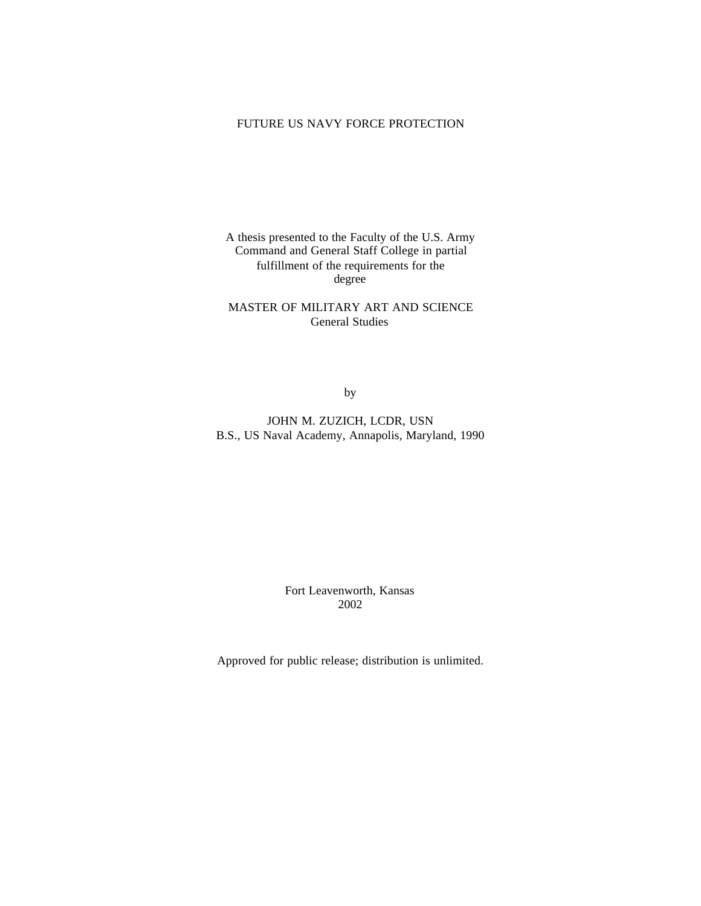# FUTURE US NAVY FORCE PROTECTION

A thesis presented to the Faculty of the U.S. Army Command and General Staff College in partial fulfillment of the requirements for the degree

MASTER OF MILITARY ART AND SCIENCE General Studies

by

JOHN M. ZUZICH, LCDR, USN B.S., US Naval Academy, Annapolis, Maryland, 1990

> Fort Leavenworth, Kansas 2002

Approved for public release; distribution is unlimited.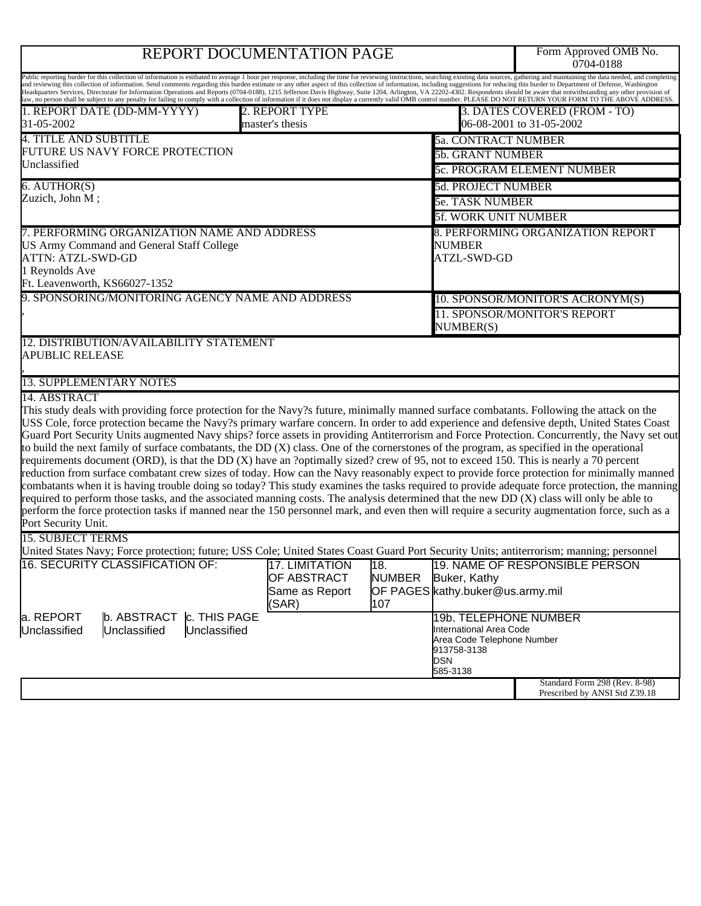# REPORT DOCUMENTATION PAGE

Form Approved OMB No.<br>0704-0188

| Public reporting burder for this collection of information is estibated to average 1 hour per response, including the time for reviewing instructions, searching existing data sources, gathering and maintaining the data nee<br>and reviewing this collection of information. Send comments regarding this burden estimate or any other aspect of this collection of information, including suggestions for reducing this burder to Department of Defense, Was<br>Headquarters Services, Directorate for Information Operations and Reports (0704-0188), 1215 Jefferson Davis Highway, Suite 1204, Arlington, VA 22202-4302. Respondents should be aware that notwithstanding any other provisio<br>law, no person shall be subject to any penalty for failing to comply with a collection of information if it does not display a currently valid OMB control number. PLEASE DO NOT RETURN YOUR FORM TO THE ABOVE ADDRESS.                                                                                                                                                                                                                                                                                                                       |                                                                                         |                                                                                                                                                          |                                                                |  |
|-----------------------------------------------------------------------------------------------------------------------------------------------------------------------------------------------------------------------------------------------------------------------------------------------------------------------------------------------------------------------------------------------------------------------------------------------------------------------------------------------------------------------------------------------------------------------------------------------------------------------------------------------------------------------------------------------------------------------------------------------------------------------------------------------------------------------------------------------------------------------------------------------------------------------------------------------------------------------------------------------------------------------------------------------------------------------------------------------------------------------------------------------------------------------------------------------------------------------------------------------------|-----------------------------------------------------------------------------------------|----------------------------------------------------------------------------------------------------------------------------------------------------------|----------------------------------------------------------------|--|
| 1. REPORT DATE (DD-MM-YYYY)<br>31-05-2002                                                                                                                                                                                                                                                                                                                                                                                                                                                                                                                                                                                                                                                                                                                                                                                                                                                                                                                                                                                                                                                                                                                                                                                                           | 2. REPORT TYPE<br>master's thesis                                                       |                                                                                                                                                          | 3. DATES COVERED (FROM - TO)<br>06-08-2001 to 31-05-2002       |  |
| <b>4. TITLE AND SUBTITLE</b>                                                                                                                                                                                                                                                                                                                                                                                                                                                                                                                                                                                                                                                                                                                                                                                                                                                                                                                                                                                                                                                                                                                                                                                                                        |                                                                                         | <b>5a. CONTRACT NUMBER</b>                                                                                                                               |                                                                |  |
| FUTURE US NAVY FORCE PROTECTION                                                                                                                                                                                                                                                                                                                                                                                                                                                                                                                                                                                                                                                                                                                                                                                                                                                                                                                                                                                                                                                                                                                                                                                                                     |                                                                                         |                                                                                                                                                          | <b>5b. GRANT NUMBER</b>                                        |  |
| Unclassified                                                                                                                                                                                                                                                                                                                                                                                                                                                                                                                                                                                                                                                                                                                                                                                                                                                                                                                                                                                                                                                                                                                                                                                                                                        |                                                                                         |                                                                                                                                                          | <b>5c. PROGRAM ELEMENT NUMBER</b>                              |  |
| 6. AUTHOR(S)                                                                                                                                                                                                                                                                                                                                                                                                                                                                                                                                                                                                                                                                                                                                                                                                                                                                                                                                                                                                                                                                                                                                                                                                                                        |                                                                                         | 5d. PROJECT NUMBER                                                                                                                                       |                                                                |  |
| Zuzich, John M;                                                                                                                                                                                                                                                                                                                                                                                                                                                                                                                                                                                                                                                                                                                                                                                                                                                                                                                                                                                                                                                                                                                                                                                                                                     |                                                                                         |                                                                                                                                                          | <b>5e. TASK NUMBER</b>                                         |  |
|                                                                                                                                                                                                                                                                                                                                                                                                                                                                                                                                                                                                                                                                                                                                                                                                                                                                                                                                                                                                                                                                                                                                                                                                                                                     |                                                                                         |                                                                                                                                                          | <b>5f. WORK UNIT NUMBER</b>                                    |  |
| 7. PERFORMING ORGANIZATION NAME AND ADDRESS<br>US Army Command and General Staff College<br><b>ATTN: ATZL-SWD-GD</b><br>1 Reynolds Ave<br>Ft. Leavenworth, KS66027-1352                                                                                                                                                                                                                                                                                                                                                                                                                                                                                                                                                                                                                                                                                                                                                                                                                                                                                                                                                                                                                                                                             |                                                                                         | <b>NUMBER</b><br>ATZL-SWD-GD                                                                                                                             | 8. PERFORMING ORGANIZATION REPORT                              |  |
| 9. SPONSORING/MONITORING AGENCY NAME AND ADDRESS                                                                                                                                                                                                                                                                                                                                                                                                                                                                                                                                                                                                                                                                                                                                                                                                                                                                                                                                                                                                                                                                                                                                                                                                    |                                                                                         |                                                                                                                                                          | 10. SPONSOR/MONITOR'S ACRONYM(S)                               |  |
|                                                                                                                                                                                                                                                                                                                                                                                                                                                                                                                                                                                                                                                                                                                                                                                                                                                                                                                                                                                                                                                                                                                                                                                                                                                     |                                                                                         | NUMBER(S)                                                                                                                                                | 11. SPONSOR/MONITOR'S REPORT                                   |  |
| <b>APUBLIC RELEASE</b><br><b>13. SUPPLEMENTARY NOTES</b><br>14. ABSTRACT<br>This study deals with providing force protection for the Navy?s future, minimally manned surface combatants. Following the attack on the<br>USS Cole, force protection became the Navy?s primary warfare concern. In order to add experience and defensive depth, United States Coast<br>Guard Port Security Units augmented Navy ships? force assets in providing Antiterrorism and Force Protection. Concurrently, the Navy set out<br>to build the next family of surface combatants, the DD $(X)$ class. One of the cornerstones of the program, as specified in the operational<br>requirements document (ORD), is that the DD (X) have an ?optimally sized? crew of 95, not to exceed 150. This is nearly a 70 percent<br>reduction from surface combatant crew sizes of today. How can the Navy reasonably expect to provide force protection for minimally manned<br>combatants when it is having trouble doing so today? This study examines the tasks required to provide adequate force protection, the manning<br>required to perform those tasks, and the associated manning costs. The analysis determined that the new DD (X) class will only be able to |                                                                                         |                                                                                                                                                          |                                                                |  |
| perform the force protection tasks if manned near the 150 personnel mark, and even then will require a security augmentation force, such as a<br>Port Security Unit.                                                                                                                                                                                                                                                                                                                                                                                                                                                                                                                                                                                                                                                                                                                                                                                                                                                                                                                                                                                                                                                                                |                                                                                         |                                                                                                                                                          |                                                                |  |
| <b>15. SUBJECT TERMS</b>                                                                                                                                                                                                                                                                                                                                                                                                                                                                                                                                                                                                                                                                                                                                                                                                                                                                                                                                                                                                                                                                                                                                                                                                                            |                                                                                         |                                                                                                                                                          |                                                                |  |
| United States Navy; Force protection; future; USS Cole; United States Coast Guard Port Security Units; antiterrorism; manning; personnel<br>16. SECURITY CLASSIFICATION OF:<br>a. REPORT<br>b. ABSTRACT<br>Unclassified<br>Unclassified<br>Unclassified                                                                                                                                                                                                                                                                                                                                                                                                                                                                                                                                                                                                                                                                                                                                                                                                                                                                                                                                                                                             | <b>17. LIMITATION</b><br>OF ABSTRACT<br> Same as Report<br>(SAR)<br><b>c. THIS PAGE</b> | 18.<br>NUMBER<br>Buker, Kathy<br>JOF PAGES kathy.buker@us.army.mil<br>107<br>International Area Code<br>Area Code Telephone Number<br>913758-3138<br>DSN | 19. NAME OF RESPONSIBLE PERSON<br>19b. TELEPHONE NUMBER        |  |
|                                                                                                                                                                                                                                                                                                                                                                                                                                                                                                                                                                                                                                                                                                                                                                                                                                                                                                                                                                                                                                                                                                                                                                                                                                                     |                                                                                         | 585-3138                                                                                                                                                 |                                                                |  |
|                                                                                                                                                                                                                                                                                                                                                                                                                                                                                                                                                                                                                                                                                                                                                                                                                                                                                                                                                                                                                                                                                                                                                                                                                                                     |                                                                                         |                                                                                                                                                          | Standard Form 298 (Rev. 8-98)<br>Prescribed by ANSI Std Z39.18 |  |
|                                                                                                                                                                                                                                                                                                                                                                                                                                                                                                                                                                                                                                                                                                                                                                                                                                                                                                                                                                                                                                                                                                                                                                                                                                                     |                                                                                         |                                                                                                                                                          |                                                                |  |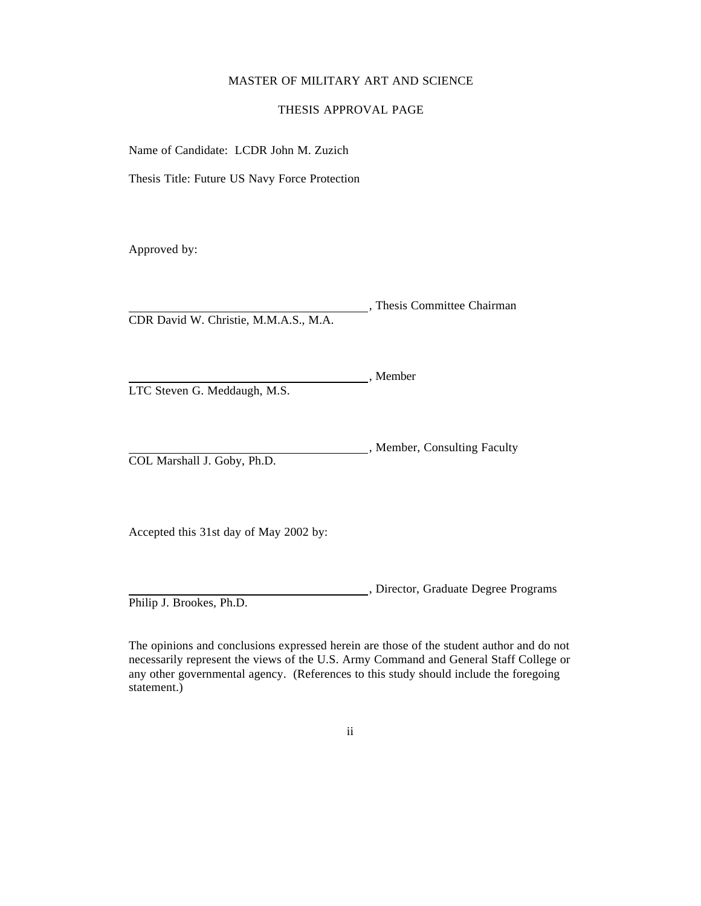### MASTER OF MILITARY ART AND SCIENCE

# THESIS APPROVAL PAGE

Name of Candidate: LCDR John M. Zuzich

Thesis Title: Future US Navy Force Protection

Approved by:

 , Thesis Committee Chairman CDR David W. Christie, M.M.A.S., M.A.

LTC Steven G. Meddaugh, M.S.

 , Member, Consulting Faculty COL Marshall J. Goby, Ph.D.

, Member

Accepted this 31st day of May 2002 by:

 , Director, Graduate Degree Programs Philip J. Brookes, Ph.D.

The opinions and conclusions expressed herein are those of the student author and do not necessarily represent the views of the U.S. Army Command and General Staff College or any other governmental agency. (References to this study should include the foregoing statement.)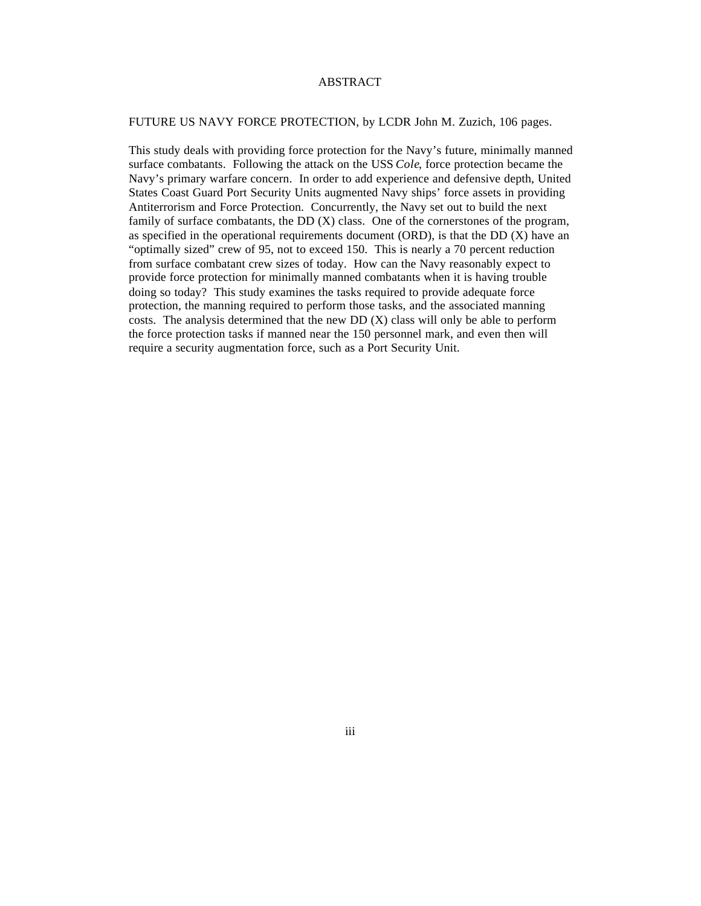## ABSTRACT

### FUTURE US NAVY FORCE PROTECTION, by LCDR John M. Zuzich, 106 pages.

This study deals with providing force protection for the Navy's future, minimally manned surface combatants. Following the attack on the USS *Cole*, force protection became the Navy's primary warfare concern. In order to add experience and defensive depth, United States Coast Guard Port Security Units augmented Navy ships' force assets in providing Antiterrorism and Force Protection. Concurrently, the Navy set out to build the next family of surface combatants, the DD (X) class. One of the cornerstones of the program, as specified in the operational requirements document (ORD), is that the DD (X) have an "optimally sized" crew of 95, not to exceed 150. This is nearly a 70 percent reduction from surface combatant crew sizes of today. How can the Navy reasonably expect to provide force protection for minimally manned combatants when it is having trouble doing so today? This study examines the tasks required to provide adequate force protection, the manning required to perform those tasks, and the associated manning costs. The analysis determined that the new DD (X) class will only be able to perform the force protection tasks if manned near the 150 personnel mark, and even then will require a security augmentation force, such as a Port Security Unit.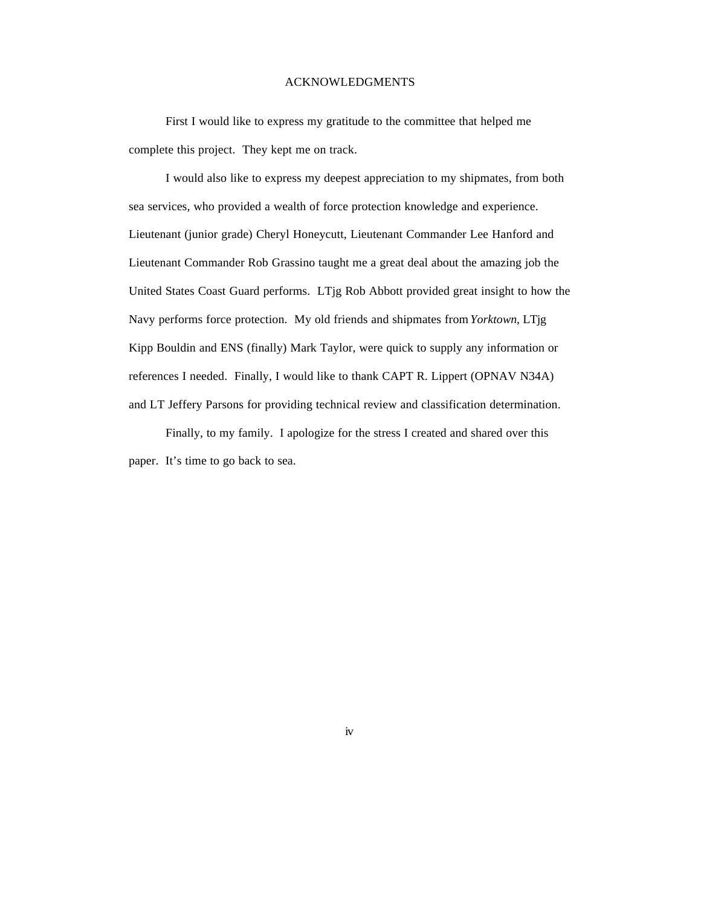# ACKNOWLEDGMENTS

First I would like to express my gratitude to the committee that helped me complete this project. They kept me on track.

I would also like to express my deepest appreciation to my shipmates, from both sea services, who provided a wealth of force protection knowledge and experience. Lieutenant (junior grade) Cheryl Honeycutt, Lieutenant Commander Lee Hanford and Lieutenant Commander Rob Grassino taught me a great deal about the amazing job the United States Coast Guard performs. LTjg Rob Abbott provided great insight to how the Navy performs force protection. My old friends and shipmates from *Yorktown*, LTjg Kipp Bouldin and ENS (finally) Mark Taylor, were quick to supply any information or references I needed. Finally, I would like to thank CAPT R. Lippert (OPNAV N34A) and LT Jeffery Parsons for providing technical review and classification determination.

Finally, to my family. I apologize for the stress I created and shared over this paper. It's time to go back to sea.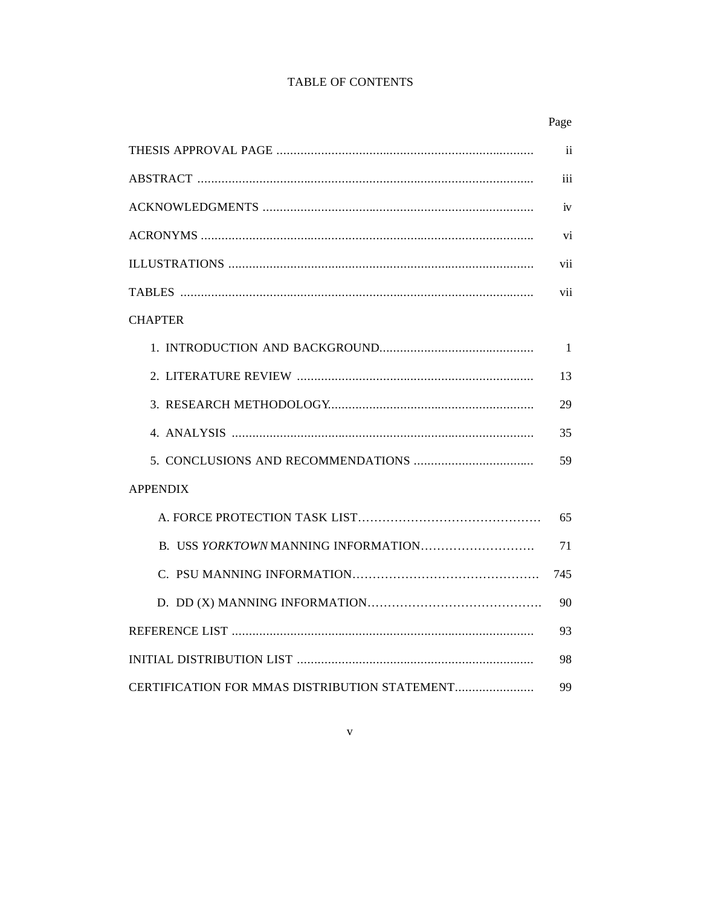# TABLE OF CONTENTS

|                                               | Page         |
|-----------------------------------------------|--------------|
|                                               | ii           |
|                                               | iii          |
|                                               | iv           |
|                                               | vi           |
|                                               | vii          |
|                                               | vii          |
| <b>CHAPTER</b>                                |              |
|                                               | $\mathbf{1}$ |
|                                               | 13           |
|                                               | 29           |
|                                               | 35           |
|                                               | 59           |
| <b>APPENDIX</b>                               |              |
|                                               | 65           |
|                                               | 71           |
|                                               | 745          |
|                                               | 90           |
|                                               | 93           |
|                                               | 98           |
| CERTIFICATION FOR MMAS DISTRIBUTION STATEMENT | 99           |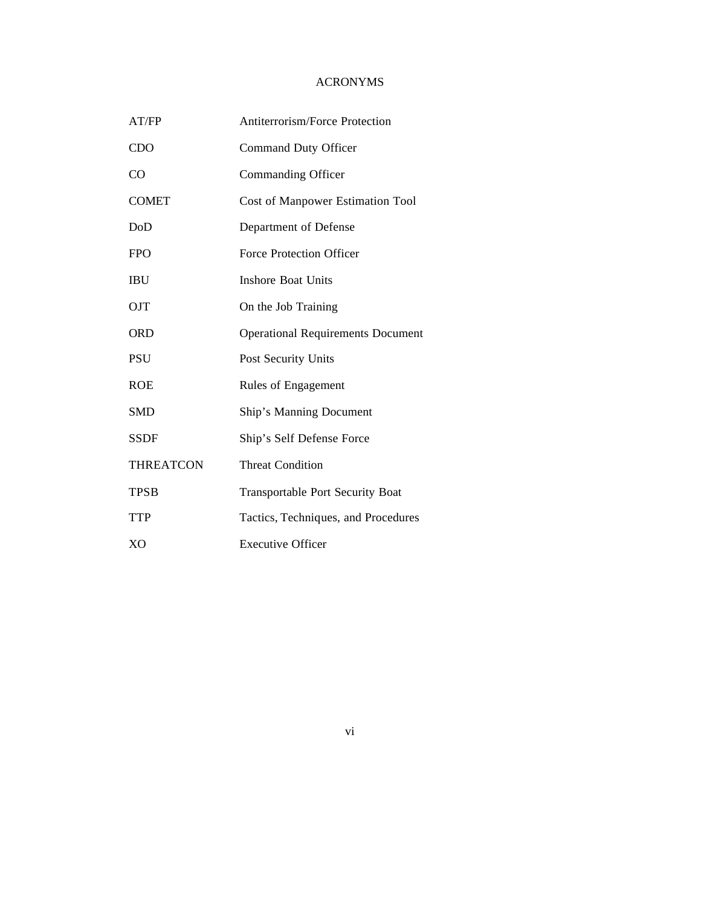# ACRONYMS

| AT/FP            | Antiterrorism/Force Protection           |  |
|------------------|------------------------------------------|--|
| <b>CDO</b>       | <b>Command Duty Officer</b>              |  |
| CO               | Commanding Officer                       |  |
| <b>COMET</b>     | <b>Cost of Manpower Estimation Tool</b>  |  |
| DoD              | Department of Defense                    |  |
| <b>FPO</b>       | Force Protection Officer                 |  |
| <b>IBU</b>       | <b>Inshore Boat Units</b>                |  |
| <b>OJT</b>       | On the Job Training                      |  |
| <b>ORD</b>       | <b>Operational Requirements Document</b> |  |
| <b>PSU</b>       | Post Security Units                      |  |
| <b>ROE</b>       | Rules of Engagement                      |  |
| SMD              | Ship's Manning Document                  |  |
| <b>SSDF</b>      | Ship's Self Defense Force                |  |
| <b>THREATCON</b> | <b>Threat Condition</b>                  |  |
| <b>TPSB</b>      | <b>Transportable Port Security Boat</b>  |  |
| <b>TTP</b>       | Tactics, Techniques, and Procedures      |  |
| X <sub>O</sub>   | <b>Executive Officer</b>                 |  |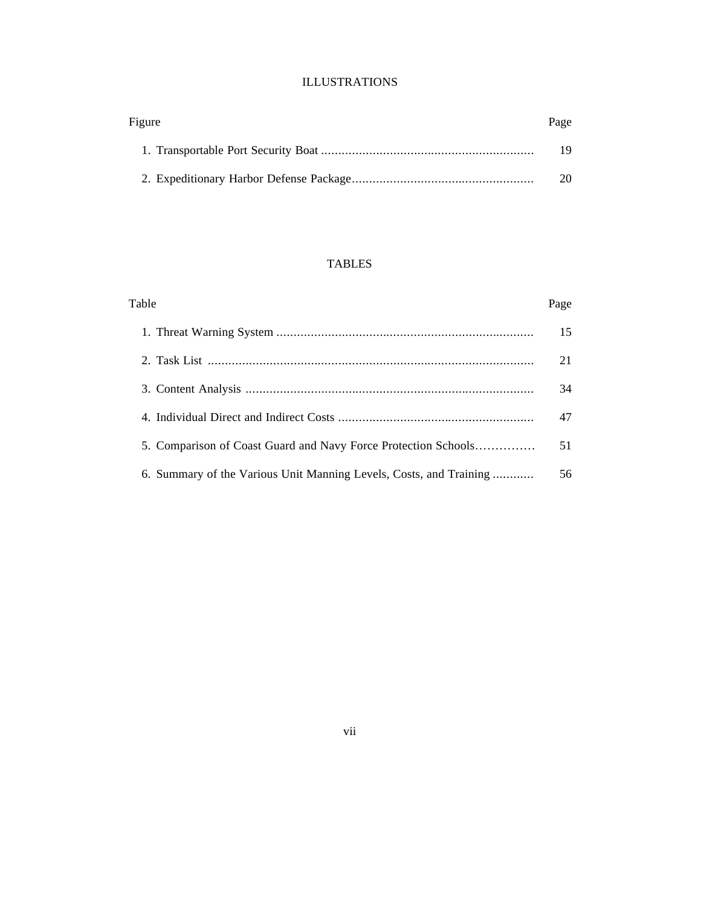# ILLUSTRATIONS

| Figure | Page |
|--------|------|
|        | 19   |
|        | 20   |

# TABLES

| Table                                                              | Page |
|--------------------------------------------------------------------|------|
|                                                                    | 15   |
|                                                                    | 21   |
|                                                                    | 34   |
|                                                                    | 47   |
| 5. Comparison of Coast Guard and Navy Force Protection Schools     | 51   |
| 6. Summary of the Various Unit Manning Levels, Costs, and Training | 56   |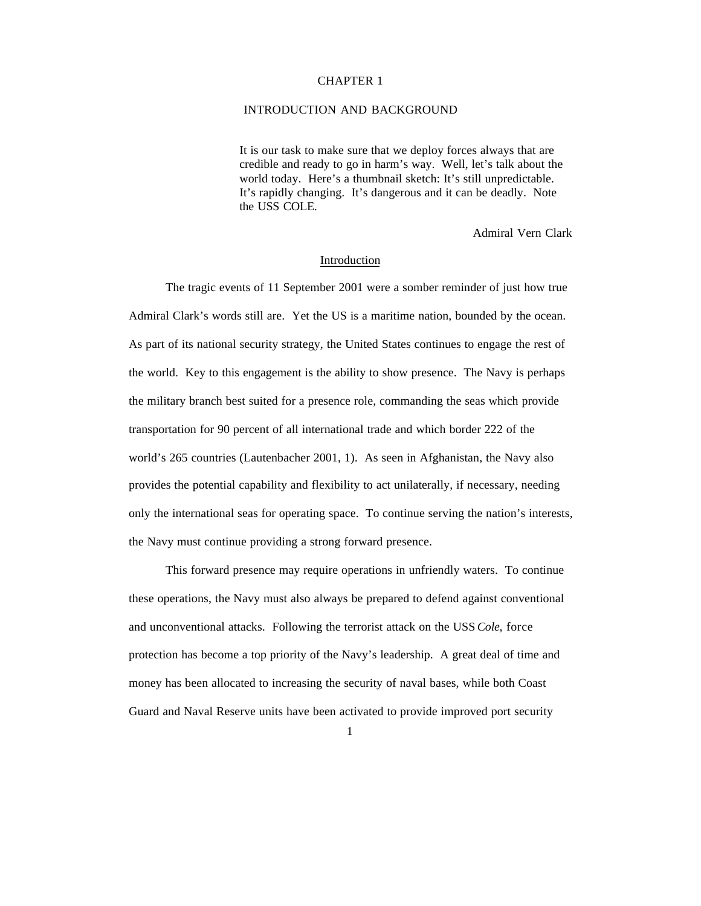#### CHAPTER 1

# INTRODUCTION AND BACKGROUND

It is our task to make sure that we deploy forces always that are credible and ready to go in harm's way. Well, let's talk about the world today. Here's a thumbnail sketch: It's still unpredictable. It's rapidly changing. It's dangerous and it can be deadly. Note the USS COLE.

Admiral Vern Clark

### Introduction

The tragic events of 11 September 2001 were a somber reminder of just how true Admiral Clark's words still are. Yet the US is a maritime nation, bounded by the ocean. As part of its national security strategy, the United States continues to engage the rest of the world. Key to this engagement is the ability to show presence. The Navy is perhaps the military branch best suited for a presence role, commanding the seas which provide transportation for 90 percent of all international trade and which border 222 of the world's 265 countries (Lautenbacher 2001, 1). As seen in Afghanistan, the Navy also provides the potential capability and flexibility to act unilaterally, if necessary, needing only the international seas for operating space. To continue serving the nation's interests, the Navy must continue providing a strong forward presence.

This forward presence may require operations in unfriendly waters. To continue these operations, the Navy must also always be prepared to defend against conventional and unconventional attacks. Following the terrorist attack on the USS *Cole*, force protection has become a top priority of the Navy's leadership. A great deal of time and money has been allocated to increasing the security of naval bases, while both Coast Guard and Naval Reserve units have been activated to provide improved port security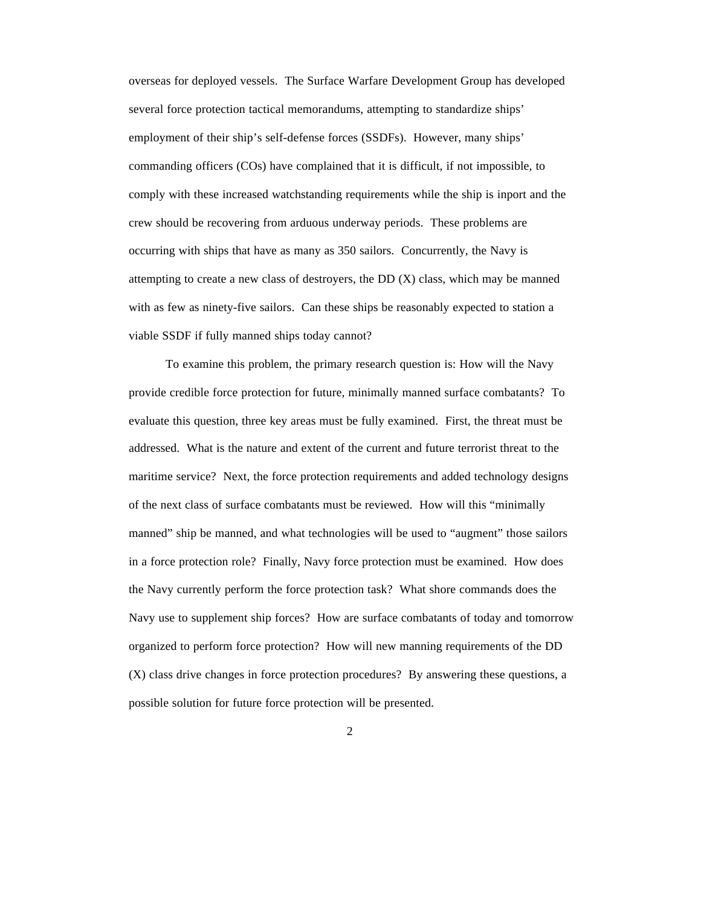overseas for deployed vessels. The Surface Warfare Development Group has developed several force protection tactical memorandums, attempting to standardize ships' employment of their ship's self-defense forces (SSDFs). However, many ships' commanding officers (COs) have complained that it is difficult, if not impossible, to comply with these increased watchstanding requirements while the ship is inport and the crew should be recovering from arduous underway periods. These problems are occurring with ships that have as many as 350 sailors. Concurrently, the Navy is attempting to create a new class of destroyers, the  $DD(X)$  class, which may be manned with as few as ninety-five sailors. Can these ships be reasonably expected to station a viable SSDF if fully manned ships today cannot?

To examine this problem, the primary research question is: How will the Navy provide credible force protection for future, minimally manned surface combatants? To evaluate this question, three key areas must be fully examined. First, the threat must be addressed. What is the nature and extent of the current and future terrorist threat to the maritime service? Next, the force protection requirements and added technology designs of the next class of surface combatants must be reviewed. How will this "minimally manned" ship be manned, and what technologies will be used to "augment" those sailors in a force protection role? Finally, Navy force protection must be examined. How does the Navy currently perform the force protection task? What shore commands does the Navy use to supplement ship forces? How are surface combatants of today and tomorrow organized to perform force protection? How will new manning requirements of the DD (X) class drive changes in force protection procedures? By answering these questions, a possible solution for future force protection will be presented.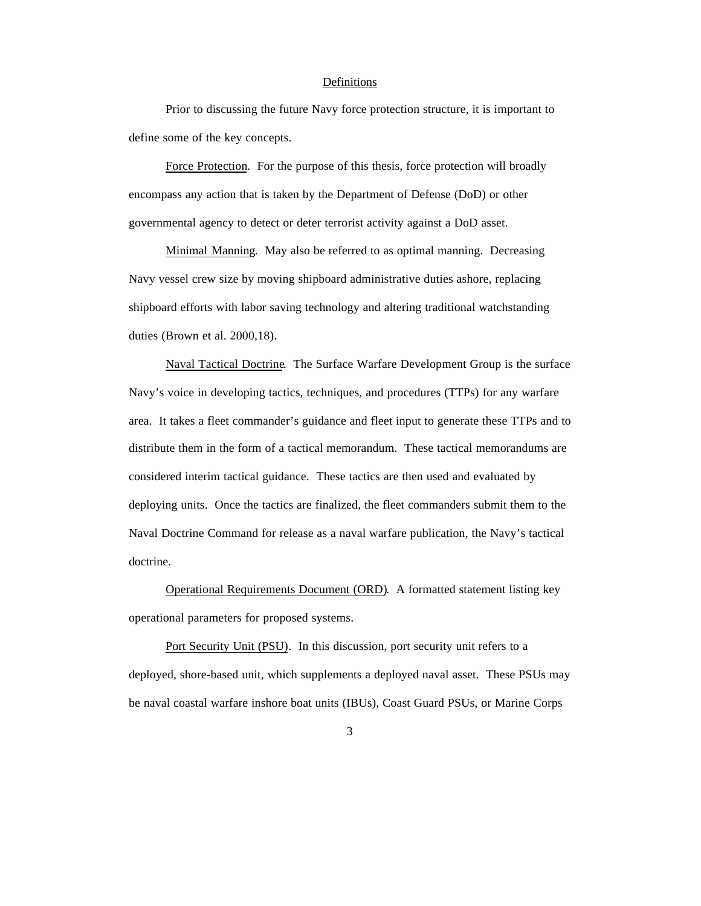### Definitions

Prior to discussing the future Navy force protection structure, it is important to define some of the key concepts.

Force Protection. For the purpose of this thesis, force protection will broadly encompass any action that is taken by the Department of Defense (DoD) or other governmental agency to detect or deter terrorist activity against a DoD asset.

Minimal Manning. May also be referred to as optimal manning. Decreasing Navy vessel crew size by moving shipboard administrative duties ashore, replacing shipboard efforts with labor saving technology and altering traditional watchstanding duties (Brown et al. 2000,18).

Naval Tactical Doctrine. The Surface Warfare Development Group is the surface Navy's voice in developing tactics, techniques, and procedures (TTPs) for any warfare area. It takes a fleet commander's guidance and fleet input to generate these TTPs and to distribute them in the form of a tactical memorandum. These tactical memorandums are considered interim tactical guidance. These tactics are then used and evaluated by deploying units. Once the tactics are finalized, the fleet commanders submit them to the Naval Doctrine Command for release as a naval warfare publication, the Navy's tactical doctrine.

Operational Requirements Document (ORD). A formatted statement listing key operational parameters for proposed systems.

Port Security Unit (PSU). In this discussion, port security unit refers to a deployed, shore-based unit, which supplements a deployed naval asset. These PSUs may be naval coastal warfare inshore boat units (IBUs), Coast Guard PSUs, or Marine Corps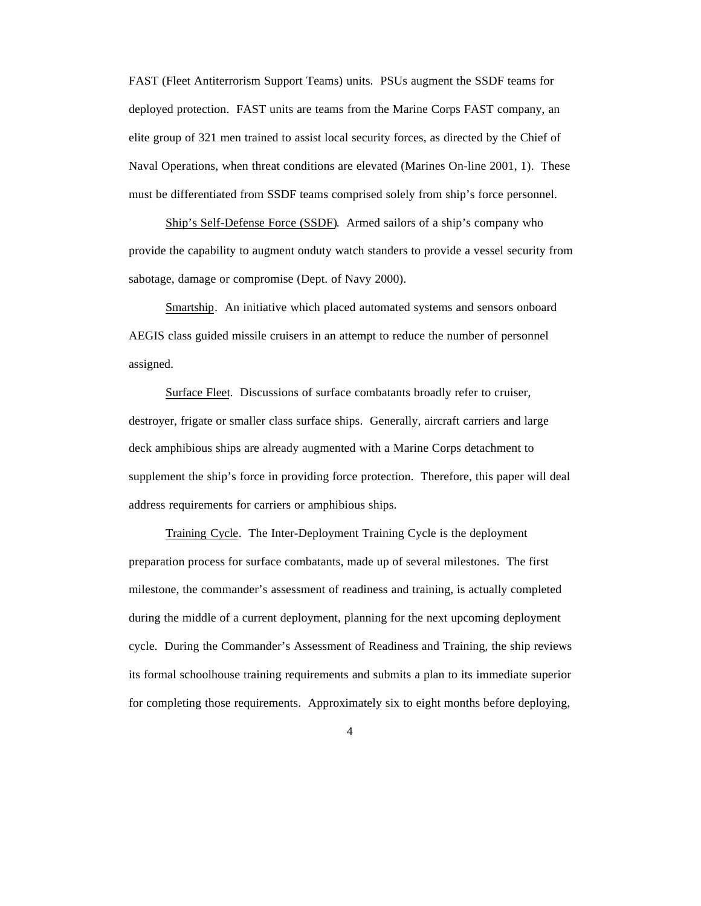FAST (Fleet Antiterrorism Support Teams) units. PSUs augment the SSDF teams for deployed protection. FAST units are teams from the Marine Corps FAST company, an elite group of 321 men trained to assist local security forces, as directed by the Chief of Naval Operations, when threat conditions are elevated (Marines On-line 2001, 1). These must be differentiated from SSDF teams comprised solely from ship's force personnel.

Ship's Self-Defense Force (SSDF). Armed sailors of a ship's company who provide the capability to augment onduty watch standers to provide a vessel security from sabotage, damage or compromise (Dept. of Navy 2000).

Smartship. An initiative which placed automated systems and sensors onboard AEGIS class guided missile cruisers in an attempt to reduce the number of personnel assigned.

Surface Fleet. Discussions of surface combatants broadly refer to cruiser, destroyer, frigate or smaller class surface ships. Generally, aircraft carriers and large deck amphibious ships are already augmented with a Marine Corps detachment to supplement the ship's force in providing force protection. Therefore, this paper will deal address requirements for carriers or amphibious ships.

Training Cycle. The Inter-Deployment Training Cycle is the deployment preparation process for surface combatants, made up of several milestones. The first milestone, the commander's assessment of readiness and training, is actually completed during the middle of a current deployment, planning for the next upcoming deployment cycle. During the Commander's Assessment of Readiness and Training, the ship reviews its formal schoolhouse training requirements and submits a plan to its immediate superior for completing those requirements. Approximately six to eight months before deploying,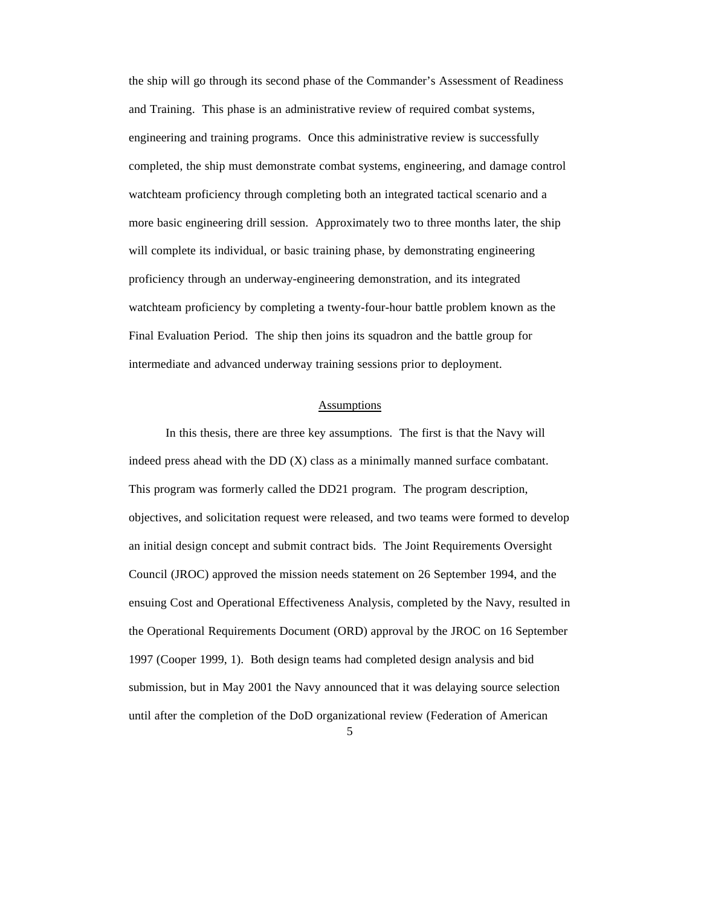the ship will go through its second phase of the Commander's Assessment of Readiness and Training. This phase is an administrative review of required combat systems, engineering and training programs. Once this administrative review is successfully completed, the ship must demonstrate combat systems, engineering, and damage control watchteam proficiency through completing both an integrated tactical scenario and a more basic engineering drill session. Approximately two to three months later, the ship will complete its individual, or basic training phase, by demonstrating engineering proficiency through an underway-engineering demonstration, and its integrated watchteam proficiency by completing a twenty-four-hour battle problem known as the Final Evaluation Period. The ship then joins its squadron and the battle group for intermediate and advanced underway training sessions prior to deployment.

#### Assumptions

In this thesis, there are three key assumptions. The first is that the Navy will indeed press ahead with the DD (X) class as a minimally manned surface combatant. This program was formerly called the DD21 program. The program description, objectives, and solicitation request were released, and two teams were formed to develop an initial design concept and submit contract bids. The Joint Requirements Oversight Council (JROC) approved the mission needs statement on 26 September 1994, and the ensuing Cost and Operational Effectiveness Analysis, completed by the Navy, resulted in the Operational Requirements Document (ORD) approval by the JROC on 16 September 1997 (Cooper 1999, 1). Both design teams had completed design analysis and bid submission, but in May 2001 the Navy announced that it was delaying source selection until after the completion of the DoD organizational review (Federation of American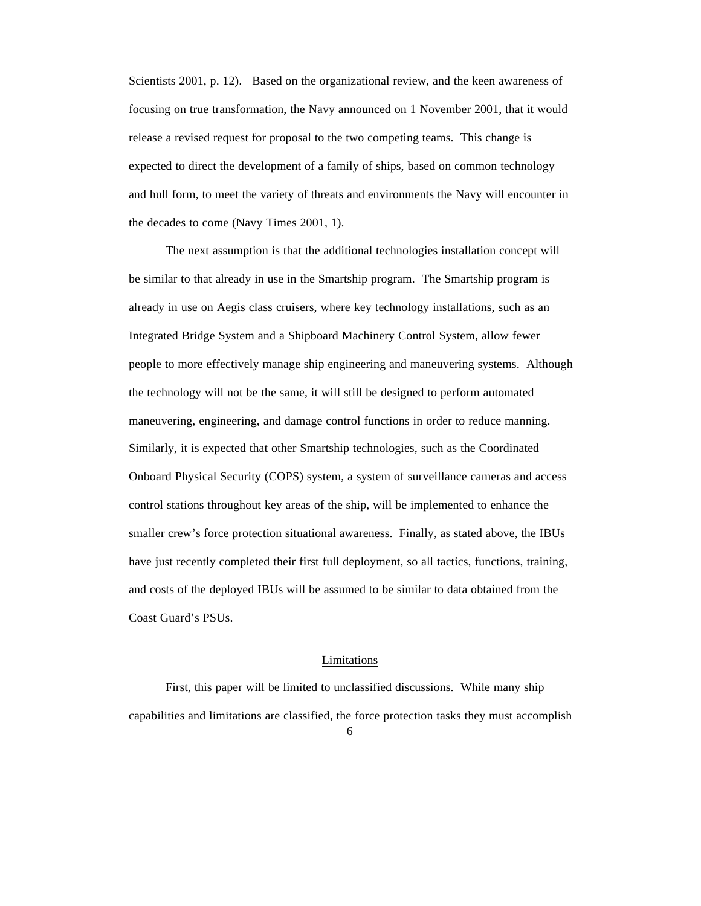Scientists 2001, p. 12). Based on the organizational review, and the keen awareness of focusing on true transformation, the Navy announced on 1 November 2001, that it would release a revised request for proposal to the two competing teams. This change is expected to direct the development of a family of ships, based on common technology and hull form, to meet the variety of threats and environments the Navy will encounter in the decades to come (Navy Times 2001, 1).

The next assumption is that the additional technologies installation concept will be similar to that already in use in the Smartship program. The Smartship program is already in use on Aegis class cruisers, where key technology installations, such as an Integrated Bridge System and a Shipboard Machinery Control System, allow fewer people to more effectively manage ship engineering and maneuvering systems. Although the technology will not be the same, it will still be designed to perform automated maneuvering, engineering, and damage control functions in order to reduce manning. Similarly, it is expected that other Smartship technologies, such as the Coordinated Onboard Physical Security (COPS) system, a system of surveillance cameras and access control stations throughout key areas of the ship, will be implemented to enhance the smaller crew's force protection situational awareness. Finally, as stated above, the IBUs have just recently completed their first full deployment, so all tactics, functions, training, and costs of the deployed IBUs will be assumed to be similar to data obtained from the Coast Guard's PSUs.

#### Limitations

First, this paper will be limited to unclassified discussions. While many ship capabilities and limitations are classified, the force protection tasks they must accomplish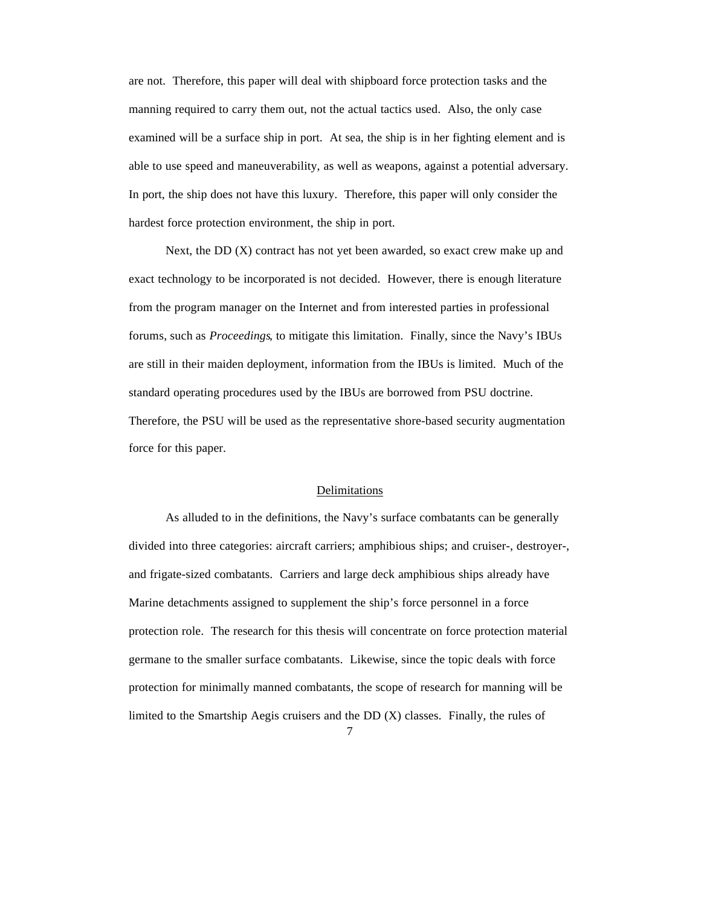are not. Therefore, this paper will deal with shipboard force protection tasks and the manning required to carry them out, not the actual tactics used. Also, the only case examined will be a surface ship in port. At sea, the ship is in her fighting element and is able to use speed and maneuverability, as well as weapons, against a potential adversary. In port, the ship does not have this luxury. Therefore, this paper will only consider the hardest force protection environment, the ship in port.

Next, the DD (X) contract has not yet been awarded, so exact crew make up and exact technology to be incorporated is not decided. However, there is enough literature from the program manager on the Internet and from interested parties in professional forums, such as *Proceedings*, to mitigate this limitation. Finally, since the Navy's IBUs are still in their maiden deployment, information from the IBUs is limited. Much of the standard operating procedures used by the IBUs are borrowed from PSU doctrine. Therefore, the PSU will be used as the representative shore-based security augmentation force for this paper.

#### Delimitations

As alluded to in the definitions, the Navy's surface combatants can be generally divided into three categories: aircraft carriers; amphibious ships; and cruiser-, destroyer-, and frigate-sized combatants. Carriers and large deck amphibious ships already have Marine detachments assigned to supplement the ship's force personnel in a force protection role. The research for this thesis will concentrate on force protection material germane to the smaller surface combatants. Likewise, since the topic deals with force protection for minimally manned combatants, the scope of research for manning will be limited to the Smartship Aegis cruisers and the DD (X) classes. Finally, the rules of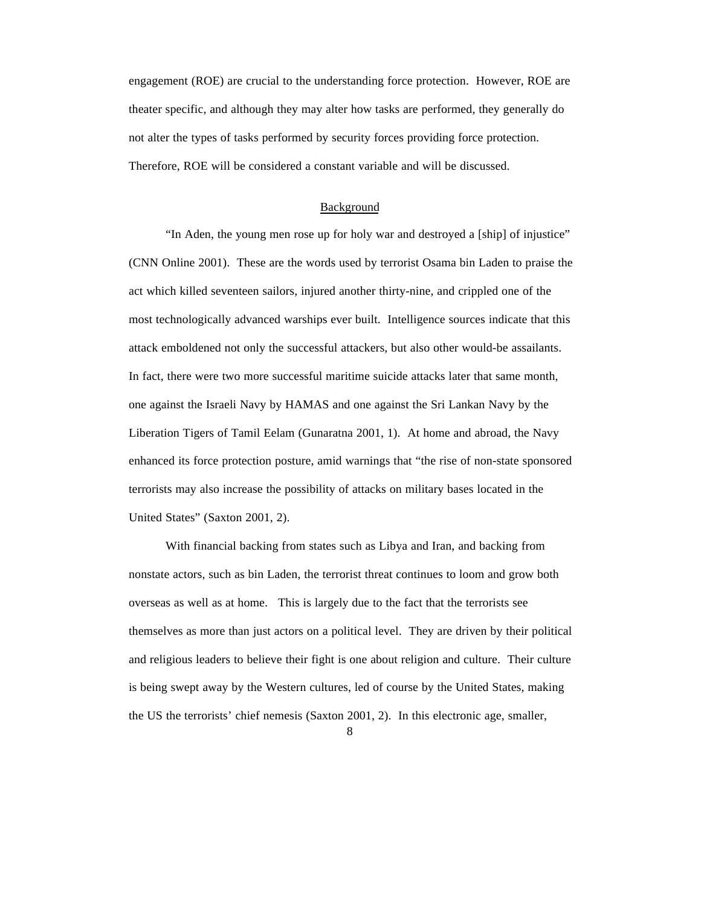engagement (ROE) are crucial to the understanding force protection. However, ROE are theater specific, and although they may alter how tasks are performed, they generally do not alter the types of tasks performed by security forces providing force protection. Therefore, ROE will be considered a constant variable and will be discussed.

#### Background

"In Aden, the young men rose up for holy war and destroyed a [ship] of injustice" (CNN Online 2001). These are the words used by terrorist Osama bin Laden to praise the act which killed seventeen sailors, injured another thirty-nine, and crippled one of the most technologically advanced warships ever built. Intelligence sources indicate that this attack emboldened not only the successful attackers, but also other would-be assailants. In fact, there were two more successful maritime suicide attacks later that same month, one against the Israeli Navy by HAMAS and one against the Sri Lankan Navy by the Liberation Tigers of Tamil Eelam (Gunaratna 2001, 1). At home and abroad, the Navy enhanced its force protection posture, amid warnings that "the rise of non-state sponsored terrorists may also increase the possibility of attacks on military bases located in the United States" (Saxton 2001, 2).

With financial backing from states such as Libya and Iran, and backing from nonstate actors, such as bin Laden, the terrorist threat continues to loom and grow both overseas as well as at home. This is largely due to the fact that the terrorists see themselves as more than just actors on a political level. They are driven by their political and religious leaders to believe their fight is one about religion and culture. Their culture is being swept away by the Western cultures, led of course by the United States, making the US the terrorists' chief nemesis (Saxton 2001, 2). In this electronic age, smaller,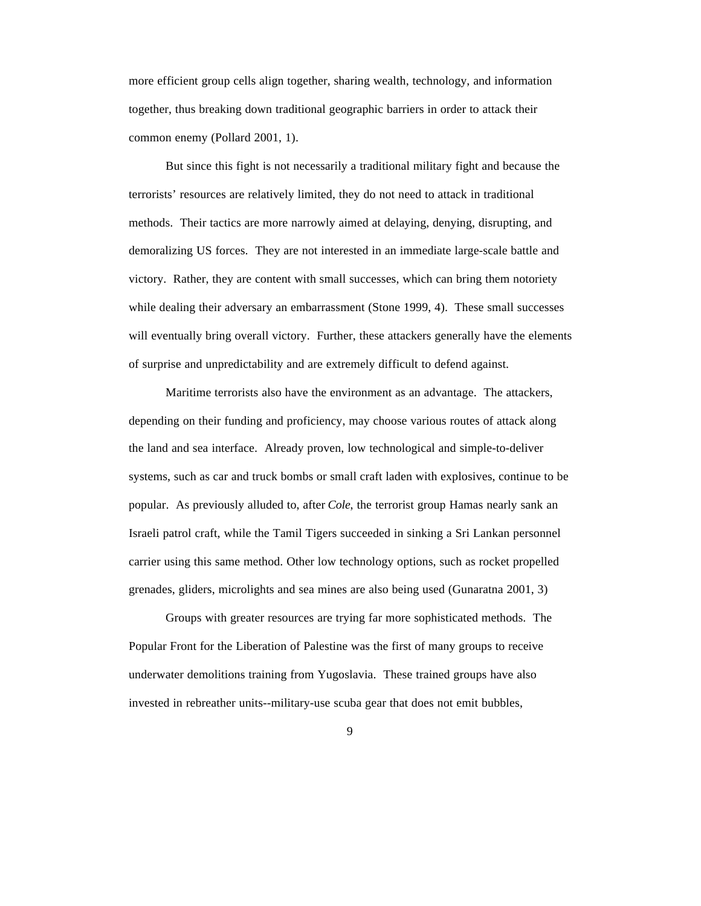more efficient group cells align together, sharing wealth, technology, and information together, thus breaking down traditional geographic barriers in order to attack their common enemy (Pollard 2001, 1).

But since this fight is not necessarily a traditional military fight and because the terrorists' resources are relatively limited, they do not need to attack in traditional methods. Their tactics are more narrowly aimed at delaying, denying, disrupting, and demoralizing US forces. They are not interested in an immediate large-scale battle and victory. Rather, they are content with small successes, which can bring them notoriety while dealing their adversary an embarrassment (Stone 1999, 4). These small successes will eventually bring overall victory. Further, these attackers generally have the elements of surprise and unpredictability and are extremely difficult to defend against.

Maritime terrorists also have the environment as an advantage. The attackers, depending on their funding and proficiency, may choose various routes of attack along the land and sea interface. Already proven, low technological and simple-to-deliver systems, such as car and truck bombs or small craft laden with explosives, continue to be popular. As previously alluded to, after *Cole*, the terrorist group Hamas nearly sank an Israeli patrol craft, while the Tamil Tigers succeeded in sinking a Sri Lankan personnel carrier using this same method. Other low technology options, such as rocket propelled grenades, gliders, microlights and sea mines are also being used (Gunaratna 2001, 3)

Groups with greater resources are trying far more sophisticated methods. The Popular Front for the Liberation of Palestine was the first of many groups to receive underwater demolitions training from Yugoslavia. These trained groups have also invested in rebreather units--military-use scuba gear that does not emit bubbles,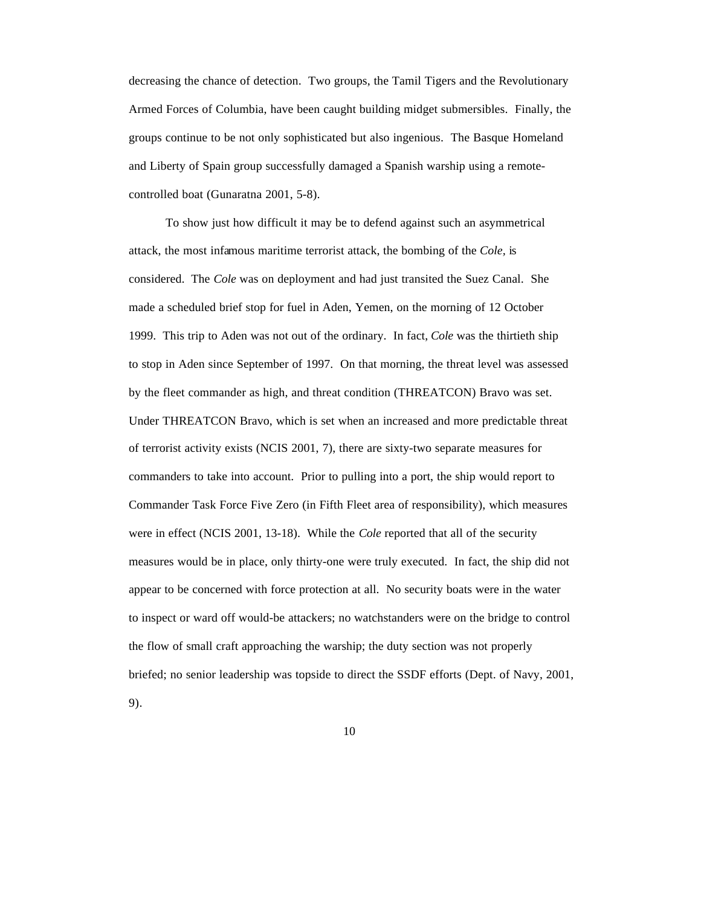decreasing the chance of detection. Two groups, the Tamil Tigers and the Revolutionary Armed Forces of Columbia, have been caught building midget submersibles. Finally, the groups continue to be not only sophisticated but also ingenious. The Basque Homeland and Liberty of Spain group successfully damaged a Spanish warship using a remotecontrolled boat (Gunaratna 2001, 5-8).

To show just how difficult it may be to defend against such an asymmetrical attack, the most infamous maritime terrorist attack, the bombing of the *Cole,* is considered. The *Cole* was on deployment and had just transited the Suez Canal. She made a scheduled brief stop for fuel in Aden, Yemen, on the morning of 12 October 1999. This trip to Aden was not out of the ordinary. In fact, *Cole* was the thirtieth ship to stop in Aden since September of 1997. On that morning, the threat level was assessed by the fleet commander as high, and threat condition (THREATCON) Bravo was set. Under THREATCON Bravo, which is set when an increased and more predictable threat of terrorist activity exists (NCIS 2001, 7), there are sixty-two separate measures for commanders to take into account. Prior to pulling into a port, the ship would report to Commander Task Force Five Zero (in Fifth Fleet area of responsibility), which measures were in effect (NCIS 2001, 13-18). While the *Cole* reported that all of the security measures would be in place, only thirty-one were truly executed. In fact, the ship did not appear to be concerned with force protection at all. No security boats were in the water to inspect or ward off would-be attackers; no watchstanders were on the bridge to control the flow of small craft approaching the warship; the duty section was not properly briefed; no senior leadership was topside to direct the SSDF efforts (Dept. of Navy, 2001, 9).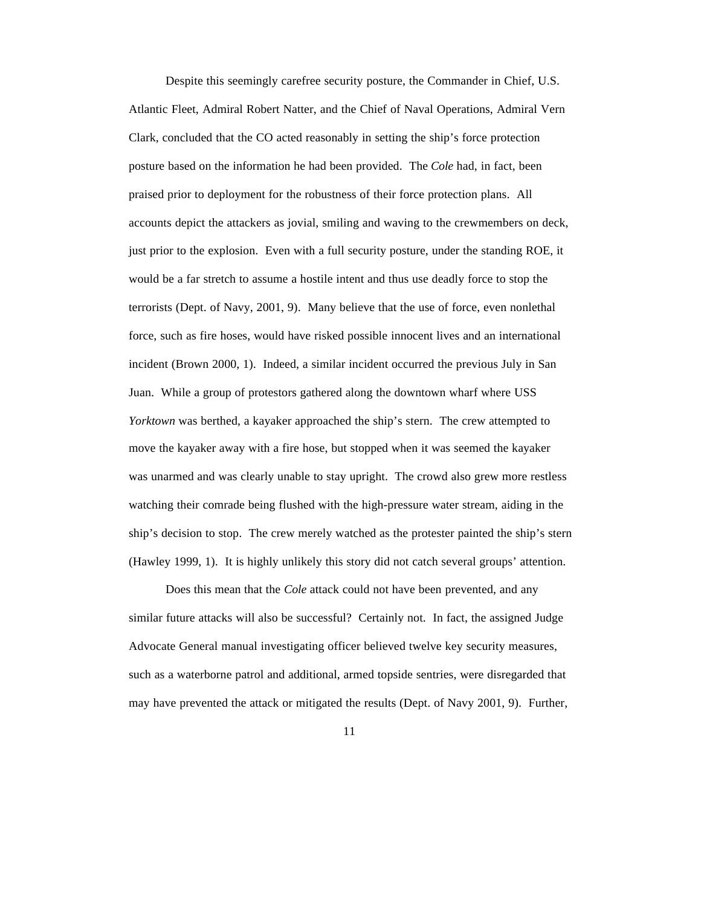Despite this seemingly carefree security posture, the Commander in Chief, U.S. Atlantic Fleet, Admiral Robert Natter, and the Chief of Naval Operations, Admiral Vern Clark, concluded that the CO acted reasonably in setting the ship's force protection posture based on the information he had been provided. The *Cole* had, in fact, been praised prior to deployment for the robustness of their force protection plans. All accounts depict the attackers as jovial, smiling and waving to the crewmembers on deck, just prior to the explosion. Even with a full security posture, under the standing ROE, it would be a far stretch to assume a hostile intent and thus use deadly force to stop the terrorists (Dept. of Navy, 2001, 9). Many believe that the use of force, even nonlethal force, such as fire hoses, would have risked possible innocent lives and an international incident (Brown 2000, 1). Indeed, a similar incident occurred the previous July in San Juan. While a group of protestors gathered along the downtown wharf where USS *Yorktown* was berthed, a kayaker approached the ship's stern. The crew attempted to move the kayaker away with a fire hose, but stopped when it was seemed the kayaker was unarmed and was clearly unable to stay upright. The crowd also grew more restless watching their comrade being flushed with the high-pressure water stream, aiding in the ship's decision to stop. The crew merely watched as the protester painted the ship's stern (Hawley 1999, 1). It is highly unlikely this story did not catch several groups' attention.

Does this mean that the *Cole* attack could not have been prevented, and any similar future attacks will also be successful? Certainly not. In fact, the assigned Judge Advocate General manual investigating officer believed twelve key security measures, such as a waterborne patrol and additional, armed topside sentries, were disregarded that may have prevented the attack or mitigated the results (Dept. of Navy 2001, 9). Further,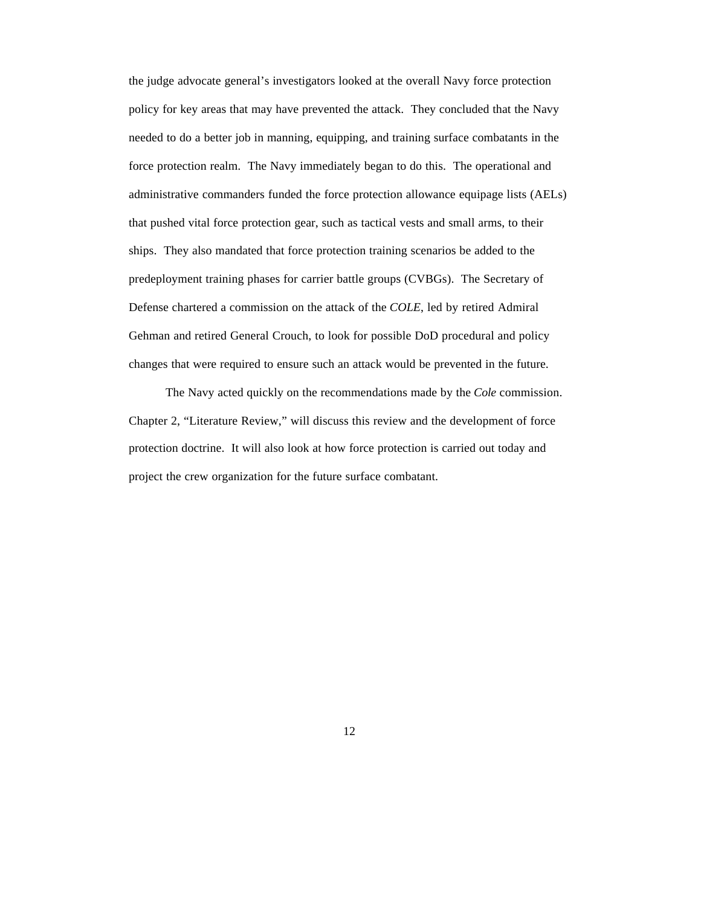the judge advocate general's investigators looked at the overall Navy force protection policy for key areas that may have prevented the attack. They concluded that the Navy needed to do a better job in manning, equipping, and training surface combatants in the force protection realm. The Navy immediately began to do this. The operational and administrative commanders funded the force protection allowance equipage lists (AELs) that pushed vital force protection gear, such as tactical vests and small arms, to their ships. They also mandated that force protection training scenarios be added to the predeployment training phases for carrier battle groups (CVBGs). The Secretary of Defense chartered a commission on the attack of the *COLE*, led by retired Admiral Gehman and retired General Crouch, to look for possible DoD procedural and policy changes that were required to ensure such an attack would be prevented in the future.

The Navy acted quickly on the recommendations made by the *Cole* commission. Chapter 2, "Literature Review," will discuss this review and the development of force protection doctrine. It will also look at how force protection is carried out today and project the crew organization for the future surface combatant.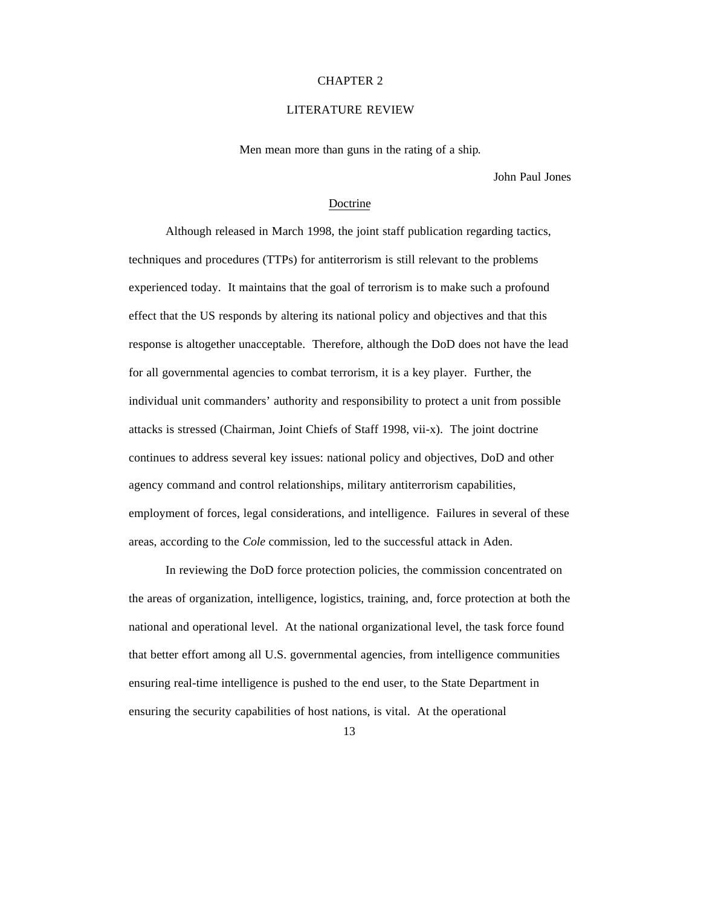#### CHAPTER 2

#### LITERATURE REVIEW

Men mean more than guns in the rating of a ship*.*

John Paul Jones

#### Doctrine

Although released in March 1998, the joint staff publication regarding tactics, techniques and procedures (TTPs) for antiterrorism is still relevant to the problems experienced today. It maintains that the goal of terrorism is to make such a profound effect that the US responds by altering its national policy and objectives and that this response is altogether unacceptable. Therefore, although the DoD does not have the lead for all governmental agencies to combat terrorism, it is a key player. Further, the individual unit commanders' authority and responsibility to protect a unit from possible attacks is stressed (Chairman, Joint Chiefs of Staff 1998, vii-x). The joint doctrine continues to address several key issues: national policy and objectives, DoD and other agency command and control relationships, military antiterrorism capabilities, employment of forces, legal considerations, and intelligence. Failures in several of these areas, according to the *Cole* commission, led to the successful attack in Aden.

In reviewing the DoD force protection policies, the commission concentrated on the areas of organization, intelligence, logistics, training, and, force protection at both the national and operational level. At the national organizational level, the task force found that better effort among all U.S. governmental agencies, from intelligence communities ensuring real-time intelligence is pushed to the end user, to the State Department in ensuring the security capabilities of host nations, is vital. At the operational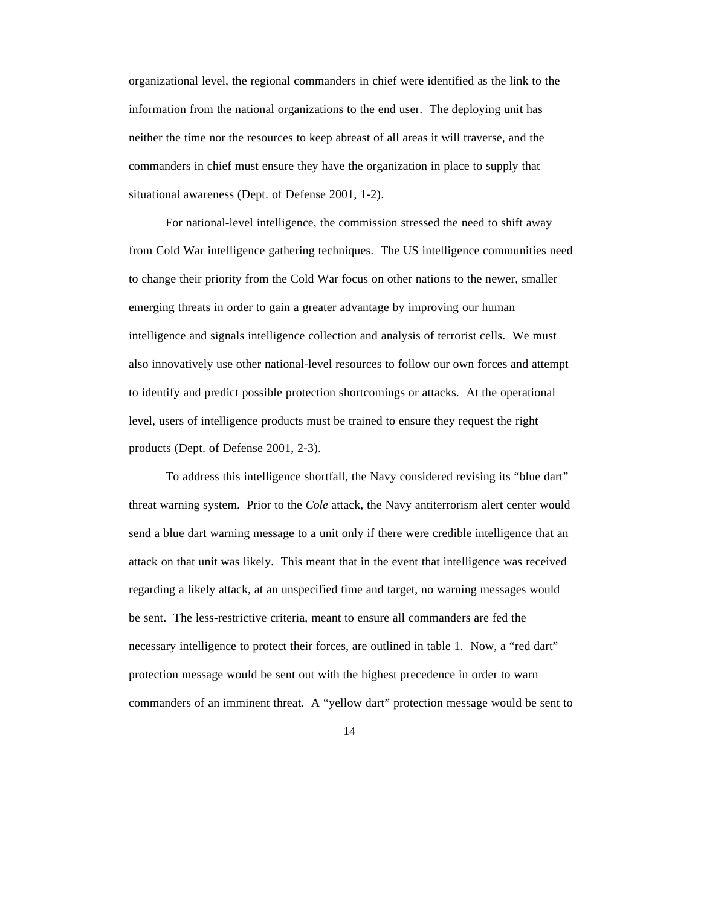organizational level, the regional commanders in chief were identified as the link to the information from the national organizations to the end user. The deploying unit has neither the time nor the resources to keep abreast of all areas it will traverse, and the commanders in chief must ensure they have the organization in place to supply that situational awareness (Dept. of Defense 2001, 1-2).

For national-level intelligence, the commission stressed the need to shift away from Cold War intelligence gathering techniques. The US intelligence communities need to change their priority from the Cold War focus on other nations to the newer, smaller emerging threats in order to gain a greater advantage by improving our human intelligence and signals intelligence collection and analysis of terrorist cells. We must also innovatively use other national-level resources to follow our own forces and attempt to identify and predict possible protection shortcomings or attacks. At the operational level, users of intelligence products must be trained to ensure they request the right products (Dept. of Defense 2001, 2-3).

To address this intelligence shortfall, the Navy considered revising its "blue dart" threat warning system. Prior to the *Cole* attack, the Navy antiterrorism alert center would send a blue dart warning message to a unit only if there were credible intelligence that an attack on that unit was likely. This meant that in the event that intelligence was received regarding a likely attack, at an unspecified time and target, no warning messages would be sent. The less-restrictive criteria, meant to ensure all commanders are fed the necessary intelligence to protect their forces, are outlined in table 1. Now, a "red dart" protection message would be sent out with the highest precedence in order to warn commanders of an imminent threat. A "yellow dart" protection message would be sent to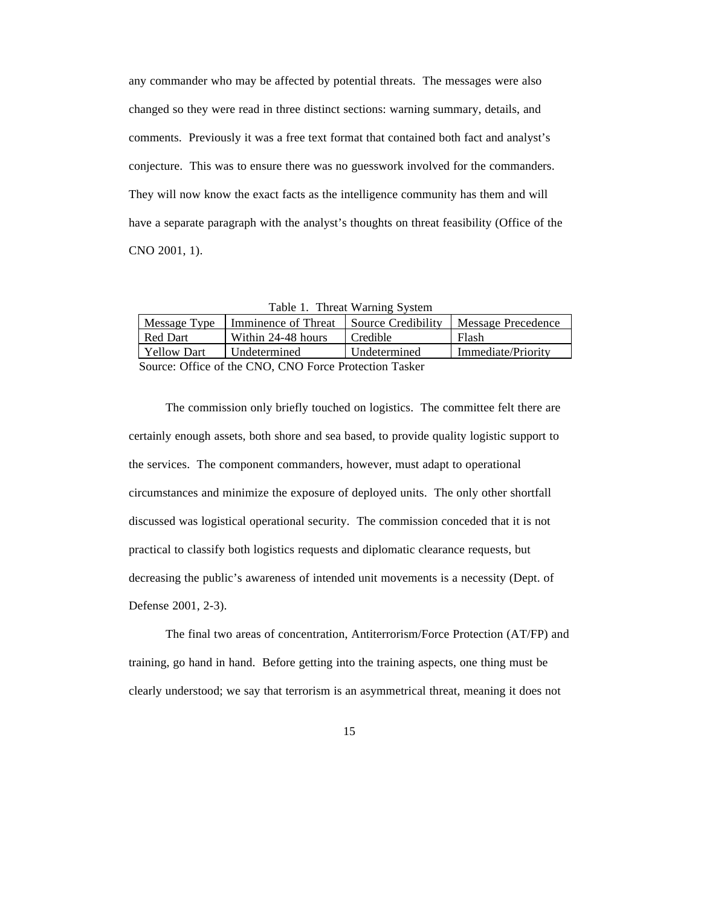any commander who may be affected by potential threats. The messages were also changed so they were read in three distinct sections: warning summary, details, and comments. Previously it was a free text format that contained both fact and analyst's conjecture. This was to ensure there was no guesswork involved for the commanders. They will now know the exact facts as the intelligence community has them and will have a separate paragraph with the analyst's thoughts on threat feasibility (Office of the CNO 2001, 1).

|  |  | Table 1. Threat Warning System |  |
|--|--|--------------------------------|--|
|--|--|--------------------------------|--|

| Message Type       | Imminence of Threat | Source Credibility | <b>Message Precedence</b> |
|--------------------|---------------------|--------------------|---------------------------|
| Red Dart           | Within 24-48 hours  | Credible           | Flash                     |
| <b>Yellow Dart</b> | Undetermined        | Undetermined       | Immediate/Priority        |
|                    |                     |                    |                           |

Source: Office of the CNO, CNO Force Protection Tasker

The commission only briefly touched on logistics. The committee felt there are certainly enough assets, both shore and sea based, to provide quality logistic support to the services. The component commanders, however, must adapt to operational circumstances and minimize the exposure of deployed units. The only other shortfall discussed was logistical operational security. The commission conceded that it is not practical to classify both logistics requests and diplomatic clearance requests, but decreasing the public's awareness of intended unit movements is a necessity (Dept. of Defense 2001, 2-3).

The final two areas of concentration, Antiterrorism/Force Protection (AT/FP) and training, go hand in hand. Before getting into the training aspects, one thing must be clearly understood; we say that terrorism is an asymmetrical threat, meaning it does not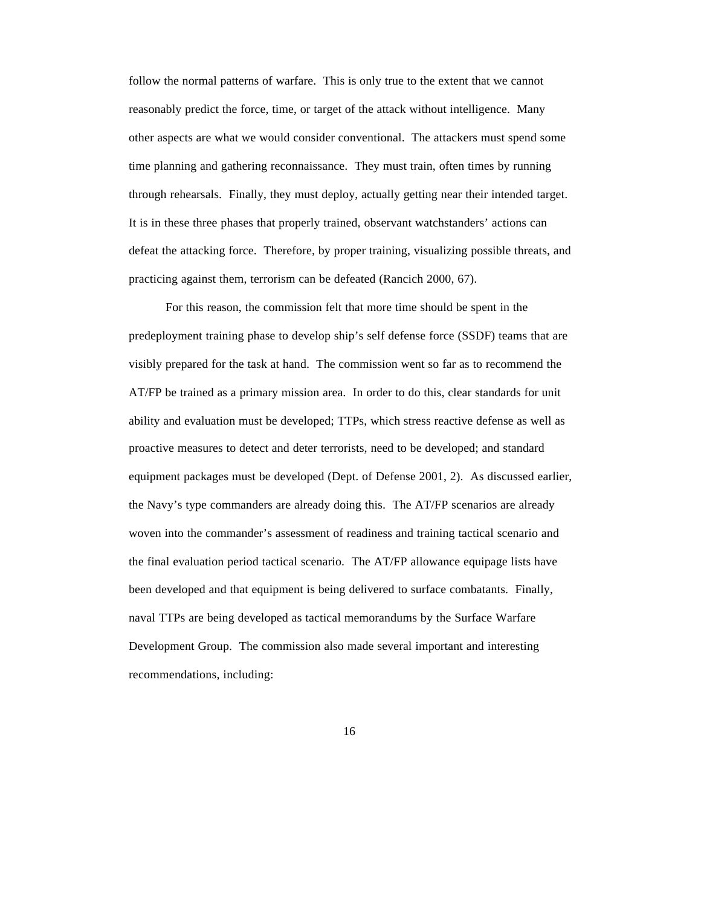follow the normal patterns of warfare. This is only true to the extent that we cannot reasonably predict the force, time, or target of the attack without intelligence. Many other aspects are what we would consider conventional. The attackers must spend some time planning and gathering reconnaissance. They must train, often times by running through rehearsals. Finally, they must deploy, actually getting near their intended target. It is in these three phases that properly trained, observant watchstanders' actions can defeat the attacking force. Therefore, by proper training, visualizing possible threats, and practicing against them, terrorism can be defeated (Rancich 2000, 67).

For this reason, the commission felt that more time should be spent in the predeployment training phase to develop ship's self defense force (SSDF) teams that are visibly prepared for the task at hand. The commission went so far as to recommend the AT/FP be trained as a primary mission area. In order to do this, clear standards for unit ability and evaluation must be developed; TTPs, which stress reactive defense as well as proactive measures to detect and deter terrorists, need to be developed; and standard equipment packages must be developed (Dept. of Defense 2001, 2). As discussed earlier, the Navy's type commanders are already doing this. The AT/FP scenarios are already woven into the commander's assessment of readiness and training tactical scenario and the final evaluation period tactical scenario. The AT/FP allowance equipage lists have been developed and that equipment is being delivered to surface combatants. Finally, naval TTPs are being developed as tactical memorandums by the Surface Warfare Development Group. The commission also made several important and interesting recommendations, including: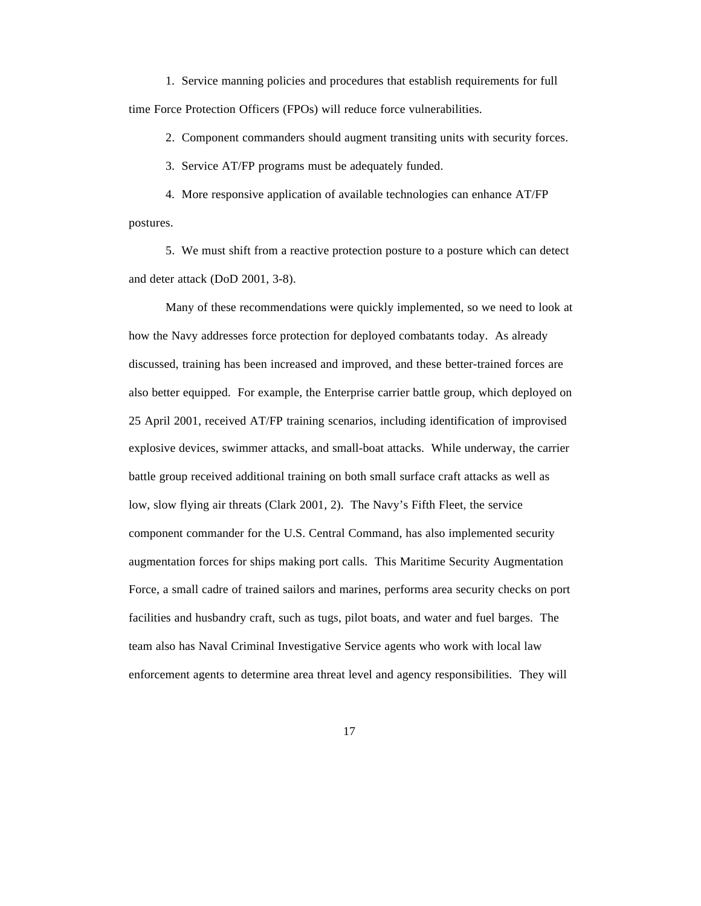1. Service manning policies and procedures that establish requirements for full time Force Protection Officers (FPOs) will reduce force vulnerabilities.

2. Component commanders should augment transiting units with security forces.

3. Service AT/FP programs must be adequately funded.

4. More responsive application of available technologies can enhance AT/FP postures.

5. We must shift from a reactive protection posture to a posture which can detect and deter attack (DoD 2001, 3-8).

Many of these recommendations were quickly implemented, so we need to look at how the Navy addresses force protection for deployed combatants today. As already discussed, training has been increased and improved, and these better-trained forces are also better equipped. For example, the Enterprise carrier battle group, which deployed on 25 April 2001, received AT/FP training scenarios, including identification of improvised explosive devices, swimmer attacks, and small-boat attacks. While underway, the carrier battle group received additional training on both small surface craft attacks as well as low, slow flying air threats (Clark 2001, 2). The Navy's Fifth Fleet, the service component commander for the U.S. Central Command, has also implemented security augmentation forces for ships making port calls. This Maritime Security Augmentation Force, a small cadre of trained sailors and marines, performs area security checks on port facilities and husbandry craft, such as tugs, pilot boats, and water and fuel barges. The team also has Naval Criminal Investigative Service agents who work with local law enforcement agents to determine area threat level and agency responsibilities. They will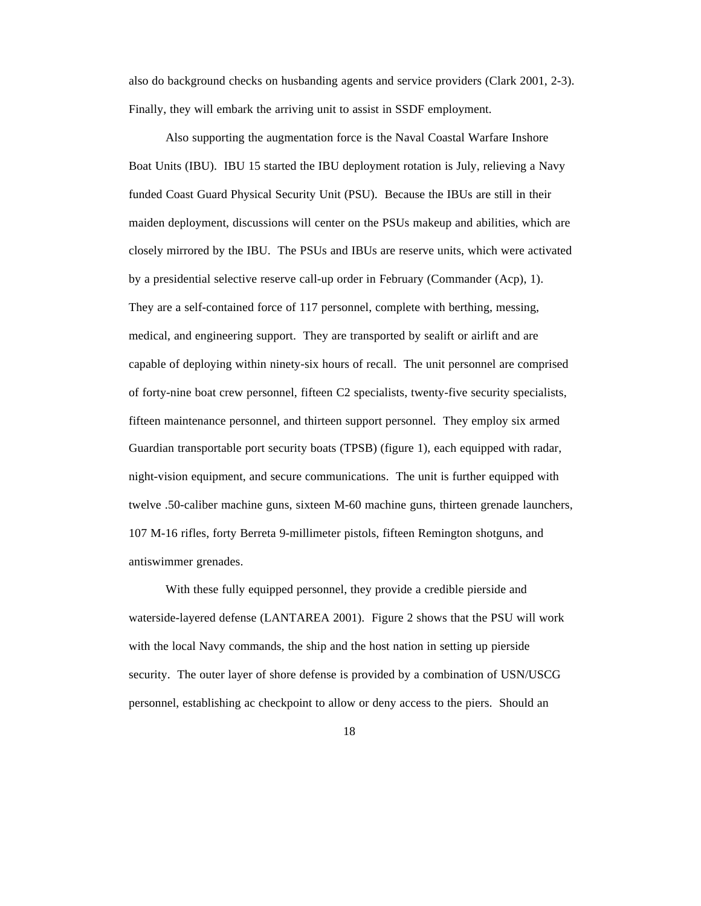also do background checks on husbanding agents and service providers (Clark 2001, 2-3). Finally, they will embark the arriving unit to assist in SSDF employment.

Also supporting the augmentation force is the Naval Coastal Warfare Inshore Boat Units (IBU). IBU 15 started the IBU deployment rotation is July, relieving a Navy funded Coast Guard Physical Security Unit (PSU). Because the IBUs are still in their maiden deployment, discussions will center on the PSUs makeup and abilities, which are closely mirrored by the IBU. The PSUs and IBUs are reserve units, which were activated by a presidential selective reserve call-up order in February (Commander (Acp), 1). They are a self-contained force of 117 personnel, complete with berthing, messing, medical, and engineering support. They are transported by sealift or airlift and are capable of deploying within ninety-six hours of recall. The unit personnel are comprised of forty-nine boat crew personnel, fifteen C2 specialists, twenty-five security specialists, fifteen maintenance personnel, and thirteen support personnel. They employ six armed Guardian transportable port security boats (TPSB) (figure 1), each equipped with radar, night-vision equipment, and secure communications. The unit is further equipped with twelve .50-caliber machine guns, sixteen M-60 machine guns, thirteen grenade launchers, 107 M-16 rifles, forty Berreta 9-millimeter pistols, fifteen Remington shotguns, and antiswimmer grenades.

With these fully equipped personnel, they provide a credible pierside and waterside-layered defense (LANTAREA 2001). Figure 2 shows that the PSU will work with the local Navy commands, the ship and the host nation in setting up pierside security. The outer layer of shore defense is provided by a combination of USN/USCG personnel, establishing ac checkpoint to allow or deny access to the piers. Should an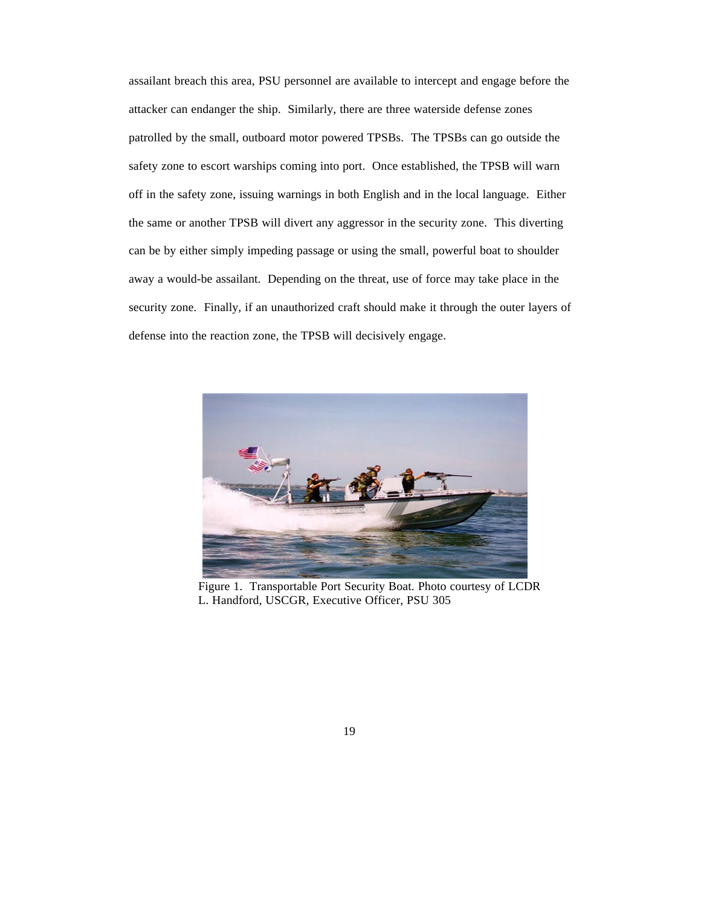assailant breach this area, PSU personnel are available to intercept and engage before the attacker can endanger the ship. Similarly, there are three waterside defense zones patrolled by the small, outboard motor powered TPSBs. The TPSBs can go outside the safety zone to escort warships coming into port. Once established, the TPSB will warn off in the safety zone, issuing warnings in both English and in the local language. Either the same or another TPSB will divert any aggressor in the security zone. This diverting can be by either simply impeding passage or using the small, powerful boat to shoulder away a would-be assailant. Depending on the threat, use of force may take place in the security zone. Finally, if an unauthorized craft should make it through the outer layers of defense into the reaction zone, the TPSB will decisively engage.



Figure 1. Transportable Port Security Boat. Photo courtesy of LCDR L. Handford, USCGR, Executive Officer, PSU 305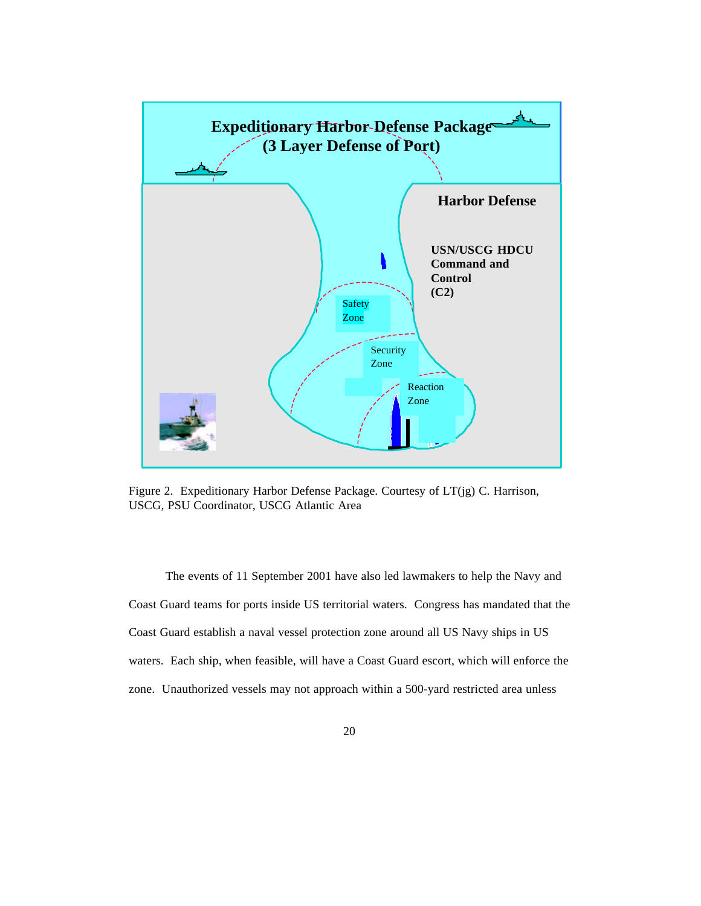

Figure 2. Expeditionary Harbor Defense Package. Courtesy of LT(jg) C. Harrison, USCG, PSU Coordinator, USCG Atlantic Area

The events of 11 September 2001 have also led lawmakers to help the Navy and Coast Guard teams for ports inside US territorial waters. Congress has mandated that the Coast Guard establish a naval vessel protection zone around all US Navy ships in US waters. Each ship, when feasible, will have a Coast Guard escort, which will enforce the zone. Unauthorized vessels may not approach within a 500-yard restricted area unless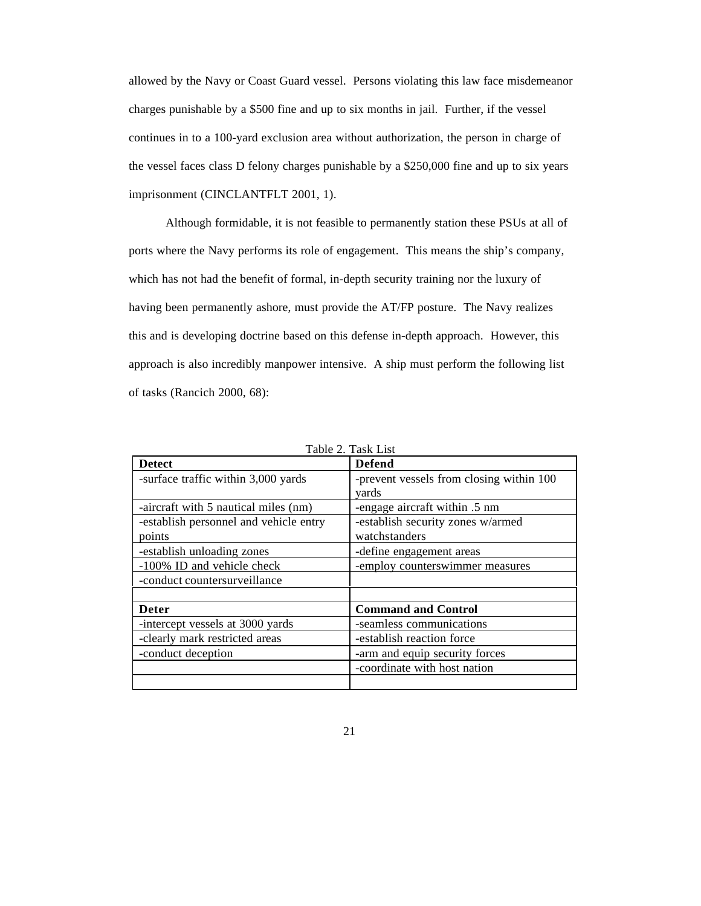allowed by the Navy or Coast Guard vessel. Persons violating this law face misdemeanor charges punishable by a \$500 fine and up to six months in jail. Further, if the vessel continues in to a 100-yard exclusion area without authorization, the person in charge of the vessel faces class D felony charges punishable by a \$250,000 fine and up to six years imprisonment (CINCLANTFLT 2001, 1).

Although formidable, it is not feasible to permanently station these PSUs at all of ports where the Navy performs its role of engagement. This means the ship's company, which has not had the benefit of formal, in-depth security training nor the luxury of having been permanently ashore, must provide the AT/FP posture. The Navy realizes this and is developing doctrine based on this defense in-depth approach. However, this approach is also incredibly manpower intensive. A ship must perform the following list of tasks (Rancich 2000, 68):

| <b>Detect</b>                          | <b>Defend</b>                            |  |
|----------------------------------------|------------------------------------------|--|
| -surface traffic within 3,000 yards    | -prevent vessels from closing within 100 |  |
|                                        | yards                                    |  |
| -aircraft with 5 nautical miles (nm)   | -engage aircraft within .5 nm            |  |
| -establish personnel and vehicle entry | -establish security zones w/armed        |  |
| points                                 | watchstanders                            |  |
| -establish unloading zones             | -define engagement areas                 |  |
| -100% ID and vehicle check             | -employ counterswimmer measures          |  |
| -conduct countersurveillance           |                                          |  |
|                                        |                                          |  |
| <b>Deter</b>                           | <b>Command and Control</b>               |  |
| -intercept vessels at 3000 yards       | -seamless communications                 |  |
| -clearly mark restricted areas         | -establish reaction force                |  |
| -conduct deception                     | -arm and equip security forces           |  |
|                                        | -coordinate with host nation             |  |
|                                        |                                          |  |

Table 2. Task List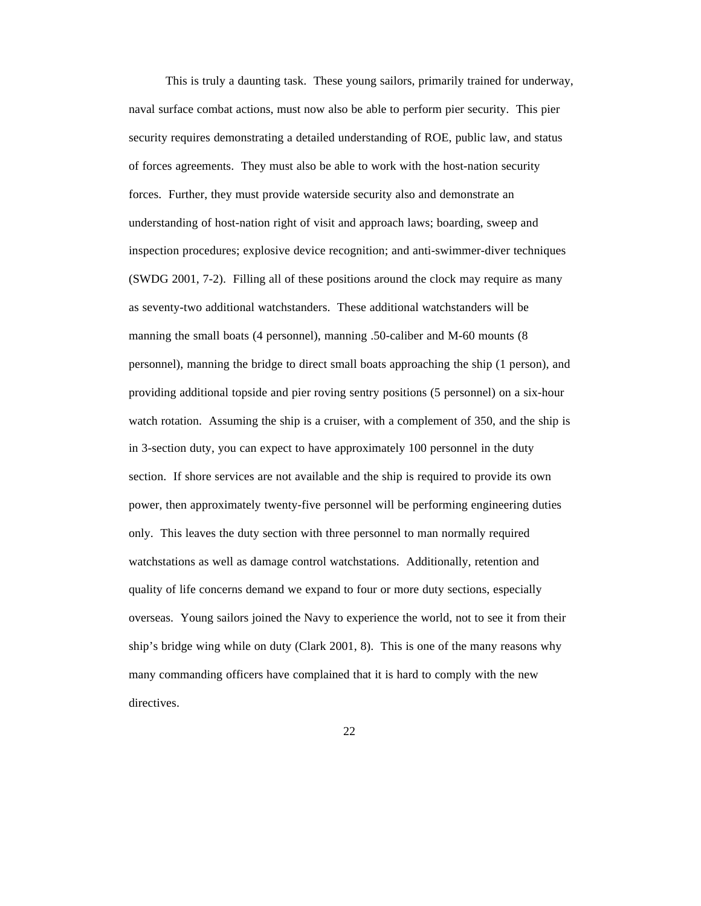This is truly a daunting task. These young sailors, primarily trained for underway, naval surface combat actions, must now also be able to perform pier security. This pier security requires demonstrating a detailed understanding of ROE, public law, and status of forces agreements. They must also be able to work with the host-nation security forces. Further, they must provide waterside security also and demonstrate an understanding of host-nation right of visit and approach laws; boarding, sweep and inspection procedures; explosive device recognition; and anti-swimmer-diver techniques (SWDG 2001, 7-2). Filling all of these positions around the clock may require as many as seventy-two additional watchstanders. These additional watchstanders will be manning the small boats (4 personnel), manning .50-caliber and M-60 mounts (8 personnel), manning the bridge to direct small boats approaching the ship (1 person), and providing additional topside and pier roving sentry positions (5 personnel) on a six-hour watch rotation. Assuming the ship is a cruiser, with a complement of 350, and the ship is in 3-section duty, you can expect to have approximately 100 personnel in the duty section. If shore services are not available and the ship is required to provide its own power, then approximately twenty-five personnel will be performing engineering duties only. This leaves the duty section with three personnel to man normally required watchstations as well as damage control watchstations. Additionally, retention and quality of life concerns demand we expand to four or more duty sections, especially overseas. Young sailors joined the Navy to experience the world, not to see it from their ship's bridge wing while on duty (Clark 2001, 8). This is one of the many reasons why many commanding officers have complained that it is hard to comply with the new directives.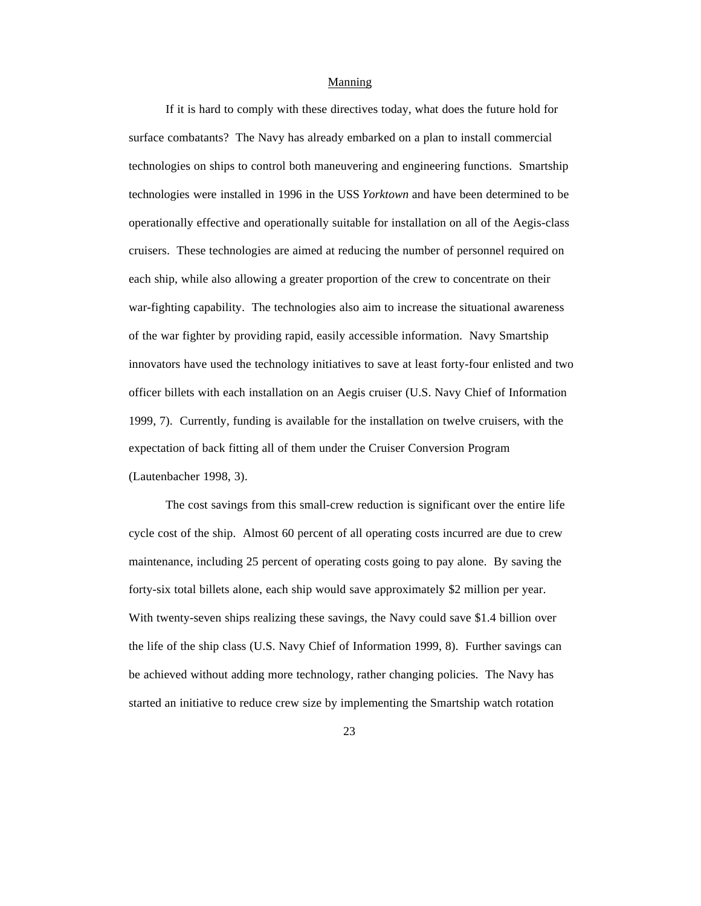### Manning

If it is hard to comply with these directives today, what does the future hold for surface combatants? The Navy has already embarked on a plan to install commercial technologies on ships to control both maneuvering and engineering functions. Smartship technologies were installed in 1996 in the USS *Yorktown* and have been determined to be operationally effective and operationally suitable for installation on all of the Aegis-class cruisers. These technologies are aimed at reducing the number of personnel required on each ship, while also allowing a greater proportion of the crew to concentrate on their war-fighting capability. The technologies also aim to increase the situational awareness of the war fighter by providing rapid, easily accessible information. Navy Smartship innovators have used the technology initiatives to save at least forty-four enlisted and two officer billets with each installation on an Aegis cruiser (U.S. Navy Chief of Information 1999, 7). Currently, funding is available for the installation on twelve cruisers, with the expectation of back fitting all of them under the Cruiser Conversion Program (Lautenbacher 1998, 3).

The cost savings from this small-crew reduction is significant over the entire life cycle cost of the ship. Almost 60 percent of all operating costs incurred are due to crew maintenance, including 25 percent of operating costs going to pay alone. By saving the forty-six total billets alone, each ship would save approximately \$2 million per year. With twenty-seven ships realizing these savings, the Navy could save \$1.4 billion over the life of the ship class (U.S. Navy Chief of Information 1999, 8). Further savings can be achieved without adding more technology, rather changing policies. The Navy has started an initiative to reduce crew size by implementing the Smartship watch rotation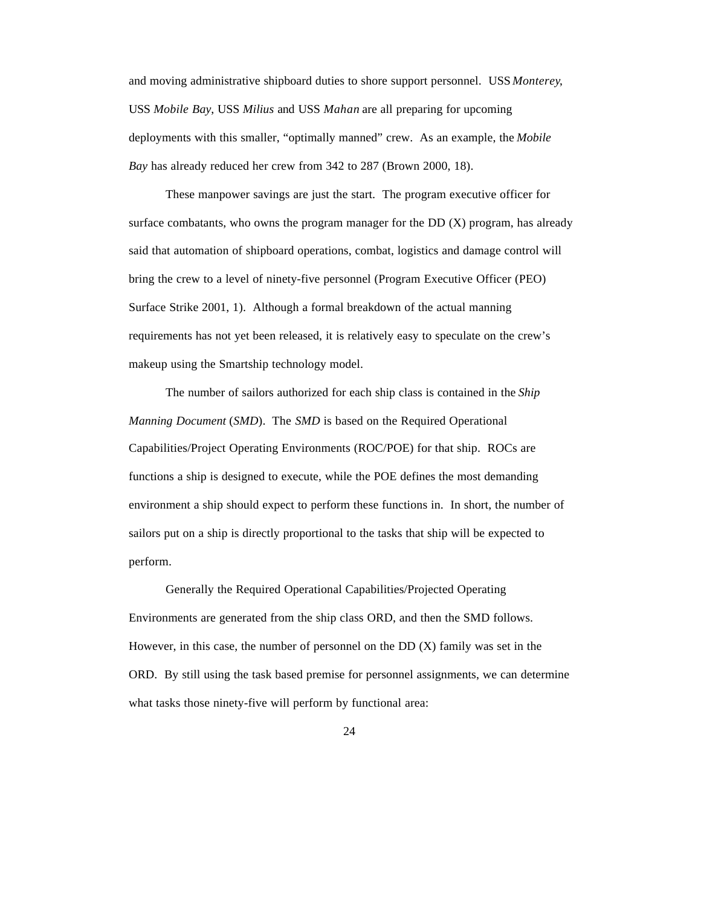and moving administrative shipboard duties to shore support personnel. USS *Monterey*, USS *Mobile Bay*, USS *Milius* and USS *Mahan* are all preparing for upcoming deployments with this smaller, "optimally manned" crew. As an example, the *Mobile Bay* has already reduced her crew from 342 to 287 (Brown 2000, 18).

These manpower savings are just the start. The program executive officer for surface combatants, who owns the program manager for the  $DD(X)$  program, has already said that automation of shipboard operations, combat, logistics and damage control will bring the crew to a level of ninety-five personnel (Program Executive Officer (PEO) Surface Strike 2001, 1). Although a formal breakdown of the actual manning requirements has not yet been released, it is relatively easy to speculate on the crew's makeup using the Smartship technology model.

The number of sailors authorized for each ship class is contained in the *Ship Manning Document* (*SMD*). The *SMD* is based on the Required Operational Capabilities/Project Operating Environments (ROC/POE) for that ship. ROCs are functions a ship is designed to execute, while the POE defines the most demanding environment a ship should expect to perform these functions in. In short, the number of sailors put on a ship is directly proportional to the tasks that ship will be expected to perform.

Generally the Required Operational Capabilities/Projected Operating Environments are generated from the ship class ORD, and then the SMD follows. However, in this case, the number of personnel on the DD (X) family was set in the ORD. By still using the task based premise for personnel assignments, we can determine what tasks those ninety-five will perform by functional area: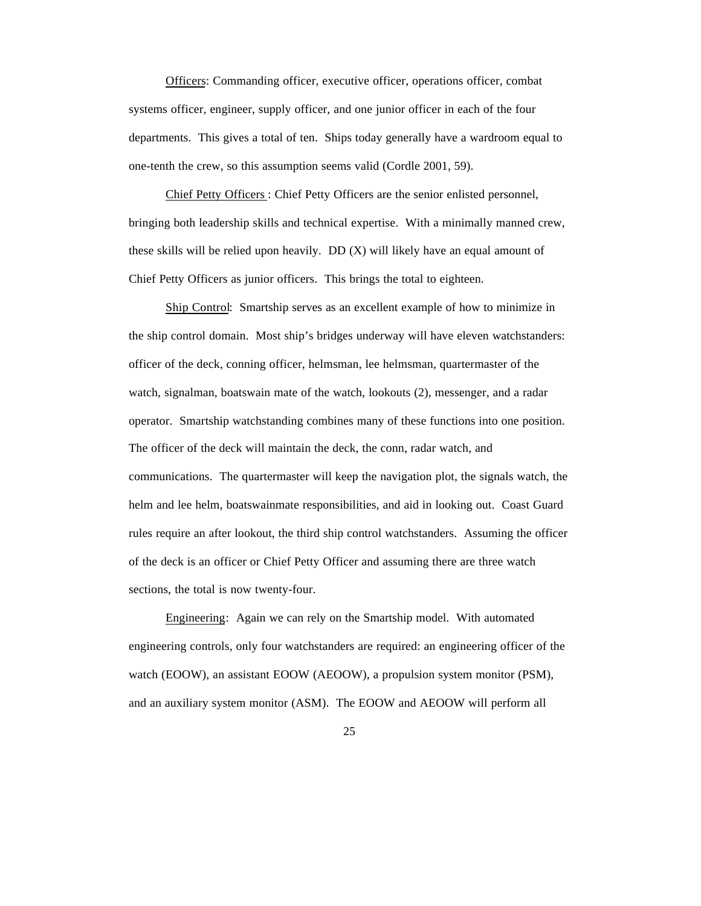Officers: Commanding officer, executive officer, operations officer, combat systems officer, engineer, supply officer, and one junior officer in each of the four departments. This gives a total of ten. Ships today generally have a wardroom equal to one-tenth the crew, so this assumption seems valid (Cordle 2001, 59).

Chief Petty Officers : Chief Petty Officers are the senior enlisted personnel, bringing both leadership skills and technical expertise. With a minimally manned crew, these skills will be relied upon heavily. DD (X) will likely have an equal amount of Chief Petty Officers as junior officers. This brings the total to eighteen.

Ship Control: Smartship serves as an excellent example of how to minimize in the ship control domain. Most ship's bridges underway will have eleven watchstanders: officer of the deck, conning officer, helmsman, lee helmsman, quartermaster of the watch, signalman, boatswain mate of the watch, lookouts (2), messenger, and a radar operator. Smartship watchstanding combines many of these functions into one position. The officer of the deck will maintain the deck, the conn, radar watch, and communications. The quartermaster will keep the navigation plot, the signals watch, the helm and lee helm, boatswainmate responsibilities, and aid in looking out. Coast Guard rules require an after lookout, the third ship control watchstanders. Assuming the officer of the deck is an officer or Chief Petty Officer and assuming there are three watch sections, the total is now twenty-four.

Engineering: Again we can rely on the Smartship model. With automated engineering controls, only four watchstanders are required: an engineering officer of the watch (EOOW), an assistant EOOW (AEOOW), a propulsion system monitor (PSM), and an auxiliary system monitor (ASM). The EOOW and AEOOW will perform all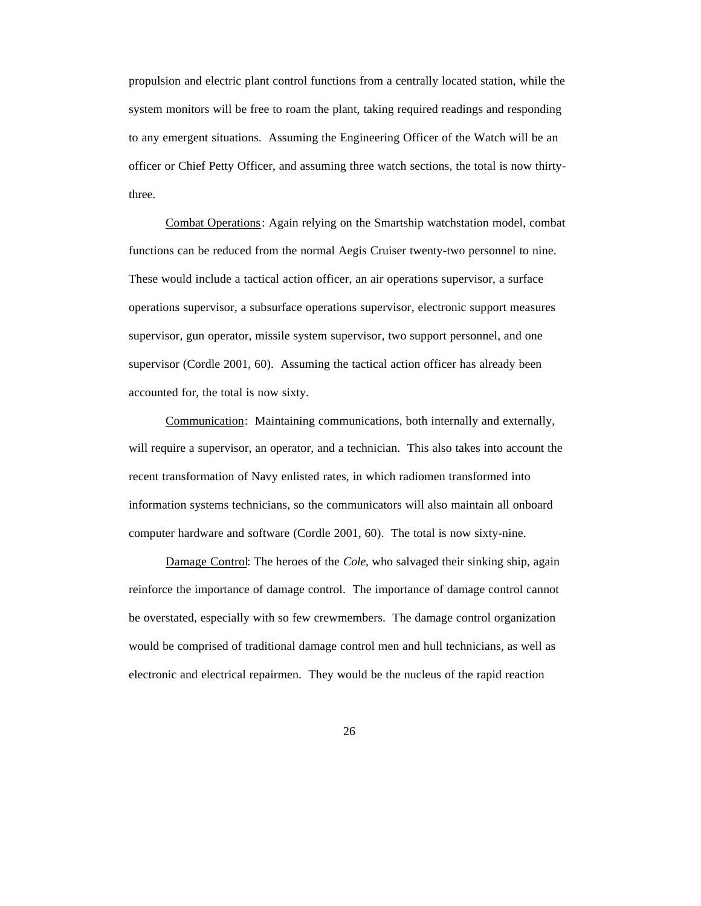propulsion and electric plant control functions from a centrally located station, while the system monitors will be free to roam the plant, taking required readings and responding to any emergent situations. Assuming the Engineering Officer of the Watch will be an officer or Chief Petty Officer, and assuming three watch sections, the total is now thirtythree.

Combat Operations: Again relying on the Smartship watchstation model, combat functions can be reduced from the normal Aegis Cruiser twenty-two personnel to nine. These would include a tactical action officer, an air operations supervisor, a surface operations supervisor, a subsurface operations supervisor, electronic support measures supervisor, gun operator, missile system supervisor, two support personnel, and one supervisor (Cordle 2001, 60). Assuming the tactical action officer has already been accounted for, the total is now sixty.

Communication: Maintaining communications, both internally and externally, will require a supervisor, an operator, and a technician. This also takes into account the recent transformation of Navy enlisted rates, in which radiomen transformed into information systems technicians, so the communicators will also maintain all onboard computer hardware and software (Cordle 2001, 60). The total is now sixty-nine.

Damage Control: The heroes of the *Cole*, who salvaged their sinking ship, again reinforce the importance of damage control. The importance of damage control cannot be overstated, especially with so few crewmembers. The damage control organization would be comprised of traditional damage control men and hull technicians, as well as electronic and electrical repairmen. They would be the nucleus of the rapid reaction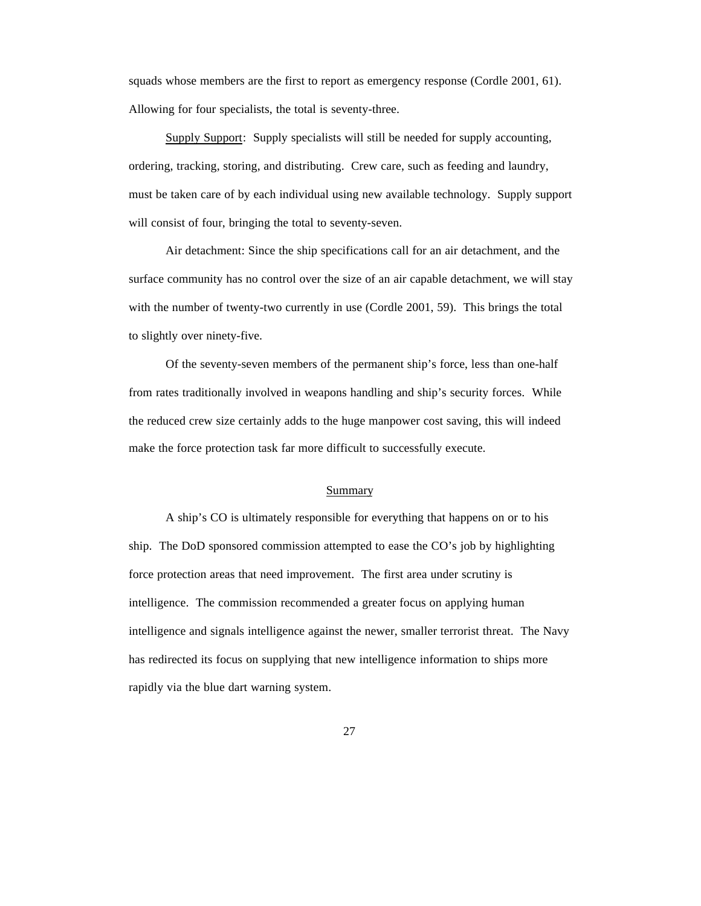squads whose members are the first to report as emergency response (Cordle 2001, 61). Allowing for four specialists, the total is seventy-three.

Supply Support: Supply specialists will still be needed for supply accounting, ordering, tracking, storing, and distributing. Crew care, such as feeding and laundry, must be taken care of by each individual using new available technology. Supply support will consist of four, bringing the total to seventy-seven.

Air detachment: Since the ship specifications call for an air detachment, and the surface community has no control over the size of an air capable detachment, we will stay with the number of twenty-two currently in use (Cordle 2001, 59). This brings the total to slightly over ninety-five.

Of the seventy-seven members of the permanent ship's force, less than one-half from rates traditionally involved in weapons handling and ship's security forces. While the reduced crew size certainly adds to the huge manpower cost saving, this will indeed make the force protection task far more difficult to successfully execute.

#### Summary

A ship's CO is ultimately responsible for everything that happens on or to his ship. The DoD sponsored commission attempted to ease the CO's job by highlighting force protection areas that need improvement. The first area under scrutiny is intelligence. The commission recommended a greater focus on applying human intelligence and signals intelligence against the newer, smaller terrorist threat. The Navy has redirected its focus on supplying that new intelligence information to ships more rapidly via the blue dart warning system.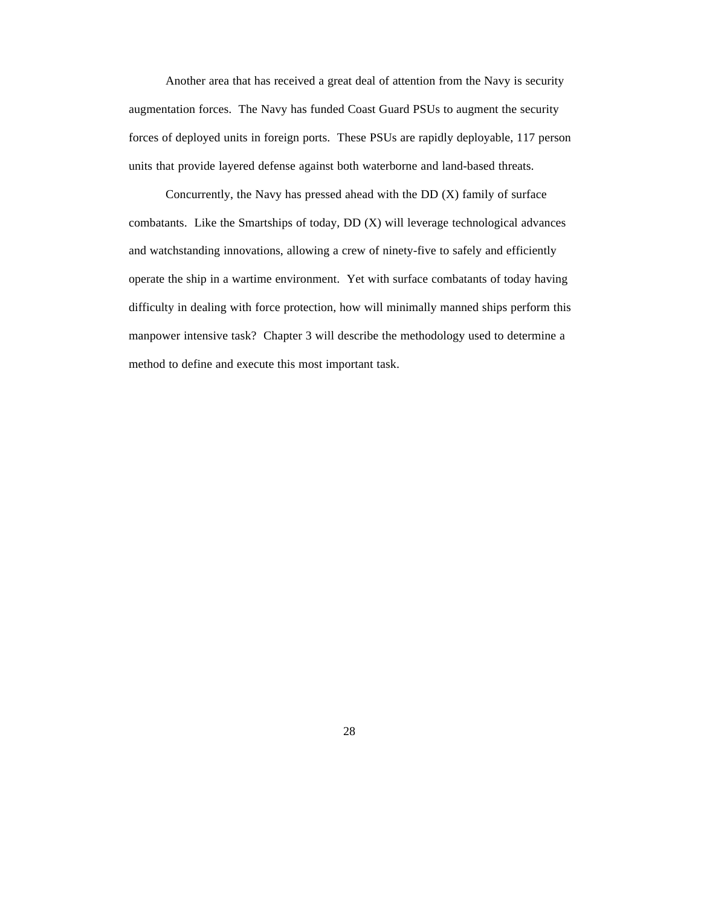Another area that has received a great deal of attention from the Navy is security augmentation forces. The Navy has funded Coast Guard PSUs to augment the security forces of deployed units in foreign ports. These PSUs are rapidly deployable, 117 person units that provide layered defense against both waterborne and land-based threats.

Concurrently, the Navy has pressed ahead with the DD (X) family of surface combatants. Like the Smartships of today, DD (X) will leverage technological advances and watchstanding innovations, allowing a crew of ninety-five to safely and efficiently operate the ship in a wartime environment. Yet with surface combatants of today having difficulty in dealing with force protection, how will minimally manned ships perform this manpower intensive task? Chapter 3 will describe the methodology used to determine a method to define and execute this most important task.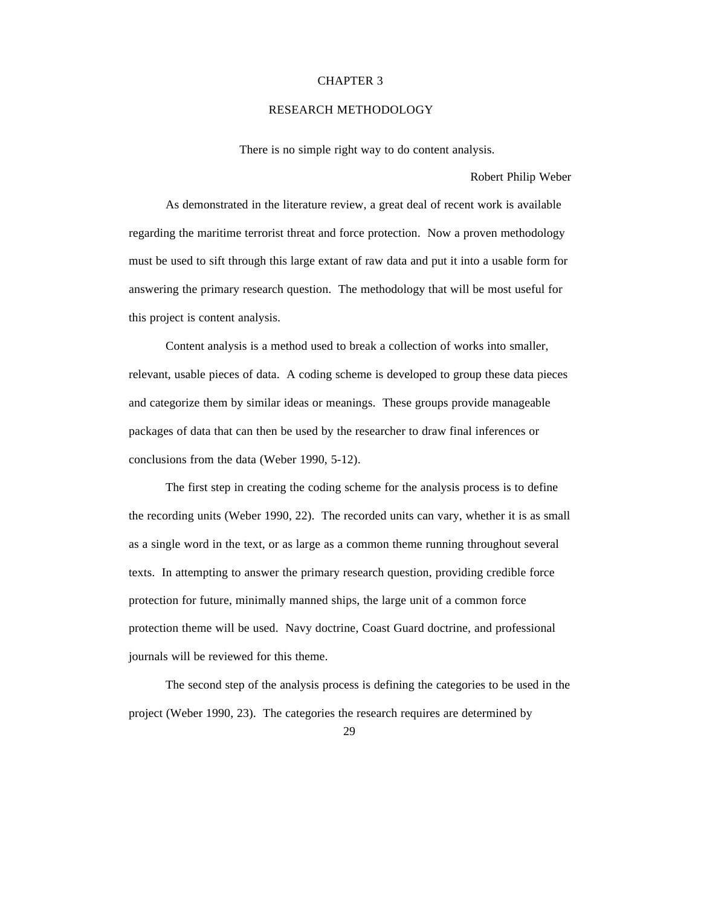### CHAPTER 3

## RESEARCH METHODOLOGY

There is no simple right way to do content analysis.

Robert Philip Weber

As demonstrated in the literature review, a great deal of recent work is available regarding the maritime terrorist threat and force protection. Now a proven methodology must be used to sift through this large extant of raw data and put it into a usable form for answering the primary research question. The methodology that will be most useful for this project is content analysis.

Content analysis is a method used to break a collection of works into smaller, relevant, usable pieces of data. A coding scheme is developed to group these data pieces and categorize them by similar ideas or meanings. These groups provide manageable packages of data that can then be used by the researcher to draw final inferences or conclusions from the data (Weber 1990, 5-12).

The first step in creating the coding scheme for the analysis process is to define the recording units (Weber 1990, 22). The recorded units can vary, whether it is as small as a single word in the text, or as large as a common theme running throughout several texts. In attempting to answer the primary research question, providing credible force protection for future, minimally manned ships, the large unit of a common force protection theme will be used. Navy doctrine, Coast Guard doctrine, and professional journals will be reviewed for this theme.

The second step of the analysis process is defining the categories to be used in the project (Weber 1990, 23). The categories the research requires are determined by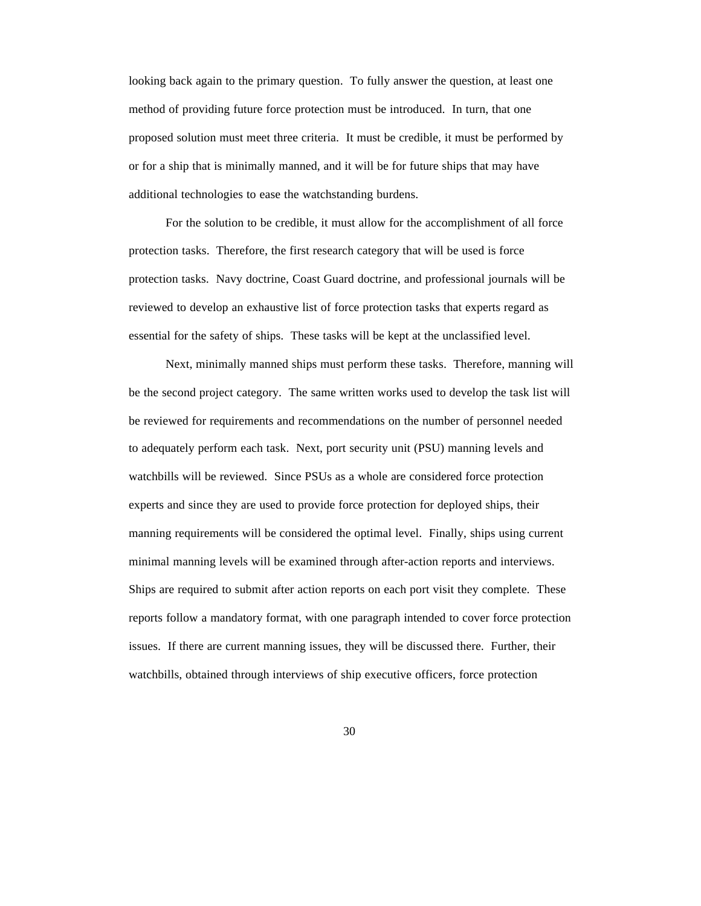looking back again to the primary question. To fully answer the question, at least one method of providing future force protection must be introduced. In turn, that one proposed solution must meet three criteria. It must be credible, it must be performed by or for a ship that is minimally manned, and it will be for future ships that may have additional technologies to ease the watchstanding burdens.

For the solution to be credible, it must allow for the accomplishment of all force protection tasks. Therefore, the first research category that will be used is force protection tasks. Navy doctrine, Coast Guard doctrine, and professional journals will be reviewed to develop an exhaustive list of force protection tasks that experts regard as essential for the safety of ships. These tasks will be kept at the unclassified level.

Next, minimally manned ships must perform these tasks. Therefore, manning will be the second project category. The same written works used to develop the task list will be reviewed for requirements and recommendations on the number of personnel needed to adequately perform each task. Next, port security unit (PSU) manning levels and watchbills will be reviewed. Since PSUs as a whole are considered force protection experts and since they are used to provide force protection for deployed ships, their manning requirements will be considered the optimal level. Finally, ships using current minimal manning levels will be examined through after-action reports and interviews. Ships are required to submit after action reports on each port visit they complete. These reports follow a mandatory format, with one paragraph intended to cover force protection issues. If there are current manning issues, they will be discussed there. Further, their watchbills, obtained through interviews of ship executive officers, force protection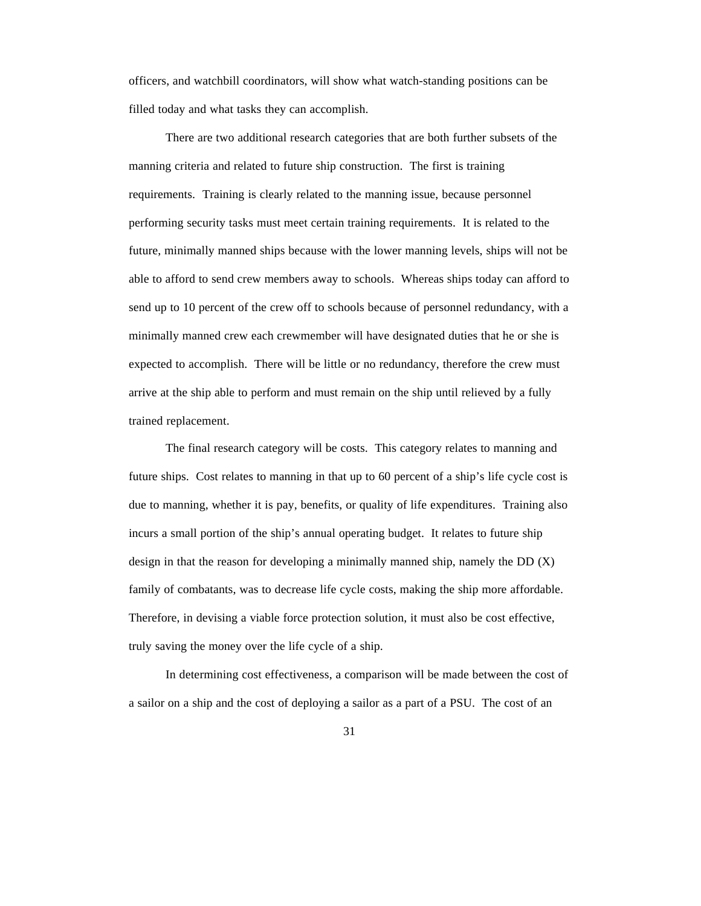officers, and watchbill coordinators, will show what watch-standing positions can be filled today and what tasks they can accomplish.

There are two additional research categories that are both further subsets of the manning criteria and related to future ship construction. The first is training requirements. Training is clearly related to the manning issue, because personnel performing security tasks must meet certain training requirements. It is related to the future, minimally manned ships because with the lower manning levels, ships will not be able to afford to send crew members away to schools. Whereas ships today can afford to send up to 10 percent of the crew off to schools because of personnel redundancy, with a minimally manned crew each crewmember will have designated duties that he or she is expected to accomplish. There will be little or no redundancy, therefore the crew must arrive at the ship able to perform and must remain on the ship until relieved by a fully trained replacement.

The final research category will be costs. This category relates to manning and future ships. Cost relates to manning in that up to 60 percent of a ship's life cycle cost is due to manning, whether it is pay, benefits, or quality of life expenditures. Training also incurs a small portion of the ship's annual operating budget. It relates to future ship design in that the reason for developing a minimally manned ship, namely the DD  $(X)$ family of combatants, was to decrease life cycle costs, making the ship more affordable. Therefore, in devising a viable force protection solution, it must also be cost effective, truly saving the money over the life cycle of a ship.

In determining cost effectiveness, a comparison will be made between the cost of a sailor on a ship and the cost of deploying a sailor as a part of a PSU. The cost of an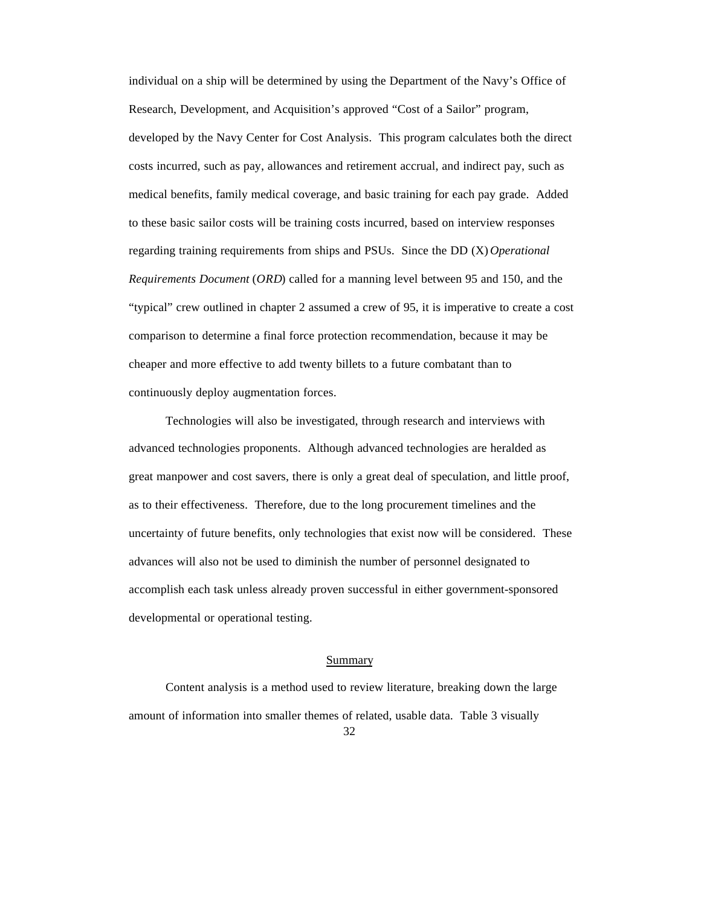individual on a ship will be determined by using the Department of the Navy's Office of Research, Development, and Acquisition's approved "Cost of a Sailor" program, developed by the Navy Center for Cost Analysis. This program calculates both the direct costs incurred, such as pay, allowances and retirement accrual, and indirect pay, such as medical benefits, family medical coverage, and basic training for each pay grade. Added to these basic sailor costs will be training costs incurred, based on interview responses regarding training requirements from ships and PSUs. Since the DD (X) *Operational Requirements Document* (*ORD*) called for a manning level between 95 and 150, and the "typical" crew outlined in chapter 2 assumed a crew of 95, it is imperative to create a cost comparison to determine a final force protection recommendation, because it may be cheaper and more effective to add twenty billets to a future combatant than to continuously deploy augmentation forces.

Technologies will also be investigated, through research and interviews with advanced technologies proponents. Although advanced technologies are heralded as great manpower and cost savers, there is only a great deal of speculation, and little proof, as to their effectiveness. Therefore, due to the long procurement timelines and the uncertainty of future benefits, only technologies that exist now will be considered. These advances will also not be used to diminish the number of personnel designated to accomplish each task unless already proven successful in either government-sponsored developmental or operational testing.

## Summary

Content analysis is a method used to review literature, breaking down the large amount of information into smaller themes of related, usable data. Table 3 visually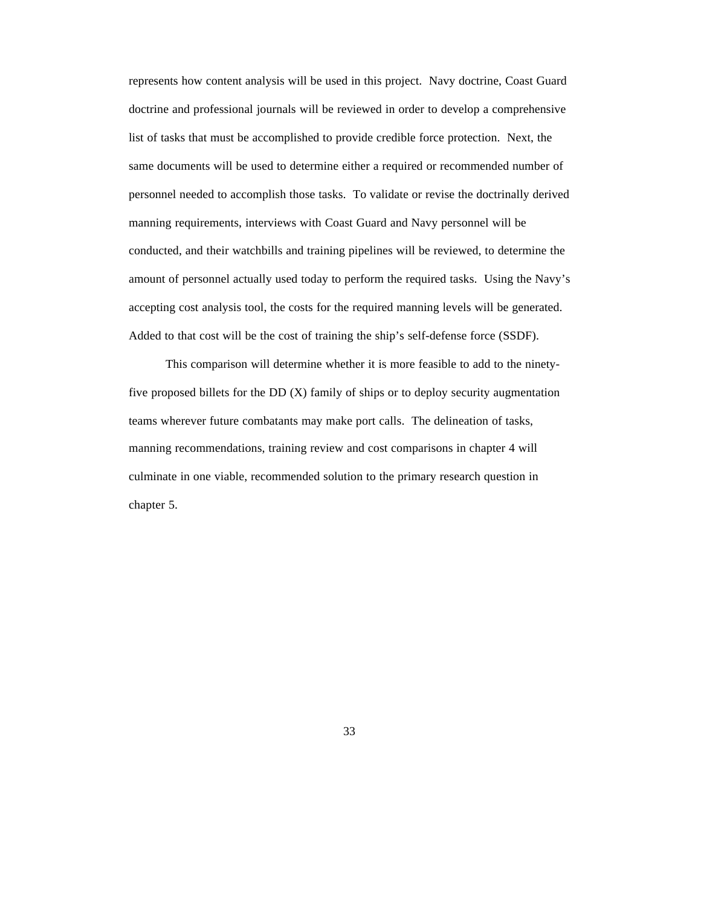represents how content analysis will be used in this project. Navy doctrine, Coast Guard doctrine and professional journals will be reviewed in order to develop a comprehensive list of tasks that must be accomplished to provide credible force protection. Next, the same documents will be used to determine either a required or recommended number of personnel needed to accomplish those tasks. To validate or revise the doctrinally derived manning requirements, interviews with Coast Guard and Navy personnel will be conducted, and their watchbills and training pipelines will be reviewed, to determine the amount of personnel actually used today to perform the required tasks. Using the Navy's accepting cost analysis tool, the costs for the required manning levels will be generated. Added to that cost will be the cost of training the ship's self-defense force (SSDF).

This comparison will determine whether it is more feasible to add to the ninetyfive proposed billets for the DD  $(X)$  family of ships or to deploy security augmentation teams wherever future combatants may make port calls. The delineation of tasks, manning recommendations, training review and cost comparisons in chapter 4 will culminate in one viable, recommended solution to the primary research question in chapter 5.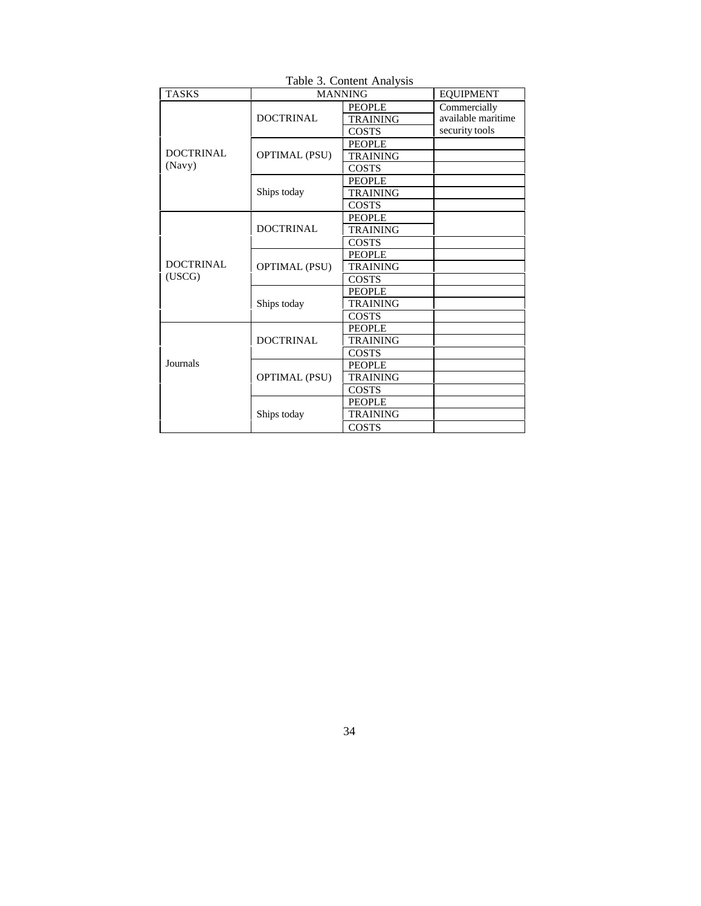| Table 5. Content Analysis  |                      |                 |                    |  |  |  |  |
|----------------------------|----------------------|-----------------|--------------------|--|--|--|--|
| <b>TASKS</b>               | <b>MANNING</b>       |                 | <b>EQUIPMENT</b>   |  |  |  |  |
| <b>DOCTRINAL</b><br>(Navy) | <b>DOCTRINAL</b>     | <b>PEOPLE</b>   | Commercially       |  |  |  |  |
|                            |                      | <b>TRAINING</b> | available maritime |  |  |  |  |
|                            |                      | <b>COSTS</b>    | security tools     |  |  |  |  |
|                            | <b>OPTIMAL (PSU)</b> | <b>PEOPLE</b>   |                    |  |  |  |  |
|                            |                      | <b>TRAINING</b> |                    |  |  |  |  |
|                            |                      | <b>COSTS</b>    |                    |  |  |  |  |
|                            |                      | <b>PEOPLE</b>   |                    |  |  |  |  |
|                            | Ships today          | <b>TRAINING</b> |                    |  |  |  |  |
|                            |                      | <b>COSTS</b>    |                    |  |  |  |  |
| <b>DOCTRINAL</b><br>(USCG) | <b>DOCTRINAL</b>     | <b>PEOPLE</b>   |                    |  |  |  |  |
|                            |                      | <b>TRAINING</b> |                    |  |  |  |  |
|                            |                      | <b>COSTS</b>    |                    |  |  |  |  |
|                            | <b>OPTIMAL (PSU)</b> | <b>PEOPLE</b>   |                    |  |  |  |  |
|                            |                      | <b>TRAINING</b> |                    |  |  |  |  |
|                            |                      | <b>COSTS</b>    |                    |  |  |  |  |
|                            | Ships today          | <b>PEOPLE</b>   |                    |  |  |  |  |
|                            |                      | <b>TRAINING</b> |                    |  |  |  |  |
|                            |                      | <b>COSTS</b>    |                    |  |  |  |  |
| Journals                   | <b>DOCTRINAL</b>     | <b>PEOPLE</b>   |                    |  |  |  |  |
|                            |                      | <b>TRAINING</b> |                    |  |  |  |  |
|                            |                      | <b>COSTS</b>    |                    |  |  |  |  |
|                            | <b>OPTIMAL (PSU)</b> | <b>PEOPLE</b>   |                    |  |  |  |  |
|                            |                      | <b>TRAINING</b> |                    |  |  |  |  |
|                            |                      | COSTS           |                    |  |  |  |  |
|                            | Ships today          | <b>PEOPLE</b>   |                    |  |  |  |  |
|                            |                      | TRAINING        |                    |  |  |  |  |
|                            |                      | <b>COSTS</b>    |                    |  |  |  |  |

Table 3. Content Analysis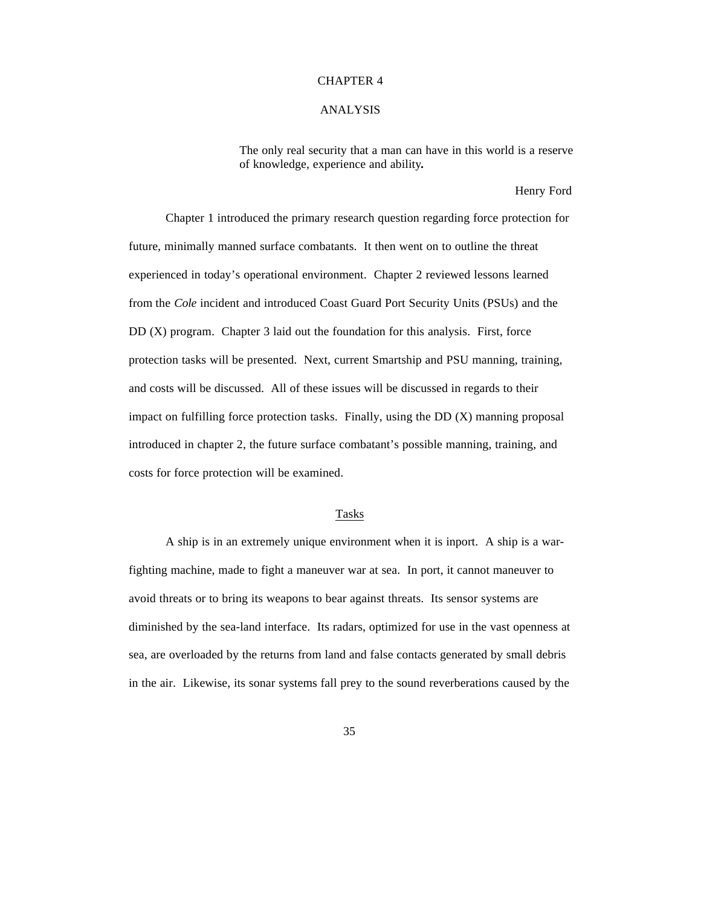#### CHAPTER 4

# ANALYSIS

The only real security that a man can have in this world is a reserve of knowledge, experience and ability**.**

Henry Ford

Chapter 1 introduced the primary research question regarding force protection for future, minimally manned surface combatants. It then went on to outline the threat experienced in today's operational environment. Chapter 2 reviewed lessons learned from the *Cole* incident and introduced Coast Guard Port Security Units (PSUs) and the DD (X) program. Chapter 3 laid out the foundation for this analysis. First, force protection tasks will be presented. Next, current Smartship and PSU manning, training, and costs will be discussed. All of these issues will be discussed in regards to their impact on fulfilling force protection tasks. Finally, using the  $DD(X)$  manning proposal introduced in chapter 2, the future surface combatant's possible manning, training, and costs for force protection will be examined.

# Tasks

A ship is in an extremely unique environment when it is inport. A ship is a warfighting machine, made to fight a maneuver war at sea. In port, it cannot maneuver to avoid threats or to bring its weapons to bear against threats. Its sensor systems are diminished by the sea-land interface. Its radars, optimized for use in the vast openness at sea, are overloaded by the returns from land and false contacts generated by small debris in the air. Likewise, its sonar systems fall prey to the sound reverberations caused by the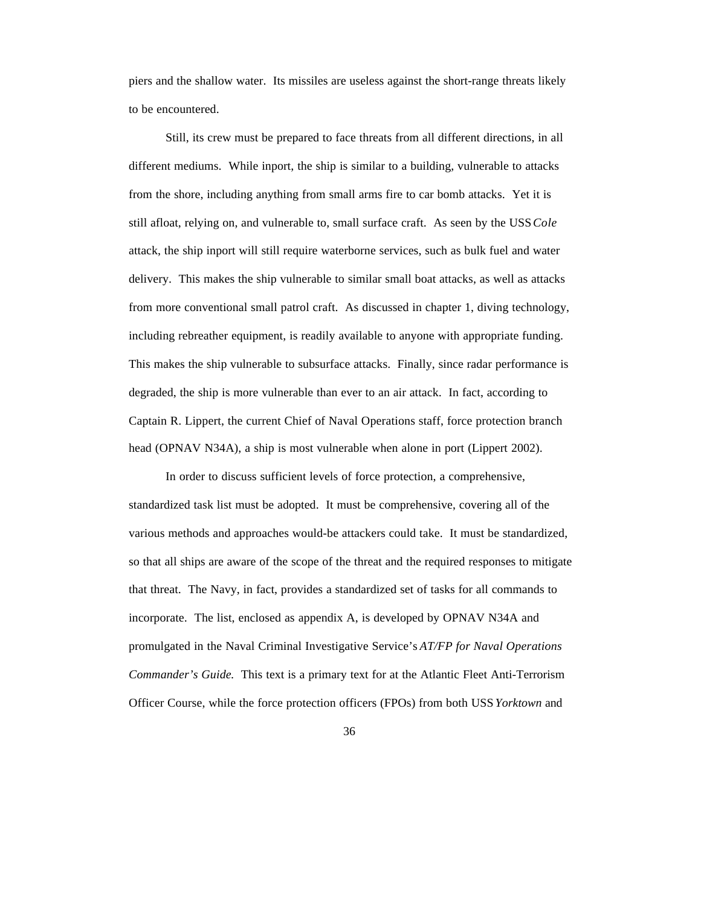piers and the shallow water. Its missiles are useless against the short-range threats likely to be encountered.

Still, its crew must be prepared to face threats from all different directions, in all different mediums. While inport, the ship is similar to a building, vulnerable to attacks from the shore, including anything from small arms fire to car bomb attacks. Yet it is still afloat, relying on, and vulnerable to, small surface craft. As seen by the USS *Cole* attack, the ship inport will still require waterborne services, such as bulk fuel and water delivery. This makes the ship vulnerable to similar small boat attacks, as well as attacks from more conventional small patrol craft. As discussed in chapter 1, diving technology, including rebreather equipment, is readily available to anyone with appropriate funding. This makes the ship vulnerable to subsurface attacks. Finally, since radar performance is degraded, the ship is more vulnerable than ever to an air attack. In fact, according to Captain R. Lippert, the current Chief of Naval Operations staff, force protection branch head (OPNAV N34A), a ship is most vulnerable when alone in port (Lippert 2002).

In order to discuss sufficient levels of force protection, a comprehensive, standardized task list must be adopted. It must be comprehensive, covering all of the various methods and approaches would-be attackers could take. It must be standardized, so that all ships are aware of the scope of the threat and the required responses to mitigate that threat. The Navy, in fact, provides a standardized set of tasks for all commands to incorporate. The list, enclosed as appendix A, is developed by OPNAV N34A and promulgated in the Naval Criminal Investigative Service's *AT/FP for Naval Operations Commander's Guide*. This text is a primary text for at the Atlantic Fleet Anti-Terrorism Officer Course, while the force protection officers (FPOs) from both USS *Yorktown* and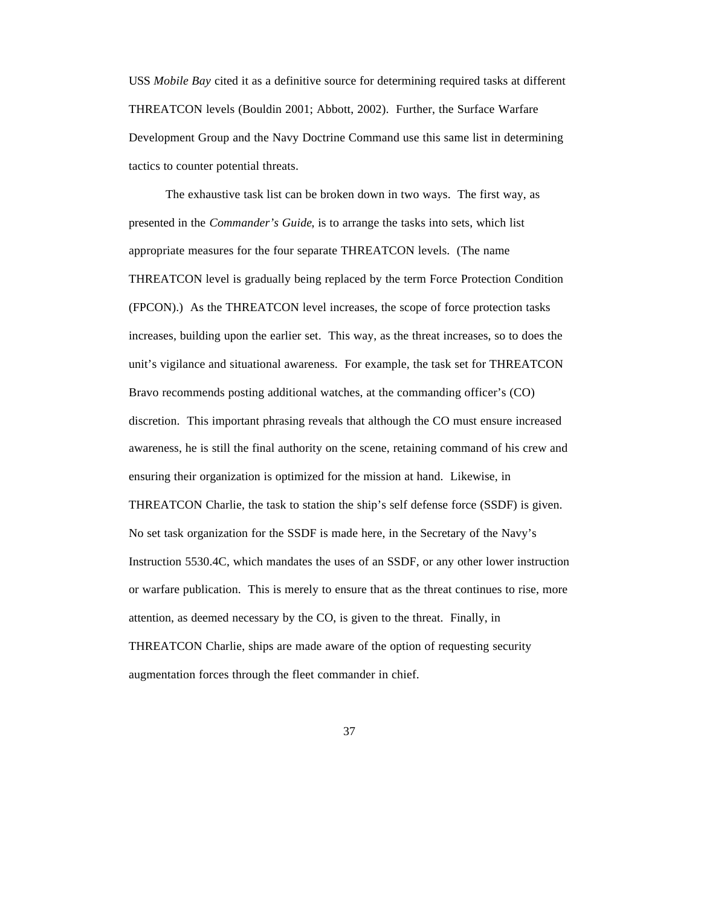USS *Mobile Bay* cited it as a definitive source for determining required tasks at different THREATCON levels (Bouldin 2001; Abbott, 2002). Further, the Surface Warfare Development Group and the Navy Doctrine Command use this same list in determining tactics to counter potential threats.

The exhaustive task list can be broken down in two ways. The first way, as presented in the *Commander's Guide*, is to arrange the tasks into sets, which list appropriate measures for the four separate THREATCON levels. (The name THREATCON level is gradually being replaced by the term Force Protection Condition (FPCON).) As the THREATCON level increases, the scope of force protection tasks increases, building upon the earlier set. This way, as the threat increases, so to does the unit's vigilance and situational awareness. For example, the task set for THREATCON Bravo recommends posting additional watches, at the commanding officer's (CO) discretion. This important phrasing reveals that although the CO must ensure increased awareness, he is still the final authority on the scene, retaining command of his crew and ensuring their organization is optimized for the mission at hand. Likewise, in THREATCON Charlie, the task to station the ship's self defense force (SSDF) is given. No set task organization for the SSDF is made here, in the Secretary of the Navy's Instruction 5530.4C, which mandates the uses of an SSDF, or any other lower instruction or warfare publication. This is merely to ensure that as the threat continues to rise, more attention, as deemed necessary by the CO, is given to the threat. Finally, in THREATCON Charlie, ships are made aware of the option of requesting security augmentation forces through the fleet commander in chief.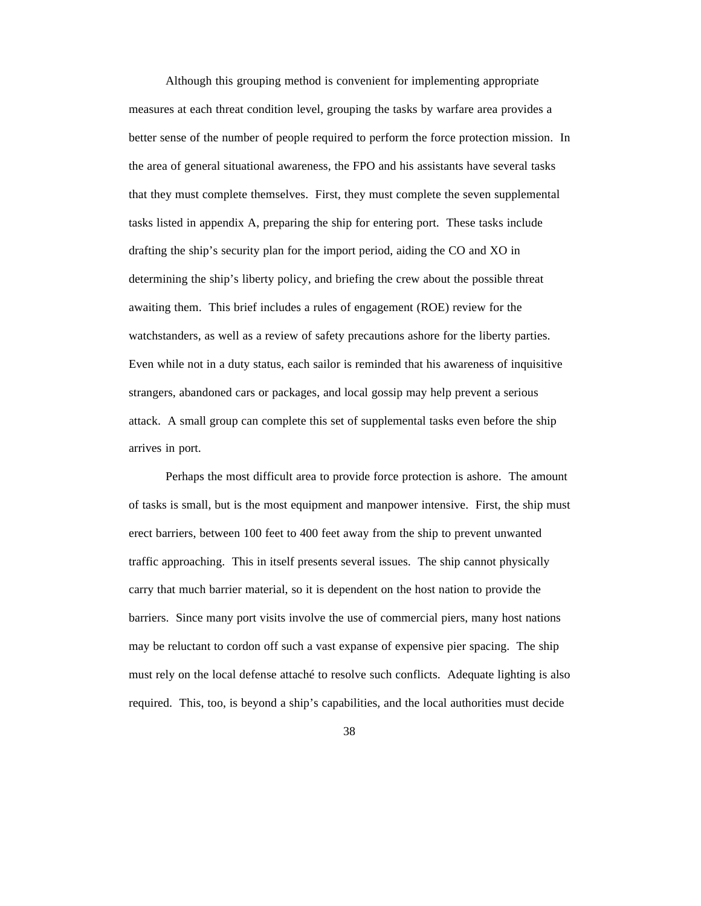Although this grouping method is convenient for implementing appropriate measures at each threat condition level, grouping the tasks by warfare area provides a better sense of the number of people required to perform the force protection mission. In the area of general situational awareness, the FPO and his assistants have several tasks that they must complete themselves. First, they must complete the seven supplemental tasks listed in appendix A, preparing the ship for entering port. These tasks include drafting the ship's security plan for the import period, aiding the CO and XO in determining the ship's liberty policy, and briefing the crew about the possible threat awaiting them. This brief includes a rules of engagement (ROE) review for the watchstanders, as well as a review of safety precautions ashore for the liberty parties. Even while not in a duty status, each sailor is reminded that his awareness of inquisitive strangers, abandoned cars or packages, and local gossip may help prevent a serious attack. A small group can complete this set of supplemental tasks even before the ship arrives in port.

Perhaps the most difficult area to provide force protection is ashore. The amount of tasks is small, but is the most equipment and manpower intensive. First, the ship must erect barriers, between 100 feet to 400 feet away from the ship to prevent unwanted traffic approaching. This in itself presents several issues. The ship cannot physically carry that much barrier material, so it is dependent on the host nation to provide the barriers. Since many port visits involve the use of commercial piers, many host nations may be reluctant to cordon off such a vast expanse of expensive pier spacing. The ship must rely on the local defense attaché to resolve such conflicts. Adequate lighting is also required. This, too, is beyond a ship's capabilities, and the local authorities must decide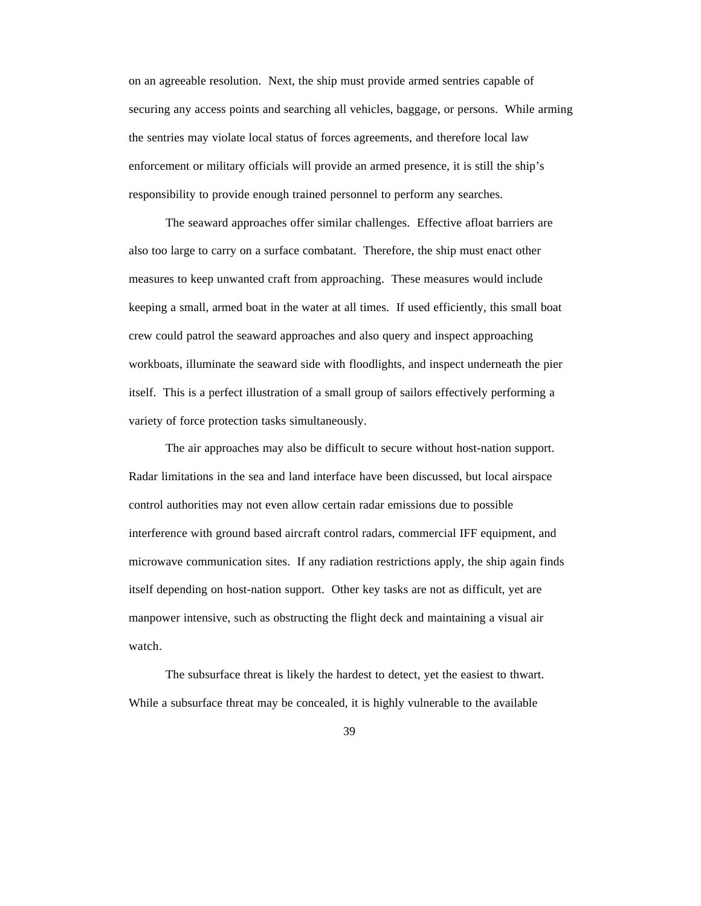on an agreeable resolution. Next, the ship must provide armed sentries capable of securing any access points and searching all vehicles, baggage, or persons. While arming the sentries may violate local status of forces agreements, and therefore local law enforcement or military officials will provide an armed presence, it is still the ship's responsibility to provide enough trained personnel to perform any searches.

The seaward approaches offer similar challenges. Effective afloat barriers are also too large to carry on a surface combatant. Therefore, the ship must enact other measures to keep unwanted craft from approaching. These measures would include keeping a small, armed boat in the water at all times. If used efficiently, this small boat crew could patrol the seaward approaches and also query and inspect approaching workboats, illuminate the seaward side with floodlights, and inspect underneath the pier itself. This is a perfect illustration of a small group of sailors effectively performing a variety of force protection tasks simultaneously.

The air approaches may also be difficult to secure without host-nation support. Radar limitations in the sea and land interface have been discussed, but local airspace control authorities may not even allow certain radar emissions due to possible interference with ground based aircraft control radars, commercial IFF equipment, and microwave communication sites. If any radiation restrictions apply, the ship again finds itself depending on host-nation support. Other key tasks are not as difficult, yet are manpower intensive, such as obstructing the flight deck and maintaining a visual air watch.

The subsurface threat is likely the hardest to detect, yet the easiest to thwart. While a subsurface threat may be concealed, it is highly vulnerable to the available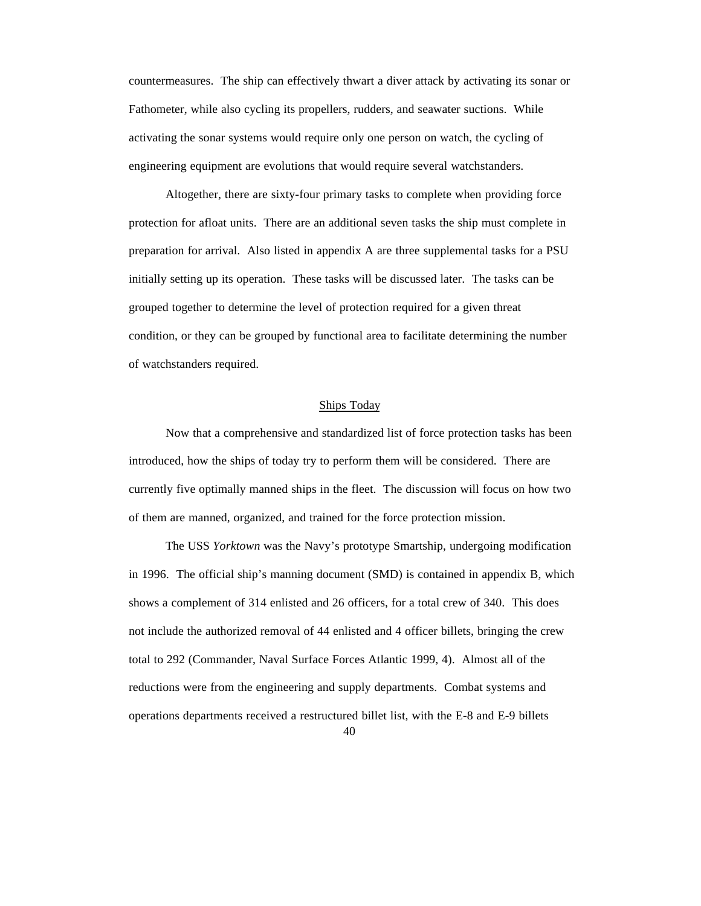countermeasures. The ship can effectively thwart a diver attack by activating its sonar or Fathometer, while also cycling its propellers, rudders, and seawater suctions. While activating the sonar systems would require only one person on watch, the cycling of engineering equipment are evolutions that would require several watchstanders.

Altogether, there are sixty-four primary tasks to complete when providing force protection for afloat units. There are an additional seven tasks the ship must complete in preparation for arrival. Also listed in appendix A are three supplemental tasks for a PSU initially setting up its operation. These tasks will be discussed later. The tasks can be grouped together to determine the level of protection required for a given threat condition, or they can be grouped by functional area to facilitate determining the number of watchstanders required.

#### Ships Today

Now that a comprehensive and standardized list of force protection tasks has been introduced, how the ships of today try to perform them will be considered. There are currently five optimally manned ships in the fleet. The discussion will focus on how two of them are manned, organized, and trained for the force protection mission.

The USS *Yorktown* was the Navy's prototype Smartship, undergoing modification in 1996. The official ship's manning document (SMD) is contained in appendix B, which shows a complement of 314 enlisted and 26 officers, for a total crew of 340. This does not include the authorized removal of 44 enlisted and 4 officer billets, bringing the crew total to 292 (Commander, Naval Surface Forces Atlantic 1999, 4). Almost all of the reductions were from the engineering and supply departments. Combat systems and operations departments received a restructured billet list, with the E-8 and E-9 billets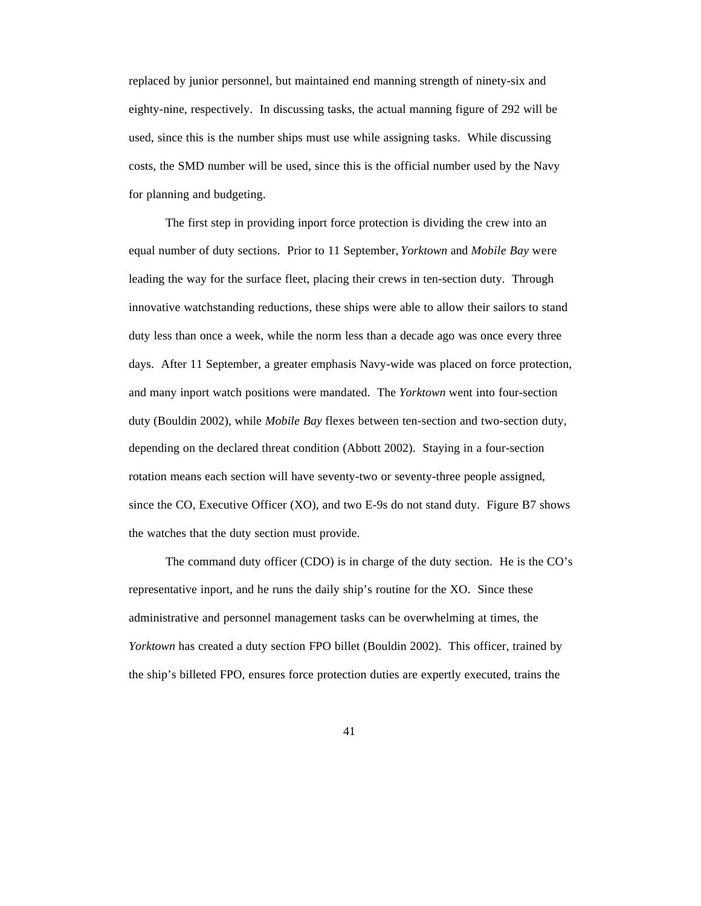replaced by junior personnel, but maintained end manning strength of ninety-six and eighty-nine, respectively. In discussing tasks, the actual manning figure of 292 will be used, since this is the number ships must use while assigning tasks. While discussing costs, the SMD number will be used, since this is the official number used by the Navy for planning and budgeting.

The first step in providing inport force protection is dividing the crew into an equal number of duty sections. Prior to 11 September, *Yorktown* and *Mobile Bay* were leading the way for the surface fleet, placing their crews in ten-section duty. Through innovative watchstanding reductions, these ships were able to allow their sailors to stand duty less than once a week, while the norm less than a decade ago was once every three days. After 11 September, a greater emphasis Navy-wide was placed on force protection, and many inport watch positions were mandated. The *Yorktown* went into four-section duty (Bouldin 2002), while *Mobile Bay* flexes between ten-section and two-section duty, depending on the declared threat condition (Abbott 2002). Staying in a four-section rotation means each section will have seventy-two or seventy-three people assigned, since the CO, Executive Officer (XO), and two E-9s do not stand duty. Figure B7 shows the watches that the duty section must provide.

The command duty officer (CDO) is in charge of the duty section. He is the CO's representative inport, and he runs the daily ship's routine for the XO. Since these administrative and personnel management tasks can be overwhelming at times, the *Yorktown* has created a duty section FPO billet (Bouldin 2002). This officer, trained by the ship's billeted FPO, ensures force protection duties are expertly executed, trains the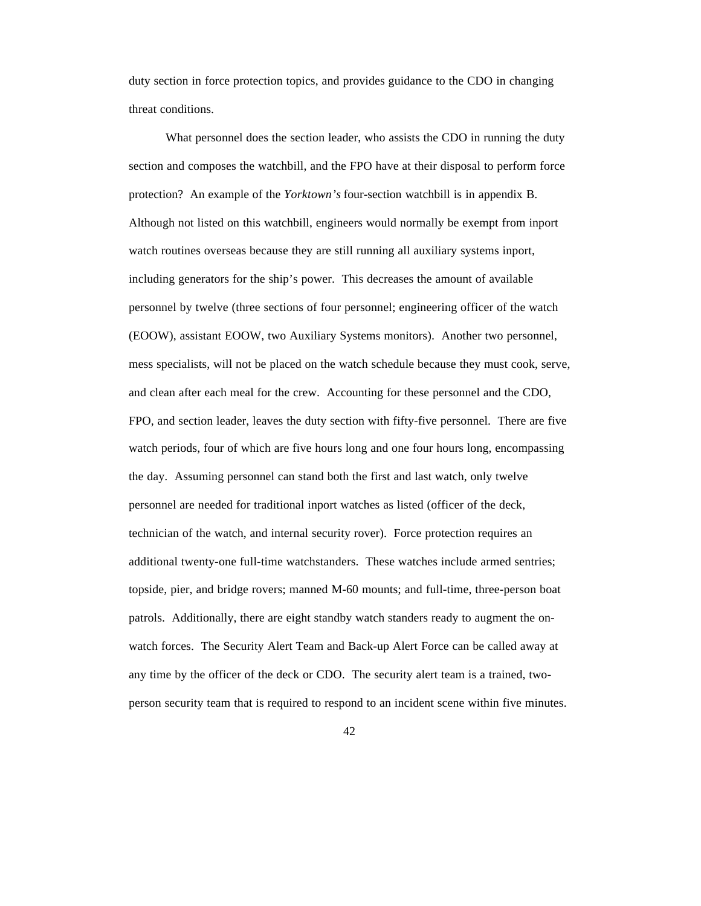duty section in force protection topics, and provides guidance to the CDO in changing threat conditions.

What personnel does the section leader, who assists the CDO in running the duty section and composes the watchbill, and the FPO have at their disposal to perform force protection? An example of the *Yorktown's* four-section watchbill is in appendix B. Although not listed on this watchbill, engineers would normally be exempt from inport watch routines overseas because they are still running all auxiliary systems inport, including generators for the ship's power. This decreases the amount of available personnel by twelve (three sections of four personnel; engineering officer of the watch (EOOW), assistant EOOW, two Auxiliary Systems monitors). Another two personnel, mess specialists, will not be placed on the watch schedule because they must cook, serve, and clean after each meal for the crew. Accounting for these personnel and the CDO, FPO, and section leader, leaves the duty section with fifty-five personnel. There are five watch periods, four of which are five hours long and one four hours long, encompassing the day. Assuming personnel can stand both the first and last watch, only twelve personnel are needed for traditional inport watches as listed (officer of the deck, technician of the watch, and internal security rover). Force protection requires an additional twenty-one full-time watchstanders. These watches include armed sentries; topside, pier, and bridge rovers; manned M-60 mounts; and full-time, three-person boat patrols. Additionally, there are eight standby watch standers ready to augment the onwatch forces. The Security Alert Team and Back-up Alert Force can be called away at any time by the officer of the deck or CDO. The security alert team is a trained, twoperson security team that is required to respond to an incident scene within five minutes.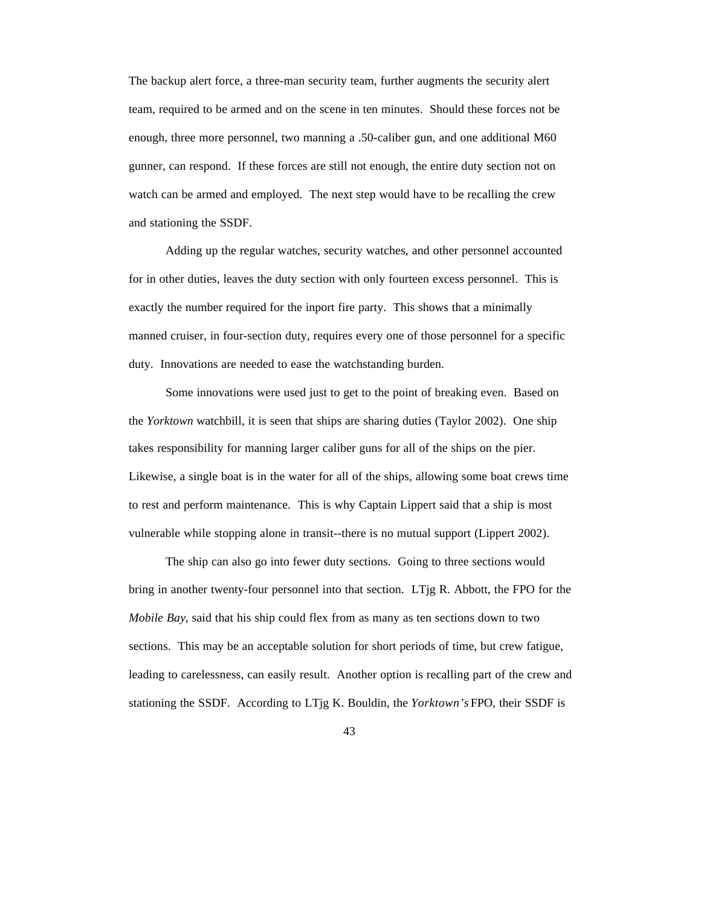The backup alert force, a three-man security team, further augments the security alert team, required to be armed and on the scene in ten minutes. Should these forces not be enough, three more personnel, two manning a .50-caliber gun, and one additional M60 gunner, can respond. If these forces are still not enough, the entire duty section not on watch can be armed and employed. The next step would have to be recalling the crew and stationing the SSDF.

Adding up the regular watches, security watches, and other personnel accounted for in other duties, leaves the duty section with only fourteen excess personnel. This is exactly the number required for the inport fire party. This shows that a minimally manned cruiser, in four-section duty, requires every one of those personnel for a specific duty. Innovations are needed to ease the watchstanding burden.

Some innovations were used just to get to the point of breaking even. Based on the *Yorktown* watchbill, it is seen that ships are sharing duties (Taylor 2002). One ship takes responsibility for manning larger caliber guns for all of the ships on the pier. Likewise, a single boat is in the water for all of the ships, allowing some boat crews time to rest and perform maintenance. This is why Captain Lippert said that a ship is most vulnerable while stopping alone in transit--there is no mutual support (Lippert 2002).

The ship can also go into fewer duty sections. Going to three sections would bring in another twenty-four personnel into that section. LTjg R. Abbott, the FPO for the *Mobile Bay*, said that his ship could flex from as many as ten sections down to two sections. This may be an acceptable solution for short periods of time, but crew fatigue, leading to carelessness, can easily result. Another option is recalling part of the crew and stationing the SSDF. According to LTjg K. Bouldin, the *Yorktown's* FPO, their SSDF is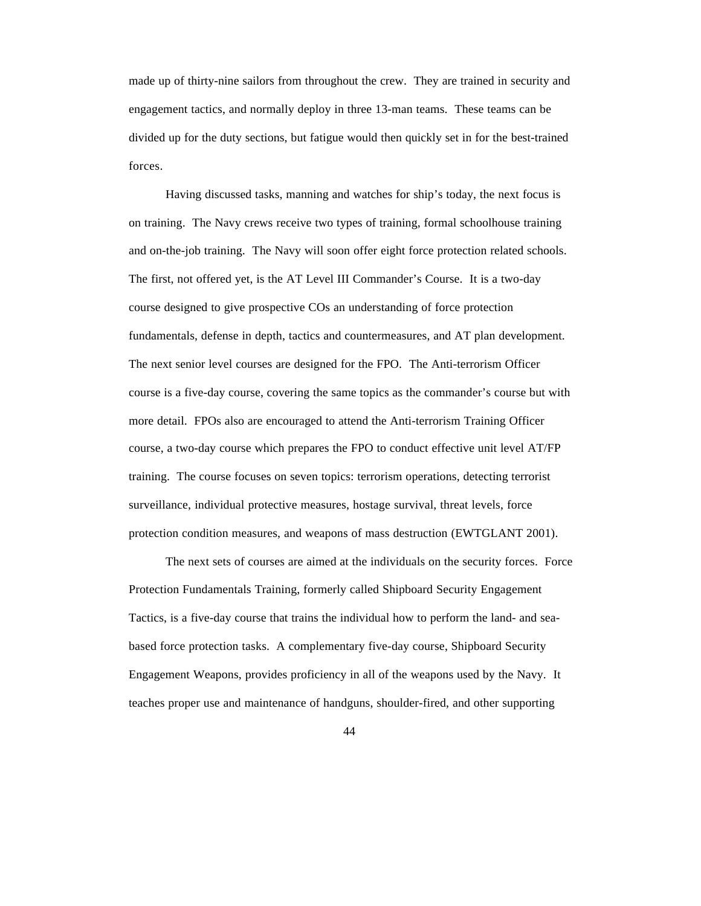made up of thirty-nine sailors from throughout the crew. They are trained in security and engagement tactics, and normally deploy in three 13-man teams. These teams can be divided up for the duty sections, but fatigue would then quickly set in for the best-trained forces.

Having discussed tasks, manning and watches for ship's today, the next focus is on training. The Navy crews receive two types of training, formal schoolhouse training and on-the-job training. The Navy will soon offer eight force protection related schools. The first, not offered yet, is the AT Level III Commander's Course. It is a two-day course designed to give prospective COs an understanding of force protection fundamentals, defense in depth, tactics and countermeasures, and AT plan development. The next senior level courses are designed for the FPO. The Anti-terrorism Officer course is a five-day course, covering the same topics as the commander's course but with more detail. FPOs also are encouraged to attend the Anti-terrorism Training Officer course, a two-day course which prepares the FPO to conduct effective unit level AT/FP training. The course focuses on seven topics: terrorism operations, detecting terrorist surveillance, individual protective measures, hostage survival, threat levels, force protection condition measures, and weapons of mass destruction (EWTGLANT 2001).

The next sets of courses are aimed at the individuals on the security forces. Force Protection Fundamentals Training, formerly called Shipboard Security Engagement Tactics, is a five-day course that trains the individual how to perform the land- and seabased force protection tasks. A complementary five-day course, Shipboard Security Engagement Weapons, provides proficiency in all of the weapons used by the Navy. It teaches proper use and maintenance of handguns, shoulder-fired, and other supporting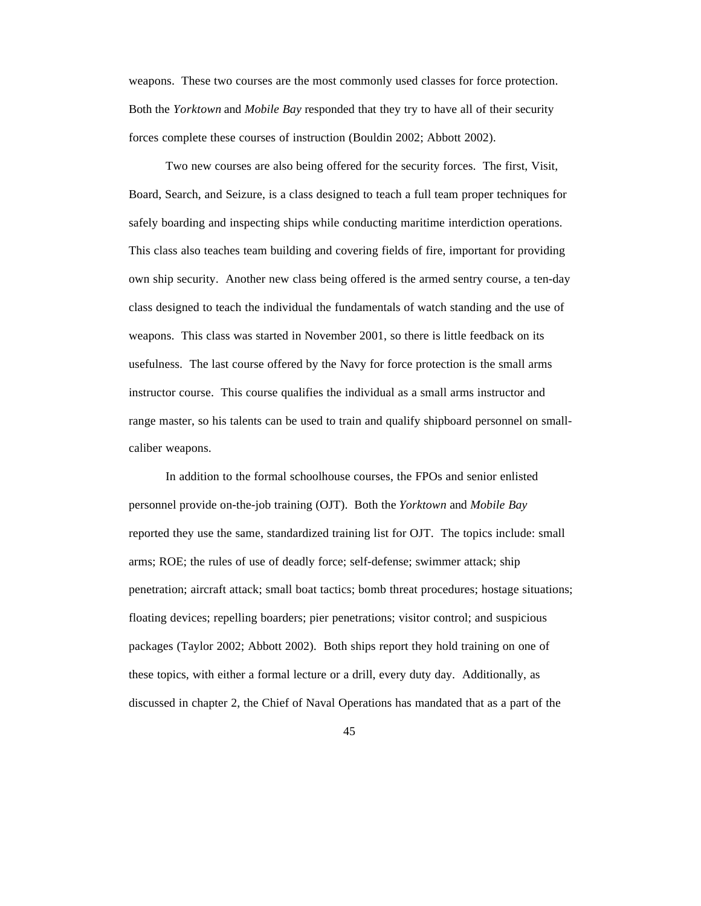weapons. These two courses are the most commonly used classes for force protection. Both the *Yorktown* and *Mobile Bay* responded that they try to have all of their security forces complete these courses of instruction (Bouldin 2002; Abbott 2002).

Two new courses are also being offered for the security forces. The first, Visit, Board, Search, and Seizure, is a class designed to teach a full team proper techniques for safely boarding and inspecting ships while conducting maritime interdiction operations. This class also teaches team building and covering fields of fire, important for providing own ship security. Another new class being offered is the armed sentry course, a ten-day class designed to teach the individual the fundamentals of watch standing and the use of weapons. This class was started in November 2001, so there is little feedback on its usefulness. The last course offered by the Navy for force protection is the small arms instructor course. This course qualifies the individual as a small arms instructor and range master, so his talents can be used to train and qualify shipboard personnel on smallcaliber weapons.

In addition to the formal schoolhouse courses, the FPOs and senior enlisted personnel provide on-the-job training (OJT). Both the *Yorktown* and *Mobile Bay* reported they use the same, standardized training list for OJT. The topics include: small arms; ROE; the rules of use of deadly force; self-defense; swimmer attack; ship penetration; aircraft attack; small boat tactics; bomb threat procedures; hostage situations; floating devices; repelling boarders; pier penetrations; visitor control; and suspicious packages (Taylor 2002; Abbott 2002). Both ships report they hold training on one of these topics, with either a formal lecture or a drill, every duty day. Additionally, as discussed in chapter 2, the Chief of Naval Operations has mandated that as a part of the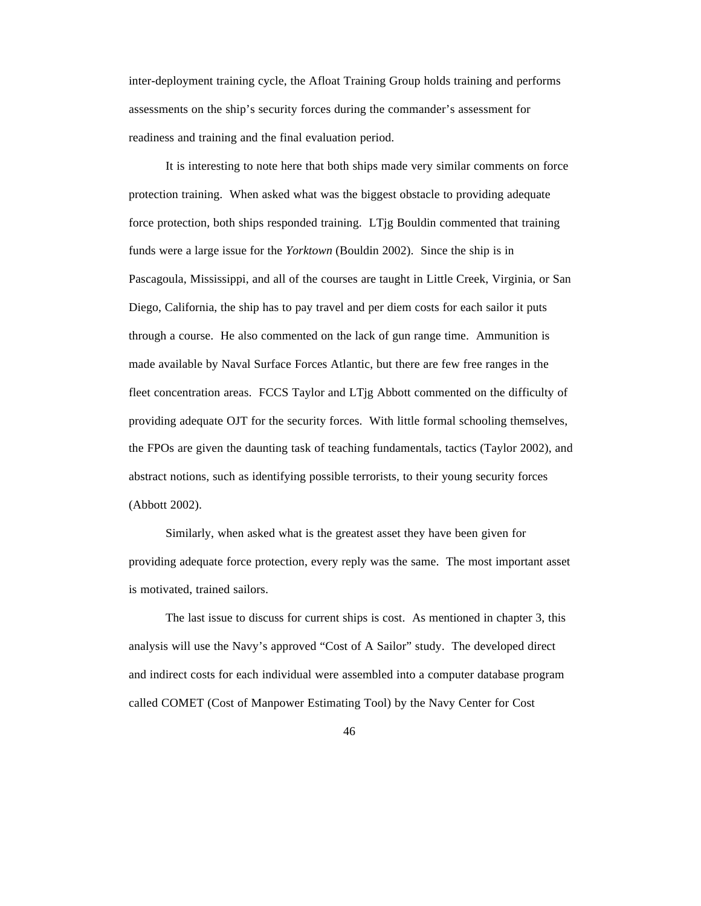inter-deployment training cycle, the Afloat Training Group holds training and performs assessments on the ship's security forces during the commander's assessment for readiness and training and the final evaluation period.

It is interesting to note here that both ships made very similar comments on force protection training. When asked what was the biggest obstacle to providing adequate force protection, both ships responded training. LTjg Bouldin commented that training funds were a large issue for the *Yorktown* (Bouldin 2002). Since the ship is in Pascagoula, Mississippi, and all of the courses are taught in Little Creek, Virginia, or San Diego, California, the ship has to pay travel and per diem costs for each sailor it puts through a course. He also commented on the lack of gun range time. Ammunition is made available by Naval Surface Forces Atlantic, but there are few free ranges in the fleet concentration areas. FCCS Taylor and LTjg Abbott commented on the difficulty of providing adequate OJT for the security forces. With little formal schooling themselves, the FPOs are given the daunting task of teaching fundamentals, tactics (Taylor 2002), and abstract notions, such as identifying possible terrorists, to their young security forces (Abbott 2002).

Similarly, when asked what is the greatest asset they have been given for providing adequate force protection, every reply was the same. The most important asset is motivated, trained sailors.

The last issue to discuss for current ships is cost. As mentioned in chapter 3, this analysis will use the Navy's approved "Cost of A Sailor" study. The developed direct and indirect costs for each individual were assembled into a computer database program called COMET (Cost of Manpower Estimating Tool) by the Navy Center for Cost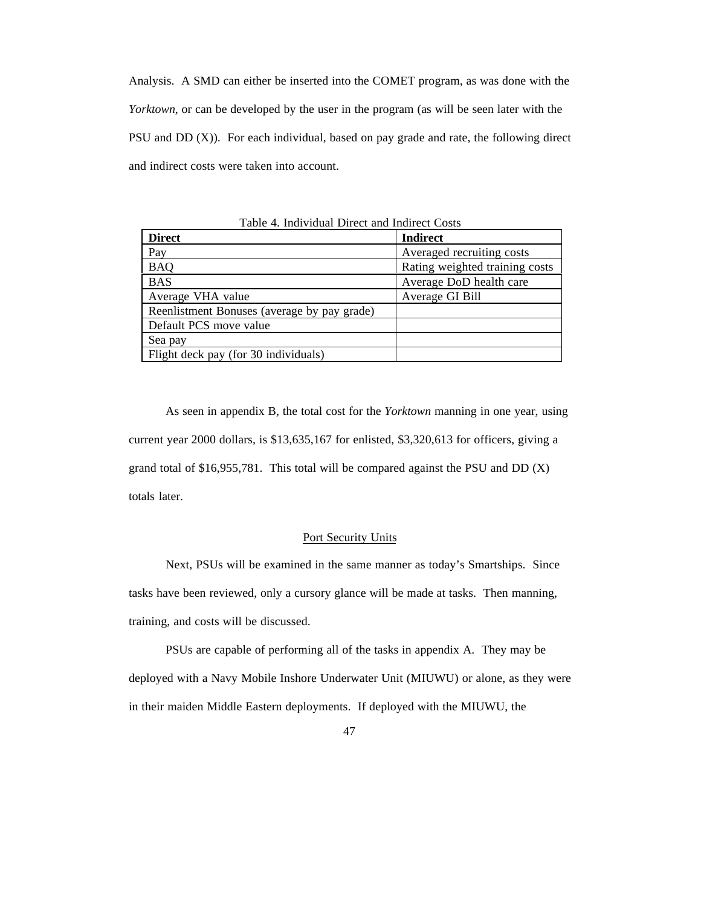Analysis. A SMD can either be inserted into the COMET program, as was done with the *Yorktown*, or can be developed by the user in the program (as will be seen later with the PSU and DD (X)). For each individual, based on pay grade and rate, the following direct and indirect costs were taken into account.

| <b>Direct</b>                               | <b>Indirect</b>                |  |
|---------------------------------------------|--------------------------------|--|
| Pay                                         | Averaged recruiting costs      |  |
| <b>BAQ</b>                                  | Rating weighted training costs |  |
| <b>BAS</b>                                  | Average DoD health care        |  |
| Average VHA value                           | Average GI Bill                |  |
| Reenlistment Bonuses (average by pay grade) |                                |  |
| Default PCS move value                      |                                |  |
| Sea pay                                     |                                |  |
| Flight deck pay (for 30 individuals)        |                                |  |

Table 4. Individual Direct and Indirect Costs

As seen in appendix B, the total cost for the *Yorktown* manning in one year, using current year 2000 dollars, is \$13,635,167 for enlisted, \$3,320,613 for officers, giving a grand total of \$16,955,781. This total will be compared against the PSU and DD (X) totals later.

### Port Security Units

Next, PSUs will be examined in the same manner as today's Smartships. Since tasks have been reviewed, only a cursory glance will be made at tasks. Then manning, training, and costs will be discussed.

PSUs are capable of performing all of the tasks in appendix A. They may be deployed with a Navy Mobile Inshore Underwater Unit (MIUWU) or alone, as they were in their maiden Middle Eastern deployments. If deployed with the MIUWU, the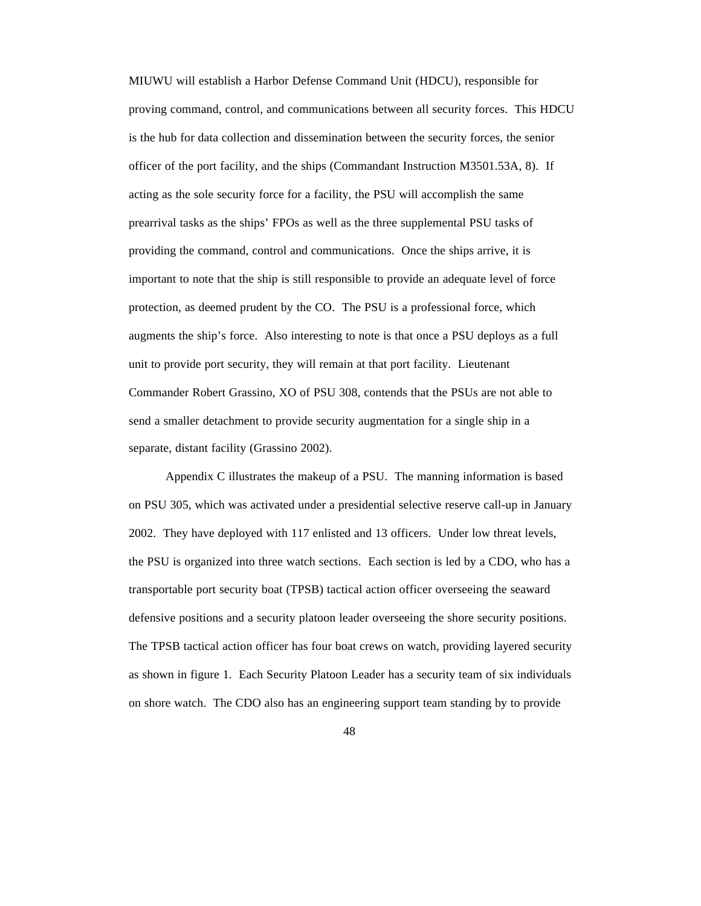MIUWU will establish a Harbor Defense Command Unit (HDCU), responsible for proving command, control, and communications between all security forces. This HDCU is the hub for data collection and dissemination between the security forces, the senior officer of the port facility, and the ships (Commandant Instruction M3501.53A, 8). If acting as the sole security force for a facility, the PSU will accomplish the same prearrival tasks as the ships' FPOs as well as the three supplemental PSU tasks of providing the command, control and communications. Once the ships arrive, it is important to note that the ship is still responsible to provide an adequate level of force protection, as deemed prudent by the CO. The PSU is a professional force, which augments the ship's force. Also interesting to note is that once a PSU deploys as a full unit to provide port security, they will remain at that port facility. Lieutenant Commander Robert Grassino, XO of PSU 308, contends that the PSUs are not able to send a smaller detachment to provide security augmentation for a single ship in a separate, distant facility (Grassino 2002).

Appendix C illustrates the makeup of a PSU. The manning information is based on PSU 305, which was activated under a presidential selective reserve call-up in January 2002. They have deployed with 117 enlisted and 13 officers. Under low threat levels, the PSU is organized into three watch sections. Each section is led by a CDO, who has a transportable port security boat (TPSB) tactical action officer overseeing the seaward defensive positions and a security platoon leader overseeing the shore security positions. The TPSB tactical action officer has four boat crews on watch, providing layered security as shown in figure 1. Each Security Platoon Leader has a security team of six individuals on shore watch. The CDO also has an engineering support team standing by to provide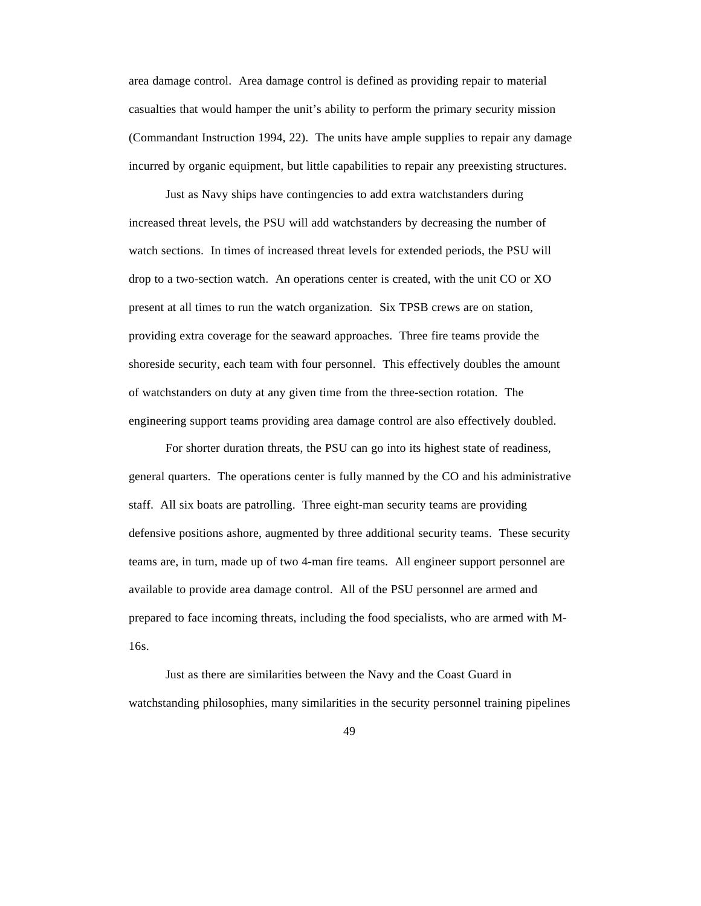area damage control. Area damage control is defined as providing repair to material casualties that would hamper the unit's ability to perform the primary security mission (Commandant Instruction 1994, 22). The units have ample supplies to repair any damage incurred by organic equipment, but little capabilities to repair any preexisting structures.

Just as Navy ships have contingencies to add extra watchstanders during increased threat levels, the PSU will add watchstanders by decreasing the number of watch sections. In times of increased threat levels for extended periods, the PSU will drop to a two-section watch. An operations center is created, with the unit CO or XO present at all times to run the watch organization. Six TPSB crews are on station, providing extra coverage for the seaward approaches. Three fire teams provide the shoreside security, each team with four personnel. This effectively doubles the amount of watchstanders on duty at any given time from the three-section rotation. The engineering support teams providing area damage control are also effectively doubled.

For shorter duration threats, the PSU can go into its highest state of readiness, general quarters. The operations center is fully manned by the CO and his administrative staff. All six boats are patrolling. Three eight-man security teams are providing defensive positions ashore, augmented by three additional security teams. These security teams are, in turn, made up of two 4-man fire teams. All engineer support personnel are available to provide area damage control. All of the PSU personnel are armed and prepared to face incoming threats, including the food specialists, who are armed with M-16s.

Just as there are similarities between the Navy and the Coast Guard in watchstanding philosophies, many similarities in the security personnel training pipelines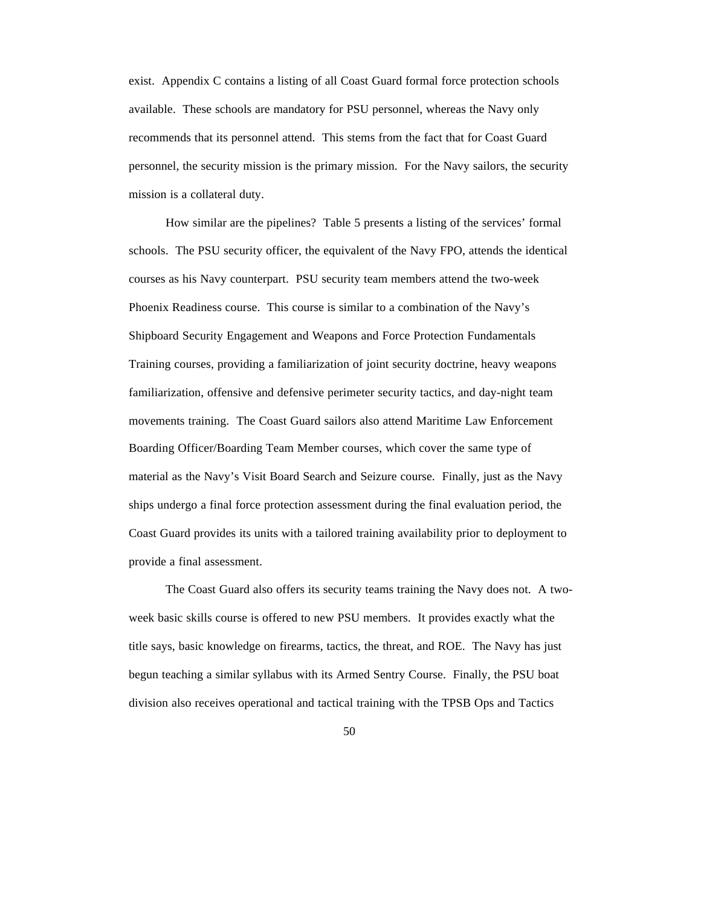exist. Appendix C contains a listing of all Coast Guard formal force protection schools available. These schools are mandatory for PSU personnel, whereas the Navy only recommends that its personnel attend. This stems from the fact that for Coast Guard personnel, the security mission is the primary mission. For the Navy sailors, the security mission is a collateral duty.

How similar are the pipelines? Table 5 presents a listing of the services' formal schools. The PSU security officer, the equivalent of the Navy FPO, attends the identical courses as his Navy counterpart. PSU security team members attend the two-week Phoenix Readiness course. This course is similar to a combination of the Navy's Shipboard Security Engagement and Weapons and Force Protection Fundamentals Training courses, providing a familiarization of joint security doctrine, heavy weapons familiarization, offensive and defensive perimeter security tactics, and day-night team movements training. The Coast Guard sailors also attend Maritime Law Enforcement Boarding Officer/Boarding Team Member courses, which cover the same type of material as the Navy's Visit Board Search and Seizure course. Finally, just as the Navy ships undergo a final force protection assessment during the final evaluation period, the Coast Guard provides its units with a tailored training availability prior to deployment to provide a final assessment.

The Coast Guard also offers its security teams training the Navy does not. A twoweek basic skills course is offered to new PSU members. It provides exactly what the title says, basic knowledge on firearms, tactics, the threat, and ROE. The Navy has just begun teaching a similar syllabus with its Armed Sentry Course. Finally, the PSU boat division also receives operational and tactical training with the TPSB Ops and Tactics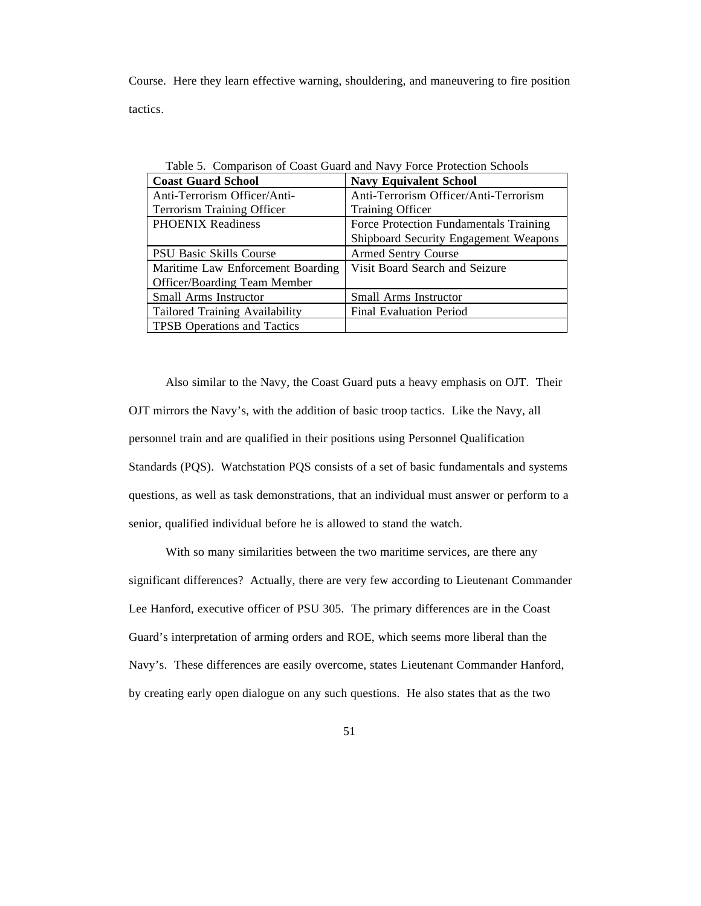Course. Here they learn effective warning, shouldering, and maneuvering to fire position tactics.

| <b>Coast Guard School</b>             | <b>Navy Equivalent School</b>          |  |
|---------------------------------------|----------------------------------------|--|
| Anti-Terrorism Officer/Anti-          | Anti-Terrorism Officer/Anti-Terrorism  |  |
| <b>Terrorism Training Officer</b>     | <b>Training Officer</b>                |  |
| <b>PHOENIX Readiness</b>              | Force Protection Fundamentals Training |  |
|                                       | Shipboard Security Engagement Weapons  |  |
| PSU Basic Skills Course               | <b>Armed Sentry Course</b>             |  |
| Maritime Law Enforcement Boarding     | Visit Board Search and Seizure         |  |
| <b>Officer/Boarding Team Member</b>   |                                        |  |
| <b>Small Arms Instructor</b>          | <b>Small Arms Instructor</b>           |  |
| <b>Tailored Training Availability</b> | Final Evaluation Period                |  |
| <b>TPSB</b> Operations and Tactics    |                                        |  |

Table 5. Comparison of Coast Guard and Navy Force Protection Schools

Also similar to the Navy, the Coast Guard puts a heavy emphasis on OJT. Their OJT mirrors the Navy's, with the addition of basic troop tactics. Like the Navy, all personnel train and are qualified in their positions using Personnel Qualification Standards (PQS). Watchstation PQS consists of a set of basic fundamentals and systems questions, as well as task demonstrations, that an individual must answer or perform to a senior, qualified individual before he is allowed to stand the watch.

With so many similarities between the two maritime services, are there any significant differences? Actually, there are very few according to Lieutenant Commander Lee Hanford, executive officer of PSU 305. The primary differences are in the Coast Guard's interpretation of arming orders and ROE, which seems more liberal than the Navy's. These differences are easily overcome, states Lieutenant Commander Hanford, by creating early open dialogue on any such questions. He also states that as the two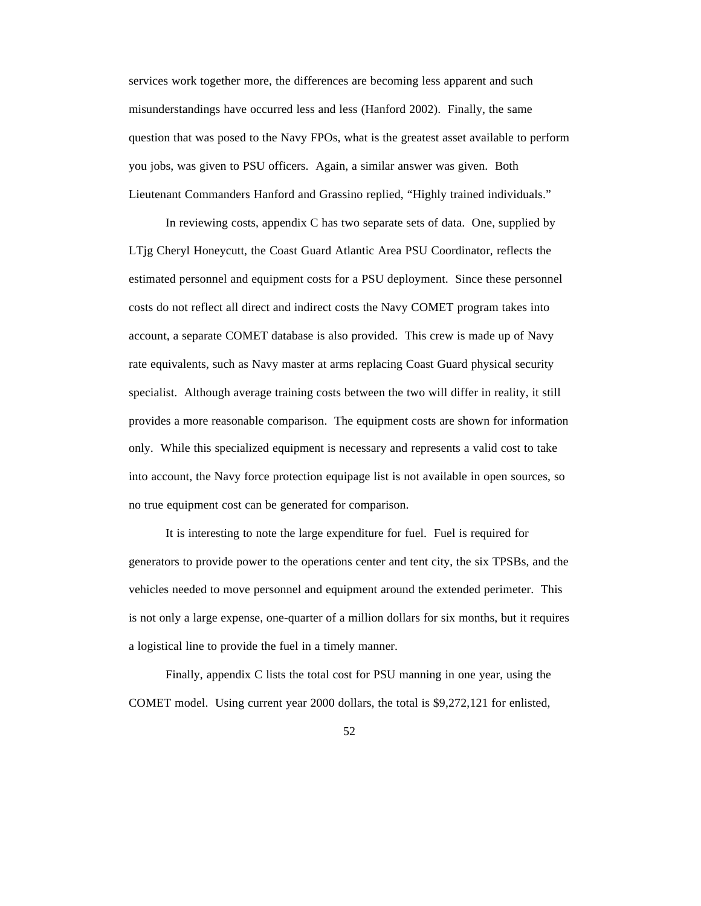services work together more, the differences are becoming less apparent and such misunderstandings have occurred less and less (Hanford 2002). Finally, the same question that was posed to the Navy FPOs, what is the greatest asset available to perform you jobs, was given to PSU officers. Again, a similar answer was given. Both Lieutenant Commanders Hanford and Grassino replied, "Highly trained individuals."

In reviewing costs, appendix C has two separate sets of data. One, supplied by LTjg Cheryl Honeycutt, the Coast Guard Atlantic Area PSU Coordinator, reflects the estimated personnel and equipment costs for a PSU deployment. Since these personnel costs do not reflect all direct and indirect costs the Navy COMET program takes into account, a separate COMET database is also provided. This crew is made up of Navy rate equivalents, such as Navy master at arms replacing Coast Guard physical security specialist. Although average training costs between the two will differ in reality, it still provides a more reasonable comparison. The equipment costs are shown for information only. While this specialized equipment is necessary and represents a valid cost to take into account, the Navy force protection equipage list is not available in open sources, so no true equipment cost can be generated for comparison.

It is interesting to note the large expenditure for fuel. Fuel is required for generators to provide power to the operations center and tent city, the six TPSBs, and the vehicles needed to move personnel and equipment around the extended perimeter. This is not only a large expense, one-quarter of a million dollars for six months, but it requires a logistical line to provide the fuel in a timely manner.

Finally, appendix C lists the total cost for PSU manning in one year, using the COMET model. Using current year 2000 dollars, the total is \$9,272,121 for enlisted,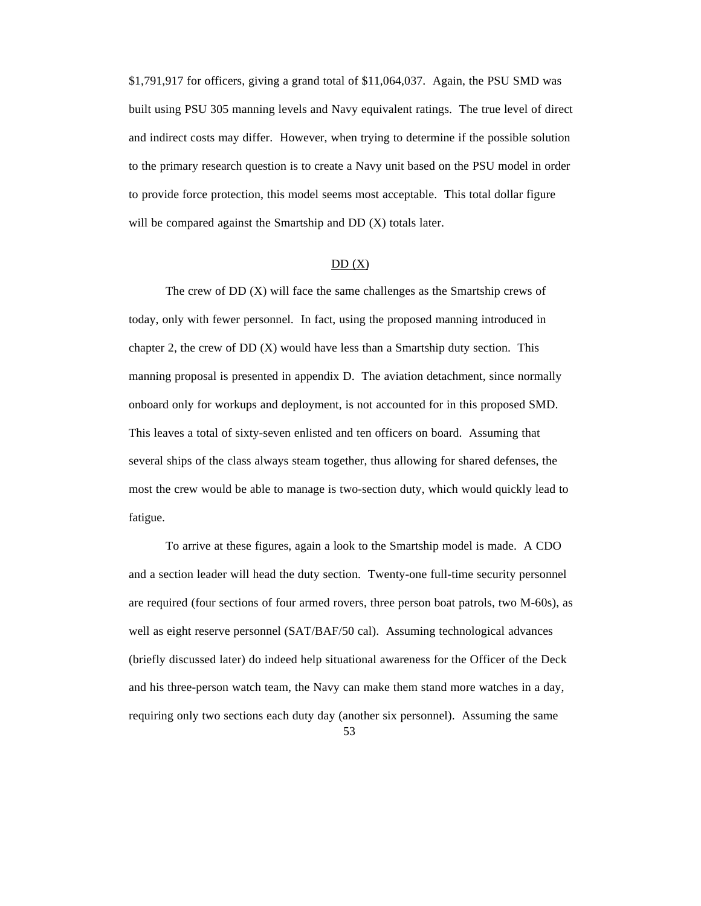\$1,791,917 for officers, giving a grand total of \$11,064,037. Again, the PSU SMD was built using PSU 305 manning levels and Navy equivalent ratings. The true level of direct and indirect costs may differ. However, when trying to determine if the possible solution to the primary research question is to create a Navy unit based on the PSU model in order to provide force protection, this model seems most acceptable. This total dollar figure will be compared against the Smartship and DD (X) totals later.

# $DD(X)$

The crew of DD (X) will face the same challenges as the Smartship crews of today, only with fewer personnel. In fact, using the proposed manning introduced in chapter 2, the crew of  $DD(X)$  would have less than a Smartship duty section. This manning proposal is presented in appendix D. The aviation detachment, since normally onboard only for workups and deployment, is not accounted for in this proposed SMD. This leaves a total of sixty-seven enlisted and ten officers on board. Assuming that several ships of the class always steam together, thus allowing for shared defenses, the most the crew would be able to manage is two-section duty, which would quickly lead to fatigue.

To arrive at these figures, again a look to the Smartship model is made. A CDO and a section leader will head the duty section. Twenty-one full-time security personnel are required (four sections of four armed rovers, three person boat patrols, two M-60s), as well as eight reserve personnel (SAT/BAF/50 cal). Assuming technological advances (briefly discussed later) do indeed help situational awareness for the Officer of the Deck and his three-person watch team, the Navy can make them stand more watches in a day, requiring only two sections each duty day (another six personnel). Assuming the same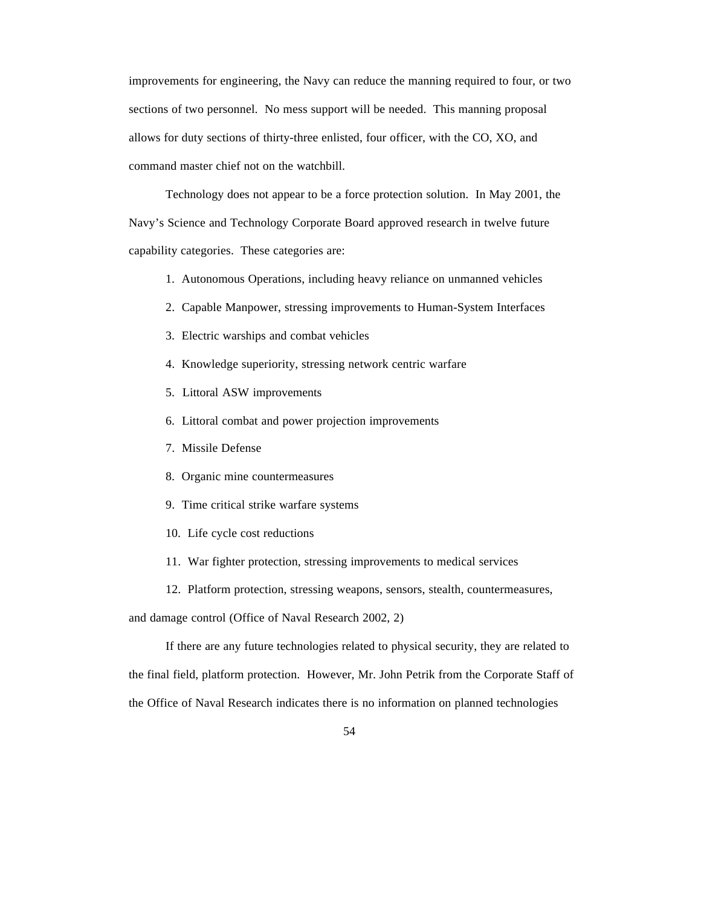improvements for engineering, the Navy can reduce the manning required to four, or two sections of two personnel. No mess support will be needed. This manning proposal allows for duty sections of thirty-three enlisted, four officer, with the CO, XO, and command master chief not on the watchbill.

Technology does not appear to be a force protection solution. In May 2001, the Navy's Science and Technology Corporate Board approved research in twelve future capability categories. These categories are:

- 1. Autonomous Operations, including heavy reliance on unmanned vehicles
- 2. Capable Manpower, stressing improvements to Human-System Interfaces
- 3. Electric warships and combat vehicles
- 4. Knowledge superiority, stressing network centric warfare
- 5. Littoral ASW improvements
- 6. Littoral combat and power projection improvements
- 7. Missile Defense
- 8. Organic mine countermeasures
- 9. Time critical strike warfare systems
- 10. Life cycle cost reductions
- 11. War fighter protection, stressing improvements to medical services
- 12. Platform protection, stressing weapons, sensors, stealth, countermeasures,

and damage control (Office of Naval Research 2002, 2)

If there are any future technologies related to physical security, they are related to the final field, platform protection. However, Mr. John Petrik from the Corporate Staff of the Office of Naval Research indicates there is no information on planned technologies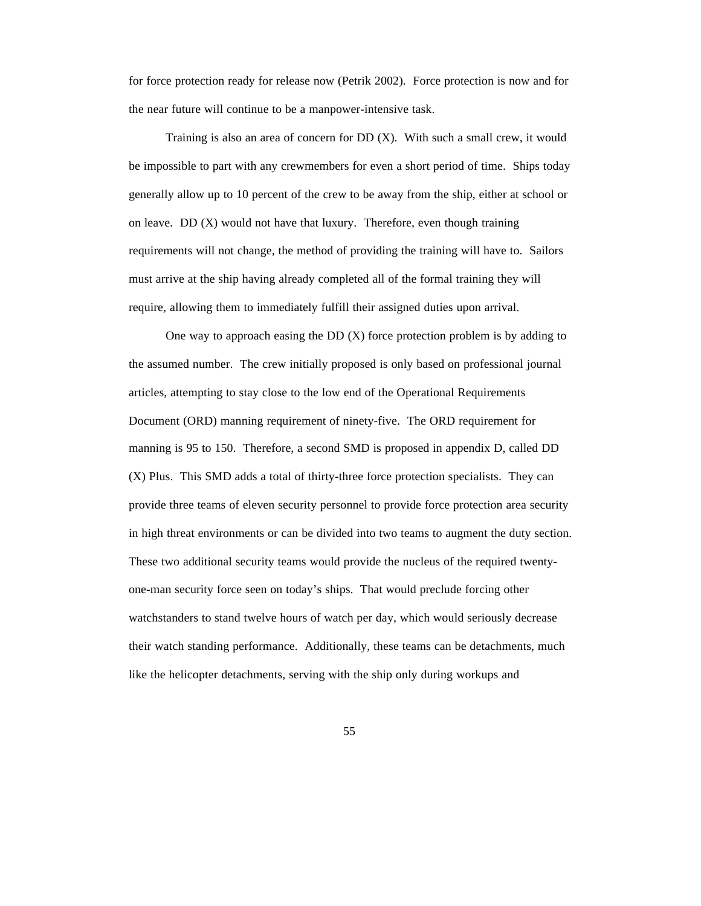for force protection ready for release now (Petrik 2002). Force protection is now and for the near future will continue to be a manpower-intensive task.

Training is also an area of concern for  $DD(X)$ . With such a small crew, it would be impossible to part with any crewmembers for even a short period of time. Ships today generally allow up to 10 percent of the crew to be away from the ship, either at school or on leave. DD  $(X)$  would not have that luxury. Therefore, even though training requirements will not change, the method of providing the training will have to. Sailors must arrive at the ship having already completed all of the formal training they will require, allowing them to immediately fulfill their assigned duties upon arrival.

One way to approach easing the  $DD(X)$  force protection problem is by adding to the assumed number. The crew initially proposed is only based on professional journal articles, attempting to stay close to the low end of the Operational Requirements Document (ORD) manning requirement of ninety-five. The ORD requirement for manning is 95 to 150. Therefore, a second SMD is proposed in appendix D, called DD (X) Plus. This SMD adds a total of thirty-three force protection specialists. They can provide three teams of eleven security personnel to provide force protection area security in high threat environments or can be divided into two teams to augment the duty section. These two additional security teams would provide the nucleus of the required twentyone-man security force seen on today's ships. That would preclude forcing other watchstanders to stand twelve hours of watch per day, which would seriously decrease their watch standing performance. Additionally, these teams can be detachments, much like the helicopter detachments, serving with the ship only during workups and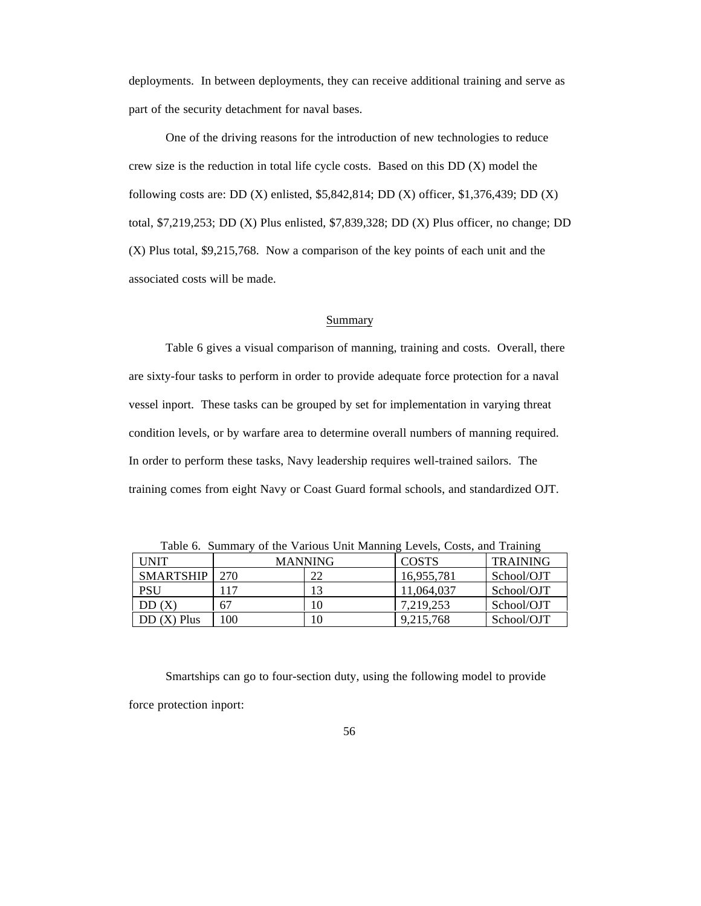deployments. In between deployments, they can receive additional training and serve as part of the security detachment for naval bases.

One of the driving reasons for the introduction of new technologies to reduce crew size is the reduction in total life cycle costs. Based on this DD (X) model the following costs are: DD (X) enlisted, \$5,842,814; DD (X) officer, \$1,376,439; DD (X) total, \$7,219,253; DD (X) Plus enlisted, \$7,839,328; DD (X) Plus officer, no change; DD (X) Plus total, \$9,215,768. Now a comparison of the key points of each unit and the associated costs will be made.

#### Summary

Table 6 gives a visual comparison of manning, training and costs. Overall, there are sixty-four tasks to perform in order to provide adequate force protection for a naval vessel inport. These tasks can be grouped by set for implementation in varying threat condition levels, or by warfare area to determine overall numbers of manning required. In order to perform these tasks, Navy leadership requires well-trained sailors. The training comes from eight Navy or Coast Guard formal schools, and standardized OJT.

| Tuoto of Dummur<br>of the various official mainting $E_{\rm V}$ (case, $E_{\rm O}$ ) and framing |                |    |              |                 |  |  |
|--------------------------------------------------------------------------------------------------|----------------|----|--------------|-----------------|--|--|
| UNIT                                                                                             | <b>MANNING</b> |    | <b>COSTS</b> | <b>TRAINING</b> |  |  |
| <b>SMARTSHIP</b>                                                                                 | 270            | 22 | 16,955,781   | School/OJT      |  |  |
| PSU                                                                                              |                | 13 | 11,064,037   | School/OJT      |  |  |
| DD(X)                                                                                            | 67             | 10 | 7.219.253    | School/OJT      |  |  |
| $DD(X)$ Plus                                                                                     | 100            | 10 | 9,215,768    | School/OJT      |  |  |

Table 6. Summary of the Various Unit Manning Levels, Costs, and Training

Smartships can go to four-section duty, using the following model to provide force protection inport: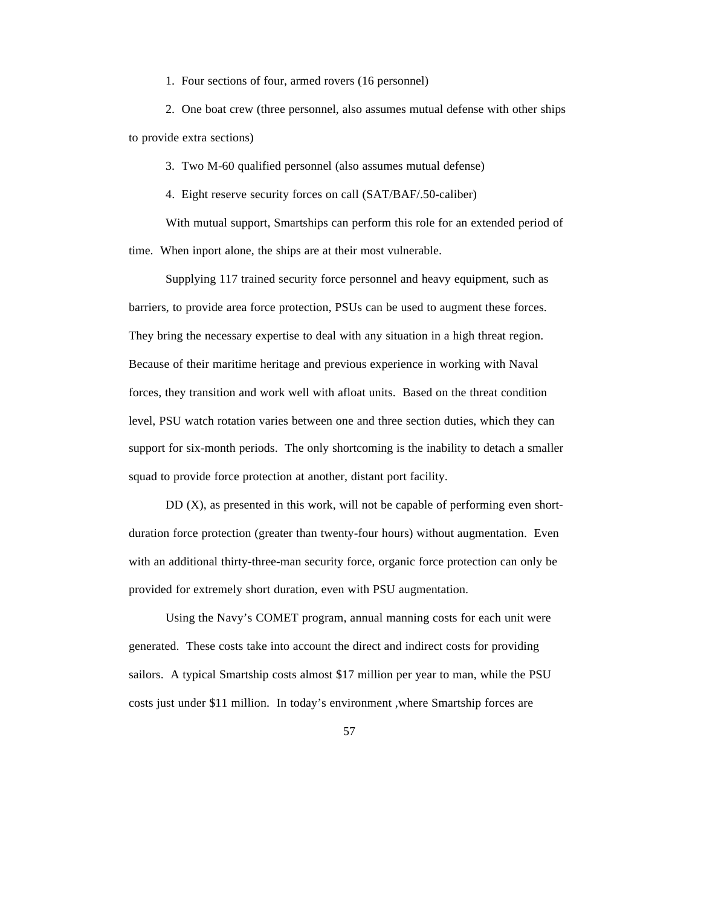1. Four sections of four, armed rovers (16 personnel)

2. One boat crew (three personnel, also assumes mutual defense with other ships to provide extra sections)

3. Two M-60 qualified personnel (also assumes mutual defense)

4. Eight reserve security forces on call (SAT/BAF/.50-caliber)

With mutual support, Smartships can perform this role for an extended period of time. When inport alone, the ships are at their most vulnerable.

Supplying 117 trained security force personnel and heavy equipment, such as barriers, to provide area force protection, PSUs can be used to augment these forces. They bring the necessary expertise to deal with any situation in a high threat region. Because of their maritime heritage and previous experience in working with Naval forces, they transition and work well with afloat units. Based on the threat condition level, PSU watch rotation varies between one and three section duties, which they can support for six-month periods. The only shortcoming is the inability to detach a smaller squad to provide force protection at another, distant port facility.

DD (X), as presented in this work, will not be capable of performing even shortduration force protection (greater than twenty-four hours) without augmentation. Even with an additional thirty-three-man security force, organic force protection can only be provided for extremely short duration, even with PSU augmentation.

Using the Navy's COMET program, annual manning costs for each unit were generated. These costs take into account the direct and indirect costs for providing sailors. A typical Smartship costs almost \$17 million per year to man, while the PSU costs just under \$11 million. In today's environment ,where Smartship forces are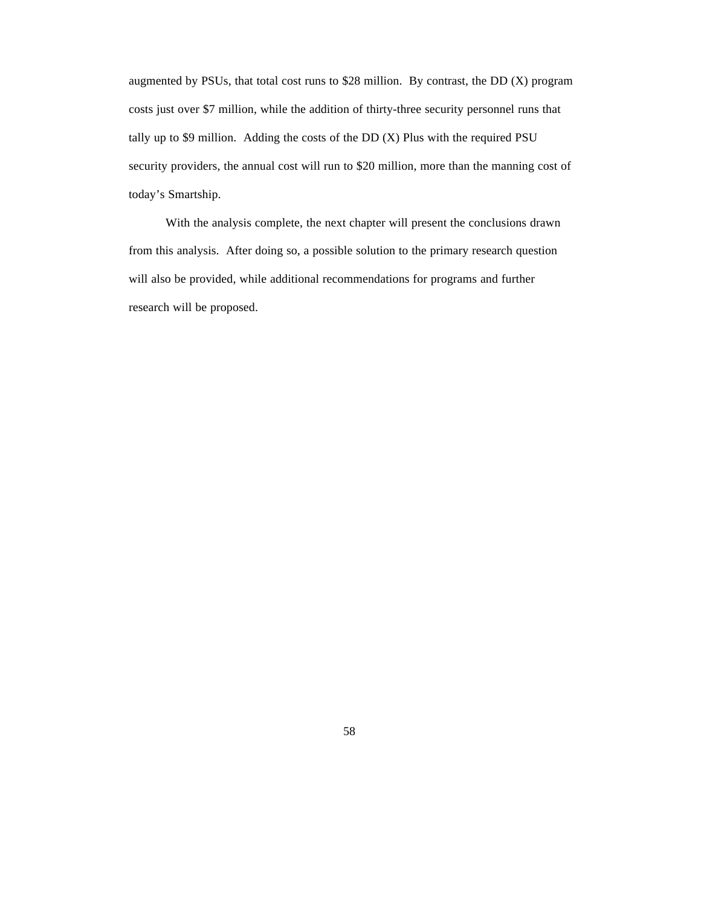augmented by PSUs, that total cost runs to \$28 million. By contrast, the DD (X) program costs just over \$7 million, while the addition of thirty-three security personnel runs that tally up to \$9 million. Adding the costs of the  $DD(X)$  Plus with the required PSU security providers, the annual cost will run to \$20 million, more than the manning cost of today's Smartship.

With the analysis complete, the next chapter will present the conclusions drawn from this analysis. After doing so, a possible solution to the primary research question will also be provided, while additional recommendations for programs and further research will be proposed.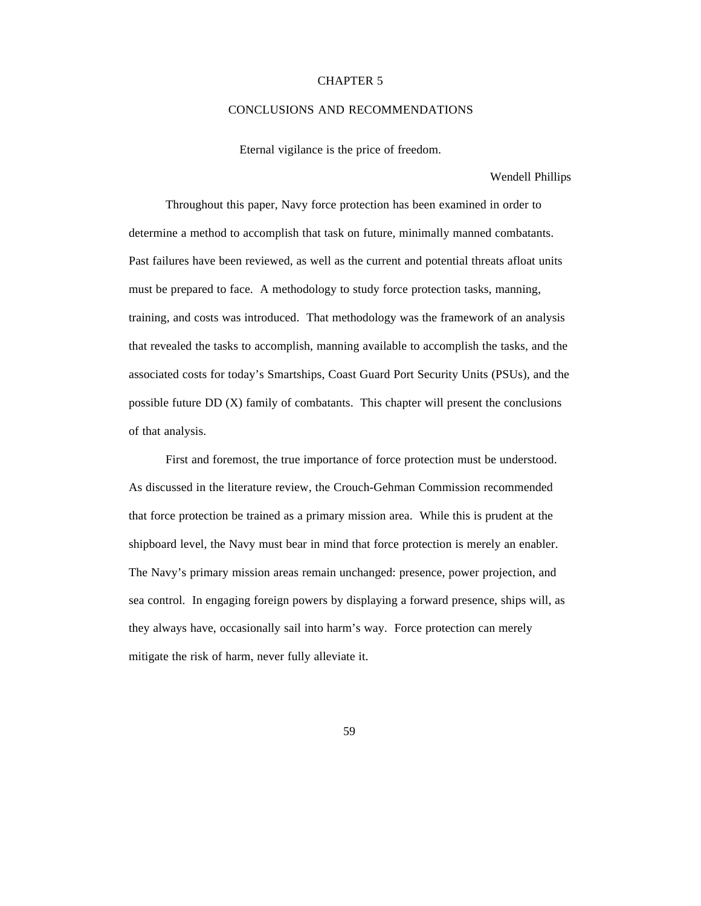## CHAPTER 5

# CONCLUSIONS AND RECOMMENDATIONS

Eternal vigilance is the price of freedom.

Wendell Phillips

Throughout this paper, Navy force protection has been examined in order to determine a method to accomplish that task on future, minimally manned combatants. Past failures have been reviewed, as well as the current and potential threats afloat units must be prepared to face. A methodology to study force protection tasks, manning, training, and costs was introduced. That methodology was the framework of an analysis that revealed the tasks to accomplish, manning available to accomplish the tasks, and the associated costs for today's Smartships, Coast Guard Port Security Units (PSUs), and the possible future DD (X) family of combatants. This chapter will present the conclusions of that analysis.

First and foremost, the true importance of force protection must be understood. As discussed in the literature review, the Crouch-Gehman Commission recommended that force protection be trained as a primary mission area. While this is prudent at the shipboard level, the Navy must bear in mind that force protection is merely an enabler. The Navy's primary mission areas remain unchanged: presence, power projection, and sea control. In engaging foreign powers by displaying a forward presence, ships will, as they always have, occasionally sail into harm's way. Force protection can merely mitigate the risk of harm, never fully alleviate it.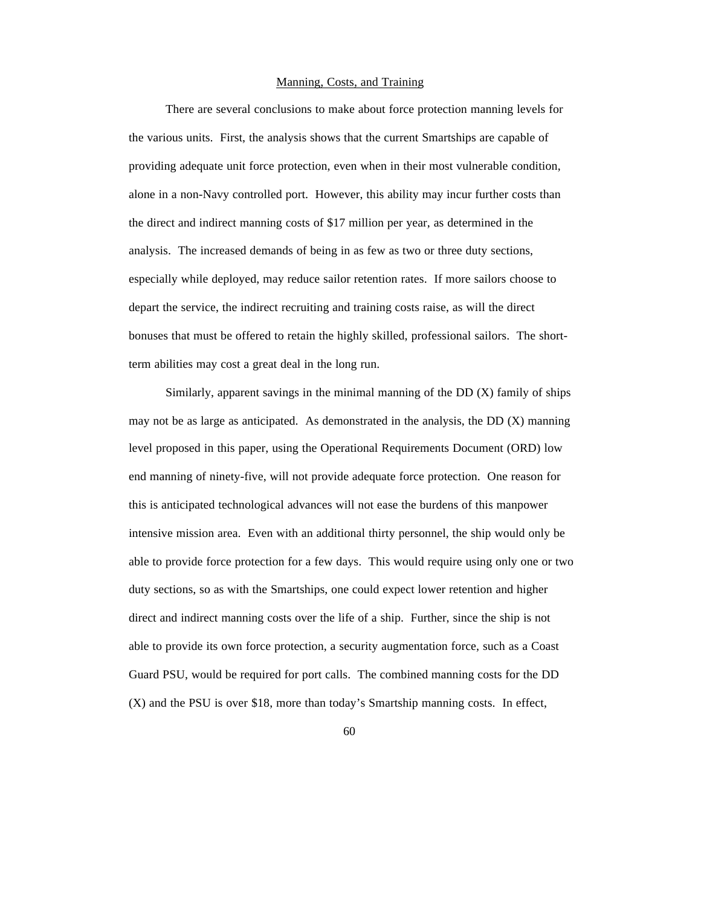## Manning, Costs, and Training

There are several conclusions to make about force protection manning levels for the various units. First, the analysis shows that the current Smartships are capable of providing adequate unit force protection, even when in their most vulnerable condition, alone in a non-Navy controlled port. However, this ability may incur further costs than the direct and indirect manning costs of \$17 million per year, as determined in the analysis. The increased demands of being in as few as two or three duty sections, especially while deployed, may reduce sailor retention rates. If more sailors choose to depart the service, the indirect recruiting and training costs raise, as will the direct bonuses that must be offered to retain the highly skilled, professional sailors. The shortterm abilities may cost a great deal in the long run.

Similarly, apparent savings in the minimal manning of the  $DD(X)$  family of ships may not be as large as anticipated. As demonstrated in the analysis, the DD (X) manning level proposed in this paper, using the Operational Requirements Document (ORD) low end manning of ninety-five, will not provide adequate force protection. One reason for this is anticipated technological advances will not ease the burdens of this manpower intensive mission area. Even with an additional thirty personnel, the ship would only be able to provide force protection for a few days. This would require using only one or two duty sections, so as with the Smartships, one could expect lower retention and higher direct and indirect manning costs over the life of a ship. Further, since the ship is not able to provide its own force protection, a security augmentation force, such as a Coast Guard PSU, would be required for port calls. The combined manning costs for the DD (X) and the PSU is over \$18, more than today's Smartship manning costs. In effect,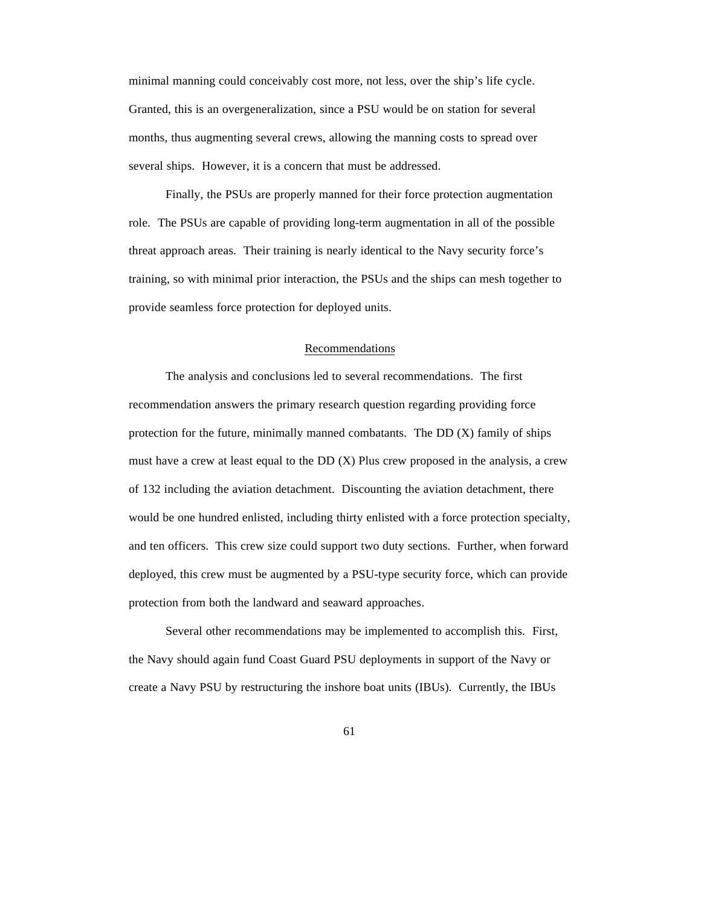minimal manning could conceivably cost more, not less, over the ship's life cycle. Granted, this is an overgeneralization, since a PSU would be on station for several months, thus augmenting several crews, allowing the manning costs to spread over several ships. However, it is a concern that must be addressed.

Finally, the PSUs are properly manned for their force protection augmentation role. The PSUs are capable of providing long-term augmentation in all of the possible threat approach areas. Their training is nearly identical to the Navy security force's training, so with minimal prior interaction, the PSUs and the ships can mesh together to provide seamless force protection for deployed units.

## Recommendations

The analysis and conclusions led to several recommendations. The first recommendation answers the primary research question regarding providing force protection for the future, minimally manned combatants. The DD (X) family of ships must have a crew at least equal to the  $DD(X)$  Plus crew proposed in the analysis, a crew of 132 including the aviation detachment. Discounting the aviation detachment, there would be one hundred enlisted, including thirty enlisted with a force protection specialty, and ten officers. This crew size could support two duty sections. Further, when forward deployed, this crew must be augmented by a PSU-type security force, which can provide protection from both the landward and seaward approaches.

Several other recommendations may be implemented to accomplish this. First, the Navy should again fund Coast Guard PSU deployments in support of the Navy or create a Navy PSU by restructuring the inshore boat units (IBUs). Currently, the IBUs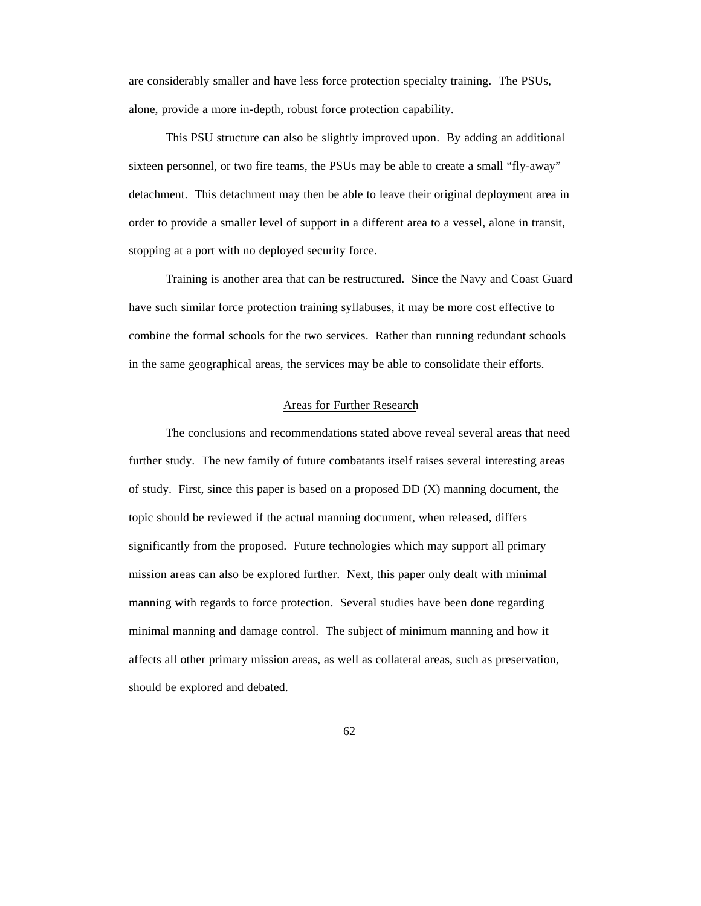are considerably smaller and have less force protection specialty training. The PSUs, alone, provide a more in-depth, robust force protection capability.

This PSU structure can also be slightly improved upon. By adding an additional sixteen personnel, or two fire teams, the PSUs may be able to create a small "fly-away" detachment. This detachment may then be able to leave their original deployment area in order to provide a smaller level of support in a different area to a vessel, alone in transit, stopping at a port with no deployed security force.

Training is another area that can be restructured. Since the Navy and Coast Guard have such similar force protection training syllabuses, it may be more cost effective to combine the formal schools for the two services. Rather than running redundant schools in the same geographical areas, the services may be able to consolidate their efforts.

### Areas for Further Research

The conclusions and recommendations stated above reveal several areas that need further study. The new family of future combatants itself raises several interesting areas of study. First, since this paper is based on a proposed DD (X) manning document, the topic should be reviewed if the actual manning document, when released, differs significantly from the proposed. Future technologies which may support all primary mission areas can also be explored further. Next, this paper only dealt with minimal manning with regards to force protection. Several studies have been done regarding minimal manning and damage control. The subject of minimum manning and how it affects all other primary mission areas, as well as collateral areas, such as preservation, should be explored and debated.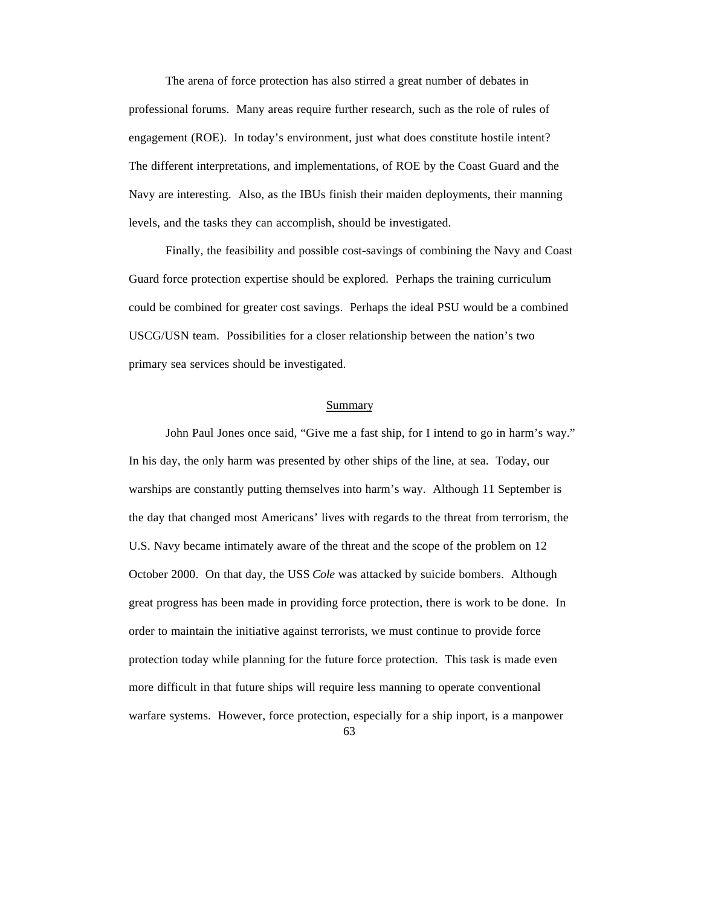The arena of force protection has also stirred a great number of debates in professional forums. Many areas require further research, such as the role of rules of engagement (ROE). In today's environment, just what does constitute hostile intent? The different interpretations, and implementations, of ROE by the Coast Guard and the Navy are interesting. Also, as the IBUs finish their maiden deployments, their manning levels, and the tasks they can accomplish, should be investigated.

Finally, the feasibility and possible cost-savings of combining the Navy and Coast Guard force protection expertise should be explored. Perhaps the training curriculum could be combined for greater cost savings. Perhaps the ideal PSU would be a combined USCG/USN team. Possibilities for a closer relationship between the nation's two primary sea services should be investigated.

#### Summary

John Paul Jones once said, "Give me a fast ship, for I intend to go in harm's way." In his day, the only harm was presented by other ships of the line, at sea. Today, our warships are constantly putting themselves into harm's way. Although 11 September is the day that changed most Americans' lives with regards to the threat from terrorism, the U.S. Navy became intimately aware of the threat and the scope of the problem on 12 October 2000. On that day, the USS *Cole* was attacked by suicide bombers. Although great progress has been made in providing force protection, there is work to be done. In order to maintain the initiative against terrorists, we must continue to provide force protection today while planning for the future force protection. This task is made even more difficult in that future ships will require less manning to operate conventional warfare systems. However, force protection, especially for a ship inport, is a manpower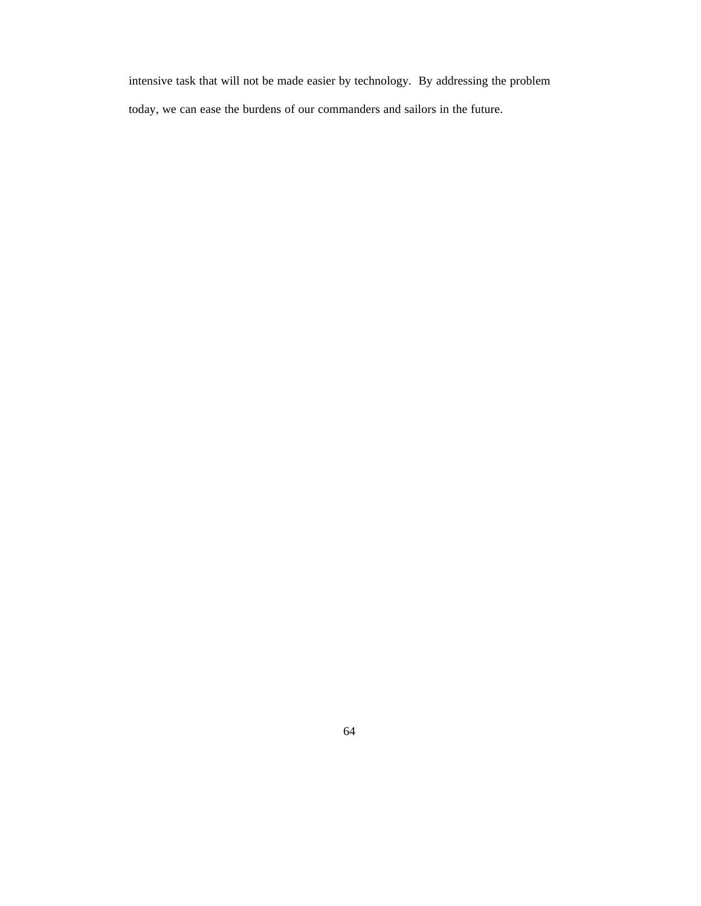intensive task that will not be made easier by technology. By addressing the problem today, we can ease the burdens of our commanders and sailors in the future.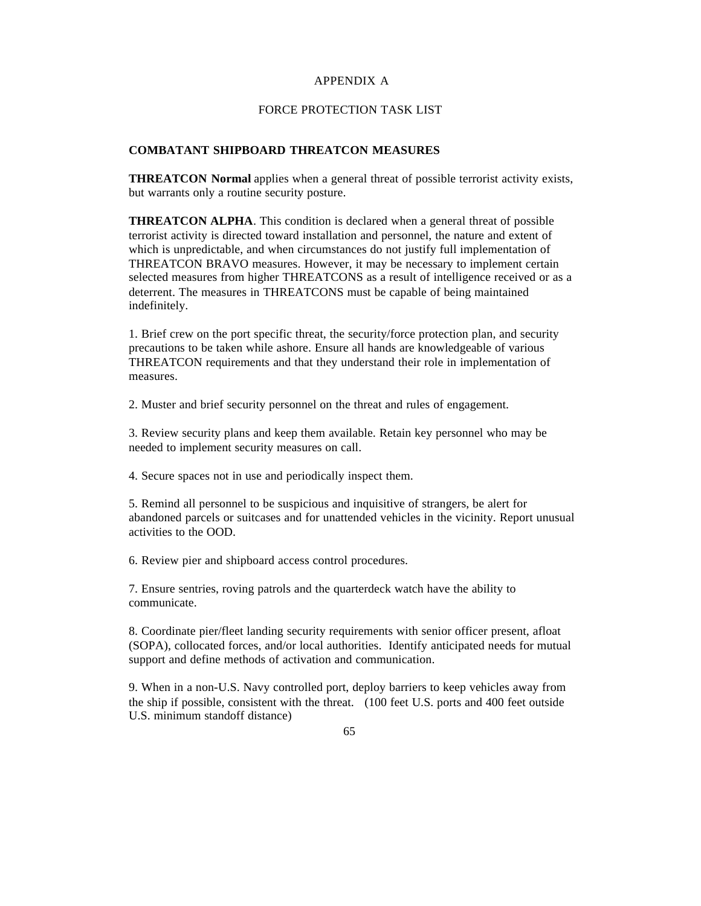### APPENDIX A

## FORCE PROTECTION TASK LIST

### **COMBATANT SHIPBOARD THREATCON MEASURES**

**THREATCON Normal** applies when a general threat of possible terrorist activity exists, but warrants only a routine security posture.

**THREATCON ALPHA**. This condition is declared when a general threat of possible terrorist activity is directed toward installation and personnel, the nature and extent of which is unpredictable, and when circumstances do not justify full implementation of THREATCON BRAVO measures. However, it may be necessary to implement certain selected measures from higher THREATCONS as a result of intelligence received or as a deterrent. The measures in THREATCONS must be capable of being maintained indefinitely.

1. Brief crew on the port specific threat, the security/force protection plan, and security precautions to be taken while ashore. Ensure all hands are knowledgeable of various THREATCON requirements and that they understand their role in implementation of measures.

2. Muster and brief security personnel on the threat and rules of engagement.

3. Review security plans and keep them available. Retain key personnel who may be needed to implement security measures on call.

4. Secure spaces not in use and periodically inspect them.

5. Remind all personnel to be suspicious and inquisitive of strangers, be alert for abandoned parcels or suitcases and for unattended vehicles in the vicinity. Report unusual activities to the OOD.

6. Review pier and shipboard access control procedures.

7. Ensure sentries, roving patrols and the quarterdeck watch have the ability to communicate.

8. Coordinate pier/fleet landing security requirements with senior officer present, afloat (SOPA), collocated forces, and/or local authorities. Identify anticipated needs for mutual support and define methods of activation and communication.

9. When in a non-U.S. Navy controlled port, deploy barriers to keep vehicles away from the ship if possible, consistent with the threat. (100 feet U.S. ports and 400 feet outside U.S. minimum standoff distance)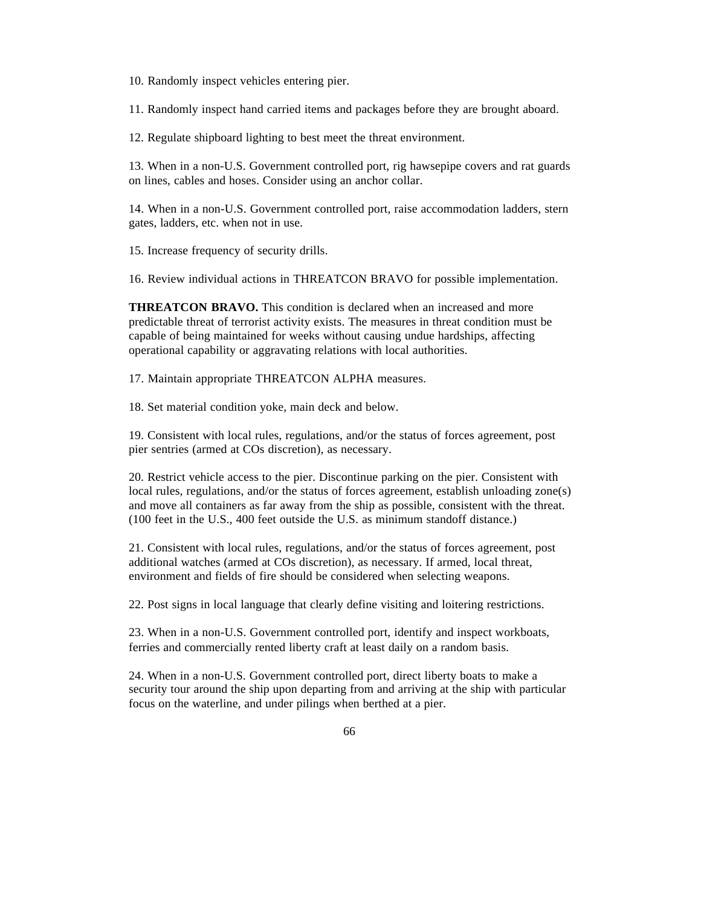10. Randomly inspect vehicles entering pier.

11. Randomly inspect hand carried items and packages before they are brought aboard.

12. Regulate shipboard lighting to best meet the threat environment.

13. When in a non-U.S. Government controlled port, rig hawsepipe covers and rat guards on lines, cables and hoses. Consider using an anchor collar.

14. When in a non-U.S. Government controlled port, raise accommodation ladders, stern gates, ladders, etc. when not in use.

15. Increase frequency of security drills.

16. Review individual actions in THREATCON BRAVO for possible implementation.

**THREATCON BRAVO.** This condition is declared when an increased and more predictable threat of terrorist activity exists. The measures in threat condition must be capable of being maintained for weeks without causing undue hardships, affecting operational capability or aggravating relations with local authorities.

17. Maintain appropriate THREATCON ALPHA measures.

18. Set material condition yoke, main deck and below.

19. Consistent with local rules, regulations, and/or the status of forces agreement, post pier sentries (armed at COs discretion), as necessary.

20. Restrict vehicle access to the pier. Discontinue parking on the pier. Consistent with local rules, regulations, and/or the status of forces agreement, establish unloading zone(s) and move all containers as far away from the ship as possible, consistent with the threat. (100 feet in the U.S., 400 feet outside the U.S. as minimum standoff distance.)

21. Consistent with local rules, regulations, and/or the status of forces agreement, post additional watches (armed at COs discretion), as necessary. If armed, local threat, environment and fields of fire should be considered when selecting weapons.

22. Post signs in local language that clearly define visiting and loitering restrictions.

23. When in a non-U.S. Government controlled port, identify and inspect workboats, ferries and commercially rented liberty craft at least daily on a random basis.

24. When in a non-U.S. Government controlled port, direct liberty boats to make a security tour around the ship upon departing from and arriving at the ship with particular focus on the waterline, and under pilings when berthed at a pier.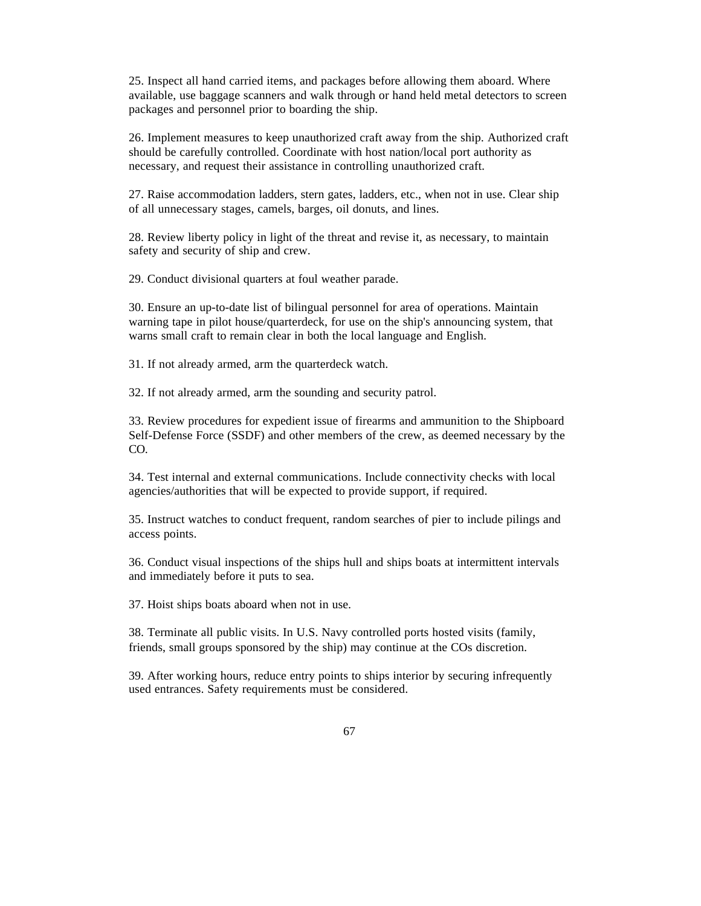25. Inspect all hand carried items, and packages before allowing them aboard. Where available, use baggage scanners and walk through or hand held metal detectors to screen packages and personnel prior to boarding the ship.

26. Implement measures to keep unauthorized craft away from the ship. Authorized craft should be carefully controlled. Coordinate with host nation/local port authority as necessary, and request their assistance in controlling unauthorized craft.

27. Raise accommodation ladders, stern gates, ladders, etc., when not in use. Clear ship of all unnecessary stages, camels, barges, oil donuts, and lines.

28. Review liberty policy in light of the threat and revise it, as necessary, to maintain safety and security of ship and crew.

29. Conduct divisional quarters at foul weather parade.

30. Ensure an up-to-date list of bilingual personnel for area of operations. Maintain warning tape in pilot house/quarterdeck, for use on the ship's announcing system, that warns small craft to remain clear in both the local language and English.

31. If not already armed, arm the quarterdeck watch.

32. If not already armed, arm the sounding and security patrol.

33. Review procedures for expedient issue of firearms and ammunition to the Shipboard Self-Defense Force (SSDF) and other members of the crew, as deemed necessary by the CO.

34. Test internal and external communications. Include connectivity checks with local agencies/authorities that will be expected to provide support, if required.

35. Instruct watches to conduct frequent, random searches of pier to include pilings and access points.

36. Conduct visual inspections of the ships hull and ships boats at intermittent intervals and immediately before it puts to sea.

37. Hoist ships boats aboard when not in use.

38. Terminate all public visits. In U.S. Navy controlled ports hosted visits (family, friends, small groups sponsored by the ship) may continue at the COs discretion.

39. After working hours, reduce entry points to ships interior by securing infrequently used entrances. Safety requirements must be considered.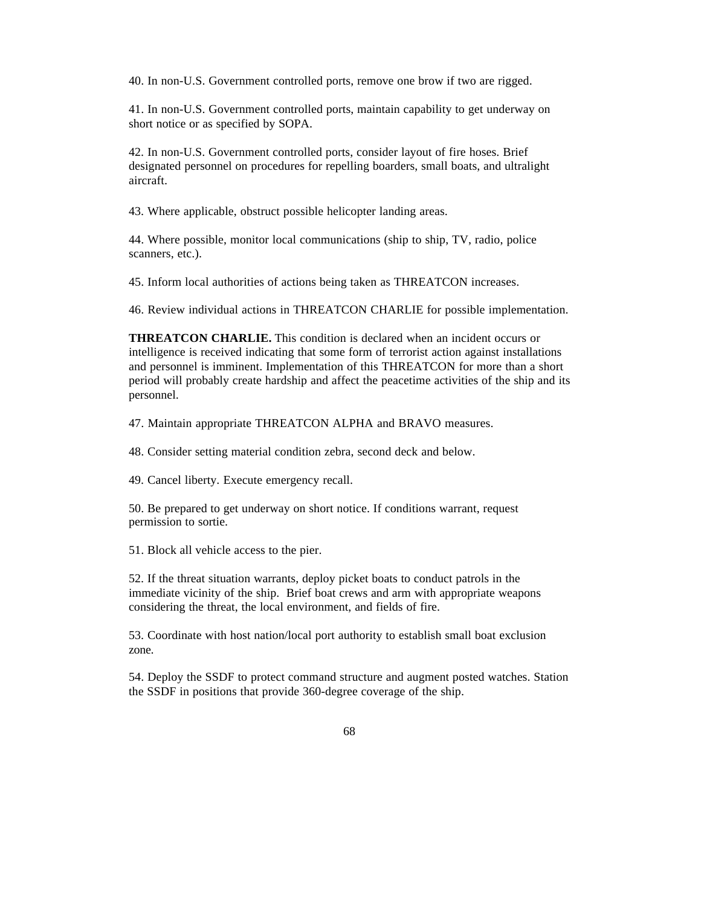40. In non-U.S. Government controlled ports, remove one brow if two are rigged.

41. In non-U.S. Government controlled ports, maintain capability to get underway on short notice or as specified by SOPA.

42. In non-U.S. Government controlled ports, consider layout of fire hoses. Brief designated personnel on procedures for repelling boarders, small boats, and ultralight aircraft.

43. Where applicable, obstruct possible helicopter landing areas.

44. Where possible, monitor local communications (ship to ship, TV, radio, police scanners, etc.).

45. Inform local authorities of actions being taken as THREATCON increases.

46. Review individual actions in THREATCON CHARLIE for possible implementation.

**THREATCON CHARLIE.** This condition is declared when an incident occurs or intelligence is received indicating that some form of terrorist action against installations and personnel is imminent. Implementation of this THREATCON for more than a short period will probably create hardship and affect the peacetime activities of the ship and its personnel.

47. Maintain appropriate THREATCON ALPHA and BRAVO measures.

48. Consider setting material condition zebra, second deck and below.

49. Cancel liberty. Execute emergency recall.

50. Be prepared to get underway on short notice. If conditions warrant, request permission to sortie.

51. Block all vehicle access to the pier.

52. If the threat situation warrants, deploy picket boats to conduct patrols in the immediate vicinity of the ship. Brief boat crews and arm with appropriate weapons considering the threat, the local environment, and fields of fire.

53. Coordinate with host nation/local port authority to establish small boat exclusion zone.

54. Deploy the SSDF to protect command structure and augment posted watches. Station the SSDF in positions that provide 360-degree coverage of the ship.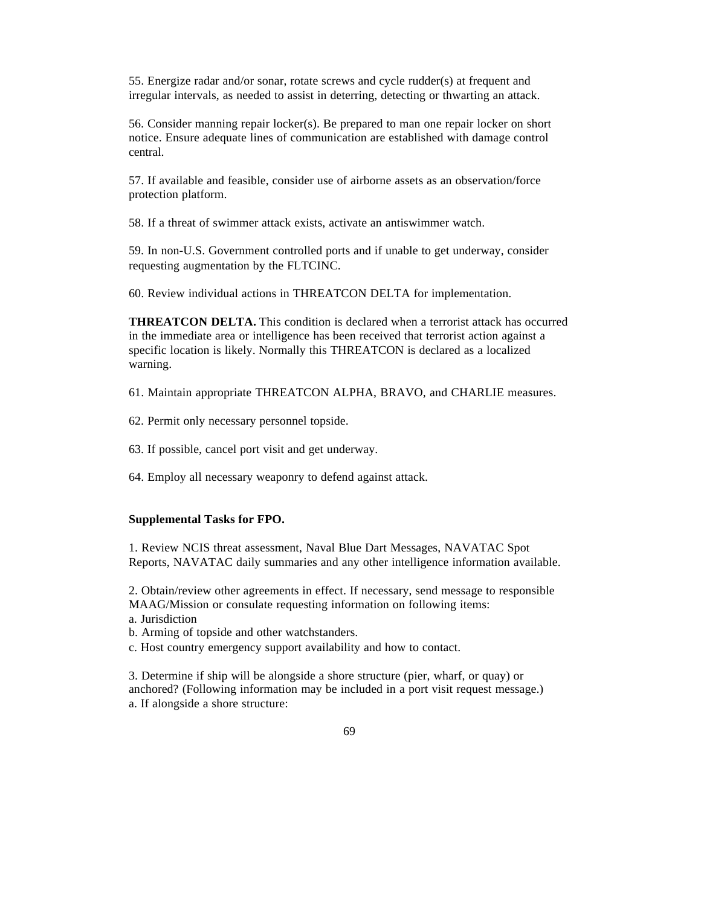55. Energize radar and/or sonar, rotate screws and cycle rudder(s) at frequent and irregular intervals, as needed to assist in deterring, detecting or thwarting an attack.

56. Consider manning repair locker(s). Be prepared to man one repair locker on short notice. Ensure adequate lines of communication are established with damage control central.

57. If available and feasible, consider use of airborne assets as an observation/force protection platform.

58. If a threat of swimmer attack exists, activate an antiswimmer watch.

59. In non-U.S. Government controlled ports and if unable to get underway, consider requesting augmentation by the FLTCINC.

60. Review individual actions in THREATCON DELTA for implementation.

**THREATCON DELTA.** This condition is declared when a terrorist attack has occurred in the immediate area or intelligence has been received that terrorist action against a specific location is likely. Normally this THREATCON is declared as a localized warning.

61. Maintain appropriate THREATCON ALPHA, BRAVO, and CHARLIE measures.

62. Permit only necessary personnel topside.

63. If possible, cancel port visit and get underway.

64. Employ all necessary weaponry to defend against attack.

#### **Supplemental Tasks for FPO.**

1. Review NCIS threat assessment, Naval Blue Dart Messages, NAVATAC Spot Reports, NAVATAC daily summaries and any other intelligence information available.

2. Obtain/review other agreements in effect. If necessary, send message to responsible MAAG/Mission or consulate requesting information on following items:

a. Jurisdiction

b. Arming of topside and other watchstanders.

c. Host country emergency support availability and how to contact.

3. Determine if ship will be alongside a shore structure (pier, wharf, or quay) or anchored? (Following information may be included in a port visit request message.) a. If alongside a shore structure: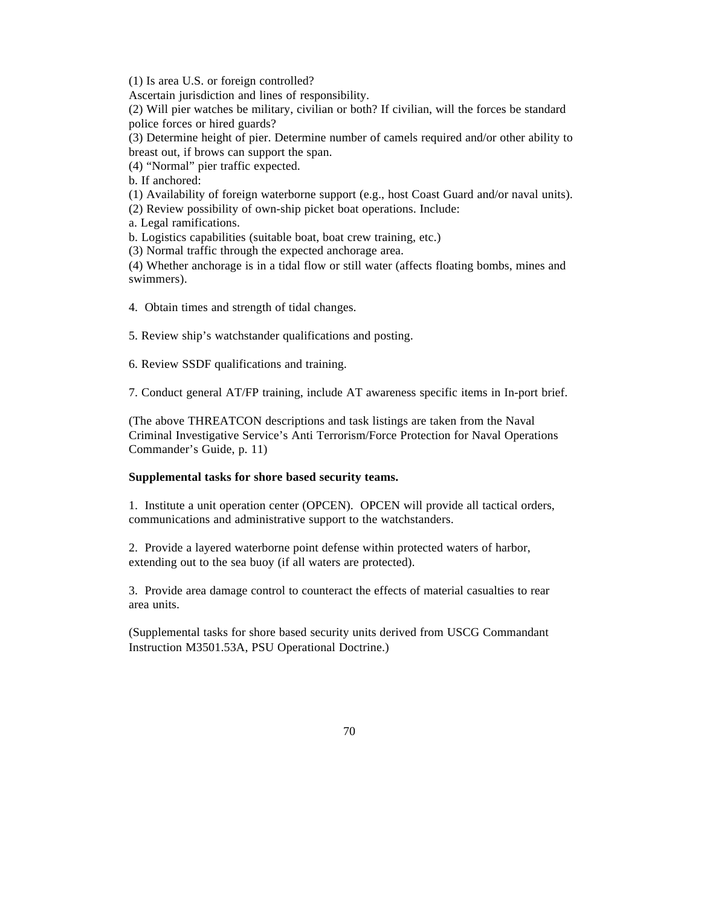(1) Is area U.S. or foreign controlled?

Ascertain jurisdiction and lines of responsibility.

(2) Will pier watches be military, civilian or both? If civilian, will the forces be standard police forces or hired guards?

(3) Determine height of pier. Determine number of camels required and/or other ability to breast out, if brows can support the span.

(4) "Normal" pier traffic expected.

b. If anchored:

(1) Availability of foreign waterborne support (e.g., host Coast Guard and/or naval units).

(2) Review possibility of own-ship picket boat operations. Include:

a. Legal ramifications.

b. Logistics capabilities (suitable boat, boat crew training, etc.)

(3) Normal traffic through the expected anchorage area.

(4) Whether anchorage is in a tidal flow or still water (affects floating bombs, mines and swimmers).

4. Obtain times and strength of tidal changes.

5. Review ship's watchstander qualifications and posting.

6. Review SSDF qualifications and training.

7. Conduct general AT/FP training, include AT awareness specific items in In-port brief.

(The above THREATCON descriptions and task listings are taken from the Naval Criminal Investigative Service's Anti Terrorism/Force Protection for Naval Operations Commander's Guide, p. 11)

#### **Supplemental tasks for shore based security teams.**

1. Institute a unit operation center (OPCEN). OPCEN will provide all tactical orders, communications and administrative support to the watchstanders.

2. Provide a layered waterborne point defense within protected waters of harbor, extending out to the sea buoy (if all waters are protected).

3. Provide area damage control to counteract the effects of material casualties to rear area units.

(Supplemental tasks for shore based security units derived from USCG Commandant Instruction M3501.53A, PSU Operational Doctrine.)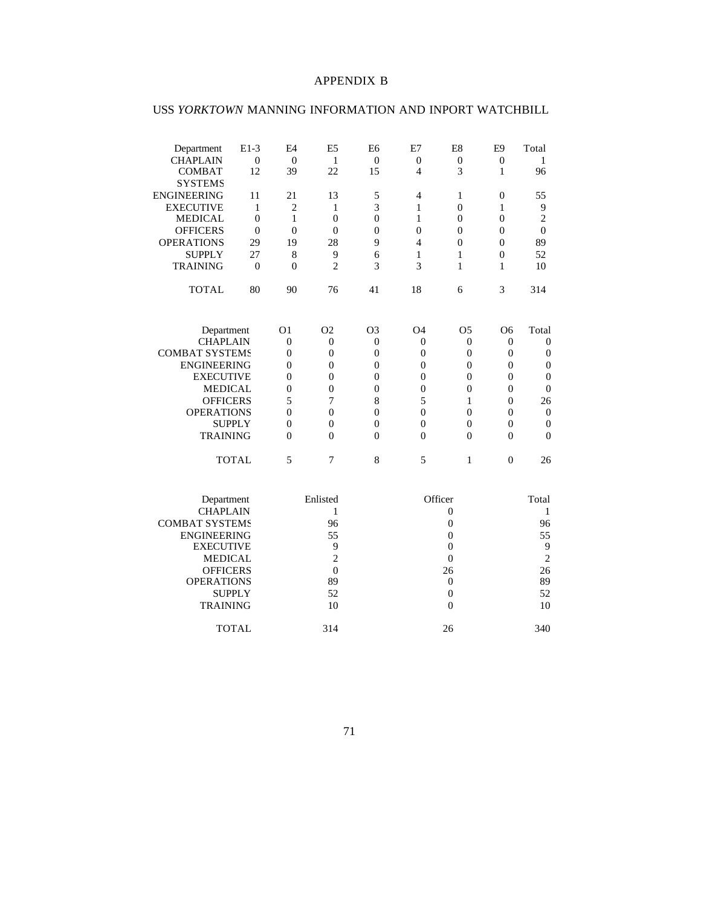## APPENDIX B

# USS *YORKTOWN* MANNING INFORMATION AND INPORT WATCHBILL

| $E1-3$                | E <sub>4</sub>                                                                                                                                                                                                        | E <sub>5</sub>                                                                                                | E <sub>6</sub>                                                                                                                         | E7                                                                                                                                          | E8                                                                                                                                                 | E <sub>9</sub>                                                                                                                                    | Total                                                                                                                            |
|-----------------------|-----------------------------------------------------------------------------------------------------------------------------------------------------------------------------------------------------------------------|---------------------------------------------------------------------------------------------------------------|----------------------------------------------------------------------------------------------------------------------------------------|---------------------------------------------------------------------------------------------------------------------------------------------|----------------------------------------------------------------------------------------------------------------------------------------------------|---------------------------------------------------------------------------------------------------------------------------------------------------|----------------------------------------------------------------------------------------------------------------------------------|
| $\boldsymbol{0}$      | $\boldsymbol{0}$                                                                                                                                                                                                      | 1                                                                                                             | $\boldsymbol{0}$                                                                                                                       | $\boldsymbol{0}$                                                                                                                            | $\boldsymbol{0}$                                                                                                                                   | $\mathbf{0}$                                                                                                                                      | 1                                                                                                                                |
|                       |                                                                                                                                                                                                                       |                                                                                                               |                                                                                                                                        |                                                                                                                                             |                                                                                                                                                    | 1                                                                                                                                                 | 96                                                                                                                               |
|                       |                                                                                                                                                                                                                       |                                                                                                               |                                                                                                                                        |                                                                                                                                             |                                                                                                                                                    |                                                                                                                                                   |                                                                                                                                  |
| 11                    | 21                                                                                                                                                                                                                    | 13                                                                                                            |                                                                                                                                        | $\overline{4}$                                                                                                                              | $\mathbf{1}$                                                                                                                                       | $\boldsymbol{0}$                                                                                                                                  | 55                                                                                                                               |
| $\mathbf{1}$          | $\overline{c}$                                                                                                                                                                                                        | 1                                                                                                             |                                                                                                                                        | $\mathbf{1}$                                                                                                                                | $\overline{0}$                                                                                                                                     | 1                                                                                                                                                 | 9                                                                                                                                |
| $\theta$              | $\mathbf{1}$                                                                                                                                                                                                          | $\mathbf{0}$                                                                                                  | $\boldsymbol{0}$                                                                                                                       | 1                                                                                                                                           | $\overline{0}$                                                                                                                                     | $\overline{0}$                                                                                                                                    | $\overline{c}$                                                                                                                   |
| $\overline{0}$        | $\overline{0}$                                                                                                                                                                                                        | $\overline{0}$                                                                                                | $\overline{0}$                                                                                                                         | $\overline{0}$                                                                                                                              | $\overline{0}$                                                                                                                                     | $\overline{0}$                                                                                                                                    | $\theta$                                                                                                                         |
| 29                    | 19                                                                                                                                                                                                                    | 28                                                                                                            | 9                                                                                                                                      | $\overline{4}$                                                                                                                              | $\Omega$                                                                                                                                           | $\overline{0}$                                                                                                                                    | 89                                                                                                                               |
| 27                    | 8                                                                                                                                                                                                                     | 9                                                                                                             | 6                                                                                                                                      | 1                                                                                                                                           | 1                                                                                                                                                  | $\overline{0}$                                                                                                                                    | 52                                                                                                                               |
| $\Omega$              | $\theta$                                                                                                                                                                                                              | $\overline{c}$                                                                                                | 3                                                                                                                                      | 3                                                                                                                                           | 1                                                                                                                                                  | 1                                                                                                                                                 | 10                                                                                                                               |
| 80                    | 90                                                                                                                                                                                                                    | 76                                                                                                            | 41                                                                                                                                     | 18                                                                                                                                          | 6                                                                                                                                                  | 3                                                                                                                                                 | 314                                                                                                                              |
|                       |                                                                                                                                                                                                                       |                                                                                                               |                                                                                                                                        |                                                                                                                                             |                                                                                                                                                    |                                                                                                                                                   | Total                                                                                                                            |
|                       |                                                                                                                                                                                                                       |                                                                                                               |                                                                                                                                        |                                                                                                                                             |                                                                                                                                                    |                                                                                                                                                   | $\overline{0}$                                                                                                                   |
|                       |                                                                                                                                                                                                                       |                                                                                                               |                                                                                                                                        |                                                                                                                                             |                                                                                                                                                    |                                                                                                                                                   | $\overline{0}$                                                                                                                   |
|                       |                                                                                                                                                                                                                       |                                                                                                               |                                                                                                                                        |                                                                                                                                             |                                                                                                                                                    |                                                                                                                                                   | $\boldsymbol{0}$                                                                                                                 |
|                       |                                                                                                                                                                                                                       |                                                                                                               |                                                                                                                                        |                                                                                                                                             |                                                                                                                                                    |                                                                                                                                                   | $\boldsymbol{0}$                                                                                                                 |
|                       |                                                                                                                                                                                                                       |                                                                                                               |                                                                                                                                        |                                                                                                                                             |                                                                                                                                                    |                                                                                                                                                   | $\boldsymbol{0}$                                                                                                                 |
|                       |                                                                                                                                                                                                                       | 7                                                                                                             |                                                                                                                                        |                                                                                                                                             |                                                                                                                                                    |                                                                                                                                                   | 26                                                                                                                               |
|                       |                                                                                                                                                                                                                       |                                                                                                               |                                                                                                                                        |                                                                                                                                             |                                                                                                                                                    |                                                                                                                                                   | $\boldsymbol{0}$                                                                                                                 |
|                       | $\theta$                                                                                                                                                                                                              | $\overline{0}$                                                                                                | $\overline{0}$                                                                                                                         | $\overline{0}$                                                                                                                              | $\overline{0}$                                                                                                                                     | $\mathbf{0}$                                                                                                                                      | $\mathbf{0}$                                                                                                                     |
| <b>TRAINING</b>       | $\Omega$                                                                                                                                                                                                              | $\theta$                                                                                                      | $\theta$                                                                                                                               | $\overline{0}$                                                                                                                              | $\theta$                                                                                                                                           | $\Omega$                                                                                                                                          | $\theta$                                                                                                                         |
| <b>TOTAL</b>          | 5                                                                                                                                                                                                                     | 7                                                                                                             | 8                                                                                                                                      | 5                                                                                                                                           | 1                                                                                                                                                  | $\mathbf{0}$                                                                                                                                      | 26                                                                                                                               |
|                       |                                                                                                                                                                                                                       |                                                                                                               |                                                                                                                                        |                                                                                                                                             |                                                                                                                                                    |                                                                                                                                                   | Total                                                                                                                            |
| <b>CHAPLAIN</b>       |                                                                                                                                                                                                                       | 1                                                                                                             |                                                                                                                                        |                                                                                                                                             | $\mathbf{0}$                                                                                                                                       |                                                                                                                                                   | $\mathbf{1}$                                                                                                                     |
| <b>COMBAT SYSTEMS</b> |                                                                                                                                                                                                                       | 96                                                                                                            |                                                                                                                                        |                                                                                                                                             | $\theta$                                                                                                                                           |                                                                                                                                                   | 96                                                                                                                               |
|                       |                                                                                                                                                                                                                       | 55                                                                                                            |                                                                                                                                        |                                                                                                                                             | $\theta$                                                                                                                                           |                                                                                                                                                   | 55                                                                                                                               |
| <b>EXECUTIVE</b>      |                                                                                                                                                                                                                       | 9                                                                                                             |                                                                                                                                        |                                                                                                                                             | $\Omega$                                                                                                                                           |                                                                                                                                                   | 9                                                                                                                                |
| <b>MEDICAL</b>        |                                                                                                                                                                                                                       | $\overline{2}$                                                                                                |                                                                                                                                        |                                                                                                                                             | $\overline{0}$                                                                                                                                     |                                                                                                                                                   | $\overline{2}$                                                                                                                   |
| <b>OFFICERS</b>       |                                                                                                                                                                                                                       | $\boldsymbol{0}$                                                                                              |                                                                                                                                        |                                                                                                                                             | 26                                                                                                                                                 |                                                                                                                                                   | 26                                                                                                                               |
| <b>OPERATIONS</b>     |                                                                                                                                                                                                                       | 89                                                                                                            |                                                                                                                                        |                                                                                                                                             | $\boldsymbol{0}$                                                                                                                                   |                                                                                                                                                   | 89                                                                                                                               |
| <b>SUPPLY</b>         |                                                                                                                                                                                                                       | 52                                                                                                            |                                                                                                                                        |                                                                                                                                             | $\boldsymbol{0}$                                                                                                                                   |                                                                                                                                                   | 52                                                                                                                               |
| <b>TRAINING</b>       |                                                                                                                                                                                                                       | 10                                                                                                            |                                                                                                                                        |                                                                                                                                             | $\overline{0}$                                                                                                                                     |                                                                                                                                                   | 10                                                                                                                               |
| <b>TOTAL</b>          |                                                                                                                                                                                                                       | 314                                                                                                           |                                                                                                                                        |                                                                                                                                             | 26                                                                                                                                                 |                                                                                                                                                   | 340                                                                                                                              |
|                       | 12<br>Department<br><b>CHAPLAIN</b><br><b>COMBAT SYSTEMS</b><br><b>ENGINEERING</b><br><b>EXECUTIVE</b><br><b>MEDICAL</b><br><b>OFFICERS</b><br><b>OPERATIONS</b><br><b>SUPPLY</b><br>Department<br><b>ENGINEERING</b> | 39<br>O <sub>1</sub><br>$\overline{0}$<br>$\theta$<br>$\Omega$<br>$\theta$<br>$\theta$<br>5<br>$\overline{0}$ | 22<br>O <sub>2</sub><br>$\overline{0}$<br>$\overline{0}$<br>$\theta$<br>$\overline{0}$<br>$\overline{0}$<br>$\overline{0}$<br>Enlisted | 15<br>5<br>3<br>O <sub>3</sub><br>$\theta$<br>$\overline{0}$<br>$\overline{0}$<br>$\overline{0}$<br>$\boldsymbol{0}$<br>8<br>$\overline{0}$ | $\overline{4}$<br><b>O4</b><br>$\overline{0}$<br>$\overline{0}$<br>$\overline{0}$<br>$\boldsymbol{0}$<br>$\boldsymbol{0}$<br>5<br>$\boldsymbol{0}$ | 3<br>O <sub>5</sub><br>$\overline{0}$<br>$\overline{0}$<br>$\overline{0}$<br>$\overline{0}$<br>$\boldsymbol{0}$<br>1<br>$\overline{0}$<br>Officer | O <sub>6</sub><br>$\theta$<br>$\mathbf{0}$<br>$\mathbf{0}$<br>$\overline{0}$<br>$\mathbf{0}$<br>$\mathbf{0}$<br>$\boldsymbol{0}$ |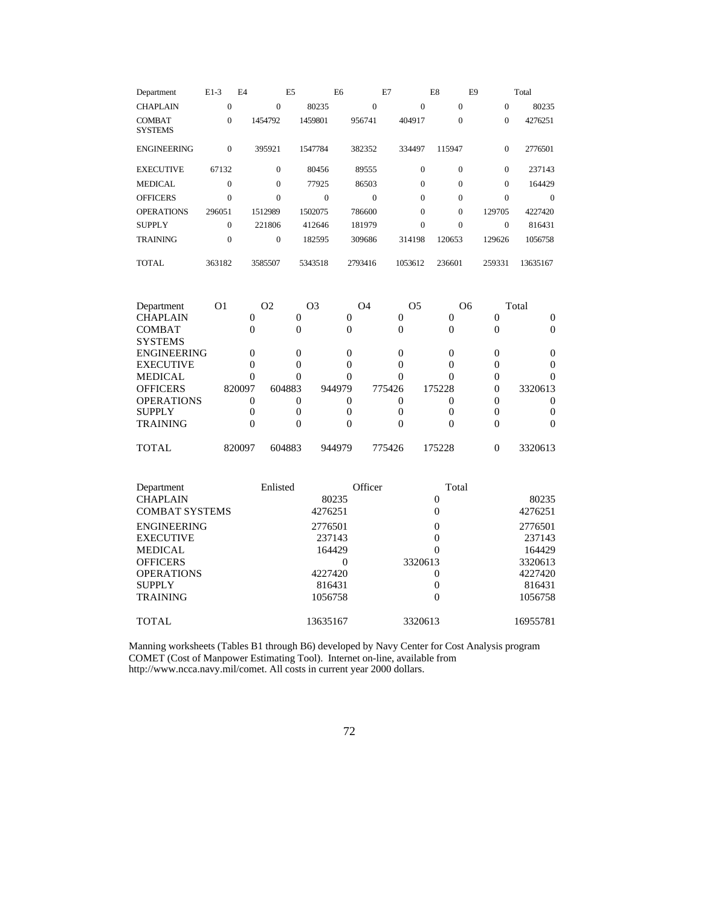| Department                      | $E1-3$         | E4           | E <sub>5</sub> | E <sub>6</sub> | E7             | E8           | E9           | Total    |
|---------------------------------|----------------|--------------|----------------|----------------|----------------|--------------|--------------|----------|
| <b>CHAPLAIN</b>                 | $\overline{0}$ | $\Omega$     | 80235          | $\mathbf{0}$   | $\mathbf{0}$   | $\mathbf{0}$ | $\mathbf{0}$ | 80235    |
| <b>COMBAT</b><br><b>SYSTEMS</b> | $\mathbf{0}$   | 1454792      | 1459801        | 956741         | 404917         | $\mathbf{0}$ | $\mathbf{0}$ | 4276251  |
| <b>ENGINEERING</b>              | $\mathbf{0}$   | 395921       | 1547784        | 382352         | 334497         | 115947       | $\mathbf{0}$ | 2776501  |
| <b>EXECUTIVE</b>                | 67132          | $\mathbf{0}$ | 80456          | 89555          | $\mathbf{0}$   | $\mathbf{0}$ | $\mathbf{0}$ | 237143   |
| <b>MEDICAL</b>                  | $\overline{0}$ | $\Omega$     | 77925          | 86503          | $\Omega$       | $\mathbf{0}$ | $\Omega$     | 164429   |
| <b>OFFICERS</b>                 | $\overline{0}$ | $\Omega$     | $\overline{0}$ | $\mathbf{0}$   | $\Omega$       | $\mathbf{0}$ | $\theta$     | $\Omega$ |
| <b>OPERATIONS</b>               | 296051         | 1512989      | 1502075        | 786600         | $\Omega$       | $\Omega$     | 129705       | 4227420  |
| <b>SUPPLY</b>                   | $\overline{0}$ | 221806       | 412646         | 181979         | $\overline{0}$ | $\mathbf{0}$ | $\mathbf{0}$ | 816431   |
| <b>TRAINING</b>                 | $\overline{0}$ | $\Omega$     | 182595         | 309686         | 314198         | 120653       | 129626       | 1056758  |
| <b>TOTAL</b>                    | 363182         | 3585507      | 5343518        | 2793416        | 1053612        | 236601       | 259331       | 13635167 |
|                                 |                |              |                |                |                |              |              |          |

| Department         | O1     | O <sub>2</sub> | O3     | O <sub>4</sub> | O <sub>5</sub> | O <sub>6</sub> | Total   |
|--------------------|--------|----------------|--------|----------------|----------------|----------------|---------|
| <b>CHAPLAIN</b>    |        |                |        |                |                |                |         |
| <b>COMBAT</b>      |        |                |        |                |                |                |         |
| <b>SYSTEMS</b>     |        |                |        |                |                |                |         |
| <b>ENGINEERING</b> |        |                |        |                |                |                |         |
| <b>EXECUTIVE</b>   |        |                |        |                |                |                |         |
| <b>MEDICAL</b>     |        |                |        |                |                |                |         |
| <b>OFFICERS</b>    | 820097 | 604883         | 944979 | 775426         | 175228         |                | 3320613 |
| <b>OPERATIONS</b>  |        |                |        |                |                |                |         |
| <b>SUPPLY</b>      |        |                |        |                |                |                |         |
| <b>TRAINING</b>    |        |                |        |                |                |                |         |
| TOTAL              | 820097 | 604883         | 944979 | 775426         | 175228         |                | 3320613 |

| Department            | Enlisted | Officer  | Total    |
|-----------------------|----------|----------|----------|
| <b>CHAPLAIN</b>       | 80235    | 0        | 80235    |
| <b>COMBAT SYSTEMS</b> | 4276251  | $\Omega$ | 4276251  |
| <b>ENGINEERING</b>    | 2776501  | 0        | 2776501  |
| <b>EXECUTIVE</b>      | 237143   | 0        | 237143   |
| <b>MEDICAL</b>        | 164429   | 0        | 164429   |
| <b>OFFICERS</b>       |          | 3320613  | 3320613  |
| <b>OPERATIONS</b>     | 4227420  | 0        | 4227420  |
| <b>SUPPLY</b>         | 816431   | 0        | 816431   |
| <b>TRAINING</b>       | 1056758  | 0        | 1056758  |
| <b>TOTAL</b>          | 13635167 | 3320613  | 16955781 |

Manning worksheets (Tables B1 through B6) developed by Navy Center for Cost Analysis program COMET (Cost of Manpower Estimating Tool). Internet on-line, available from http://www.ncca.navy.mil/comet. All costs in current year 2000 dollars.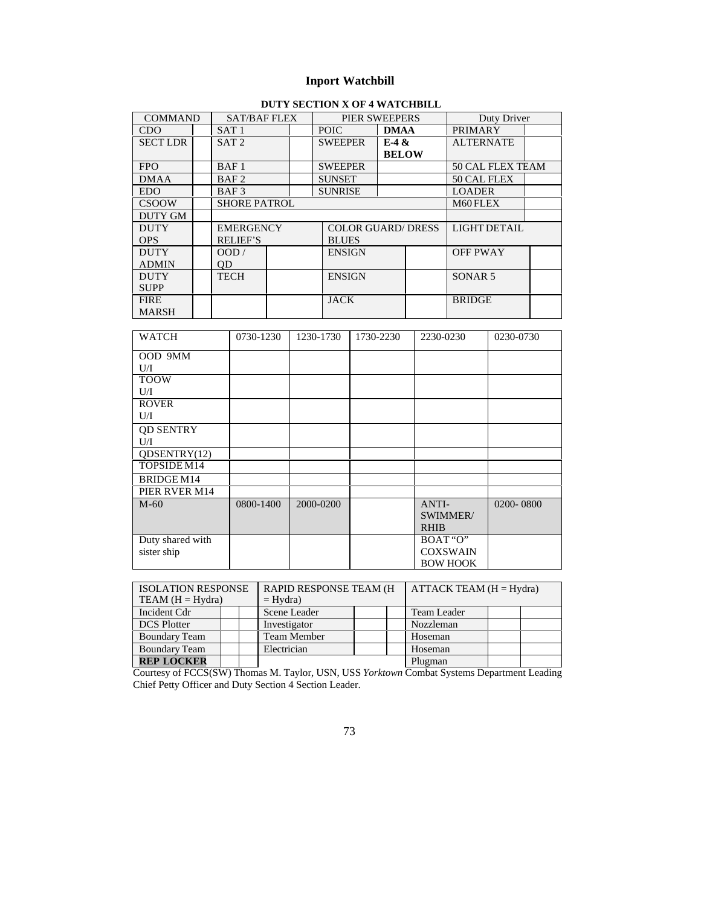## **Inport Watchbill**

## **DUTY SECTION X OF 4 WATCHBILL**

|                 |                  |                     |  |  | <u>DUI I DECITOR A OI 7 MAI CHDIEB</u> |              |                |                    |  |
|-----------------|------------------|---------------------|--|--|----------------------------------------|--------------|----------------|--------------------|--|
| <b>COMMAND</b>  | SAT/BAF FLEX     |                     |  |  | PIER SWEEPERS                          |              |                | Duty Driver        |  |
| CDO             | SAT <sub>1</sub> |                     |  |  | <b>POIC</b><br><b>DMAA</b>             |              | <b>PRIMARY</b> |                    |  |
| <b>SECT LDR</b> | SAT <sub>2</sub> |                     |  |  | <b>SWEEPER</b>                         | E-4 &        |                | <b>ALTERNATE</b>   |  |
|                 |                  |                     |  |  |                                        | <b>BELOW</b> |                |                    |  |
| <b>FPO</b>      | BAF <sub>1</sub> |                     |  |  | <b>SWEEPER</b>                         |              |                | 50 CAL FLEX TEAM   |  |
| <b>DMAA</b>     | BAF <sub>2</sub> |                     |  |  | <b>SUNSET</b>                          |              |                | 50 CAL FLEX        |  |
| EDO.            | BAF3             |                     |  |  | <b>SUNRISE</b>                         |              |                | <b>LOADER</b>      |  |
| <b>CSOOW</b>    |                  | <b>SHORE PATROL</b> |  |  |                                        | M60 FLEX     |                |                    |  |
| DUTY GM         |                  |                     |  |  |                                        |              |                |                    |  |
| <b>DUTY</b>     | <b>EMERGENCY</b> |                     |  |  | <b>COLOR GUARD/DRESS</b>               |              |                | LIGHT DETAIL       |  |
| <b>OPS</b>      | <b>RELIEF'S</b>  |                     |  |  | <b>BLUES</b>                           |              |                |                    |  |
| <b>DUTY</b>     | OOD /            |                     |  |  | <b>ENSIGN</b>                          |              |                | <b>OFF PWAY</b>    |  |
| <b>ADMIN</b>    | 0D               |                     |  |  |                                        |              |                |                    |  |
| <b>DUTY</b>     | TECH             |                     |  |  | <b>ENSIGN</b>                          |              |                | SONAR <sub>5</sub> |  |
| <b>SUPP</b>     |                  |                     |  |  |                                        |              |                |                    |  |
| <b>FIRE</b>     |                  |                     |  |  | <b>JACK</b>                            |              |                | <b>BRIDGE</b>      |  |
| <b>MARSH</b>    |                  |                     |  |  |                                        |              |                |                    |  |

| <b>WATCH</b>     | 0730-1230 | 1230-1730 | 1730-2230 | 2230-0230       | 0230-0730 |
|------------------|-----------|-----------|-----------|-----------------|-----------|
| OOD 9MM          |           |           |           |                 |           |
| U/I              |           |           |           |                 |           |
| <b>TOOW</b>      |           |           |           |                 |           |
| U/I              |           |           |           |                 |           |
| <b>ROVER</b>     |           |           |           |                 |           |
| U/I              |           |           |           |                 |           |
| <b>OD SENTRY</b> |           |           |           |                 |           |
| U/I              |           |           |           |                 |           |
| ODSENTRY(12)     |           |           |           |                 |           |
| TOPSIDE M14      |           |           |           |                 |           |
| BRIDGE M14       |           |           |           |                 |           |
| PIER RVER M14    |           |           |           |                 |           |
| $M-60$           | 0800-1400 | 2000-0200 |           | ANTI-           | 0200-0800 |
|                  |           |           |           | SWIMMER/        |           |
|                  |           |           |           | <b>RHIB</b>     |           |
| Duty shared with |           |           |           | BOAT "O"        |           |
| sister ship      |           |           |           | <b>COXSWAIN</b> |           |
|                  |           |           |           | <b>BOW HOOK</b> |           |

| <b>ISOLATION RESPONSE</b> |  | <b>RAPID RESPONSE TEAM (H)</b> |  |  | ATTACK TEAM $(H = Hydra)$ |  |  |
|---------------------------|--|--------------------------------|--|--|---------------------------|--|--|
| $TEAM (H = Hydra)$        |  | $=$ Hydra)                     |  |  |                           |  |  |
| Incident Cdr              |  | Scene Leader                   |  |  | Team Leader               |  |  |
| <b>DCS</b> Plotter        |  | Investigator                   |  |  | Nozzleman                 |  |  |
| Boundary Team             |  | Team Member                    |  |  | Hoseman                   |  |  |
| <b>Boundary Team</b>      |  | Electrician                    |  |  | Hoseman                   |  |  |
| <b>REP LOCKER</b>         |  |                                |  |  | Plugman                   |  |  |

Courtesy of FCCS(SW) Thomas M. Taylor, USN, USS *Yorktown* Combat Systems Department Leading Chief Petty Officer and Duty Section 4 Section Leader.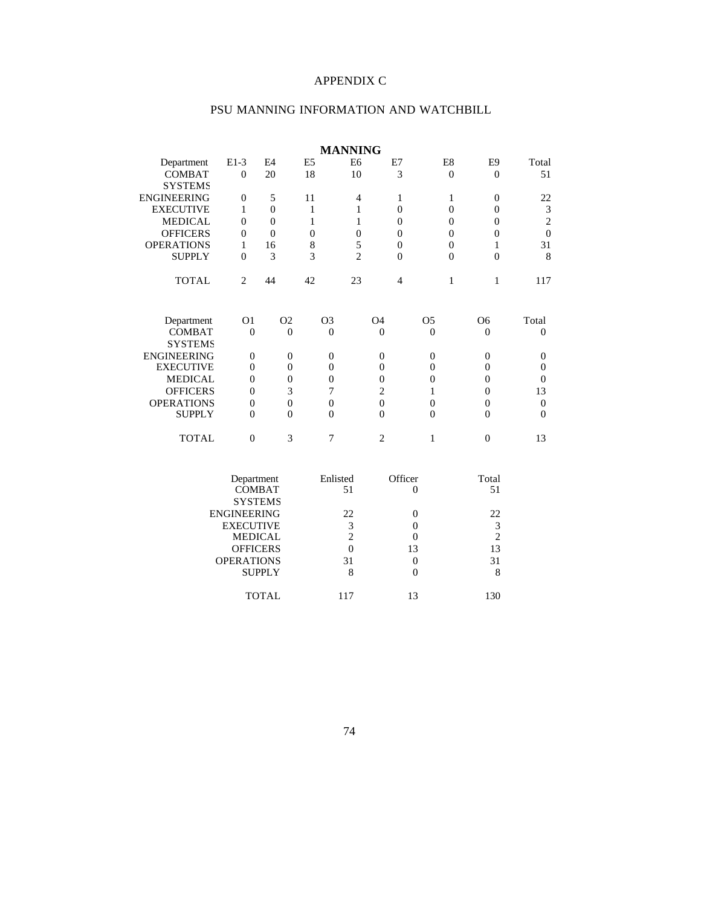## APPENDIX C

# PSU MANNING INFORMATION AND WATCHBILL

|                    |                             |                  |                  | <b>MANNING</b> |                  |                  |                  |                             |
|--------------------|-----------------------------|------------------|------------------|----------------|------------------|------------------|------------------|-----------------------------|
| Department         | $E1-3$                      | E <sub>4</sub>   | E <sub>5</sub>   | E <sub>6</sub> | E7               | E8               | E <sub>9</sub>   | Total                       |
| <b>COMBAT</b>      | $\boldsymbol{0}$            | 20               | 18               | 10             | 3                | $\mathbf{0}$     | $\mathbf{0}$     | 51                          |
| <b>SYSTEMS</b>     |                             |                  |                  |                |                  |                  |                  |                             |
| ENGINEERING        | $\mathbf{0}$                | 5                | 11               | $\overline{4}$ | $\mathbf{1}$     | 1                | $\theta$         | 22                          |
| <b>EXECUTIVE</b>   | $\mathbf{1}$                | $\theta$         | 1                | 1              | $\overline{0}$   | $\overline{0}$   | $\mathbf{0}$     | $\ensuremath{\mathfrak{Z}}$ |
| <b>MEDICAL</b>     | $\overline{0}$              | $\overline{0}$   | 1                | 1              | $\overline{0}$   | $\overline{0}$   | $\theta$         | $\sqrt{2}$                  |
| <b>OFFICERS</b>    | $\theta$                    | $\overline{0}$   | $\overline{0}$   | $\overline{0}$ | $\overline{0}$   | $\overline{0}$   | $\overline{0}$   | $\mathbf 0$                 |
| <b>OPERATIONS</b>  | 1                           | 16               | 8                | 5              | $\overline{0}$   | $\boldsymbol{0}$ | 1                | 31                          |
| <b>SUPPLY</b>      | $\theta$                    | 3                | 3                | $\overline{2}$ | $\overline{0}$   | $\overline{0}$   | $\overline{0}$   | 8                           |
| <b>TOTAL</b>       | $\overline{2}$              | 44               | 42               | 23             | $\overline{4}$   | $\mathbf{1}$     | $\mathbf{1}$     | 117                         |
| Department         | O <sub>1</sub>              | O <sub>2</sub>   | O <sub>3</sub>   |                | O4               | O <sub>5</sub>   | O <sub>6</sub>   | Total                       |
| COMBAT             | $\boldsymbol{0}$            | $\overline{0}$   | $\theta$         |                | $\overline{0}$   | $\theta$         | $\mathbf{0}$     | $\theta$                    |
| <b>SYSTEMS</b>     |                             |                  |                  |                |                  |                  |                  |                             |
| <b>ENGINEERING</b> | $\boldsymbol{0}$            | $\boldsymbol{0}$ | $\boldsymbol{0}$ |                | $\boldsymbol{0}$ | $\mathbf{0}$     | $\boldsymbol{0}$ | $\boldsymbol{0}$            |
| <b>EXECUTIVE</b>   | $\overline{0}$              | $\overline{0}$   | $\theta$         |                | $\overline{0}$   | $\overline{0}$   | $\mathbf{0}$     | $\theta$                    |
| <b>MEDICAL</b>     | $\boldsymbol{0}$            | $\boldsymbol{0}$ | $\mathbf{0}$     |                | $\boldsymbol{0}$ | $\overline{0}$   | $\mathbf{0}$     | $\theta$                    |
| <b>OFFICERS</b>    | $\boldsymbol{0}$            | 3                | 7                |                | $\overline{c}$   | 1                | $\mathbf{0}$     | 13                          |
| <b>OPERATIONS</b>  | $\overline{0}$              | $\overline{0}$   | $\theta$         |                | $\overline{0}$   | $\overline{0}$   | $\theta$         | $\theta$                    |
| <b>SUPPLY</b>      | $\overline{0}$              | $\overline{0}$   | $\theta$         |                | $\overline{0}$   | $\overline{0}$   | $\mathbf{0}$     | $\theta$                    |
| <b>TOTAL</b>       | $\overline{0}$              | 3                | 7                |                | $\overline{2}$   | $\mathbf{1}$     | $\boldsymbol{0}$ | 13                          |
|                    | Department<br><b>COMBAT</b> |                  | Enlisted         | 51             | Officer          | $\theta$         | Total<br>51      |                             |
|                    | <b>SYSTEMS</b>              |                  |                  |                |                  |                  |                  |                             |
|                    | <b>ENGINEERING</b>          |                  |                  | 22             |                  | $\overline{0}$   | 22               |                             |
|                    | <b>EXECUTIVE</b>            |                  |                  | 3              |                  | $\theta$         | 3                |                             |
|                    | <b>MEDICAL</b>              |                  |                  | $\overline{2}$ |                  | $\theta$         | $\overline{2}$   |                             |
|                    | <b>OFFICERS</b>             |                  |                  | $\overline{0}$ |                  | 13               | 13               |                             |
|                    | <b>OPERATIONS</b>           |                  |                  | 31             |                  | $\boldsymbol{0}$ | 31               |                             |
|                    |                             | <b>SUPPLY</b>    |                  | 8              |                  | $\overline{0}$   | 8                |                             |
|                    |                             | <b>TOTAL</b>     |                  | 117            |                  | 13               | 130              |                             |

74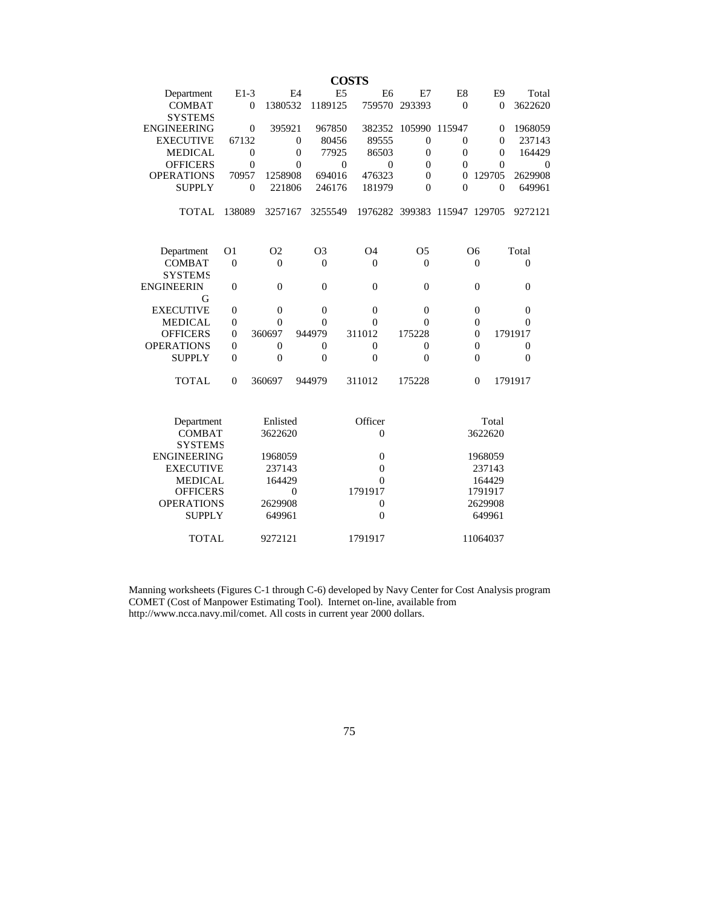|                                   |                  |                |                |                | <b>COSTS</b> |                                    |                  |                              |                   |                |                  |
|-----------------------------------|------------------|----------------|----------------|----------------|--------------|------------------------------------|------------------|------------------------------|-------------------|----------------|------------------|
| Department                        | $E1-3$           |                | E <sub>4</sub> | E <sub>5</sub> |              | E <sub>6</sub>                     | E7               | E8                           |                   | E <sub>9</sub> | Total            |
| <b>COMBAT</b>                     | $\theta$         | 1380532        |                | 1189125        |              | 759570                             | 293393           | $\theta$                     |                   | $\theta$       | 3622620          |
| <b>SYSTEMS</b>                    |                  |                |                |                |              |                                    |                  |                              |                   |                |                  |
| <b>ENGINEERING</b>                | $\boldsymbol{0}$ | 395921         |                | 967850         |              | 382352                             | 105990           | 115947                       |                   | $\mathbf{0}$   | 1968059          |
| <b>EXECUTIVE</b>                  | 67132            |                | $\theta$       | 80456          |              | 89555                              | $\mathbf{0}$     | $\theta$                     |                   | $\theta$       | 237143           |
| <b>MEDICAL</b>                    | $\boldsymbol{0}$ |                | $\mathbf{0}$   | 77925          |              | 86503                              | $\theta$         | $\theta$                     |                   | $\overline{0}$ | 164429           |
| <b>OFFICERS</b>                   | $\mathbf{0}$     |                | $\overline{0}$ |                | $\mathbf{0}$ | $\overline{0}$                     | $\theta$         | $\theta$                     |                   | $\theta$       | $\theta$         |
| <b>OPERATIONS</b>                 | 70957            | 1258908        |                | 694016         |              | 476323                             | $\overline{0}$   | $\boldsymbol{0}$             | 129705            |                | 2629908          |
| <b>SUPPLY</b>                     | $\mathbf{0}$     | 221806         |                | 246176         |              | 181979                             | $\overline{0}$   | $\overline{0}$               |                   | $\theta$       | 649961           |
| <b>TOTAL</b>                      | 138089           | 3257167        |                | 3255549        |              |                                    |                  | 1976282 399383 115947 129705 |                   |                | 9272121          |
| Department                        | O1               | O <sub>2</sub> |                | O <sub>3</sub> |              | O <sub>4</sub>                     | O <sub>5</sub>   |                              | O6                |                | Total            |
| <b>COMBAT</b>                     | $\overline{0}$   | $\overline{0}$ |                | $\overline{0}$ |              | $\overline{0}$                     | $\theta$         |                              | $\overline{0}$    |                | $\theta$         |
| <b>SYSTEMS</b>                    |                  |                |                |                |              |                                    |                  |                              |                   |                |                  |
| ENGINEERIN                        | $\boldsymbol{0}$ | $\overline{0}$ |                | $\theta$       |              | $\theta$                           | $\overline{0}$   |                              | $\theta$          |                | $\theta$         |
| G                                 |                  |                |                |                |              |                                    |                  |                              |                   |                |                  |
| <b>EXECUTIVE</b>                  | $\boldsymbol{0}$ | $\overline{0}$ |                | $\mathbf{0}$   |              | $\theta$                           | $\boldsymbol{0}$ |                              | $\mathbf{0}$      |                | $\overline{0}$   |
| <b>MEDICAL</b>                    | $\overline{0}$   | $\overline{0}$ |                | $\overline{0}$ |              | $\overline{0}$                     | $\overline{0}$   |                              | $\mathbf{0}$      |                | 0                |
| <b>OFFICERS</b>                   | $\boldsymbol{0}$ | 360697         | 944979         |                | 311012       |                                    | 175228           |                              | $\mathbf{0}$      |                | 1791917          |
| <b>OPERATIONS</b>                 | $\mathbf{0}$     | $\mathbf{0}$   |                | $\theta$       |              | $\overline{0}$                     | $\mathbf{0}$     |                              | $\overline{0}$    |                | $\boldsymbol{0}$ |
| <b>SUPPLY</b>                     | $\mathbf{0}$     | $\overline{0}$ |                | $\theta$       |              | $\overline{0}$                     | $\overline{0}$   |                              | $\overline{0}$    |                | $\theta$         |
| <b>TOTAL</b>                      | $\theta$         | 360697         | 944979         |                | 311012       |                                    | 175228           |                              | $\overline{0}$    |                | 1791917          |
| Department                        |                  | Enlisted       |                |                |              | Officer                            |                  |                              | Total             |                |                  |
| <b>COMBAT</b>                     |                  | 3622620        |                |                |              | $\overline{0}$                     |                  |                              | 3622620           |                |                  |
| <b>SYSTEMS</b>                    |                  |                |                |                |              |                                    |                  |                              |                   |                |                  |
| <b>ENGINEERING</b>                |                  | 1968059        |                |                |              | $\mathbf{0}$                       |                  |                              | 1968059           |                |                  |
| <b>EXECUTIVE</b>                  |                  | 237143         |                |                |              | $\boldsymbol{0}$                   |                  |                              | 237143            |                |                  |
| <b>MEDICAL</b><br><b>OFFICERS</b> |                  | 164429         | $\theta$       |                |              | $\theta$<br>1791917                |                  |                              | 164429<br>1791917 |                |                  |
| <b>OPERATIONS</b>                 |                  | 2629908        |                |                |              |                                    |                  |                              | 2629908           |                |                  |
| <b>SUPPLY</b>                     |                  | 649961         |                |                |              | $\boldsymbol{0}$<br>$\overline{0}$ |                  |                              | 649961            |                |                  |
|                                   |                  |                |                |                |              |                                    |                  |                              |                   |                |                  |
| <b>TOTAL</b>                      |                  | 9272121        |                |                |              | 1791917                            |                  |                              | 11064037          |                |                  |

Manning worksheets (Figures C-1 through C-6) developed by Navy Center for Cost Analysis program COMET (Cost of Manpower Estimating Tool). Internet on-line, available from http://www.ncca.navy.mil/comet. All costs in current year 2000 dollars.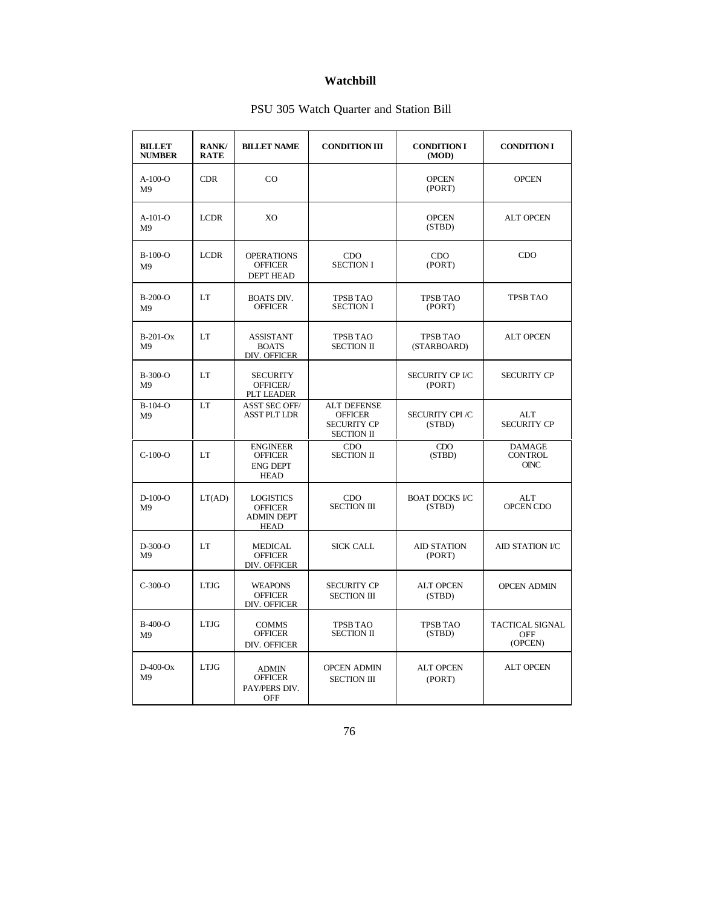## **Watchbill**

|  | PSU 305 Watch Quarter and Station Bill |  |  |
|--|----------------------------------------|--|--|
|  |                                        |  |  |

| <b>BILLET</b><br><b>NUMBER</b> | <b>RANK/</b><br><b>RATE</b> | <b>BILLET NAME</b>                                                     | <b>CONDITION III</b>                                                            | <b>CONDITION I</b><br>(MOD)     | <b>CONDITION I</b>                             |
|--------------------------------|-----------------------------|------------------------------------------------------------------------|---------------------------------------------------------------------------------|---------------------------------|------------------------------------------------|
| $A-100-o$<br>M <sub>9</sub>    | <b>CDR</b>                  | CO                                                                     |                                                                                 | <b>OPCEN</b><br>(PORT)          | <b>OPCEN</b>                                   |
| $A-101-O$<br>M <sub>9</sub>    | <b>LCDR</b>                 | XO                                                                     |                                                                                 | <b>OPCEN</b><br>(STBD)          | <b>ALT OPCEN</b>                               |
| $B-100-O$<br>M <sub>9</sub>    | <b>LCDR</b>                 | <b>OPERATIONS</b><br><b>OFFICER</b><br><b>DEPT HEAD</b>                | <b>CDO</b><br><b>SECTION I</b>                                                  | CDO<br>(PORT)                   | CDO                                            |
| $B-200-O$<br>M <sub>9</sub>    | LT                          | <b>BOATS DIV.</b><br><b>OFFICER</b>                                    | <b>TPSB TAO</b><br><b>SECTION I</b>                                             | <b>TPSB TAO</b><br>(PORT)       | <b>TPSB TAO</b>                                |
| $B-201-Ox$<br>M <sub>9</sub>   | LT                          | <b>ASSISTANT</b><br><b>BOATS</b><br>DIV. OFFICER                       | <b>TPSB TAO</b><br><b>SECTION II</b>                                            | <b>TPSB TAO</b><br>(STARBOARD)  | <b>ALT OPCEN</b>                               |
| $B-300-O$<br>M <sub>9</sub>    | LT                          | <b>SECURITY</b><br>OFFICER/<br><b>PLT LEADER</b>                       |                                                                                 | SECURITY CP I/C<br>(PORT)       | <b>SECURITY CP</b>                             |
| $B-104-O$<br>M <sub>9</sub>    | LT                          | <b>ASST SEC OFF/</b><br><b>ASST PLT LDR</b>                            | <b>ALT DEFENSE</b><br><b>OFFICER</b><br><b>SECURITY CP</b><br><b>SECTION II</b> | <b>SECURITY CPI/C</b><br>(STBD) | ALT<br><b>SECURITY CP</b>                      |
| $C-100-O$                      | LT                          | <b>ENGINEER</b><br><b>OFFICER</b><br><b>ENG DEPT</b><br><b>HEAD</b>    | CDO.<br><b>SECTION II</b>                                                       | CDO<br>(STBD)                   | <b>DAMAGE</b><br><b>CONTROL</b><br><b>OINC</b> |
| $D-100-O$<br>M9                | LT(AD)                      | <b>LOGISTICS</b><br><b>OFFICER</b><br><b>ADMIN DEPT</b><br><b>HEAD</b> | CDO<br><b>SECTION III</b>                                                       | <b>BOAT DOCKS I/C</b><br>(STBD) | ALT<br>OPCEN CDO                               |
| $D-300-O$<br>M <sup>9</sup>    | LT                          | <b>MEDICAL</b><br><b>OFFICER</b><br>DIV. OFFICER                       | <b>SICK CALL</b>                                                                | <b>AID STATION</b><br>(PORT)    | <b>AID STATION I/C</b>                         |
| $C-300-O$                      | <b>LTJG</b>                 | <b>WEAPONS</b><br><b>OFFICER</b><br>DIV. OFFICER                       | <b>SECURITY CP</b><br><b>SECTION III</b>                                        | <b>ALT OPCEN</b><br>(STBD)      | <b>OPCEN ADMIN</b>                             |
| B-400-O<br>M <sub>9</sub>      | <b>LTJG</b>                 | <b>COMMS</b><br><b>OFFICER</b><br>DIV. OFFICER                         | <b>TPSB TAO</b><br><b>SECTION II</b>                                            | <b>TPSB TAO</b><br>(STBD)       | <b>TACTICAL SIGNAL</b><br>OFF<br>(OPCEN)       |
| $D-400$ -Ox<br>M <sub>9</sub>  | <b>LTJG</b>                 | <b>ADMIN</b><br><b>OFFICER</b><br>PAY/PERS DIV.<br><b>OFF</b>          | <b>OPCEN ADMIN</b><br><b>SECTION III</b>                                        | <b>ALT OPCEN</b><br>(PORT)      | <b>ALT OPCEN</b>                               |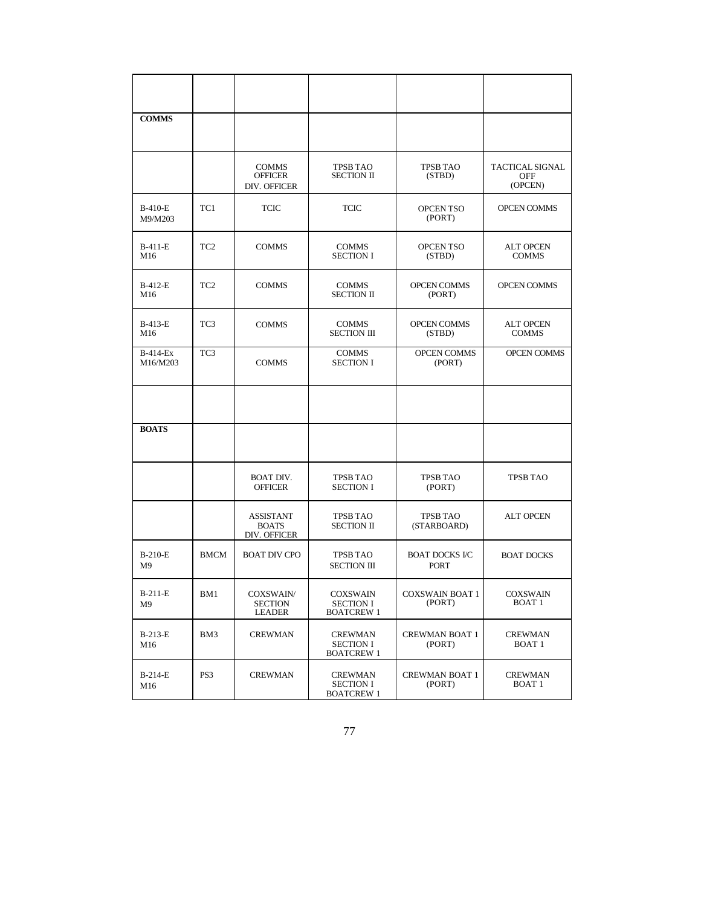| <b>COMMS</b>                |                 |                                                  |                                                          |                                  |                                                 |
|-----------------------------|-----------------|--------------------------------------------------|----------------------------------------------------------|----------------------------------|-------------------------------------------------|
|                             |                 | <b>COMMS</b><br><b>OFFICER</b><br>DIV. OFFICER   | <b>TPSB TAO</b><br><b>SECTION II</b>                     | <b>TPSB TAO</b><br>(STBD)        | <b>TACTICAL SIGNAL</b><br><b>OFF</b><br>(OPCEN) |
| B-410-E<br>M9/M203          | TC1             | <b>TCIC</b>                                      | <b>TCIC</b>                                              | OPCEN TSO<br>(PORT)              | <b>OPCEN COMMS</b>                              |
| B-411-E<br>M16              | TC <sub>2</sub> | <b>COMMS</b>                                     | <b>COMMS</b><br><b>SECTION I</b>                         | OPCEN TSO<br>(STBD)              | <b>ALT OPCEN</b><br><b>COMMS</b>                |
| B-412-E<br>M16              | TC <sub>2</sub> | <b>COMMS</b>                                     | <b>COMMS</b><br><b>SECTION II</b>                        | <b>OPCEN COMMS</b><br>(PORT)     | <b>OPCEN COMMS</b>                              |
| B-413-E<br>M16              | TC <sub>3</sub> | <b>COMMS</b>                                     | <b>COMMS</b><br><b>SECTION III</b>                       | <b>OPCEN COMMS</b><br>(STBD)     | <b>ALT OPCEN</b><br><b>COMMS</b>                |
| <b>B-414-Ex</b><br>M16/M203 | TC <sub>3</sub> | <b>COMMS</b>                                     | <b>COMMS</b><br><b>SECTION I</b>                         | <b>OPCEN COMMS</b><br>(PORT)     | <b>OPCEN COMMS</b>                              |
|                             |                 |                                                  |                                                          |                                  |                                                 |
| <b>BOATS</b>                |                 |                                                  |                                                          |                                  |                                                 |
|                             |                 | <b>BOAT DIV.</b><br><b>OFFICER</b>               | <b>TPSB TAO</b><br><b>SECTION I</b>                      | <b>TPSB TAO</b><br>(PORT)        | <b>TPSB TAO</b>                                 |
|                             |                 | <b>ASSISTANT</b><br><b>BOATS</b><br>DIV. OFFICER | <b>TPSB TAO</b><br><b>SECTION II</b>                     | <b>TPSB TAO</b><br>(STARBOARD)   | <b>ALT OPCEN</b>                                |
| B-210-E<br>M <sub>9</sub>   | <b>BMCM</b>     | <b>BOAT DIV CPO</b>                              | <b>TPSB TAO</b><br><b>SECTION III</b>                    | <b>BOAT DOCKS I/C</b><br>PORT    | <b>BOAT DOCKS</b>                               |
| $B-211-E$<br>M9             | BM1             | COXSWAIN/<br><b>SECTION</b><br><b>LEADER</b>     | <b>COXSWAIN</b><br><b>SECTION I</b><br><b>BOATCREW 1</b> | <b>COXSWAIN BOAT 1</b><br>(PORT) | <b>COXSWAIN</b><br>BOAT <sub>1</sub>            |
| $B-213-E$<br>M16            | BM3             | <b>CREWMAN</b>                                   | <b>CREWMAN</b><br><b>SECTION I</b><br><b>BOATCREW 1</b>  | <b>CREWMAN BOAT 1</b><br>(PORT)  | <b>CREWMAN</b><br>BOAT 1                        |
| B-214-E<br>M16              | PS3             | <b>CREWMAN</b>                                   | CREWMAN<br><b>SECTION I</b><br><b>BOATCREW 1</b>         | <b>CREWMAN BOAT 1</b><br>(PORT)  | <b>CREWMAN</b><br><b>BOAT 1</b>                 |

77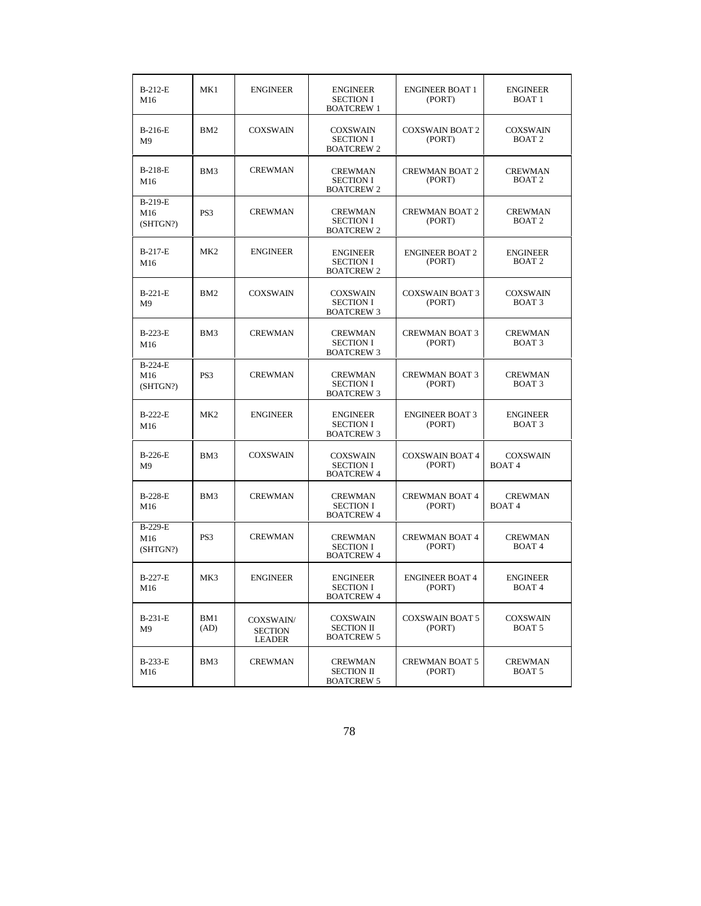| B-212-E<br>M16                    | MK1             | <b>ENGINEER</b>                              | <b>ENGINEER</b><br><b>SECTION I</b><br><b>BOATCREW 1</b>  | <b>ENGINEER BOAT 1</b><br>(PORT) | <b>ENGINEER</b><br>BOAT 1            |
|-----------------------------------|-----------------|----------------------------------------------|-----------------------------------------------------------|----------------------------------|--------------------------------------|
| B-216-E<br>M9                     | BM <sub>2</sub> | <b>COXSWAIN</b>                              | <b>COXSWAIN</b><br><b>SECTION I</b><br><b>BOATCREW 2</b>  | <b>COXSWAIN BOAT 2</b><br>(PORT) | <b>COXSWAIN</b><br>BOAT <sub>2</sub> |
| B-218-E<br>M16                    | BM3             | <b>CREWMAN</b>                               | <b>CREWMAN</b><br><b>SECTION I</b><br><b>BOATCREW 2</b>   | <b>CREWMAN BOAT 2</b><br>(PORT)  | <b>CREWMAN</b><br>BOAT <sub>2</sub>  |
| B-219-E<br>M16<br>(SHTGN?)        | PS3             | <b>CREWMAN</b>                               | <b>CREWMAN</b><br><b>SECTION I</b><br><b>BOATCREW 2</b>   | <b>CREWMAN BOAT 2</b><br>(PORT)  | <b>CREWMAN</b><br><b>BOAT 2</b>      |
| B-217-E<br>M16                    | MK <sub>2</sub> | <b>ENGINEER</b>                              | <b>ENGINEER</b><br><b>SECTION I</b><br><b>BOATCREW 2</b>  | <b>ENGINEER BOAT 2</b><br>(PORT) | <b>ENGINEER</b><br>BOAT <sub>2</sub> |
| $B-221-E$<br>M9                   | BM <sub>2</sub> | <b>COXSWAIN</b>                              | <b>COXSWAIN</b><br><b>SECTION I</b><br><b>BOATCREW 3</b>  | <b>COXSWAIN BOAT 3</b><br>(PORT) | <b>COXSWAIN</b><br>BOAT <sub>3</sub> |
| B-223-E<br>M16                    | BM3             | <b>CREWMAN</b>                               | <b>CREWMAN</b><br><b>SECTION I</b><br><b>BOATCREW 3</b>   | <b>CREWMAN BOAT 3</b><br>(PORT)  | <b>CREWMAN</b><br>BOAT <sub>3</sub>  |
| <b>B-224-E</b><br>M16<br>(SHTGN?) | PS3             | <b>CREWMAN</b>                               | <b>CREWMAN</b><br><b>SECTION I</b><br><b>BOATCREW 3</b>   | <b>CREWMAN BOAT 3</b><br>(PORT)  | <b>CREWMAN</b><br>BOAT <sub>3</sub>  |
| <b>B-222-E</b><br>M16             | MK <sub>2</sub> | <b>ENGINEER</b>                              | <b>ENGINEER</b><br><b>SECTION I</b><br><b>BOATCREW 3</b>  | <b>ENGINEER BOAT 3</b><br>(PORT) | <b>ENGINEER</b><br>BOAT <sub>3</sub> |
| B-226-E<br>M <sub>9</sub>         | BM3             | <b>COXSWAIN</b>                              | <b>COXSWAIN</b><br><b>SECTION I</b><br><b>BOATCREW 4</b>  | <b>COXSWAIN BOAT 4</b><br>(PORT) | <b>COXSWAIN</b><br><b>BOAT4</b>      |
| <b>B-228-E</b><br>M16             | BM3             | <b>CREWMAN</b>                               | <b>CREWMAN</b><br><b>SECTION I</b><br><b>BOATCREW 4</b>   | <b>CREWMAN BOAT 4</b><br>(PORT)  | <b>CREWMAN</b><br><b>BOAT4</b>       |
| B-229-E<br>M16<br>(SHTGN?)        | PS3             | <b>CREWMAN</b>                               | <b>CREWMAN</b><br><b>SECTION I</b><br><b>BOATCREW 4</b>   | <b>CREWMAN BOAT 4</b><br>(PORT)  | <b>CREWMAN</b><br><b>BOAT4</b>       |
| B-227-E<br>M16                    | MK3             | <b>ENGINEER</b>                              | <b>ENGINEER</b><br><b>SECTION I</b><br><b>BOATCREW 4</b>  | <b>ENGINEER BOAT 4</b><br>(PORT) | <b>ENGINEER</b><br>BOAT 4            |
| <b>B-231-E</b><br>M9              | BM1<br>(AD)     | COXSWAIN/<br><b>SECTION</b><br><b>LEADER</b> | <b>COXSWAIN</b><br><b>SECTION II</b><br><b>BOATCREW 5</b> | <b>COXSWAIN BOAT 5</b><br>(PORT) | <b>COXSWAIN</b><br>BOAT 5            |
| B-233-E<br>M16                    | BM3             | <b>CREWMAN</b>                               | <b>CREWMAN</b><br><b>SECTION II</b><br><b>BOATCREW 5</b>  | <b>CREWMAN BOAT 5</b><br>(PORT)  | <b>CREWMAN</b><br>BOAT 5             |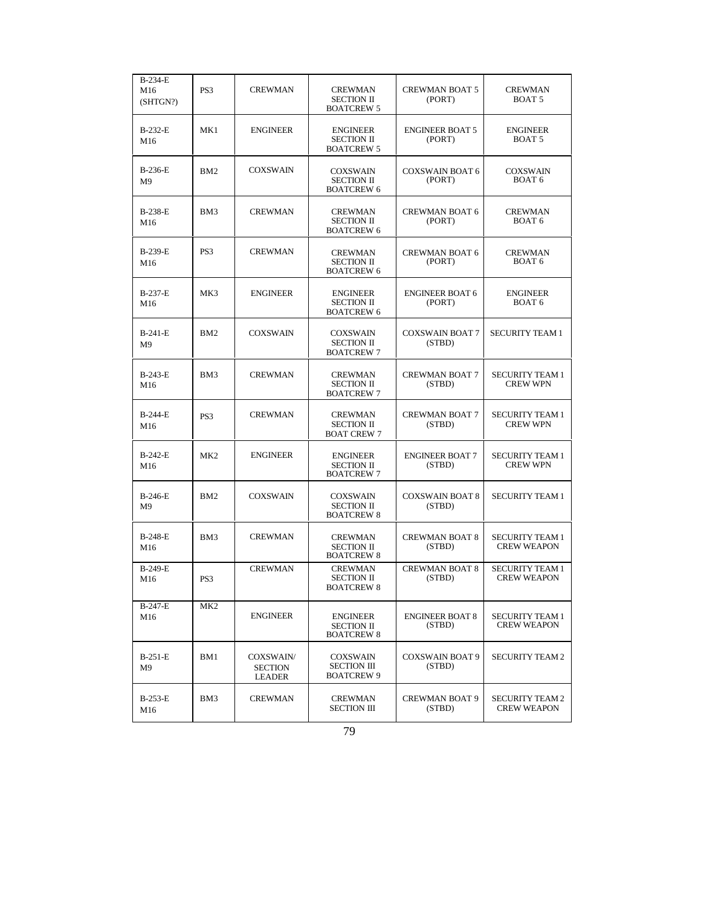| B-234-E<br>M16<br>(SHTGN?)  | PS3             | <b>CREWMAN</b>                               | <b>CREWMAN</b><br><b>SECTION II</b><br><b>BOATCREW 5</b>   | <b>CREWMAN BOAT 5</b><br>(PORT)  | <b>CREWMAN</b><br>BOAT 5                     |
|-----------------------------|-----------------|----------------------------------------------|------------------------------------------------------------|----------------------------------|----------------------------------------------|
| B-232-E<br>M16              | MK1             | <b>ENGINEER</b>                              | <b>ENGINEER</b><br><b>SECTION II</b><br><b>BOATCREW 5</b>  | <b>ENGINEER BOAT 5</b><br>(PORT) | <b>ENGINEER</b><br>BOAT <sub>5</sub>         |
| B-236-E<br>M <sub>9</sub>   | BM <sub>2</sub> | <b>COXSWAIN</b>                              | <b>COXSWAIN</b><br><b>SECTION II</b><br><b>BOATCREW 6</b>  | <b>COXSWAIN BOAT 6</b><br>(PORT) | <b>COXSWAIN</b><br>BOAT 6                    |
| B-238-E<br>M16              | BM3             | <b>CREWMAN</b>                               | <b>CREWMAN</b><br><b>SECTION II</b><br><b>BOATCREW 6</b>   | <b>CREWMAN BOAT 6</b><br>(PORT)  | <b>CREWMAN</b><br>BOAT 6                     |
| B-239-E<br>M16              | PS3             | <b>CREWMAN</b>                               | <b>CREWMAN</b><br><b>SECTION II</b><br><b>BOATCREW 6</b>   | <b>CREWMAN BOAT 6</b><br>(PORT)  | <b>CREWMAN</b><br>BOAT <sub>6</sub>          |
| B-237-E<br>M16              | MK3             | <b>ENGINEER</b>                              | <b>ENGINEER</b><br><b>SECTION II</b><br><b>BOATCREW 6</b>  | <b>ENGINEER BOAT 6</b><br>(PORT) | <b>ENGINEER</b><br>BOAT <sub>6</sub>         |
| $B-241-E$<br>M9             | BM <sub>2</sub> | <b>COXSWAIN</b>                              | <b>COXSWAIN</b><br><b>SECTION II</b><br><b>BOATCREW 7</b>  | <b>COXSWAIN BOAT 7</b><br>(STBD) | <b>SECURITY TEAM 1</b>                       |
| $B-243-E$<br>M16            | BM3             | <b>CREWMAN</b>                               | <b>CREWMAN</b><br><b>SECTION II</b><br><b>BOATCREW 7</b>   | <b>CREWMAN BOAT 7</b><br>(STBD)  | <b>SECURITY TEAM 1</b><br><b>CREW WPN</b>    |
| B-244-E<br>M16              | PS <sub>3</sub> | <b>CREWMAN</b>                               | <b>CREWMAN</b><br><b>SECTION II</b><br><b>BOAT CREW 7</b>  | <b>CREWMAN BOAT 7</b><br>(STBD)  | <b>SECURITY TEAM 1</b><br><b>CREW WPN</b>    |
| $B-242-E$<br>M16            | MK <sub>2</sub> | <b>ENGINEER</b>                              | <b>ENGINEER</b><br><b>SECTION II</b><br><b>BOATCREW 7</b>  | <b>ENGINEER BOAT 7</b><br>(STBD) | <b>SECURITY TEAM 1</b><br><b>CREW WPN</b>    |
| $B-246-E$<br>M <sub>9</sub> | BM <sub>2</sub> | <b>COXSWAIN</b>                              | <b>COXSWAIN</b><br><b>SECTION II</b><br><b>BOATCREW 8</b>  | <b>COXSWAIN BOAT 8</b><br>(STBD) | <b>SECURITY TEAM 1</b>                       |
| <b>B-248-E</b><br>M16       | BM3             | <b>CREWMAN</b>                               | <b>CREWMAN</b><br><b>SECTION II</b><br><b>BOATCREW 8</b>   | <b>CREWMAN BOAT 8</b><br>(STBD)  | <b>SECURITY TEAM 1</b><br><b>CREW WEAPON</b> |
| B-249-E<br>M16              | PS3             | <b>CREWMAN</b>                               | <b>CREWMAN</b><br><b>SECTION II</b><br><b>BOATCREW 8</b>   | <b>CREWMAN BOAT 8</b><br>(STBD)  | <b>SECURITY TEAM 1</b><br><b>CREW WEAPON</b> |
| B-247-E<br>M16              | MK <sub>2</sub> | <b>ENGINEER</b>                              | <b>ENGINEER</b><br><b>SECTION II</b><br><b>BOATCREW 8</b>  | <b>ENGINEER BOAT 8</b><br>(STBD) | <b>SECURITY TEAM 1</b><br><b>CREW WEAPON</b> |
| B-251-E<br>M9               | BM1             | COXSWAIN/<br><b>SECTION</b><br><b>LEADER</b> | <b>COXSWAIN</b><br><b>SECTION III</b><br><b>BOATCREW 9</b> | <b>COXSWAIN BOAT 9</b><br>(STBD) | <b>SECURITY TEAM 2</b>                       |
| B-253-E<br>M16              | BM3             | <b>CREWMAN</b>                               | <b>CREWMAN</b><br><b>SECTION III</b>                       | <b>CREWMAN BOAT 9</b><br>(STBD)  | <b>SECURITY TEAM 2</b><br><b>CREW WEAPON</b> |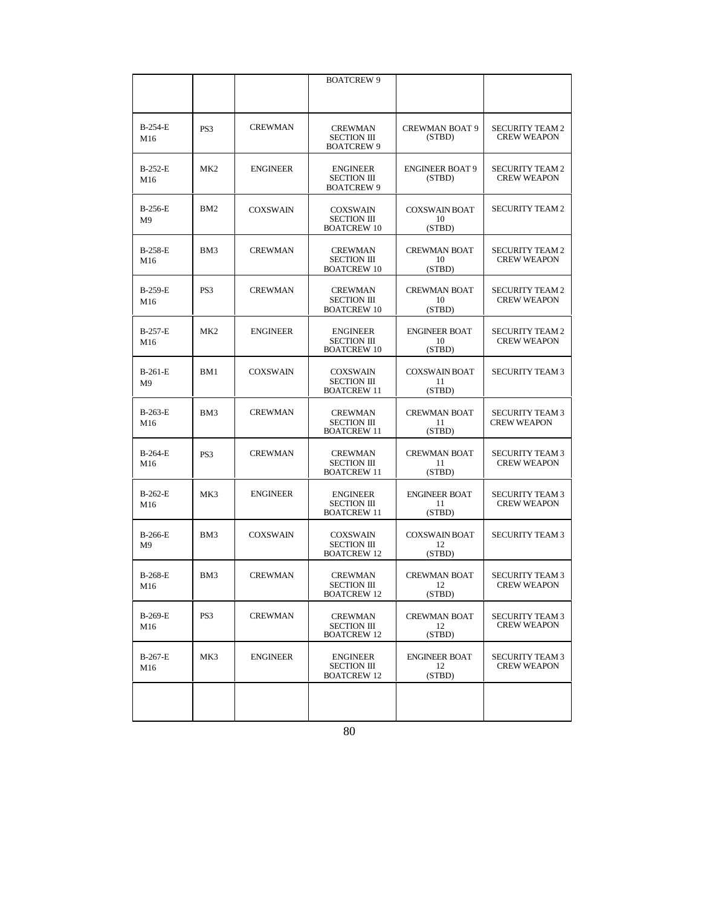|                           |                 |                 | <b>BOATCREW 9</b>                                           |                                      |                                              |
|---------------------------|-----------------|-----------------|-------------------------------------------------------------|--------------------------------------|----------------------------------------------|
|                           |                 |                 |                                                             |                                      |                                              |
| <b>B-254-E</b><br>M16     | PS3             | <b>CREWMAN</b>  | <b>CREWMAN</b><br><b>SECTION III</b><br><b>BOATCREW 9</b>   | <b>CREWMAN BOAT 9</b><br>(STBD)      | <b>SECURITY TEAM 2</b><br><b>CREW WEAPON</b> |
| B-252-E<br>M16            | MK <sub>2</sub> | <b>ENGINEER</b> | <b>ENGINEER</b><br><b>SECTION III</b><br><b>BOATCREW 9</b>  | <b>ENGINEER BOAT 9</b><br>(STBD)     | <b>SECURITY TEAM 2</b><br><b>CREW WEAPON</b> |
| B-256-E<br>M <sub>9</sub> | BM <sub>2</sub> | <b>COXSWAIN</b> | <b>COXSWAIN</b><br><b>SECTION III</b><br><b>BOATCREW 10</b> | <b>COXSWAIN BOAT</b><br>10<br>(STBD) | <b>SECURITY TEAM 2</b>                       |
| B-258-E<br>M16            | BM3             | <b>CREWMAN</b>  | <b>CREWMAN</b><br><b>SECTION III</b><br><b>BOATCREW 10</b>  | <b>CREWMAN BOAT</b><br>10<br>(STBD)  | <b>SECURITY TEAM 2</b><br><b>CREW WEAPON</b> |
| B-259-E<br>M16            | PS3             | <b>CREWMAN</b>  | <b>CREWMAN</b><br><b>SECTION III</b><br><b>BOATCREW 10</b>  | <b>CREWMAN BOAT</b><br>10<br>(STBD)  | <b>SECURITY TEAM 2</b><br><b>CREW WEAPON</b> |
| <b>B-257-E</b><br>M16     | MK <sub>2</sub> | <b>ENGINEER</b> | <b>ENGINEER</b><br><b>SECTION III</b><br><b>BOATCREW 10</b> | <b>ENGINEER BOAT</b><br>10<br>(STBD) | <b>SECURITY TEAM 2</b><br><b>CREW WEAPON</b> |
| B-261-E<br>M9             | BM1             | <b>COXSWAIN</b> | <b>COXSWAIN</b><br><b>SECTION III</b><br><b>BOATCREW 11</b> | <b>COXSWAIN BOAT</b><br>11<br>(STBD) | <b>SECURITY TEAM 3</b>                       |
| B-263-E<br>M16            | BM3             | <b>CREWMAN</b>  | <b>CREWMAN</b><br><b>SECTION III</b><br><b>BOATCREW 11</b>  | <b>CREWMAN BOAT</b><br>11<br>(STBD)  | <b>SECURITY TEAM 3</b><br><b>CREW WEAPON</b> |
| <b>B-264-E</b><br>M16     | PS3             | <b>CREWMAN</b>  | <b>CREWMAN</b><br><b>SECTION III</b><br><b>BOATCREW 11</b>  | <b>CREWMAN BOAT</b><br>11<br>(STBD)  | <b>SECURITY TEAM 3</b><br><b>CREW WEAPON</b> |
| $B-262-E$<br>M16          | MK3             | <b>ENGINEER</b> | <b>ENGINEER</b><br><b>SECTION III</b><br><b>BOATCREW 11</b> | <b>ENGINEER BOAT</b><br>11<br>(STBD) | <b>SECURITY TEAM 3</b><br><b>CREW WEAPON</b> |
| B-266-E<br>M <sup>9</sup> | BM3             | <b>COXSWAIN</b> | <b>COXSWAIN</b><br><b>SECTION III</b><br><b>BOATCREW 12</b> | <b>COXSWAIN BOAT</b><br>12<br>(STBD) | <b>SECURITY TEAM 3</b>                       |
| B-268-E<br>M16            | BM3             | <b>CREWMAN</b>  | <b>CREWMAN</b><br><b>SECTION III</b><br><b>BOATCREW 12</b>  | <b>CREWMAN BOAT</b><br>12<br>(STBD)  | <b>SECURITY TEAM 3</b><br><b>CREW WEAPON</b> |
| B-269-E<br>M16            | PS3             | <b>CREWMAN</b>  | <b>CREWMAN</b><br><b>SECTION III</b><br><b>BOATCREW 12</b>  | <b>CREWMAN BOAT</b><br>12<br>(STBD)  | <b>SECURITY TEAM 3</b><br><b>CREW WEAPON</b> |
| B-267-E<br>M16            | MK3             | <b>ENGINEER</b> | <b>ENGINEER</b><br><b>SECTION III</b><br><b>BOATCREW 12</b> | <b>ENGINEER BOAT</b><br>12<br>(STBD) | <b>SECURITY TEAM 3</b><br><b>CREW WEAPON</b> |
|                           |                 |                 |                                                             |                                      |                                              |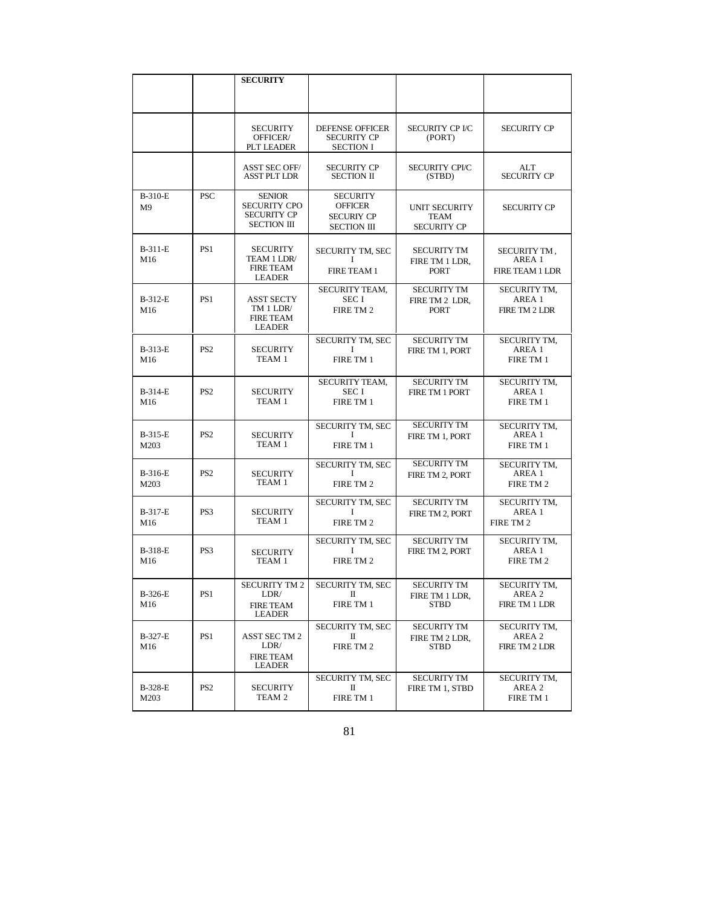|                           |                 | <b>SECURITY</b>                                                           |                                                                              |                                                     |                                                  |
|---------------------------|-----------------|---------------------------------------------------------------------------|------------------------------------------------------------------------------|-----------------------------------------------------|--------------------------------------------------|
|                           |                 |                                                                           |                                                                              |                                                     |                                                  |
|                           |                 | <b>SECURITY</b><br>OFFICER/<br>PLT LEADER                                 | <b>DEFENSE OFFICER</b><br><b>SECURITY CP</b><br><b>SECTION I</b>             | <b>SECURITY CP I/C</b><br>(PORT)                    | <b>SECURITY CP</b>                               |
|                           |                 | <b>ASST SEC OFF/</b><br><b>ASST PLT LDR</b>                               | <b>SECURITY CP</b><br><b>SECTION II</b>                                      | <b>SECURITY CPI/C</b><br>(STBD)                     | ALT<br><b>SECURITY CP</b>                        |
| B-310-E<br>M <sup>9</sup> | <b>PSC</b>      | <b>SENIOR</b><br><b>SECURITY CPO</b><br><b>SECURITY CP</b><br>SECTION III | <b>SECURITY</b><br><b>OFFICER</b><br><b>SECURIY CP</b><br><b>SECTION III</b> | <b>UNIT SECURITY</b><br>TEAM<br><b>SECURITY CP</b>  | <b>SECURITY CP</b>                               |
| B-311-E<br>M16            | PS1             | <b>SECURITY</b><br>TEAM 1 LDR/<br><b>FIRE TEAM</b><br><b>LEADER</b>       | SECURITY TM, SEC<br>I<br>FIRE TEAM 1                                         | <b>SECURITY TM</b><br>FIRE TM 1 LDR,<br><b>PORT</b> | SECURITY TM,<br>AREA 1<br><b>FIRE TEAM 1 LDR</b> |
| B-312-E<br>M16            | PS1             | <b>ASST SECTY</b><br>TM 1 LDR/<br><b>FIRE TEAM</b><br><b>LEADER</b>       | SECURITY TEAM,<br><b>SECI</b><br>FIRE TM 2                                   | <b>SECURITY TM</b><br>FIRE TM 2 LDR.<br><b>PORT</b> | SECURITY TM,<br>AREA 1<br><b>FIRE TM 2 LDR</b>   |
| B-313-E<br>M16            | PS <sub>2</sub> | SECURITY<br>TEAM 1                                                        | SECURITY TM, SEC<br>I<br>FIRE TM 1                                           | <b>SECURITY TM</b><br><b>FIRE TM 1. PORT</b>        | SECURITY TM,<br>AREA 1<br>FIRE TM 1              |
| B-314-E<br>M16            | PS <sub>2</sub> | SECURITY<br>TEAM <sub>1</sub>                                             | SECURITY TEAM,<br>SEC I<br>FIRE TM 1                                         | <b>SECURITY TM</b><br><b>FIRE TM 1 PORT</b>         | SECURITY TM,<br>AREA 1<br>FIRE TM 1              |
| B-315-E<br>M203           | PS <sub>2</sub> | SECURITY<br>TEAM 1                                                        | SECURITY TM, SEC<br>1<br>FIRE TM 1                                           | <b>SECURITY TM</b><br>FIRE TM 1, PORT               | SECURITY TM,<br>AREA 1<br>FIRE TM 1              |
| B-316-E<br>M203           | PS <sub>2</sub> | SECURITY<br>TEAM 1                                                        | SECURITY TM, SEC<br>I<br>FIRE TM 2                                           | <b>SECURITY TM</b><br>FIRE TM 2, PORT               | SECURITY TM,<br>AREA 1<br>FIRE TM 2              |
| B-317-E<br>M16            | PS3             | <b>SECURITY</b><br>TEAM 1                                                 | SECURITY TM, SEC<br>I<br>FIRE TM 2                                           | <b>SECURITY TM</b><br>FIRE TM 2, PORT               | SECURITY TM,<br>AREA 1<br>FIRE TM 2              |
| B-318-E<br>M16            | PS3             | <b>SECURITY</b><br>TEAM 1                                                 | SECURITY TM, SEC<br>1<br>FIRE TM 2                                           | <b>SECURITY TM</b><br>FIRE TM 2, PORT               | SECURITY TM,<br>AREA 1<br>FIRE TM 2              |
| B-326-E<br>M16            | PS1             | SECURITY TM 2<br>LDR/<br><b>FIRE TEAM</b><br>LEADER                       | SECURITY TM, SEC<br>П<br>FIRE TM 1                                           | <b>SECURITY TM</b><br>FIRE TM 1 LDR,<br><b>STBD</b> | SECURITY TM,<br>AREA 2<br>FIRE TM 1 LDR          |
| B-327-E<br>M16            | PS1             | <b>ASST SECTM 2</b><br>LDR/<br><b>FIRE TEAM</b><br>LEADER                 | SECURITY TM, SEC<br>П<br>FIRE TM 2                                           | <b>SECURITY TM</b><br>FIRE TM 2 LDR.<br><b>STBD</b> | SECURITY TM,<br>AREA 2<br>FIRE TM 2 LDR          |
| B-328-E<br>M203           | PS <sub>2</sub> | SECURITY<br>TEAM 2                                                        | SECURITY TM, SEC<br>П<br>FIRE TM 1                                           | <b>SECURITY TM</b><br>FIRE TM 1, STBD               | SECURITY TM,<br>AREA 2<br>FIRE TM 1              |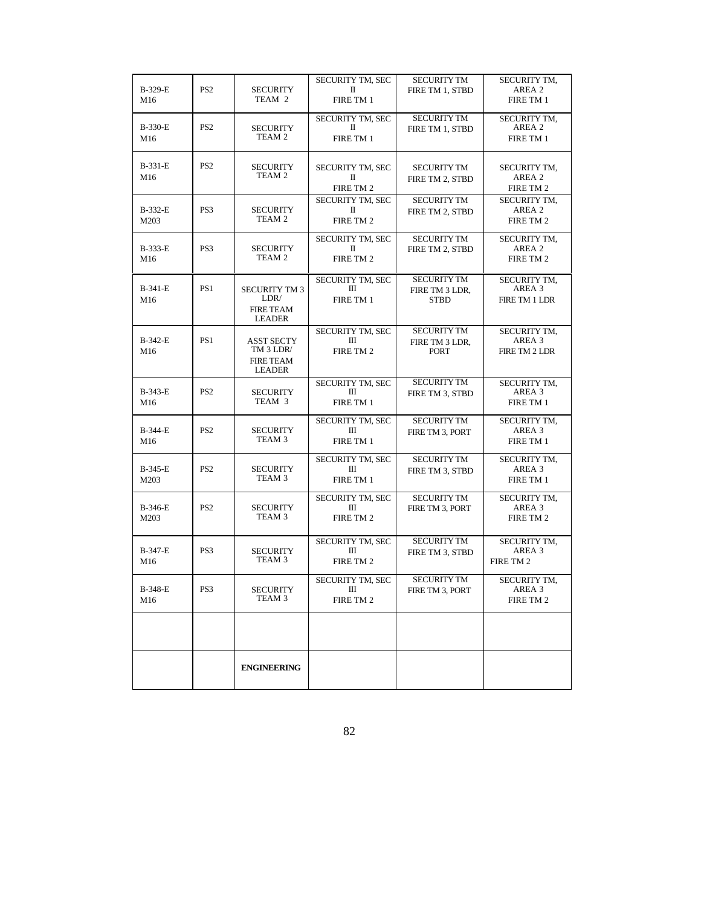| B-329-E<br>M16  | PS <sub>2</sub> | SECURITY<br>TEAM 2                                                  | SECURITY TM, SEC<br>П<br>FIRE TM 1 | <b>SECURITY TM</b><br>FIRE TM 1, STBD               | SECURITY TM,<br>AREA 2<br>FIRE TM 1     |
|-----------------|-----------------|---------------------------------------------------------------------|------------------------------------|-----------------------------------------------------|-----------------------------------------|
| B-330-E<br>M16  | PS <sub>2</sub> | SECURITY<br>TEAM 2                                                  | SECURITY TM, SEC<br>П<br>FIRE TM 1 | <b>SECURITY TM</b><br>FIRE TM 1, STBD               | SECURITY TM,<br>AREA 2<br>FIRE TM 1     |
| B-331-E<br>M16  | PS <sub>2</sub> | SECURITY<br>TEAM 2                                                  | SECURITY TM, SEC<br>П<br>FIRE TM 2 | <b>SECURITY TM</b><br>FIRE TM 2, STBD               | SECURITY TM,<br>AREA 2<br>FIRE TM 2     |
| B-332-E<br>M203 | PS3             | <b>SECURITY</b><br>TEAM 2                                           | SECURITY TM, SEC<br>П<br>FIRE TM 2 | <b>SECURITY TM</b><br>FIRE TM 2, STBD               | SECURITY TM.<br>AREA 2<br>FIRE TM 2     |
| B-333-E<br>M16  | PS3             | SECURITY<br>TEAM 2                                                  | SECURITY TM, SEC<br>П<br>FIRE TM 2 | <b>SECURITY TM</b><br>FIRE TM 2, STBD               | SECURITY TM,<br>AREA 2<br>FIRE TM 2     |
| B-341-E<br>M16  | PS1             | <b>SECURITY TM3</b><br>LDR/<br><b>FIRE TEAM</b><br><b>LEADER</b>    | SECURITY TM, SEC<br>Ш<br>FIRE TM 1 | <b>SECURITY TM</b><br>FIRE TM 3 LDR,<br><b>STBD</b> | SECURITY TM,<br>AREA 3<br>FIRE TM 1 LDR |
| B-342-E<br>M16  | PS1             | <b>ASST SECTY</b><br>TM 3 LDR/<br><b>FIRE TEAM</b><br><b>LEADER</b> | SECURITY TM, SEC<br>Ш<br>FIRE TM 2 | <b>SECURITY TM</b><br>FIRE TM 3 LDR,<br><b>PORT</b> | SECURITY TM,<br>AREA 3<br>FIRE TM 2 LDR |
| B-343-E<br>M16  | PS <sub>2</sub> | SECURITY<br>TEAM 3                                                  | SECURITY TM, SEC<br>Ш<br>FIRE TM 1 | <b>SECURITY TM</b><br>FIRE TM 3, STBD               | SECURITY TM,<br>AREA 3<br>FIRE TM 1     |
| B-344-E<br>M16  | PS <sub>2</sub> | SECURITY<br>TEAM 3                                                  | SECURITY TM, SEC<br>Ш<br>FIRE TM 1 | <b>SECURITY TM</b><br>FIRE TM 3, PORT               | SECURITY TM,<br>AREA 3<br>FIRE TM 1     |
| B-345-E<br>M203 | PS <sub>2</sub> | SECURITY<br>TEAM 3                                                  | SECURITY TM, SEC<br>Ш<br>FIRE TM 1 | <b>SECURITY TM</b><br>FIRE TM 3, STBD               | SECURITY TM,<br>AREA 3<br>FIRE TM 1     |
| B-346-E<br>M203 | PS <sub>2</sub> | SECURITY<br>TEAM 3                                                  | SECURITY TM, SEC<br>Ш<br>FIRE TM 2 | <b>SECURITY TM</b><br>FIRE TM 3, PORT               | SECURITY TM,<br>AREA 3<br>FIRE TM 2     |
| B-347-E<br>M16  | PS3             | <b>SECURITY</b><br>TEAM 3                                           | SECURITY TM, SEC<br>Ш<br>FIRE TM 2 | <b>SECURITY TM</b><br>FIRE TM 3, STBD               | SECURITY TM,<br>AREA 3<br>FIRE TM 2     |
| B-348-E<br>M16  | PS3             | <b>SECURITY</b><br>TEAM 3                                           | SECURITY TM, SEC<br>Ш<br>FIRE TM 2 | <b>SECURITY TM</b><br>FIRE TM 3, PORT               | SECURITY TM,<br>AREA 3<br>FIRE TM 2     |
|                 |                 |                                                                     |                                    |                                                     |                                         |
|                 |                 | <b>ENGINEERING</b>                                                  |                                    |                                                     |                                         |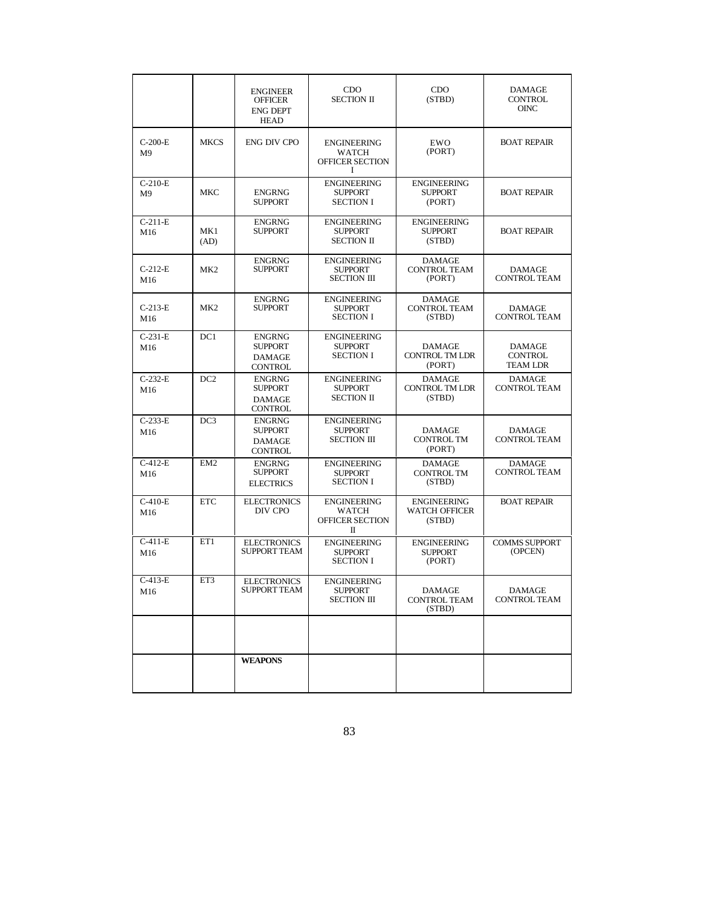|                              |                 | <b>ENGINEER</b><br><b>OFFICER</b><br><b>ENG DEPT</b><br><b>HEAD</b> | CDO<br><b>SECTION II</b>                                          | CDO<br>(STBD)                                    | DAMAGE<br><b>CONTROL</b><br><b>OINC</b>     |
|------------------------------|-----------------|---------------------------------------------------------------------|-------------------------------------------------------------------|--------------------------------------------------|---------------------------------------------|
| $C-200-E$<br>M <sup>9</sup>  | <b>MKCS</b>     | ENG DIV CPO                                                         | <b>ENGINEERING</b><br><b>WATCH</b><br><b>OFFICER SECTION</b><br>1 | EWO<br>(PORT)                                    | <b>BOAT REPAIR</b>                          |
| $C-210-E$<br>M <sub>9</sub>  | MKC             | <b>ENGRNG</b><br><b>SUPPORT</b>                                     | <b>ENGINEERING</b><br><b>SUPPORT</b><br><b>SECTION I</b>          | <b>ENGINEERING</b><br><b>SUPPORT</b><br>(PORT)   | <b>BOAT REPAIR</b>                          |
| $C-211-E$<br>M16             | MK1<br>(AD)     | <b>ENGRNG</b><br><b>SUPPORT</b>                                     | <b>ENGINEERING</b><br><b>SUPPORT</b><br><b>SECTION II</b>         | <b>ENGINEERING</b><br><b>SUPPORT</b><br>(STBD)   | <b>BOAT REPAIR</b>                          |
| $C-212-E$<br>M16             | MK2             | <b>ENGRNG</b><br><b>SUPPORT</b>                                     | <b>ENGINEERING</b><br><b>SUPPORT</b><br><b>SECTION III</b>        | <b>DAMAGE</b><br><b>CONTROL TEAM</b><br>(PORT)   | <b>DAMAGE</b><br><b>CONTROL TEAM</b>        |
| $C-213-E$<br>M <sub>16</sub> | MK2             | <b>ENGRNG</b><br><b>SUPPORT</b>                                     | <b>ENGINEERING</b><br><b>SUPPORT</b><br><b>SECTION I</b>          | <b>DAMAGE</b><br><b>CONTROL TEAM</b><br>(STBD)   | <b>DAMAGE</b><br><b>CONTROL TEAM</b>        |
| $C-231-E$<br>M16             | DC1             | <b>ENGRNG</b><br><b>SUPPORT</b><br><b>DAMAGE</b><br><b>CONTROL</b>  | <b>ENGINEERING</b><br><b>SUPPORT</b><br><b>SECTION I</b>          | DAMAGE<br><b>CONTROL TM LDR</b><br>(PORT)        | DAMAGE<br><b>CONTROL</b><br><b>TEAM LDR</b> |
| $C-232-E$<br>M16             | DC2             | <b>ENGRNG</b><br><b>SUPPORT</b><br><b>DAMAGE</b><br><b>CONTROL</b>  | <b>ENGINEERING</b><br><b>SUPPORT</b><br><b>SECTION II</b>         | <b>DAMAGE</b><br><b>CONTROL TM LDR</b><br>(STBD) | <b>DAMAGE</b><br><b>CONTROL TEAM</b>        |
| $C-233-E$<br>M16             | DC3             | <b>ENGRNG</b><br><b>SUPPORT</b><br><b>DAMAGE</b><br><b>CONTROL</b>  | <b>ENGINEERING</b><br><b>SUPPORT</b><br><b>SECTION III</b>        | <b>DAMAGE</b><br><b>CONTROL TM</b><br>(PORT)     | <b>DAMAGE</b><br><b>CONTROL TEAM</b>        |
| $C-412-E$<br>M16             | EM <sub>2</sub> | <b>ENGRNG</b><br><b>SUPPORT</b><br><b>ELECTRICS</b>                 | <b>ENGINEERING</b><br><b>SUPPORT</b><br><b>SECTION I</b>          | <b>DAMAGE</b><br><b>CONTROL TM</b><br>(STBD)     | <b>DAMAGE</b><br><b>CONTROL TEAM</b>        |
| $C-410-E$<br>M16             | <b>ETC</b>      | <b>ELECTRONICS</b><br>DIV CPO                                       | <b>ENGINEERING</b><br>WATCH<br>OFFICER SECTION<br>П               | <b>ENGINEERING</b><br>WATCH OFFICER<br>(STBD)    | <b>BOAT REPAIR</b>                          |
| $C-411-E$<br>M16             | ET1             | <b>ELECTRONICS</b><br><b>SUPPORT TEAM</b>                           | <b>ENGINEERING</b><br><b>SUPPORT</b><br><b>SECTION I</b>          | <b>ENGINEERING</b><br><b>SUPPORT</b><br>(PORT)   | <b>COMMS SUPPORT</b><br>(OPCEN)             |
| $C-413-E$<br>M16             | ET3             | <b>ELECTRONICS</b><br>SUPPORT TEAM                                  | <b>ENGINEERING</b><br><b>SUPPORT</b><br><b>SECTION III</b>        | DAMAGE<br><b>CONTROL TEAM</b><br>(STBD)          | DAMAGE<br><b>CONTROL TEAM</b>               |
|                              |                 |                                                                     |                                                                   |                                                  |                                             |
|                              |                 | <b>WEAPONS</b>                                                      |                                                                   |                                                  |                                             |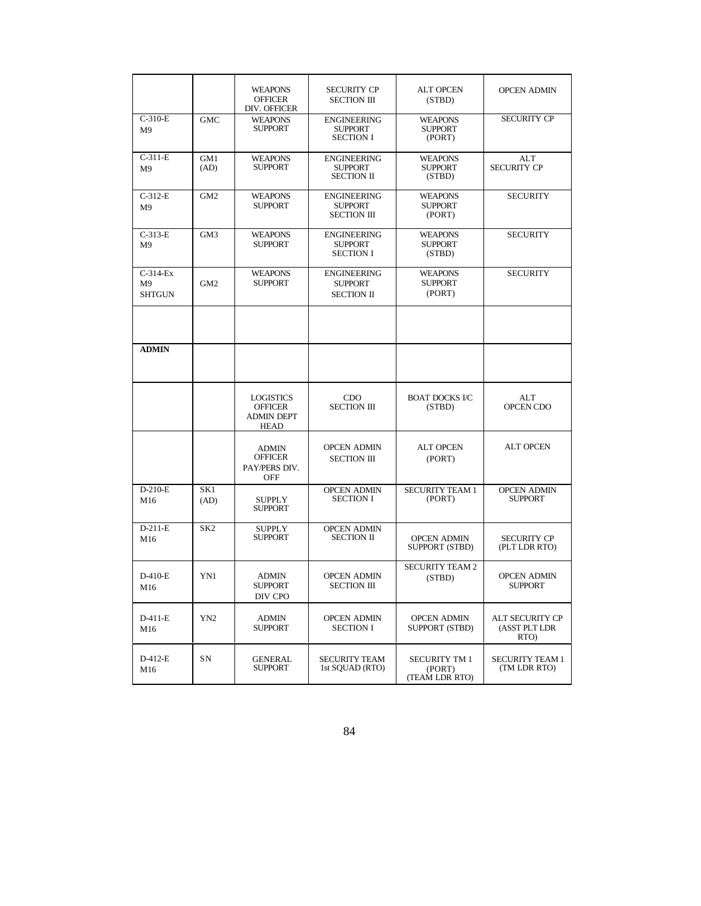|                                               |                         | <b>WEAPONS</b><br><b>OFFICER</b><br>DIV. OFFICER                | <b>SECURITY CP</b><br><b>SECTION III</b>                   | <b>ALT OPCEN</b><br>(STBD)                       | <b>OPCEN ADMIN</b>                       |
|-----------------------------------------------|-------------------------|-----------------------------------------------------------------|------------------------------------------------------------|--------------------------------------------------|------------------------------------------|
| $C-310-E$<br>M <sup>9</sup>                   | <b>GMC</b>              | <b>WEAPONS</b><br><b>SUPPORT</b>                                | <b>ENGINEERING</b><br><b>SUPPORT</b><br><b>SECTION I</b>   | <b>WEAPONS</b><br><b>SUPPORT</b><br>(PORT)       | <b>SECURITY CP</b>                       |
| $C-311-E$<br>M <sup>9</sup>                   | GM1<br>(AD)             | <b>WEAPONS</b><br><b>SUPPORT</b>                                | <b>ENGINEERING</b><br><b>SUPPORT</b><br><b>SECTION II</b>  | <b>WEAPONS</b><br><b>SUPPORT</b><br>(STBD)       | <b>ALT</b><br><b>SECURITY CP</b>         |
| $C-312-E$<br>M <sup>9</sup>                   | GM <sub>2</sub>         | <b>WEAPONS</b><br><b>SUPPORT</b>                                | <b>ENGINEERING</b><br><b>SUPPORT</b><br><b>SECTION III</b> | <b>WEAPONS</b><br><b>SUPPORT</b><br>(PORT)       | <b>SECURITY</b>                          |
| $C-313-E$<br>M <sub>9</sub>                   | GM3                     | <b>WEAPONS</b><br><b>SUPPORT</b>                                | <b>ENGINEERING</b><br><b>SUPPORT</b><br><b>SECTION I</b>   | <b>WEAPONS</b><br><b>SUPPORT</b><br>(STBD)       | <b>SECURITY</b>                          |
| $C-314-Ex$<br>M <sup>9</sup><br><b>SHTGUN</b> | GM <sub>2</sub>         | <b>WEAPONS</b><br><b>SUPPORT</b>                                | <b>ENGINEERING</b><br><b>SUPPORT</b><br><b>SECTION II</b>  | <b>WEAPONS</b><br><b>SUPPORT</b><br>(PORT)       | <b>SECURITY</b>                          |
|                                               |                         |                                                                 |                                                            |                                                  |                                          |
| <b>ADMIN</b>                                  |                         |                                                                 |                                                            |                                                  |                                          |
|                                               |                         | <b>LOGISTICS</b><br><b>OFFICER</b><br><b>ADMIN DEPT</b><br>HEAD | <b>CDO</b><br><b>SECTION III</b>                           | <b>BOAT DOCKS I/C</b><br>(STBD)                  | ALT<br>OPCEN CDO                         |
|                                               |                         | <b>ADMIN</b><br><b>OFFICER</b><br>PAY/PERS DIV.<br>OFF          | <b>OPCEN ADMIN</b><br><b>SECTION III</b>                   | <b>ALT OPCEN</b><br>(PORT)                       | <b>ALT OPCEN</b>                         |
| $D-210-E$<br>M16                              | SK <sub>1</sub><br>(AD) | <b>SUPPLY</b><br><b>SUPPORT</b>                                 | <b>OPCEN ADMIN</b><br><b>SECTION I</b>                     | <b>SECURITY TEAM 1</b><br>(PORT)                 | <b>OPCEN ADMIN</b><br><b>SUPPORT</b>     |
| $D-211-E$<br>M16                              | SK <sub>2</sub>         | <b>SUPPLY</b><br><b>SUPPORT</b>                                 | <b>OPCEN ADMIN</b><br><b>SECTION II</b>                    | <b>OPCEN ADMIN</b><br>SUPPORT (STBD)             | <b>SECURITY CP</b><br>(PLT LDR RTO)      |
| $D-410-E$<br>M16                              | YN1                     | <b>ADMIN</b><br><b>SUPPORT</b><br>DIV CPO                       | <b>OPCEN ADMIN</b><br><b>SECTION III</b>                   | <b>SECURITY TEAM 2</b><br>(STBD)                 | <b>OPCEN ADMIN</b><br><b>SUPPORT</b>     |
| D-411-E<br>M16                                | YN <sub>2</sub>         | ADMIN<br><b>SUPPORT</b>                                         | <b>OPCEN ADMIN</b><br><b>SECTION I</b>                     | <b>OPCEN ADMIN</b><br>SUPPORT (STBD)             | ALT SECURITY CP<br>(ASST PLT LDR<br>RTO) |
| D-412-E<br>M16                                | SN                      | <b>GENERAL</b><br>SUPPORT                                       | <b>SECURITY TEAM</b><br>1st SQUAD (RTO)                    | <b>SECURITY TM 1</b><br>(PORT)<br>(TEAM LDR RTO) | <b>SECURITY TEAM 1</b><br>(TM LDR RTO)   |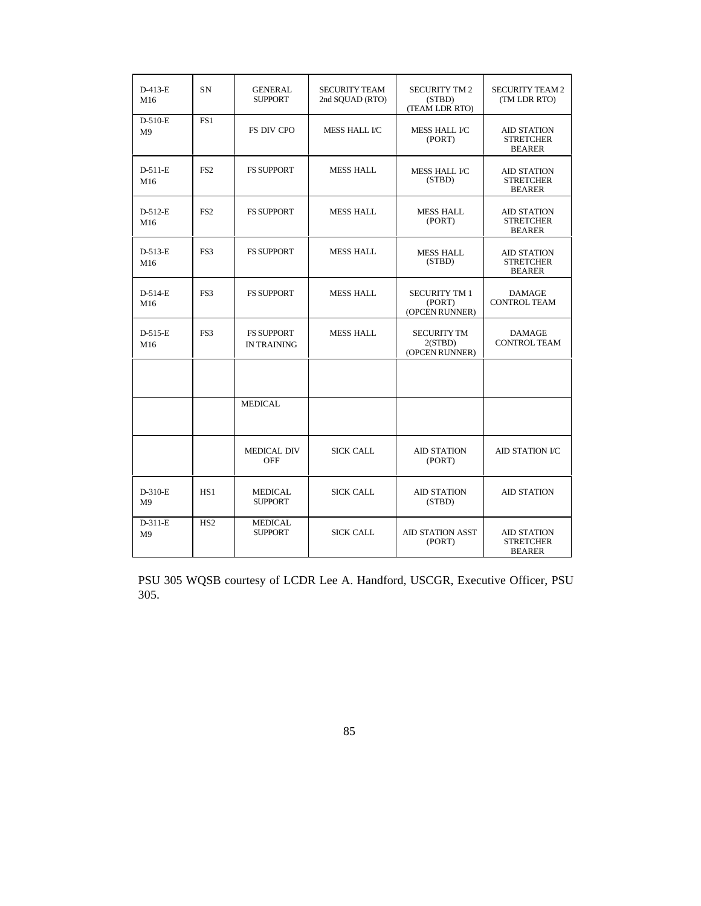| $D-413-E$<br>M16            | SN              | <b>GENERAL</b><br><b>SUPPORT</b>        | <b>SECURITY TEAM</b><br>2nd SQUAD (RTO) | <b>SECURITY TM 2</b><br>(STBD)<br>(TEAM LDR RTO) | <b>SECURITY TEAM 2</b><br>(TM LDR RTO)                  |
|-----------------------------|-----------------|-----------------------------------------|-----------------------------------------|--------------------------------------------------|---------------------------------------------------------|
| $D-510-E$<br>M <sub>9</sub> | FS1             | <b>FS DIV CPO</b>                       | <b>MESS HALL I/C</b>                    | <b>MESS HALL I/C</b><br>(PORT)                   | <b>AID STATION</b><br><b>STRETCHER</b><br><b>BEARER</b> |
| $D-511-E$<br>M16            | FS <sub>2</sub> | <b>FS SUPPORT</b>                       | <b>MESS HALL</b>                        | MESS HALL I/C<br>(STBD)                          | <b>AID STATION</b><br><b>STRETCHER</b><br><b>BEARER</b> |
| $D-512-E$<br>M16            | FS <sub>2</sub> | <b>FS SUPPORT</b>                       | <b>MESS HALL</b>                        | <b>MESS HALL</b><br>(PORT)                       | <b>AID STATION</b><br><b>STRETCHER</b><br><b>BEARER</b> |
| $D-513-E$<br>M16            | FS3             | <b>FS SUPPORT</b>                       | <b>MESS HALL</b>                        | <b>MESS HALL</b><br>(STBD)                       | <b>AID STATION</b><br><b>STRETCHER</b><br><b>BEARER</b> |
| $D-514-E$<br>M16            | FS3             | <b>FS SUPPORT</b>                       | <b>MESS HALL</b>                        | <b>SECURITY TM 1</b><br>(PORT)<br>(OPCEN RUNNER) | <b>DAMAGE</b><br><b>CONTROL TEAM</b>                    |
| $D-515-E$<br>M16            | FS3             | <b>FS SUPPORT</b><br><b>IN TRAINING</b> | <b>MESS HALL</b>                        | <b>SECURITY TM</b><br>2(STBD)<br>(OPCEN RUNNER)  | <b>DAMAGE</b><br><b>CONTROL TEAM</b>                    |
|                             |                 |                                         |                                         |                                                  |                                                         |
|                             |                 | <b>MEDICAL</b>                          |                                         |                                                  |                                                         |
|                             |                 | <b>MEDICAL DIV</b><br><b>OFF</b>        | <b>SICK CALL</b>                        | <b>AID STATION</b><br>(PORT)                     | <b>AID STATION I/C</b>                                  |
| $D-310-E$<br>M <sub>9</sub> | HS1             | <b>MEDICAL</b><br><b>SUPPORT</b>        | <b>SICK CALL</b>                        | <b>AID STATION</b><br>(STBD)                     | <b>AID STATION</b>                                      |
| $D-311-E$<br>M <sub>9</sub> | HS <sub>2</sub> | <b>MEDICAL</b><br><b>SUPPORT</b>        | <b>SICK CALL</b>                        | <b>AID STATION ASST</b><br>(PORT)                | <b>AID STATION</b><br><b>STRETCHER</b><br><b>BEARER</b> |

PSU 305 WQSB courtesy of LCDR Lee A. Handford, USCGR, Executive Officer, PSU 305.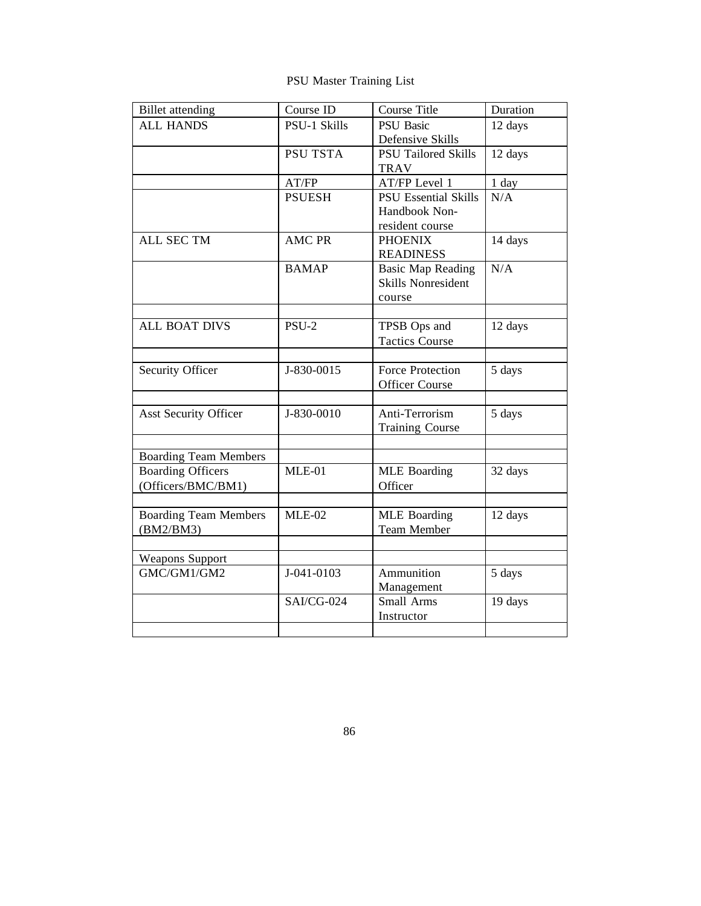PSU Master Training List

| <b>Billet</b> attending                        | Course ID           | <b>Course Title</b>                                             | Duration |
|------------------------------------------------|---------------------|-----------------------------------------------------------------|----------|
| <b>ALL HANDS</b>                               | <b>PSU-1 Skills</b> | <b>PSU</b> Basic<br>Defensive Skills                            | 12 days  |
|                                                | <b>PSU TSTA</b>     | <b>PSU Tailored Skills</b><br><b>TRAV</b>                       | 12 days  |
|                                                | AT/FP               | AT/FP Level 1                                                   | 1 day    |
|                                                | <b>PSUESH</b>       | <b>PSU Essential Skills</b><br>Handbook Non-<br>resident course | N/A      |
| <b>ALL SEC TM</b>                              | <b>AMC PR</b>       | <b>PHOENIX</b><br><b>READINESS</b>                              | 14 days  |
|                                                | <b>BAMAP</b>        | <b>Basic Map Reading</b><br><b>Skills Nonresident</b><br>course | N/A      |
| <b>ALL BOAT DIVS</b>                           | $PSU-2$             | TPSB Ops and<br><b>Tactics Course</b>                           | 12 days  |
| Security Officer                               | J-830-0015          | <b>Force Protection</b><br><b>Officer Course</b>                | 5 days   |
| <b>Asst Security Officer</b>                   | J-830-0010          | Anti-Terrorism<br><b>Training Course</b>                        | 5 days   |
| <b>Boarding Team Members</b>                   |                     |                                                                 |          |
| <b>Boarding Officers</b><br>(Officers/BMC/BM1) | $MLE-01$            | <b>MLE</b> Boarding<br>Officer                                  | 32 days  |
| <b>Boarding Team Members</b><br>(BM2/BM3)      | $MLE-02$            | <b>MLE</b> Boarding<br>Team Member                              | 12 days  |
| <b>Weapons Support</b>                         |                     |                                                                 |          |
| GMC/GM1/GM2                                    | J-041-0103          | Ammunition<br>Management                                        | 5 days   |
|                                                | <b>SAI/CG-024</b>   | Small Arms<br>Instructor                                        | 19 days  |
|                                                |                     |                                                                 |          |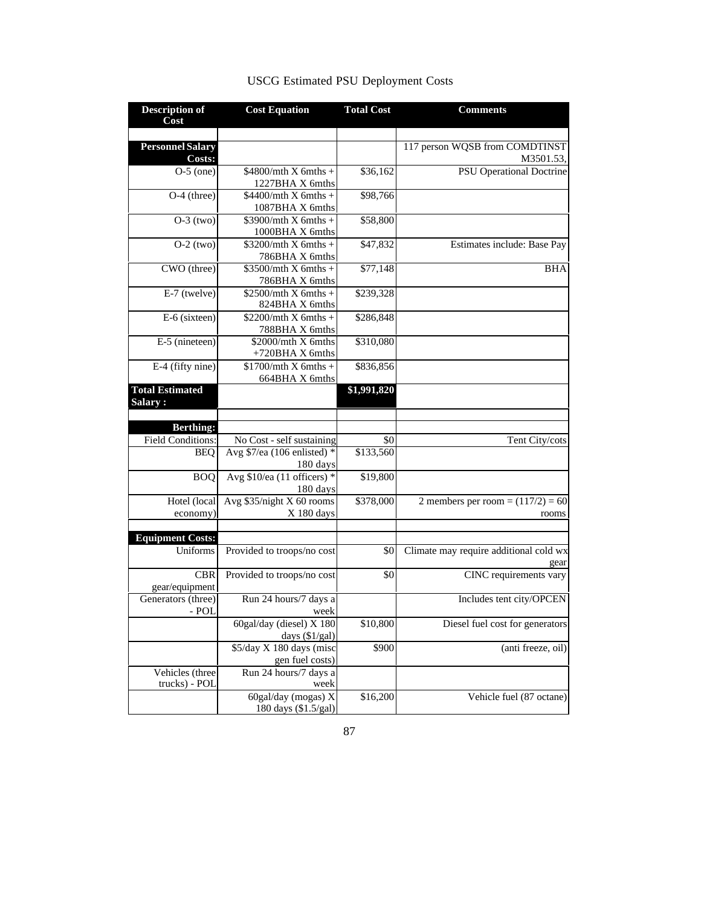| <b>Description of</b><br>Cost     | <b>Cost Equation</b>                                      | <b>Total Cost</b> | <b>Comments</b>                                |
|-----------------------------------|-----------------------------------------------------------|-------------------|------------------------------------------------|
|                                   |                                                           |                   |                                                |
| <b>Personnel Salary</b><br>Costs: |                                                           |                   | 117 person WQSB from COMDTINST<br>M3501.53,    |
| $O-5$ (one)                       | $$4800/mth X$ 6mths +<br>1227BHA X 6mths                  | \$36,162          | <b>PSU</b> Operational Doctrine                |
| $O-4$ (three)                     | $$4400/mth X$ 6mths +                                     | \$98,766          |                                                |
| $O-3$ (two)                       | 1087BHA X 6mths<br>$$3900/mth X$ 6mths +                  | \$58,800          |                                                |
| $O-2$ (two)                       | 1000BHA X 6mths<br>$$3200/mth X$ 6mths +                  | \$47,832          | Estimates include: Base Pay                    |
| CWO (three)                       | 786BHA X 6mths<br>$$3500/mth X$ 6mths +<br>786BHA X 6mths | \$77,148          | <b>BHA</b>                                     |
| E-7 (twelve)                      | $$2500/mth X$ 6mths +<br>824BHA X 6mths                   | \$239,328         |                                                |
| E-6 (sixteen)                     | $$2200/mth X$ 6mths +<br>788BHA X 6mths                   | \$286,848         |                                                |
| E-5 (nineteen)                    | \$2000/mth X 6mths<br>+720BHA X 6mths                     | \$310,080         |                                                |
| E-4 (fifty nine)                  | $$1700/mth X$ 6mths +<br>664BHA X 6mths                   | \$836,856         |                                                |
| <b>Total Estimated</b><br>Salary: |                                                           | \$1,991,820       |                                                |
|                                   |                                                           |                   |                                                |
| <b>Berthing:</b>                  |                                                           |                   |                                                |
| Field Conditions:                 | No Cost - self sustaining                                 | \$0               | Tent City/cots                                 |
| <b>BEO</b>                        | Avg $$7/ea$ (106 enlisted) *<br>180 days                  | \$133,560         |                                                |
| <b>BOQ</b>                        | Avg $$10$ /ea (11 officers) *<br>180 days                 | \$19,800          |                                                |
| Hotel (local<br>economy)          | Avg \$35/night X 60 rooms<br>X 180 days                   | \$378,000         | 2 members per room = $(117/2) = 60$<br>rooms   |
|                                   |                                                           |                   |                                                |
| <b>Equipment Costs:</b>           |                                                           |                   |                                                |
| Uniforms                          | Provided to troops/no cost                                | \$0               | Climate may require additional cold wx<br>gear |
| <b>CBR</b><br>gear/equipment      | Provided to troops/no cost                                | \$0               | CINC requirements vary                         |
| Generators (three)<br>- POL       | Run 24 hours/7 days a<br>week                             |                   | Includes tent city/OPCEN                       |
|                                   | 60gal/day (diesel) X 180<br>days $(\frac{1}{gal})$        | \$10,800          | Diesel fuel cost for generators                |
|                                   | \$5/day X 180 days (misc<br>gen fuel costs)               | \$900             | (anti freeze, oil)                             |
| Vehicles (three<br>trucks) - POL  | Run 24 hours/7 days a<br>week                             |                   |                                                |
|                                   | 60gal/day (mogas) X<br>180 days (\$1.5/gal)               | \$16,200          | Vehicle fuel (87 octane)                       |

# USCG Estimated PSU Deployment Costs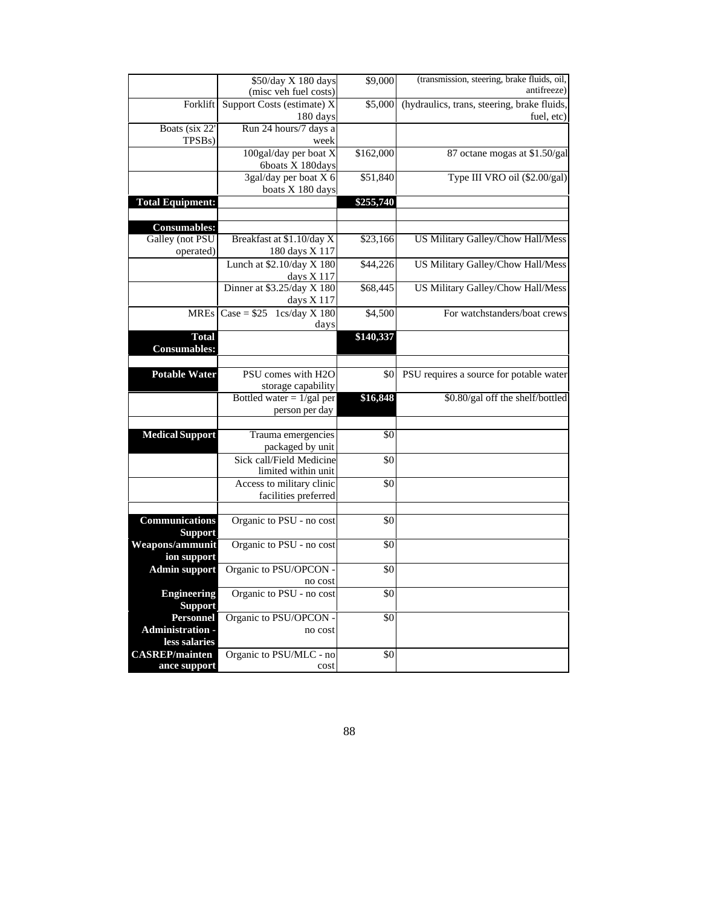|                         | \$50/day X 180 days                               | \$9,000   | (transmission, steering, brake fluids, oil, |
|-------------------------|---------------------------------------------------|-----------|---------------------------------------------|
|                         | (misc veh fuel costs)                             |           | antifreeze)                                 |
| Forklift                | Support Costs (estimate) X                        | \$5,000   | (hydraulics, trans, steering, brake fluids, |
|                         | 180 days                                          |           | fuel, etc)                                  |
| Boats (six 22'          | Run 24 hours/7 days a                             |           |                                             |
| TPSB <sub>s</sub> )     | week                                              |           |                                             |
|                         | 100gal/day per boat X                             | \$162,000 | 87 octane mogas at \$1.50/gal               |
|                         | 6boats X 180days                                  |           |                                             |
|                         | 3gal/day per boat X 6                             | \$51,840  | Type III VRO oil (\$2.00/gal)               |
|                         | boats X 180 days                                  |           |                                             |
| <b>Total Equipment:</b> |                                                   | \$255,740 |                                             |
|                         |                                                   |           |                                             |
| <b>Consumables:</b>     |                                                   |           |                                             |
| Galley (not PSU         | Breakfast at \$1.10/day X                         | \$23,166  | US Military Galley/Chow Hall/Mess           |
| operated)               | 180 days X 117                                    |           |                                             |
|                         | Lunch at \$2.10/day X 180                         | \$44,226  | US Military Galley/Chow Hall/Mess           |
|                         | days X 117                                        |           |                                             |
|                         | Dinner at \$3.25/day X 180                        | \$68,445  | US Military Galley/Chow Hall/Mess           |
|                         | days X 117                                        |           |                                             |
|                         | $MREs$ Case = \$25 1cs/day X 180                  | \$4,500   | For watchstanders/boat crews                |
|                         | days                                              |           |                                             |
| <b>Total</b>            |                                                   | \$140,337 |                                             |
| <b>Consumables:</b>     |                                                   |           |                                             |
|                         | PSU comes with H2O                                |           |                                             |
| <b>Potable Water</b>    |                                                   | \$0       | PSU requires a source for potable water     |
|                         | storage capability<br>Bottled water $= 1/gal$ per | \$16,848  | \$0.80/gal off the shelf/bottled            |
|                         | person per day                                    |           |                                             |
|                         |                                                   |           |                                             |
| <b>Medical Support</b>  | Trauma emergencies                                | \$0       |                                             |
|                         | packaged by unit                                  |           |                                             |
|                         | Sick call/Field Medicine                          | \$0       |                                             |
|                         | limited within unit                               |           |                                             |
|                         | Access to military clinic                         | \$0       |                                             |
|                         | facilities preferred                              |           |                                             |
|                         |                                                   |           |                                             |
| <b>Communications</b>   | Organic to PSU - no cost                          | \$0       |                                             |
| <b>Support</b>          |                                                   |           |                                             |
| Weapons/ammunit         | Organic to PSU - no cost                          | \$0       |                                             |
| ion support             |                                                   |           |                                             |
| <b>Admin support</b>    | Organic to PSU/OPCON -                            | \$0       |                                             |
|                         | no cost                                           |           |                                             |
| <b>Engineering</b>      | Organic to PSU - no cost                          | \$0       |                                             |
| <b>Support</b>          |                                                   |           |                                             |
| <b>Personnel</b>        | Organic to PSU/OPCON -                            | \$0       |                                             |
| Administration -        | no cost                                           |           |                                             |
| less salaries           |                                                   |           |                                             |
| <b>CASREP/mainten</b>   | Organic to PSU/MLC - no                           | \$0       |                                             |
| ance support            | cost                                              |           |                                             |

88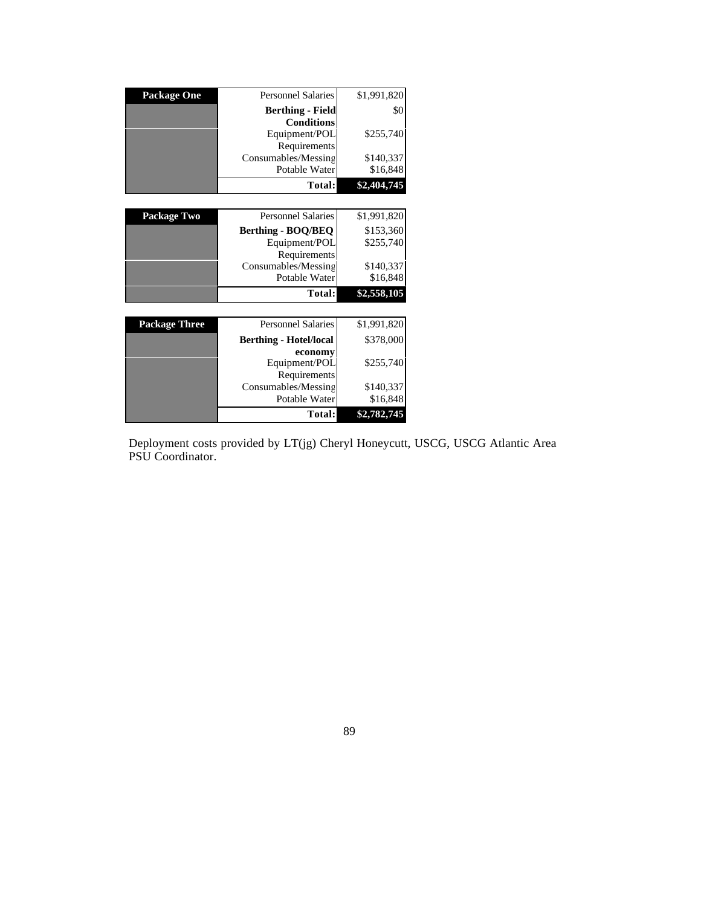| <b>Package One</b>   | <b>Personnel Salaries</b>     | \$1,991,820 |
|----------------------|-------------------------------|-------------|
|                      | <b>Berthing - Field</b>       | \$0         |
|                      | <b>Conditions</b>             |             |
|                      | Equipment/POL                 | \$255,740   |
|                      | Requirements                  |             |
|                      | Consumables/Messing           | \$140,337   |
|                      | Potable Water                 | \$16,848    |
|                      | <b>Total:</b>                 | \$2,404,745 |
|                      |                               |             |
| <b>Package Two</b>   | <b>Personnel Salaries</b>     | \$1,991,820 |
|                      | <b>Berthing - BOQ/BEQ</b>     | \$153,360   |
|                      | Equipment/POL                 | \$255,740   |
|                      | Requirements                  |             |
|                      | Consumables/Messing           | \$140,337   |
|                      | Potable Water                 | \$16,848    |
|                      | Total:                        | \$2,558,105 |
|                      |                               |             |
| <b>Package Three</b> | <b>Personnel Salaries</b>     | \$1,991,820 |
|                      | <b>Berthing - Hotel/local</b> | \$378,000   |
|                      | economy                       |             |
|                      | Equipment/POL                 | \$255,740   |
|                      | Requirements                  |             |
|                      | Consumables/Messing           | \$140,337   |
|                      | Potable Water                 | \$16,848    |
|                      | Total:                        | \$2,782,745 |

Deployment costs provided by LT(jg) Cheryl Honeycutt, USCG, USCG Atlantic Area PSU Coordinator.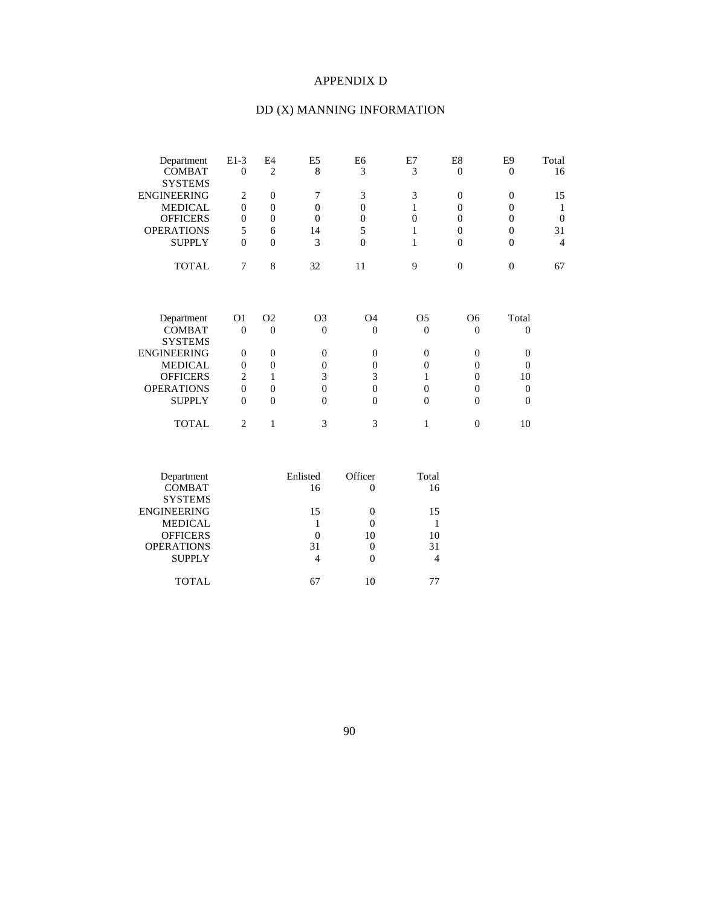### APPENDIX D

## DD (X) MANNING INFORMATION

| Department         | $E1-3$         | E4             | E5             | E6             | E7             | E8             | E9       | Total          |
|--------------------|----------------|----------------|----------------|----------------|----------------|----------------|----------|----------------|
| <b>COMBAT</b>      | $\overline{0}$ | $\overline{2}$ | 8              | 3              | 3              | $\overline{0}$ | $\Omega$ | 16             |
| <b>SYSTEMS</b>     |                |                |                |                |                |                |          |                |
| <b>ENGINEERING</b> | 2              | $\Omega$       | 7              | 3              | 3              | $\theta$       | $\Omega$ | 15             |
| <b>MEDICAL</b>     | $\mathbf{0}$   | $\Omega$       | $\Omega$       | $\Omega$       | 1              | $\theta$       | $\Omega$ | 1              |
| <b>OFFICERS</b>    | $\theta$       | $\Omega$       | $\Omega$       | $\Omega$       | $\theta$       | $\Omega$       | $\Omega$ | $\overline{0}$ |
| <b>OPERATIONS</b>  | 5              | 6              | 14             | 5              | 1              | $\theta$       | $\Omega$ | 31             |
| <b>SUPPLY</b>      | $\overline{0}$ | $\Omega$       | 3              | $\Omega$       | 1              | $\Omega$       | $\Omega$ | $\overline{4}$ |
| <b>TOTAL</b>       | 7              | 8              | 32             | 11             | 9              | $\overline{0}$ | $\Omega$ | 67             |
| Department         | O1             | O <sub>2</sub> | O <sub>3</sub> | O <sub>4</sub> | O <sub>5</sub> | O <sub>6</sub> | Total    |                |
| <b>COMBAT</b>      | $\theta$       | $\Omega$       | $\theta$       | $\Omega$       | $\theta$       | $\theta$       | $\theta$ |                |
| <b>SYSTEMS</b>     |                |                |                |                |                |                |          |                |
| <b>ENGINEERING</b> | $\mathbf{0}$   | $\Omega$       | $\Omega$       | $\Omega$       | $\theta$       | $\Omega$       | $\Omega$ |                |
| <b>MEDICAL</b>     | $\theta$       | $\Omega$       | $\Omega$       | $\Omega$       | $\Omega$       | $\Omega$       | $\Omega$ |                |
| <b>OFFICERS</b>    | 2              |                | 3              | 3              | 1              | 0              | 10       |                |
| <b>OPERATIONS</b>  | $\mathbf{0}$   | $\Omega$       | $\Omega$       | $\Omega$       | $\Omega$       | $\theta$       | $\theta$ |                |
| <b>SUPPLY</b>      | $\theta$       | $\Omega$       | $\Omega$       | $\Omega$       | $\theta$       | $\Omega$       | $\theta$ |                |
| <b>TOTAL</b>       | $\overline{c}$ | 1              | 3              | 3              | 1              | $\Omega$       | 10       |                |
|                    |                |                |                |                |                |                |          |                |

| Enlisted | Officer | Total |
|----------|---------|-------|
| 16       |         | 16    |
|          |         |       |
| 15       |         | 15    |
|          |         |       |
| 0        | 10      | 10    |
| 31       |         | 31    |
| 4        |         |       |
|          |         |       |
|          |         |       |
|          |         |       |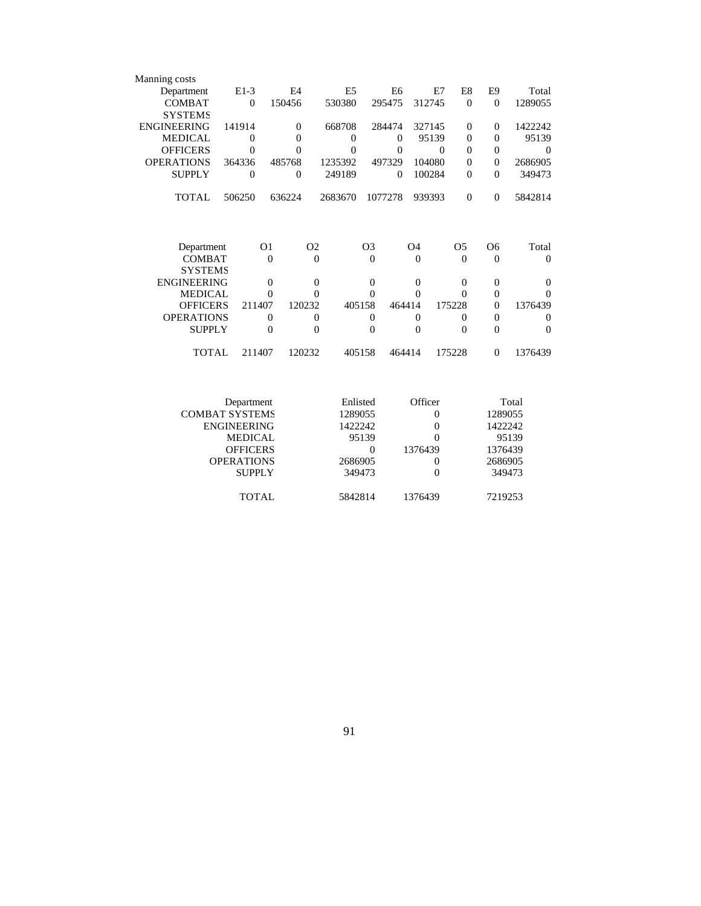| Manning costs      |          |                |                |                |                |                |                |          |
|--------------------|----------|----------------|----------------|----------------|----------------|----------------|----------------|----------|
| Department         | $E1-3$   | F <sub>4</sub> | E <sub>5</sub> | E <sub>6</sub> | E7             | E8             | E9             | Total    |
| <b>COMBAT</b>      | $\theta$ | 150456         | 530380         | 295475         | 312745         | $\Omega$       | $\Omega$       | 1289055  |
| <b>SYSTEMS</b>     |          |                |                |                |                |                |                |          |
| <b>ENGINEERING</b> | 141914   | $\Omega$       | 668708         | 284474         | 327145         | $\Omega$       | $\Omega$       | 1422242  |
| <b>MEDICAL</b>     | $\Omega$ | $\theta$       | $\Omega$       | $\Omega$       | 95139          | $\theta$       | $\Omega$       | 95139    |
| <b>OFFICERS</b>    | $\theta$ | $\theta$       | $\theta$       | $\Omega$       | $\Omega$       | $\theta$       | $\theta$       | $\Omega$ |
| <b>OPERATIONS</b>  | 364336   | 485768         | 1235392        | 497329         | 104080         | $\theta$       | $\theta$       | 2686905  |
| <b>SUPPLY</b>      | $\Omega$ | $\theta$       | 249189         | $\Omega$       | 100284         | $\theta$       | $\Omega$       | 349473   |
| <b>TOTAL</b>       | 506250   | 636224         | 2683670        | 1077278        | 939393         | $\overline{0}$ | $\Omega$       | 5842814  |
|                    |          |                |                |                |                |                |                |          |
| Department         |          | O <sub>1</sub> | O <sub>2</sub> | O <sub>3</sub> | O <sub>4</sub> | O <sub>5</sub> | O <sub>6</sub> | Total    |
| <b>COMBAT</b>      |          | $\theta$       | $\Omega$       | $\Omega$       | $\Omega$       | $\Omega$       | $\theta$       | $\Omega$ |
| SYSTEMS            |          |                |                |                |                |                |                |          |
| <b>ENGINEERING</b> |          | $\theta$       | $\Omega$       | $\overline{0}$ | $\Omega$       | $\Omega$       | $\theta$       | $\theta$ |
| <b>MEDICAL</b>     |          | $\Omega$       | $\Omega$       | $\Omega$       | $\Omega$       | $\Omega$       | $\theta$       | $\Omega$ |
| <b>OFFICERS</b>    | 211407   |                | 120232         | 405158         | 464414         | 175228         | $\Omega$       | 1376439  |
| <b>OPERATIONS</b>  |          | $\theta$       | $\Omega$       | $\Omega$       | $\Omega$       | $\Omega$       | $\overline{0}$ | $\Omega$ |
| <b>SUPPLY</b>      |          | $\overline{0}$ | $\overline{0}$ | $\overline{0}$ | $\Omega$       | $\theta$       | $\overline{0}$ | $\theta$ |
| TOTAL              | 211407   |                | 120232         | 405158         | 464414         | 175228         | $\Omega$       | 1376439  |

| Department            | Enlisted | Officer  | Total   |
|-----------------------|----------|----------|---------|
| <b>COMBAT SYSTEMS</b> | 1289055  | $\theta$ | 1289055 |
| <b>ENGINEERING</b>    | 1422242  | $\theta$ | 1422242 |
| <b>MEDICAL</b>        | 95139    | $\theta$ | 95139   |
| <b>OFFICERS</b>       |          | 1376439  | 1376439 |
| <b>OPERATIONS</b>     | 2686905  | 0        | 2686905 |
| <b>SUPPLY</b>         | 349473   |          | 349473  |
|                       |          |          |         |
| TOTAL.                | 5842814  | 1376439  | 7219253 |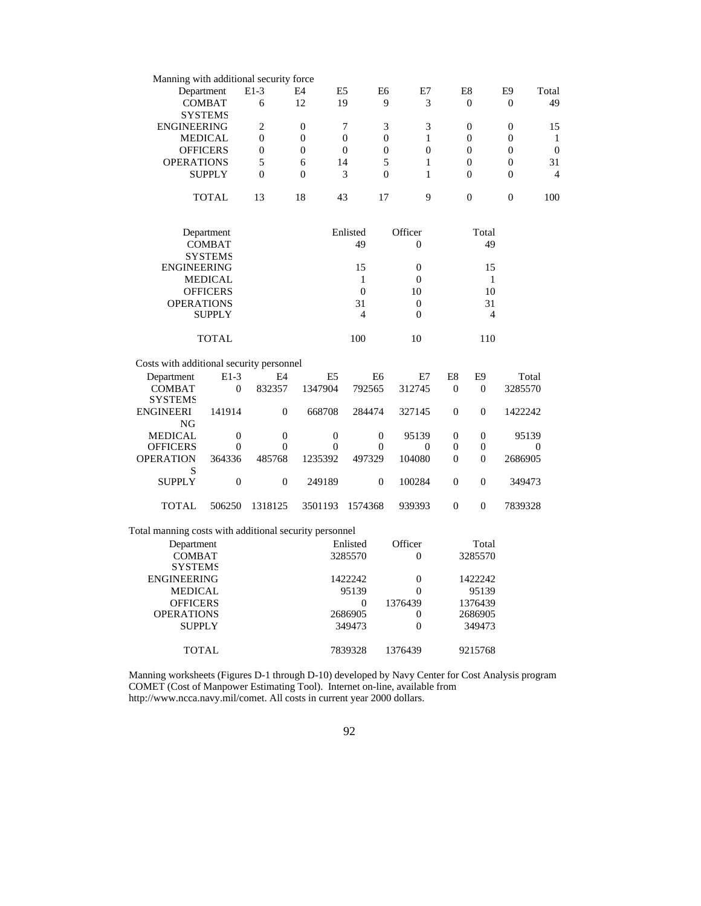| Manning with additional security force                 |                  |                  |                  |                  |                              |                  |                  |                  |                  |
|--------------------------------------------------------|------------------|------------------|------------------|------------------|------------------------------|------------------|------------------|------------------|------------------|
|                                                        | Department       | $E1-3$           | E4               | E5               | E6<br>E7                     |                  | E8               | E <sub>9</sub>   | Total            |
|                                                        | <b>COMBAT</b>    | 6                | 12               | 19               | 9<br>3                       |                  | $\Omega$         | $\theta$         | 49               |
|                                                        | <b>SYSTEMS</b>   |                  |                  |                  |                              |                  |                  |                  |                  |
| <b>ENGINEERING</b>                                     |                  | $\overline{c}$   | $\overline{0}$   | 7                | 3<br>3                       |                  | $\overline{0}$   | $\overline{0}$   | 15               |
|                                                        | <b>MEDICAL</b>   | $\theta$         | $\Omega$         | $\theta$         | $\Omega$<br>1                |                  | $\Omega$         | $\theta$         | 1                |
|                                                        | <b>OFFICERS</b>  | $\overline{0}$   | $\mathbf{0}$     | $\overline{0}$   | $\mathbf{0}$<br>$\mathbf{0}$ |                  | $\overline{0}$   | $\overline{0}$   | $\theta$         |
| <b>OPERATIONS</b>                                      |                  | 5                | 6                | 14               | 5<br>$\mathbf{1}$            |                  | $\boldsymbol{0}$ | $\boldsymbol{0}$ | 31               |
|                                                        | <b>SUPPLY</b>    | $\mathbf{0}$     | $\mathbf{0}$     | 3                | $\mathbf{0}$<br>$\mathbf{1}$ |                  | $\overline{0}$   | $\boldsymbol{0}$ | $\overline{4}$   |
|                                                        |                  |                  |                  |                  |                              |                  |                  |                  |                  |
|                                                        | <b>TOTAL</b>     | 13               | 18               | 43               | 9<br>17                      |                  | $\overline{0}$   | $\overline{0}$   | 100              |
|                                                        | Department       |                  |                  | Enlisted         | Officer                      |                  | Total            |                  |                  |
|                                                        | <b>COMBAT</b>    |                  |                  | 49               | $\mathbf{0}$                 |                  | 49               |                  |                  |
|                                                        |                  |                  |                  |                  |                              |                  |                  |                  |                  |
|                                                        | <b>SYSTEMS</b>   |                  |                  |                  | $\overline{0}$               |                  |                  |                  |                  |
| <b>ENGINEERING</b>                                     |                  |                  |                  | 15               |                              |                  | 15               |                  |                  |
|                                                        | <b>MEDICAL</b>   |                  |                  | $\mathbf{1}$     | $\overline{0}$               |                  | $\mathbf{1}$     |                  |                  |
|                                                        | <b>OFFICERS</b>  |                  |                  | $\mathbf{0}$     | 10                           |                  | 10               |                  |                  |
| <b>OPERATIONS</b>                                      |                  |                  |                  | 31               | $\theta$                     |                  | 31               |                  |                  |
|                                                        | <b>SUPPLY</b>    |                  |                  | $\overline{4}$   | $\Omega$                     |                  | $\overline{4}$   |                  |                  |
|                                                        | <b>TOTAL</b>     |                  |                  | 100              | 10                           |                  | 110              |                  |                  |
| Costs with additional security personnel               |                  |                  |                  |                  |                              |                  |                  |                  |                  |
| Department                                             | $E1-3$           | E <sub>4</sub>   | E <sub>5</sub>   | E <sub>6</sub>   | E7                           | E <sub>8</sub>   | E <sub>9</sub>   | Total            |                  |
| <b>COMBAT</b>                                          | $\mathbf{0}$     | 832357           | 1347904          | 792565           | 312745                       | $\mathbf{0}$     | $\overline{0}$   | 3285570          |                  |
| <b>SYSTEMS</b>                                         |                  |                  |                  |                  |                              |                  |                  |                  |                  |
| <b>ENGINEERI</b>                                       | 141914           | $\overline{0}$   | 668708           | 284474           | 327145                       | $\overline{0}$   | $\theta$         | 1422242          |                  |
| NG                                                     |                  |                  |                  |                  |                              |                  |                  |                  |                  |
| <b>MEDICAL</b>                                         | $\mathbf{0}$     | $\mathbf{0}$     | $\mathbf{0}$     | $\mathbf{0}$     | 95139                        | $\mathbf{0}$     | $\overline{0}$   | 95139            |                  |
| <b>OFFICERS</b>                                        | $\boldsymbol{0}$ | $\boldsymbol{0}$ | $\boldsymbol{0}$ | $\boldsymbol{0}$ | $\boldsymbol{0}$             | $\boldsymbol{0}$ | $\boldsymbol{0}$ |                  | $\boldsymbol{0}$ |
| <b>OPERATION</b>                                       | 364336           | 485768           | 1235392          | 497329           | 104080                       | $\mathbf{0}$     | $\overline{0}$   | 2686905          |                  |
| S                                                      |                  |                  |                  |                  |                              |                  |                  |                  |                  |
| <b>SUPPLY</b>                                          | $\boldsymbol{0}$ | $\boldsymbol{0}$ | 249189           | $\boldsymbol{0}$ | 100284                       | $\boldsymbol{0}$ | $\overline{0}$   | 349473           |                  |
| <b>TOTAL</b>                                           | 506250           | 1318125          | 3501193          | 1574368          | 939393                       | $\boldsymbol{0}$ | $\theta$         | 7839328          |                  |
| Total manning costs with additional security personnel |                  |                  |                  |                  |                              |                  |                  |                  |                  |
| Department                                             |                  |                  |                  | Enlisted         | Officer                      |                  | Total            |                  |                  |
| <b>COMBAT</b>                                          |                  |                  |                  | 3285570          | $\boldsymbol{0}$             |                  | 3285570          |                  |                  |
| <b>SYSTEMS</b>                                         |                  |                  |                  |                  |                              |                  |                  |                  |                  |
| <b>ENGINEERING</b>                                     |                  |                  |                  | 1422242          | $\boldsymbol{0}$             |                  | 1422242          |                  |                  |
| MEDICAL                                                |                  |                  |                  | 95139            | $\mathbf{0}$                 |                  | 95139            |                  |                  |
|                                                        |                  |                  |                  |                  |                              |                  |                  |                  |                  |
| <b>OFFICERS</b>                                        |                  |                  |                  | $\mathbf{0}$     | 1376439                      |                  | 1376439          |                  |                  |
| <b>OPERATIONS</b>                                      |                  |                  |                  | 2686905          | 0                            |                  | 2686905          |                  |                  |
| <b>SUPPLY</b>                                          |                  |                  |                  | 349473           | $\overline{0}$               |                  | 349473           |                  |                  |
| TOTAL                                                  |                  |                  |                  | 7839328          | 1376439                      |                  | 9215768          |                  |                  |

Manning worksheets (Figures D-1 through D-10) developed by Navy Center for Cost Analysis program COMET (Cost of Manpower Estimating Tool). Internet on-line, available from http://www.ncca.navy.mil/comet. All costs in current year 2000 dollars.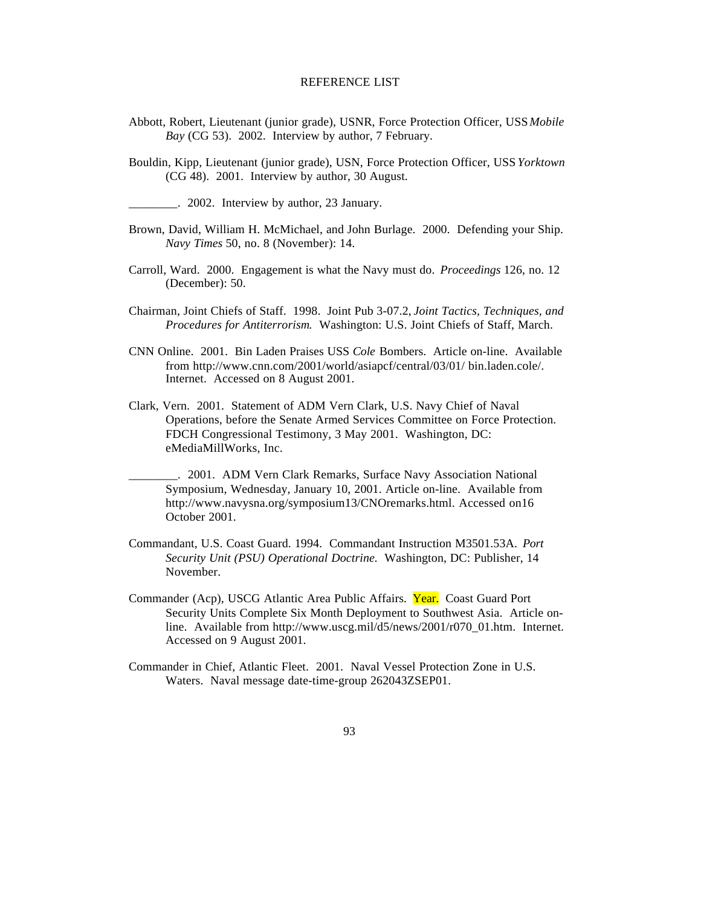#### REFERENCE LIST

- Abbott, Robert, Lieutenant (junior grade), USNR, Force Protection Officer, USS *Mobile Bay* (CG 53). 2002. Interview by author, 7 February.
- Bouldin, Kipp, Lieutenant (junior grade), USN, Force Protection Officer, USS *Yorktown* (CG 48). 2001. Interview by author, 30 August.

\_\_\_\_\_\_\_\_. 2002. Interview by author, 23 January.

- Brown, David, William H. McMichael, and John Burlage. 2000. Defending your Ship. *Navy Times* 50, no. 8 (November): 14.
- Carroll, Ward. 2000. Engagement is what the Navy must do. *Proceedings* 126, no. 12 (December): 50.
- Chairman, Joint Chiefs of Staff. 1998. Joint Pub 3-07.2, *Joint Tactics, Techniques, and Procedures for Antiterrorism*. Washington: U.S. Joint Chiefs of Staff, March.
- CNN Online. 2001. Bin Laden Praises USS *Cole* Bombers. Article on-line. Available from http://www.cnn.com/2001/world/asiapcf/central/03/01/ bin.laden.cole/. Internet. Accessed on 8 August 2001.
- Clark, Vern. 2001. Statement of ADM Vern Clark, U.S. Navy Chief of Naval Operations, before the Senate Armed Services Committee on Force Protection. FDCH Congressional Testimony, 3 May 2001. Washington, DC: eMediaMillWorks, Inc.
- \_\_\_\_\_\_\_\_. 2001. ADM Vern Clark Remarks, Surface Navy Association National Symposium, Wednesday, January 10, 2001. Article on-line. Available from http://www.navysna.org/symposium13/CNOremarks.html. Accessed on16 October 2001.
- Commandant, U.S. Coast Guard. 1994. Commandant Instruction M3501.53A. *Port Security Unit (PSU) Operational Doctrine.* Washington, DC: Publisher, 14 November.
- Commander (Acp), USCG Atlantic Area Public Affairs. Year. Coast Guard Port Security Units Complete Six Month Deployment to Southwest Asia. Article online. Available from http://www.uscg.mil/d5/news/2001/r070\_01.htm. Internet. Accessed on 9 August 2001.
- Commander in Chief, Atlantic Fleet. 2001. Naval Vessel Protection Zone in U.S. Waters. Naval message date-time-group 262043ZSEP01.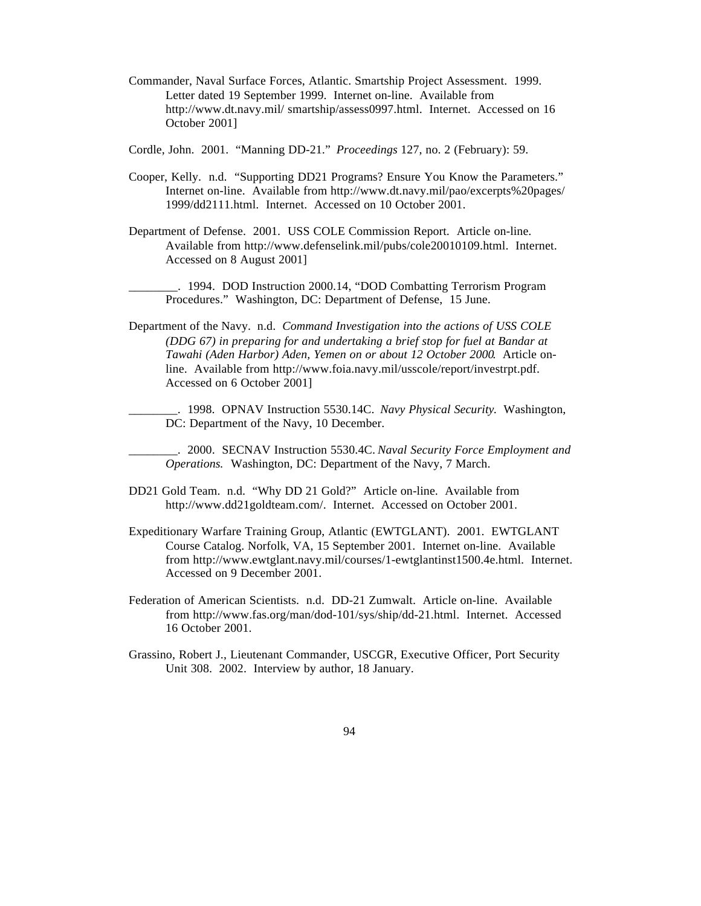Commander, Naval Surface Forces, Atlantic. Smartship Project Assessment. 1999. Letter dated 19 September 1999. Internet on-line. Available from http://www.dt.navy.mil/ smartship/assess0997.html. Internet. Accessed on 16 October 2001]

Cordle, John. 2001. "Manning DD-21." *Proceedings* 127, no. 2 (February): 59.

- Cooper, Kelly. n.d. "Supporting DD21 Programs? Ensure You Know the Parameters." Internet on-line. Available from http://www.dt.navy.mil/pao/excerpts%20pages/ 1999/dd2111.html. Internet. Accessed on 10 October 2001.
- Department of Defense. 2001. USS COLE Commission Report. Article on-line. Available from http://www.defenselink.mil/pubs/cole20010109.html. Internet. Accessed on 8 August 2001]

\_\_\_\_\_\_\_\_. 1994. DOD Instruction 2000.14, "DOD Combatting Terrorism Program Procedures." Washington, DC: Department of Defense, 15 June.

Department of the Navy. n.d. *Command Investigation into the actions of USS COLE (DDG 67) in preparing for and undertaking a brief stop for fuel at Bandar at Tawahi (Aden Harbor) Aden, Yemen on or about 12 October 2000*. Article online. Available from http://www.foia.navy.mil/usscole/report/investrpt.pdf. Accessed on 6 October 2001]

\_\_\_\_\_\_\_\_. 1998. OPNAV Instruction 5530.14C. *Navy Physical Security*. Washington, DC: Department of the Navy, 10 December.

\_\_\_\_\_\_\_\_. 2000. SECNAV Instruction 5530.4C. *Naval Security Force Employment and Operations.* Washington, DC: Department of the Navy, 7 March.

- DD21 Gold Team. n.d. "Why DD 21 Gold?" Article on-line. Available from http://www.dd21goldteam.com/. Internet. Accessed on October 2001.
- Expeditionary Warfare Training Group, Atlantic (EWTGLANT). 2001. EWTGLANT Course Catalog. Norfolk, VA, 15 September 2001. Internet on-line. Available from http://www.ewtglant.navy.mil/courses/1-ewtglantinst1500.4e.html. Internet. Accessed on 9 December 2001.
- Federation of American Scientists. n.d. DD-21 Zumwalt. Article on-line. Available from http://www.fas.org/man/dod-101/sys/ship/dd-21.html. Internet. Accessed 16 October 2001.
- Grassino, Robert J., Lieutenant Commander, USCGR, Executive Officer, Port Security Unit 308. 2002. Interview by author, 18 January.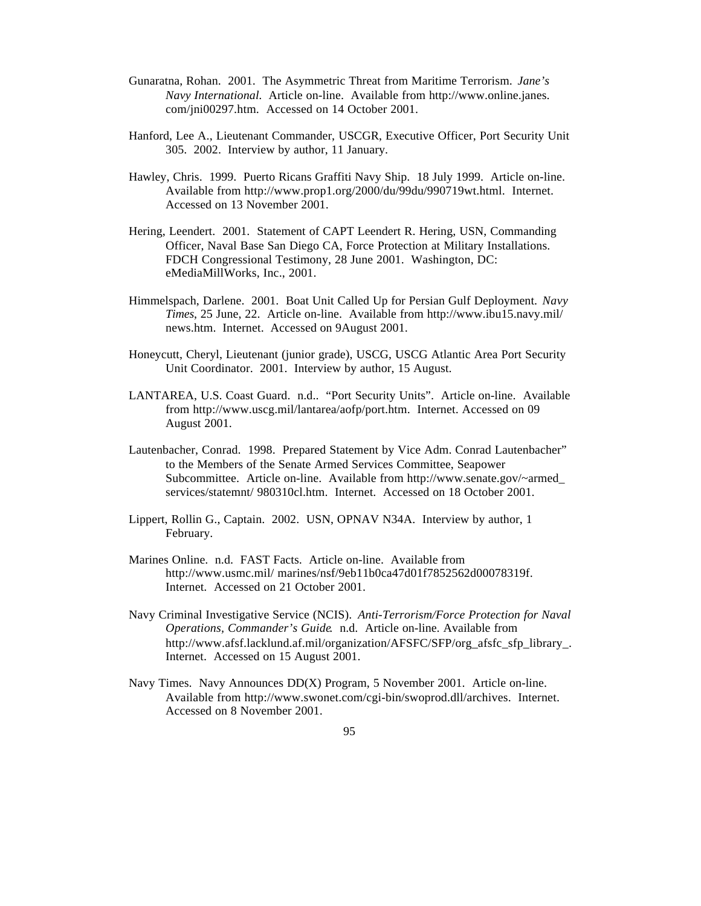- Gunaratna, Rohan. 2001. The Asymmetric Threat from Maritime Terrorism. *Jane's Navy International.* Article on-line. Available from http://www.online.janes. com/jni00297.htm. Accessed on 14 October 2001.
- Hanford, Lee A., Lieutenant Commander, USCGR, Executive Officer, Port Security Unit 305. 2002. Interview by author, 11 January.
- Hawley, Chris. 1999. Puerto Ricans Graffiti Navy Ship. 18 July 1999. Article on-line. Available from http://www.prop1.org/2000/du/99du/990719wt.html. Internet. Accessed on 13 November 2001.
- Hering, Leendert. 2001. Statement of CAPT Leendert R. Hering, USN, Commanding Officer, Naval Base San Diego CA, Force Protection at Military Installations. FDCH Congressional Testimony, 28 June 2001. Washington, DC: eMediaMillWorks, Inc., 2001.
- Himmelspach, Darlene. 2001. Boat Unit Called Up for Persian Gulf Deployment. *Navy Times*, 25 June, 22. Article on-line. Available from http://www.ibu15.navy.mil/ news.htm. Internet. Accessed on 9August 2001.
- Honeycutt, Cheryl, Lieutenant (junior grade), USCG, USCG Atlantic Area Port Security Unit Coordinator. 2001. Interview by author, 15 August.
- LANTAREA, U.S. Coast Guard. n.d.. "Port Security Units". Article on-line. Available from http://www.uscg.mil/lantarea/aofp/port.htm. Internet. Accessed on 09 August 2001.
- Lautenbacher, Conrad. 1998. Prepared Statement by Vice Adm. Conrad Lautenbacher" to the Members of the Senate Armed Services Committee, Seapower Subcommittee. Article on-line. Available from http://www.senate.gov/~armed\_ services/statemnt/ 980310cl.htm. Internet. Accessed on 18 October 2001.
- Lippert, Rollin G., Captain. 2002. USN, OPNAV N34A. Interview by author, 1 February.
- Marines Online. n.d. FAST Facts. Article on-line. Available from http://www.usmc.mil/ marines/nsf/9eb11b0ca47d01f7852562d00078319f. Internet. Accessed on 21 October 2001.
- Navy Criminal Investigative Service (NCIS). *Anti-Terrorism/Force Protection for Naval Operations, Commander's Guide*. n.d. Article on-line. Available from http://www.afsf.lacklund.af.mil/organization/AFSFC/SFP/org\_afsfc\_sfp\_library\_. Internet. Accessed on 15 August 2001.
- Navy Times. Navy Announces DD(X) Program, 5 November 2001. Article on-line. Available from http://www.swonet.com/cgi-bin/swoprod.dll/archives. Internet. Accessed on 8 November 2001.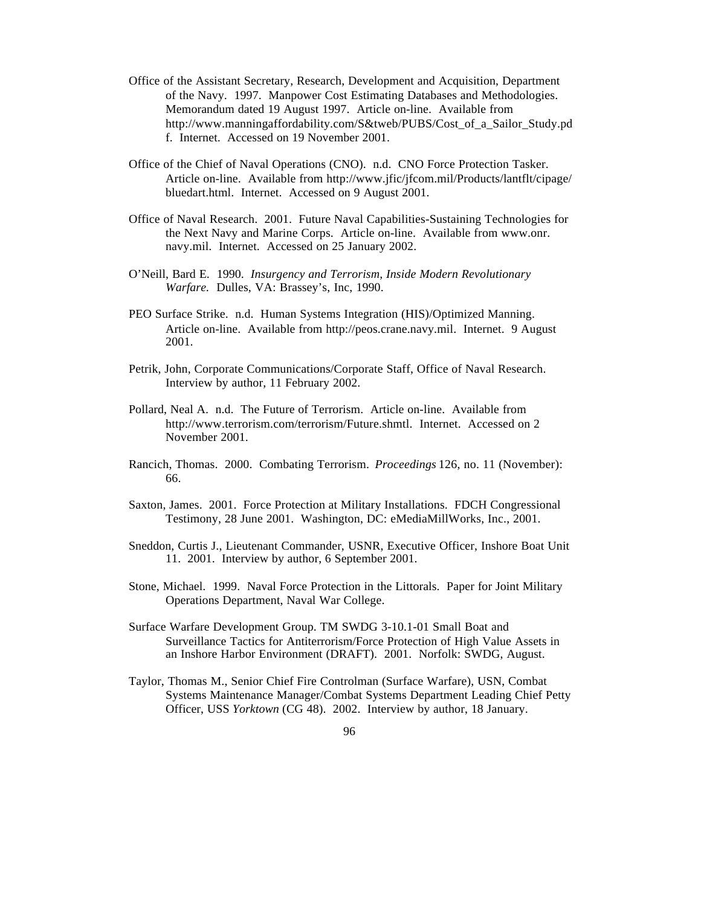- Office of the Assistant Secretary, Research, Development and Acquisition, Department of the Navy. 1997. Manpower Cost Estimating Databases and Methodologies. Memorandum dated 19 August 1997. Article on-line. Available from http://www.manningaffordability.com/S&tweb/PUBS/Cost\_of\_a\_Sailor\_Study.pd f. Internet. Accessed on 19 November 2001.
- Office of the Chief of Naval Operations (CNO). n.d. CNO Force Protection Tasker. Article on-line. Available from http://www.jfic/jfcom.mil/Products/lantflt/cipage/ bluedart.html. Internet. Accessed on 9 August 2001.
- Office of Naval Research. 2001. Future Naval Capabilities-Sustaining Technologies for the Next Navy and Marine Corps. Article on-line. Available from www.onr. navy.mil. Internet. Accessed on 25 January 2002.
- O'Neill, Bard E. 1990. *Insurgency and Terrorism, Inside Modern Revolutionary Warfare*. Dulles, VA: Brassey's, Inc, 1990.
- PEO Surface Strike. n.d. Human Systems Integration (HIS)/Optimized Manning. Article on-line. Available from http://peos.crane.navy.mil. Internet. 9 August 2001.
- Petrik, John, Corporate Communications/Corporate Staff, Office of Naval Research. Interview by author, 11 February 2002.
- Pollard, Neal A. n.d. The Future of Terrorism. Article on-line. Available from http://www.terrorism.com/terrorism/Future.shmtl. Internet. Accessed on 2 November 2001.
- Rancich, Thomas. 2000. Combating Terrorism. *Proceedings* 126, no. 11 (November): 66.
- Saxton, James. 2001. Force Protection at Military Installations. FDCH Congressional Testimony, 28 June 2001. Washington, DC: eMediaMillWorks, Inc., 2001.
- Sneddon, Curtis J., Lieutenant Commander, USNR, Executive Officer, Inshore Boat Unit 11. 2001. Interview by author, 6 September 2001.
- Stone, Michael. 1999. Naval Force Protection in the Littorals. Paper for Joint Military Operations Department, Naval War College.
- Surface Warfare Development Group. TM SWDG 3-10.1-01 Small Boat and Surveillance Tactics for Antiterrorism/Force Protection of High Value Assets in an Inshore Harbor Environment (DRAFT). 2001. Norfolk: SWDG, August.
- Taylor, Thomas M., Senior Chief Fire Controlman (Surface Warfare), USN, Combat Systems Maintenance Manager/Combat Systems Department Leading Chief Petty Officer, USS *Yorktown* (CG 48). 2002. Interview by author, 18 January.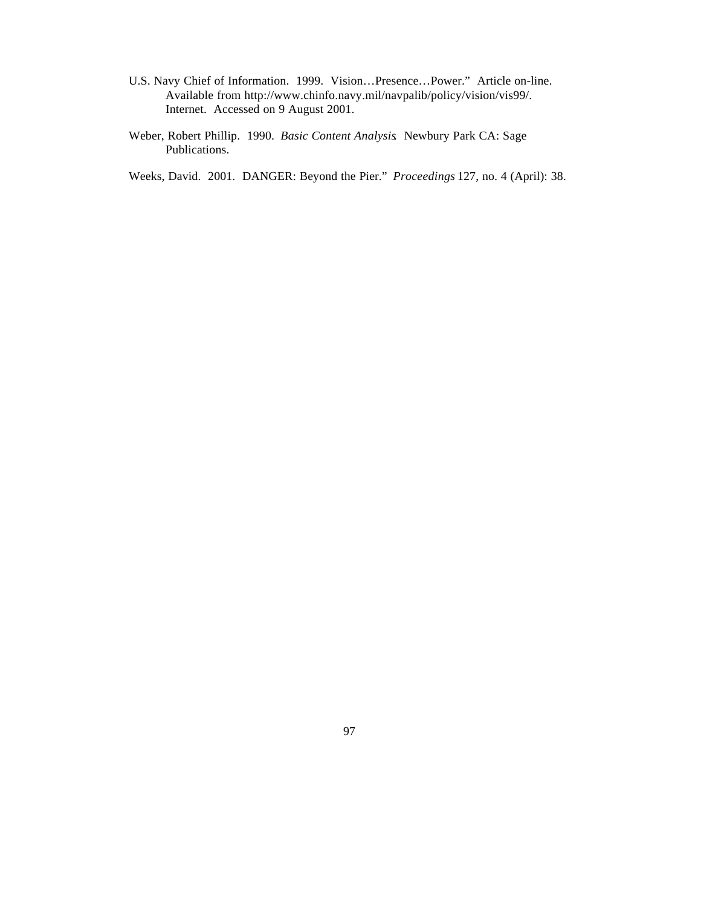- U.S. Navy Chief of Information. 1999. Vision…Presence…Power." Article on-line. Available from http://www.chinfo.navy.mil/navpalib/policy/vision/vis99/. Internet. Accessed on 9 August 2001.
- Weber, Robert Phillip. 1990. *Basic Content Analysis*. Newbury Park CA: Sage Publications.

Weeks, David. 2001. DANGER: Beyond the Pier." *Proceedings* 127, no. 4 (April): 38.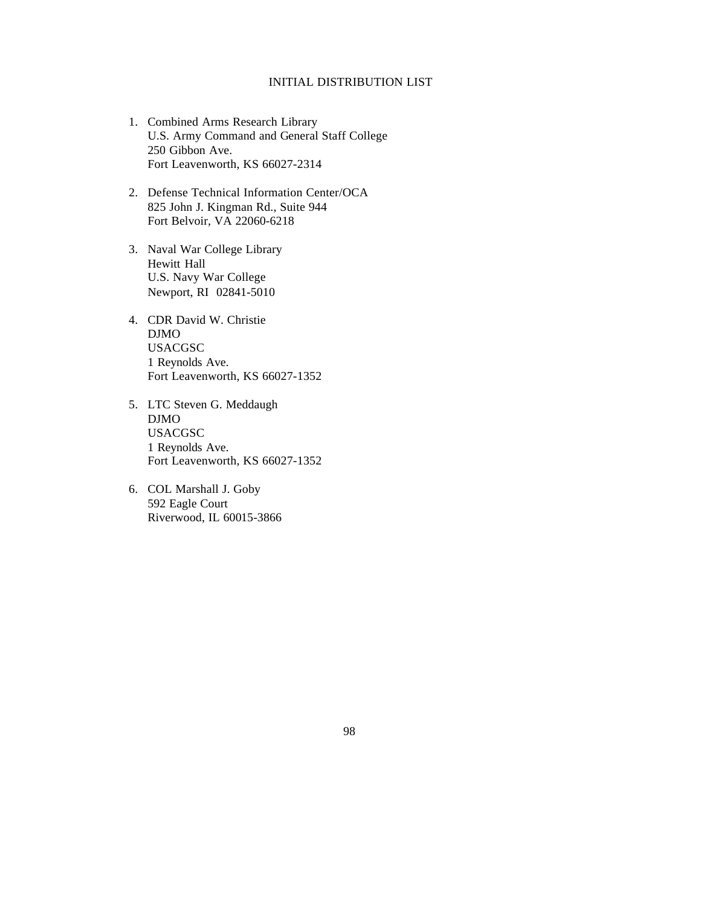### INITIAL DISTRIBUTION LIST

- 1. Combined Arms Research Library U.S. Army Command and General Staff College 250 Gibbon Ave. Fort Leavenworth, KS 66027-2314
- 2. Defense Technical Information Center/OCA 825 John J. Kingman Rd., Suite 944 Fort Belvoir, VA 22060-6218
- 3. Naval War College Library Hewitt Hall U.S. Navy War College Newport, RI 02841-5010
- 4. CDR David W. Christie DJMO USACGSC 1 Reynolds Ave. Fort Leavenworth, KS 66027-1352
- 5. LTC Steven G. Meddaugh DJMO USACGSC 1 Reynolds Ave. Fort Leavenworth, KS 66027-1352
- 6. COL Marshall J. Goby 592 Eagle Court Riverwood, IL 60015-3866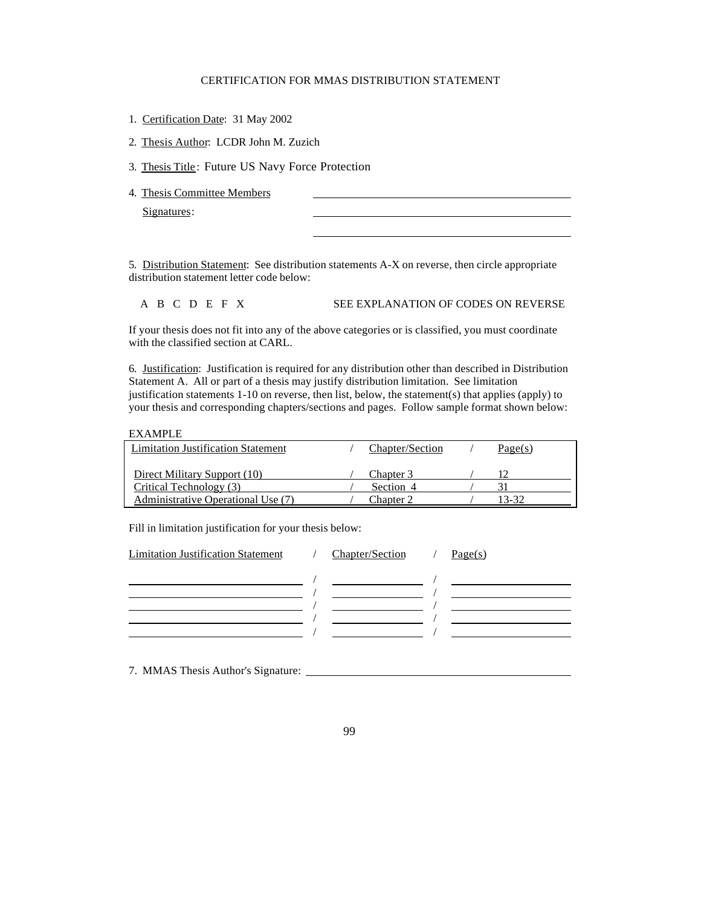#### CERTIFICATION FOR MMAS DISTRIBUTION STATEMENT

- 1. Certification Date: 31 May 2002
- 2. Thesis Author: LCDR John M. Zuzich

3. Thesis Title: Future US Navy Force Protection

4. Thesis Committee Members

Signatures:

5. Distribution Statement: See distribution statements A-X on reverse, then circle appropriate distribution statement letter code below:

l

#### A B C D E F X SEE EXPLANATION OF CODES ON REVERSE

If your thesis does not fit into any of the above categories or is classified, you must coordinate with the classified section at CARL.

6. Justification: Justification is required for any distribution other than described in Distribution Statement A. All or part of a thesis may justify distribution limitation. See limitation justification statements 1-10 on reverse, then list, below, the statement(s) that applies (apply) to your thesis and corresponding chapters/sections and pages. Follow sample format shown below:

#### EXAMPLE

| <b>Limitation Justification Statement</b> | Chapter/Section | Page(s) |
|-------------------------------------------|-----------------|---------|
|                                           |                 |         |
| Direct Military Support (10)              | Chapter 3       |         |
| Critical Technology (3)                   | Section 4       |         |
| Administrative Operational Use (7)        | Chapter 2       | 13-32   |

Fill in limitation justification for your thesis below:

| <b>Limitation Justification Statement</b> | <b>Chapter/Section</b> | Page(s) |
|-------------------------------------------|------------------------|---------|
|                                           |                        |         |
|                                           |                        |         |
|                                           |                        |         |
|                                           |                        |         |
|                                           |                        |         |
|                                           |                        |         |

7. MMAS Thesis Author's Signature: